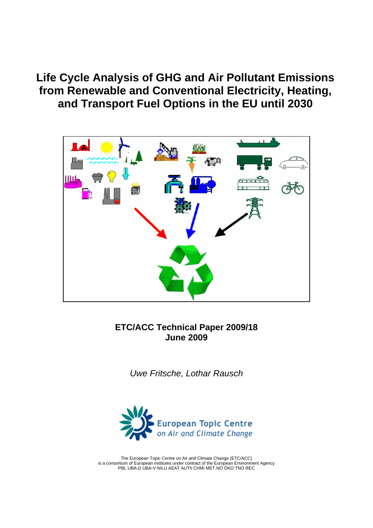**Life Cycle Analysis of GHG and Air Pollutant Emissions from Renewable and Conventional Electricity, Heating, and Transport Fuel Options in the EU until 2030** 



**ETC/ACC Technical Paper 2009/18 June 2009** 

*Uwe Fritsche, Lothar Rausch* 



The European Topic Centre on Air and Climate Change (ETC/ACC) is a consortium of European institutes under contract of the European Environment Agency PBL UBA-D UBA-V NILU AEAT AUTh CHMI MET.NO ÖKO TNO REC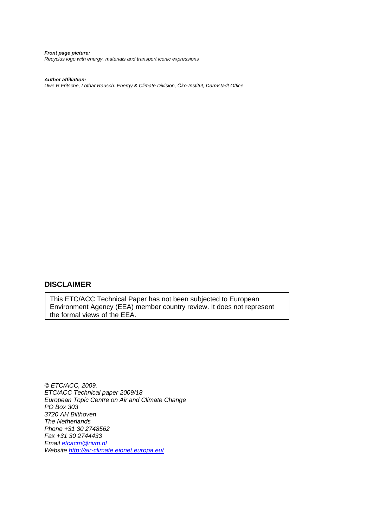*Front page picture: Recyclus logo with energy, materials and transport iconic expressions* 

#### *Author affiliation:*

*Uwe R.Fritsche, Lothar Rausch: Energy & Climate Division, Öko-Institut, Darmstadt Office* 

#### **DISCLAIMER**

This ETC/ACC Technical Paper has not been subjected to European Environment Agency (EEA) member country review. It does not represent the formal views of the EEA.

*© ETC/ACC, 2009. ETC/ACC Technical paper 2009/18 European Topic Centre on Air and Climate Change PO Box 303 3720 AH Bilthoven The Netherlands Phone +31 30 2748562 Fax +31 30 2744433 Email [etcacm@rivm.nl](mailto:etcacm@rivm.nl) Website <http://air-climate.eionet.europa.eu/>*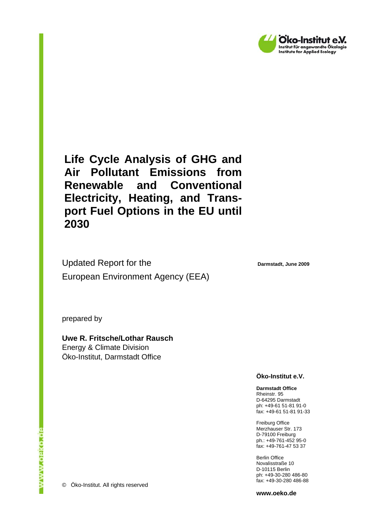

**Life Cycle Analysis of GHG and Air Pollutant Emissions from Renewable and Conventional Electricity, Heating, and Transport Fuel Options in the EU until 2030** 

Updated Report for the European Environment Agency (EEA)

**Darmstadt, June 2009** 

prepared by

**Uwe R. Fritsche/Lothar Rausch**  Energy & Climate Division Öko-Institut, Darmstadt Office

**Öko-Institut e.V.** 

**Darmstadt Office**  Rheinstr. 95 D-64295 Darmstadt ph: +49-61 51-81 91-0 fax: +49-61 51-81 91-33

Freiburg Office Merzhauser Str. 173 D-79100 Freiburg ph.: +49-761-452 95-0 fax: +49-761-47 53 37

Berlin Office Novalisstraße 10 D-10115 Berlin ph: +49-30-280 486-80 fax: +49-30-280 486-88

**www.oeko.de**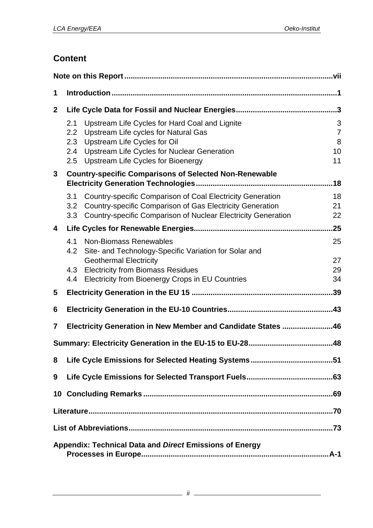# **Content**

| 1                |                                                         |                                                                                                                                                                                                                           |                                      |  |  |  |
|------------------|---------------------------------------------------------|---------------------------------------------------------------------------------------------------------------------------------------------------------------------------------------------------------------------------|--------------------------------------|--|--|--|
| $\boldsymbol{2}$ |                                                         |                                                                                                                                                                                                                           |                                      |  |  |  |
|                  | 2.1<br>2.2<br>2.3<br>2.4<br>2.5                         | Upstream Life Cycles for Hard Coal and Lignite<br>Upstream Life cycles for Natural Gas<br>Upstream Life Cycles for Oil<br><b>Upstream Life Cycles for Nuclear Generation</b><br><b>Upstream Life Cycles for Bioenergy</b> | 3<br>$\overline{7}$<br>8<br>10<br>11 |  |  |  |
| 3                |                                                         | <b>Country-specific Comparisons of Selected Non-Renewable</b>                                                                                                                                                             | .18                                  |  |  |  |
|                  | 3.1<br>3.2<br>3.3                                       | <b>Country-specific Comparison of Coal Electricity Generation</b><br>Country-specific Comparison of Gas Electricity Generation<br>Country-specific Comparison of Nuclear Electricity Generation                           | 18<br>21<br>22                       |  |  |  |
| 4                |                                                         |                                                                                                                                                                                                                           | .25                                  |  |  |  |
|                  | 4.1<br>4.2                                              | <b>Non-Biomass Renewables</b><br>Site- and Technology-Specific Variation for Solar and<br><b>Geothermal Electricity</b>                                                                                                   | 25<br>27                             |  |  |  |
|                  | 4.3<br>4.4                                              | <b>Electricity from Biomass Residues</b><br>Electricity from Bioenergy Crops in EU Countries                                                                                                                              | 29<br>34                             |  |  |  |
| 5                |                                                         |                                                                                                                                                                                                                           | .39                                  |  |  |  |
| 6                |                                                         |                                                                                                                                                                                                                           |                                      |  |  |  |
| 7                |                                                         | Electricity Generation in New Member and Candidate States 46                                                                                                                                                              |                                      |  |  |  |
|                  |                                                         |                                                                                                                                                                                                                           |                                      |  |  |  |
| 8                |                                                         |                                                                                                                                                                                                                           |                                      |  |  |  |
| 9                |                                                         |                                                                                                                                                                                                                           |                                      |  |  |  |
|                  |                                                         |                                                                                                                                                                                                                           |                                      |  |  |  |
|                  |                                                         |                                                                                                                                                                                                                           |                                      |  |  |  |
|                  |                                                         |                                                                                                                                                                                                                           |                                      |  |  |  |
|                  | Appendix: Technical Data and Direct Emissions of Energy |                                                                                                                                                                                                                           |                                      |  |  |  |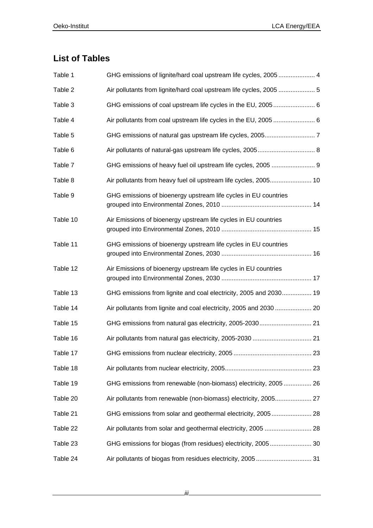# **List of Tables**

| Table 1  | GHG emissions of lignite/hard coal upstream life cycles, 2005 4     |
|----------|---------------------------------------------------------------------|
| Table 2  | Air pollutants from lignite/hard coal upstream life cycles, 2005  5 |
| Table 3  | GHG emissions of coal upstream life cycles in the EU, 2005 6        |
| Table 4  |                                                                     |
| Table 5  |                                                                     |
| Table 6  |                                                                     |
| Table 7  | GHG emissions of heavy fuel oil upstream life cycles, 2005  9       |
| Table 8  | Air pollutants from heavy fuel oil upstream life cycles, 2005 10    |
| Table 9  | GHG emissions of bioenergy upstream life cycles in EU countries     |
| Table 10 | Air Emissions of bioenergy upstream life cycles in EU countries     |
| Table 11 | GHG emissions of bioenergy upstream life cycles in EU countries     |
| Table 12 | Air Emissions of bioenergy upstream life cycles in EU countries     |
| Table 13 | GHG emissions from lignite and coal electricity, 2005 and 2030 19   |
| Table 14 | Air pollutants from lignite and coal electricity, 2005 and 2030  20 |
| Table 15 |                                                                     |
| Table 16 |                                                                     |
| Table 17 |                                                                     |
| Table 18 |                                                                     |
| Table 19 | GHG emissions from renewable (non-biomass) electricity, 2005 26     |
| Table 20 |                                                                     |
| Table 21 |                                                                     |
| Table 22 |                                                                     |
| Table 23 |                                                                     |
| Table 24 |                                                                     |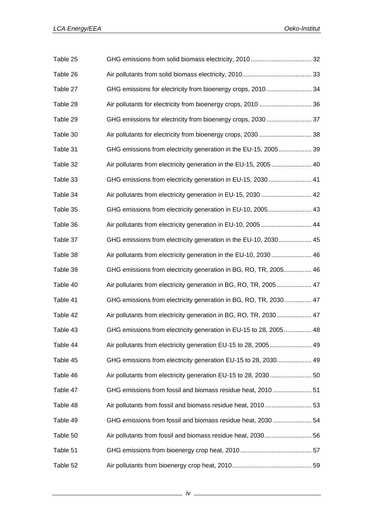| Table 25 |                                                                   |  |
|----------|-------------------------------------------------------------------|--|
| Table 26 |                                                                   |  |
| Table 27 | GHG emissions for electricity from bioenergy crops, 2010 34       |  |
| Table 28 | Air pollutants for electricity from bioenergy crops, 2010  36     |  |
| Table 29 | GHG emissions for electricity from bioenergy crops, 2030 37       |  |
| Table 30 | Air pollutants for electricity from bioenergy crops, 2030  38     |  |
| Table 31 | GHG emissions from electricity generation in the EU-15, 2005 39   |  |
| Table 32 | Air pollutants from electricity generation in the EU-15, 2005  40 |  |
| Table 33 | GHG emissions from electricity generation in EU-15, 2030 41       |  |
| Table 34 | Air pollutants from electricity generation in EU-15, 2030  42     |  |
| Table 35 | GHG emissions from electricity generation in EU-10, 2005 43       |  |
| Table 36 | Air pollutants from electricity generation in EU-10, 2005  44     |  |
| Table 37 | GHG emissions from electricity generation in the EU-10, 2030 45   |  |
| Table 38 | Air pollutants from electricity generation in the EU-10, 2030  46 |  |
| Table 39 | GHG emissions from electricity generation in BG, RO, TR, 2005 46  |  |
| Table 40 | Air pollutants from electricity generation in BG, RO, TR, 2005 47 |  |
| Table 41 | GHG emissions from electricity generation in BG, RO, TR, 2030 47  |  |
| Table 42 | Air pollutants from electricity generation in BG, RO, TR, 2030 47 |  |
| Table 43 | GHG emissions from electricity generation in EU-15 to 28, 2005 48 |  |
| Table 44 | Air pollutants from electricity generation EU-15 to 28, 2005 49   |  |
| Table 45 | GHG emissions from electricity generation EU-15 to 28, 2030 49    |  |
| Table 46 |                                                                   |  |
| Table 47 | GHG emissions from fossil and biomass residue heat, 2010  51      |  |
| Table 48 | Air pollutants from fossil and biomass residue heat, 2010 53      |  |
| Table 49 | GHG emissions from fossil and biomass residue heat, 2030  54      |  |
| Table 50 |                                                                   |  |
| Table 51 |                                                                   |  |
| Table 52 |                                                                   |  |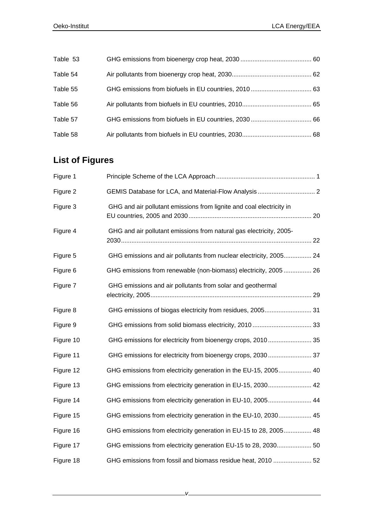| Table 53 |  |
|----------|--|
| Table 54 |  |
| Table 55 |  |
| Table 56 |  |
| Table 57 |  |
| Table 58 |  |

# **List of Figures**

| Figure 1  |                                                                      |
|-----------|----------------------------------------------------------------------|
| Figure 2  |                                                                      |
| Figure 3  | GHG and air pollutant emissions from lignite and coal electricity in |
| Figure 4  | GHG and air pollutant emissions from natural gas electricity, 2005-  |
| Figure 5  | GHG emissions and air pollutants from nuclear electricity, 2005 24   |
| Figure 6  | GHG emissions from renewable (non-biomass) electricity, 2005 26      |
| Figure 7  | GHG emissions and air pollutants from solar and geothermal           |
| Figure 8  |                                                                      |
| Figure 9  |                                                                      |
| Figure 10 | GHG emissions for electricity from bioenergy crops, 2010 35          |
| Figure 11 | GHG emissions for electricity from bioenergy crops, 2030  37         |
| Figure 12 | GHG emissions from electricity generation in the EU-15, 2005 40      |
| Figure 13 | GHG emissions from electricity generation in EU-15, 2030 42          |
| Figure 14 | GHG emissions from electricity generation in EU-10, 2005 44          |
| Figure 15 | GHG emissions from electricity generation in the EU-10, 2030 45      |
| Figure 16 | GHG emissions from electricity generation in EU-15 to 28, 2005 48    |
| Figure 17 |                                                                      |
| Figure 18 | GHG emissions from fossil and biomass residue heat, 2010  52         |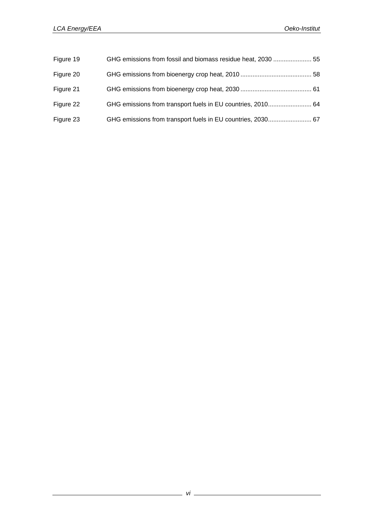| Figure 19 | GHG emissions from fossil and biomass residue heat, 2030  55 |  |
|-----------|--------------------------------------------------------------|--|
| Figure 20 |                                                              |  |
| Figure 21 |                                                              |  |
| Figure 22 |                                                              |  |
| Figure 23 |                                                              |  |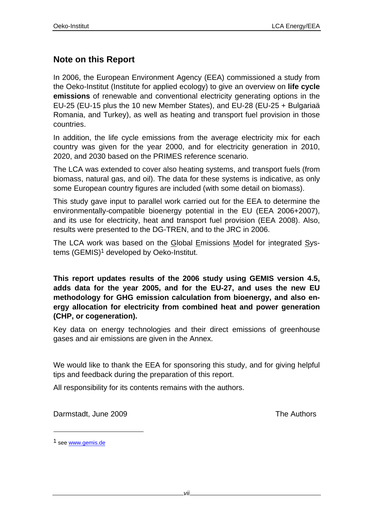### **Note on this Report**

In 2006, the European Environment Agency (EEA) commissioned a study from the Oeko-Institut (Institute for applied ecology) to give an overview on **life cycle emissions** of renewable and conventional electricity generating options in the EU-25 (EU-15 plus the 10 new Member States), and EU-28 (EU-25 + Bulgariaä Romania, and Turkey), as well as heating and transport fuel provision in those countries.

In addition, the life cycle emissions from the average electricity mix for each country was given for the year 2000, and for electricity generation in 2010, 2020, and 2030 based on the PRIMES reference scenario.

The LCA was extended to cover also heating systems, and transport fuels (from biomass, natural gas, and oil). The data for these systems is indicative, as only some European country figures are included (with some detail on biomass).

This study gave input to parallel work carried out for the EEA to determine the environmentally-compatible bioenergy potential in the EU (EEA 2006+2007), and its use for electricity, heat and transport fuel provision (EEA 2008). Also, results were presented to the DG-TREN, and to the JRC in 2006.

The LCA work was based on the Global Emissions Model for integrated Systems (GEMIS)<sup>1</sup> developed by Oeko-Institut.

**This report updates results of the 2006 study using GEMIS version 4.5, adds data for the year 2005, and for the EU-27, and uses the new EU methodology for GHG emission calculation from bioenergy, and also energy allocation for electricity from combined heat and power generation (CHP, or cogeneration).**

Key data on energy technologies and their direct emissions of greenhouse gases and air emissions are given in the Annex.

We would like to thank the EEA for sponsoring this study, and for giving helpful tips and feedback during the preparation of this report.

All responsibility for its contents remains with the authors.

Darmstadt, June 2009 **The Authors** 

l

<sup>1</sup> see www.gemis.de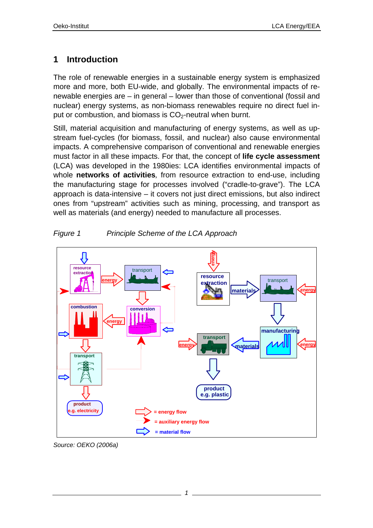# **1 Introduction**

The role of renewable energies in a sustainable energy system is emphasized more and more, both EU-wide, and globally. The environmental impacts of renewable energies are – in general – lower than those of conventional (fossil and nuclear) energy systems, as non-biomass renewables require no direct fuel input or combustion, and biomass is  $CO<sub>2</sub>$ -neutral when burnt.

Still, material acquisition and manufacturing of energy systems, as well as upstream fuel-cycles (for biomass, fossil, and nuclear) also cause environmental impacts. A comprehensive comparison of conventional and renewable energies must factor in all these impacts. For that, the concept of **life cycle assessment**  (LCA) was developed in the 1980ies: LCA identifies environmental impacts of whole **networks of activities***,* from resource extraction to end-use, including the manufacturing stage for processes involved ("cradle-to-grave"). The LCA approach is data-intensive – it covers not just direct emissions, but also indirect ones from "upstream" activities such as mining, processing, and transport as well as materials (and energy) needed to manufacture all processes.





*Source: OEKO (2006a)*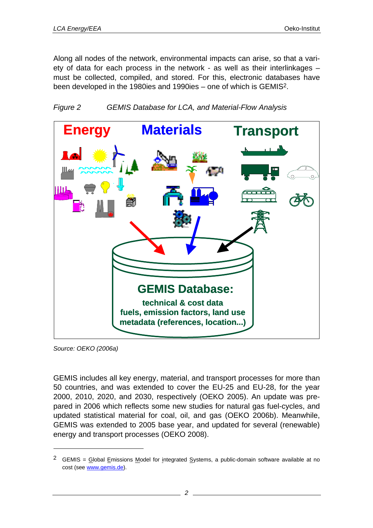Along all nodes of the network, environmental impacts can arise, so that a variety of data for each process in the network - as well as their interlinkages – must be collected, compiled, and stored. For this, electronic databases have been developed in the 1980ies and 1990ies – one of which is GEMIS2.





*Source: OEKO (2006a)* 

l

GEMIS includes all key energy, material, and transport processes for more than 50 countries, and was extended to cover the EU-25 and EU-28, for the year 2000, 2010, 2020, and 2030, respectively (OEKO 2005). An update was prepared in 2006 which reflects some new studies for natural gas fuel-cycles, and updated statistical material for coal, oil, and gas (OEKO 2006b). Meanwhile, GEMIS was extended to 2005 base year, and updated for several (renewable) energy and transport processes (OEKO 2008).

<sup>&</sup>lt;sup>2</sup> GEMIS = Global Emissions Model for integrated Systems, a public-domain software available at no cost (see www.gemis.de).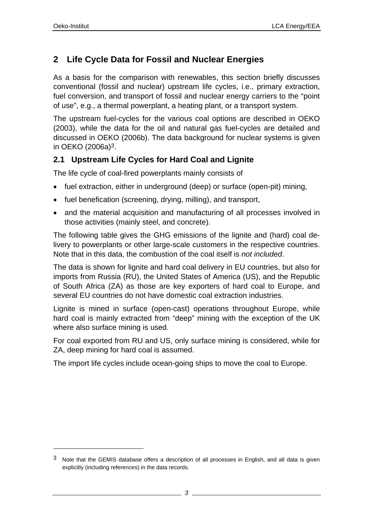l

# **2 Life Cycle Data for Fossil and Nuclear Energies**

As a basis for the comparison with renewables, this section briefly discusses conventional (fossil and nuclear) upstream life cycles, i.e., primary extraction, fuel conversion, and transport of fossil and nuclear energy carriers to the "point of use", e.g., a thermal powerplant, a heating plant, or a transport system.

The upstream fuel-cycles for the various coal options are described in OEKO (2003), while the data for the oil and natural gas fuel-cycles are detailed and discussed in OEKO (2006b). The data background for nuclear systems is given in OEKO (2006a)3.

### **2.1 Upstream Life Cycles for Hard Coal and Lignite**

The life cycle of coal-fired powerplants mainly consists of

- fuel extraction, either in underground (deep) or surface (open-pit) mining,
- fuel benefication (screening, drying, milling), and transport,
- and the material acquisition and manufacturing of all processes involved in those activities (mainly steel, and concrete).

The following table gives the GHG emissions of the lignite and (hard) coal delivery to powerplants or other large-scale customers in the respective countries. Note that in this data, the combustion of the coal itself is *not included*.

The data is shown for lignite and hard coal delivery in EU countries, but also for imports from Russia (RU), the United States of America (US), and the Republic of South Africa (ZA) as those are key exporters of hard coal to Europe, and several EU countries do not have domestic coal extraction industries.

Lignite is mined in surface (open-cast) operations throughout Europe, while hard coal is mainly extracted from "deep" mining with the exception of the UK where also surface mining is used.

For coal exported from RU and US, only surface mining is considered, while for ZA, deep mining for hard coal is assumed.

The import life cycles include ocean-going ships to move the coal to Europe.

<sup>3</sup> Note that the GEMIS database offers a description of all processes in English, and all data is given explicitly (including references) in the data records.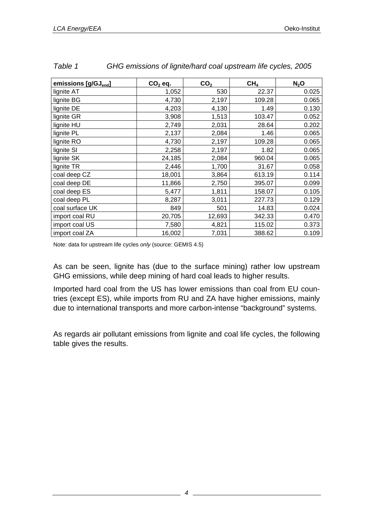| emissions [g/GJ <sub>end</sub> ] | $CO2$ eq. | CO <sub>2</sub> | CH <sub>4</sub> | $N_2$ O |
|----------------------------------|-----------|-----------------|-----------------|---------|
| lignite AT                       | 1,052     | 530             | 22.37           | 0.025   |
| lignite BG                       | 4,730     | 2,197           | 109.28          | 0.065   |
| lignite DE                       | 4,203     | 4,130           | 1.49            | 0.130   |
| lignite GR                       | 3,908     | 1,513           | 103.47          | 0.052   |
| lignite HU                       | 2,749     | 2,031           | 28.64           | 0.202   |
| lignite PL                       | 2,137     | 2,084           | 1.46            | 0.065   |
| lignite RO                       | 4,730     | 2,197           | 109.28          | 0.065   |
| lignite SI                       | 2,258     | 2,197           | 1.82            | 0.065   |
| lignite SK                       | 24,185    | 2,084           | 960.04          | 0.065   |
| lignite TR                       | 2,446     | 1,700           | 31.67           | 0.058   |
| coal deep CZ                     | 18,001    | 3,864           | 613.19          | 0.114   |
| coal deep DE                     | 11,866    | 2,750           | 395.07          | 0.099   |
| coal deep ES                     | 5,477     | 1,811           | 158.07          | 0.105   |
| coal deep PL                     | 8,287     | 3,011           | 227.73          | 0.129   |
| coal surface UK                  | 849       | 501             | 14.83           | 0.024   |
| import coal RU                   | 20,705    | 12,693          | 342.33          | 0.470   |
| import coal US                   | 7,580     | 4,821           | 115.02          | 0.373   |
| import coal ZA                   | 16,002    | 7,031           | 388.62          | 0.109   |

| Table 1 | GHG emissions of lignite/hard coal upstream life cycles, 2005 |
|---------|---------------------------------------------------------------|
|---------|---------------------------------------------------------------|

Note: data for upstream life cycles *only* (source: GEMIS 4.5)

As can be seen, lignite has (due to the surface mining) rather low upstream GHG emissions, while deep mining of hard coal leads to higher results.

Imported hard coal from the US has lower emissions than coal from EU countries (except ES), while imports from RU and ZA have higher emissions, mainly due to international transports and more carbon-intense "background" systems.

As regards air pollutant emissions from lignite and coal life cycles, the following table gives the results.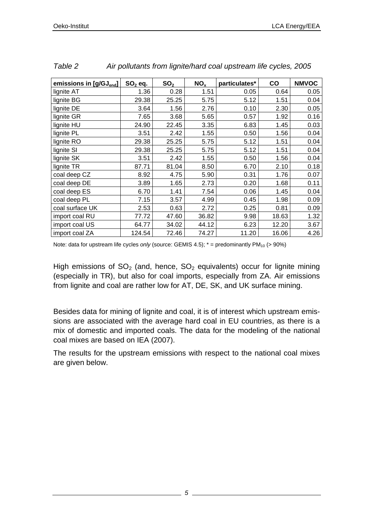| emissions in [g/GJ <sub>end</sub> ] | $SO2$ eq. | SO <sub>2</sub> | NO <sub>x</sub> | particulates* | CO    | <b>NMVOC</b> |
|-------------------------------------|-----------|-----------------|-----------------|---------------|-------|--------------|
| lignite AT                          | 1.36      | 0.28            | 1.51            | 0.05          | 0.64  | 0.05         |
| lignite BG                          | 29.38     | 25.25           | 5.75            | 5.12          | 1.51  | 0.04         |
| lignite DE                          | 3.64      | 1.56            | 2.76            | 0.10          | 2.30  | 0.05         |
| lignite GR                          | 7.65      | 3.68            | 5.65            | 0.57          | 1.92  | 0.16         |
| lignite HU                          | 24.90     | 22.45           | 3.35            | 6.83          | 1.45  | 0.03         |
| lignite PL                          | 3.51      | 2.42            | 1.55            | 0.50          | 1.56  | 0.04         |
| lignite RO                          | 29.38     | 25.25           | 5.75            | 5.12          | 1.51  | 0.04         |
| lignite SI                          | 29.38     | 25.25           | 5.75            | 5.12          | 1.51  | 0.04         |
| lignite SK                          | 3.51      | 2.42            | 1.55            | 0.50          | 1.56  | 0.04         |
| lignite TR                          | 87.71     | 81.04           | 8.50            | 6.70          | 2.10  | 0.18         |
| coal deep CZ                        | 8.92      | 4.75            | 5.90            | 0.31          | 1.76  | 0.07         |
| coal deep DE                        | 3.89      | 1.65            | 2.73            | 0.20          | 1.68  | 0.11         |
| coal deep ES                        | 6.70      | 1.41            | 7.54            | 0.06          | 1.45  | 0.04         |
| coal deep PL                        | 7.15      | 3.57            | 4.99            | 0.45          | 1.98  | 0.09         |
| coal surface UK                     | 2.53      | 0.63            | 2.72            | 0.25          | 0.81  | 0.09         |
| import coal RU                      | 77.72     | 47.60           | 36.82           | 9.98          | 18.63 | 1.32         |
| import coal US                      | 64.77     | 34.02           | 44.12           | 6.23          | 12.20 | 3.67         |
| import coal ZA                      | 124.54    | 72.46           | 74.27           | 11.20         | 16.06 | 4.26         |

*Table 2 Air pollutants from lignite/hard coal upstream life cycles, 2005* 

Note: data for upstream life cycles *only* (source: GEMIS 4.5);  $*$  = predominantly PM<sub>10</sub> (> 90%)

High emissions of  $SO<sub>2</sub>$  (and, hence,  $SO<sub>2</sub>$  equivalents) occur for lignite mining (especially in TR), but also for coal imports, especially from ZA. Air emissions from lignite and coal are rather low for AT, DE, SK, and UK surface mining.

Besides data for mining of lignite and coal, it is of interest which upstream emissions are associated with the average hard coal in EU countries, as there is a mix of domestic and imported coals. The data for the modeling of the national coal mixes are based on IEA (2007).

The results for the upstream emissions with respect to the national coal mixes are given below.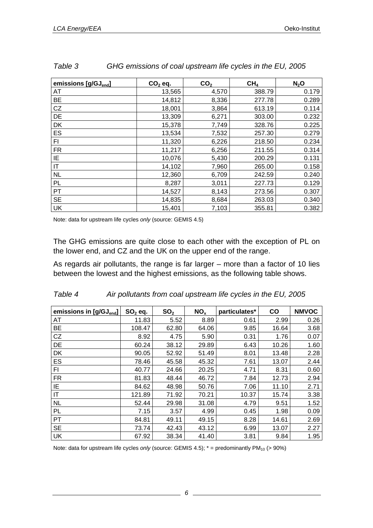| emissions [g/GJ <sub>end</sub> ] | $CO2$ eq. | CO <sub>2</sub> | CH <sub>4</sub> | $N_2$ O |
|----------------------------------|-----------|-----------------|-----------------|---------|
| AT                               | 13,565    | 4,570           | 388.79          | 0.179   |
| <b>BE</b>                        | 14,812    | 8,336           | 277.78          | 0.289   |
| CZ                               | 18,001    | 3,864           | 613.19          | 0.114   |
| DE                               | 13,309    | 6,271           | 303.00          | 0.232   |
| DK                               | 15,378    | 7,749           | 328.76          | 0.225   |
| ES                               | 13,534    | 7,532           | 257.30          | 0.279   |
| FI                               | 11,320    | 6,226           | 218.50          | 0.234   |
| <b>FR</b>                        | 11,217    | 6,256           | 211.55          | 0.314   |
| ΙE                               | 10,076    | 5,430           | 200.29          | 0.131   |
| IT                               | 14,102    | 7,960           | 265.00          | 0.158   |
| <b>NL</b>                        | 12,360    | 6,709           | 242.59          | 0.240   |
| PL                               | 8,287     | 3,011           | 227.73          | 0.129   |
| PT                               | 14,527    | 8,143           | 273.56          | 0.307   |
| <b>SE</b>                        | 14,835    | 8,684           | 263.03          | 0.340   |
| UK                               | 15,401    | 7,103           | 355.81          | 0.382   |

*Table 3 GHG emissions of coal upstream life cycles in the EU, 2005* 

Note: data for upstream life cycles *only* (source: GEMIS 4.5)

The GHG emissions are quite close to each other with the exception of PL on the lower end, and CZ and the UK on the upper end of the range.

As regards air pollutants, the range is far larger – more than a factor of 10 lies between the lowest and the highest emissions, as the following table shows.

| emissions in [g/GJ <sub>end</sub> ] | $SO2$ eq. | SO <sub>2</sub> | NO <sub>x</sub> | particulates* | CO    | <b>NMVOC</b> |
|-------------------------------------|-----------|-----------------|-----------------|---------------|-------|--------------|
| AT                                  | 11.83     | 5.52            | 8.89            | 0.61          | 2.99  | 0.26         |
| <b>BE</b>                           | 108.47    | 62.80           | 64.06           | 9.85          | 16.64 | 3.68         |
| CZ                                  | 8.92      | 4.75            | 5.90            | 0.31          | 1.76  | 0.07         |
| DE                                  | 60.24     | 38.12           | 29.89           | 6.43          | 10.26 | 1.60         |
| DK                                  | 90.05     | 52.92           | 51.49           | 8.01          | 13.48 | 2.28         |
| ES                                  | 78.46     | 45.58           | 45.32           | 7.61          | 13.07 | 2.44         |
| FI                                  | 40.77     | 24.66           | 20.25           | 4.71          | 8.31  | 0.60         |
| <b>FR</b>                           | 81.83     | 48.44           | 46.72           | 7.84          | 12.73 | 2.94         |
| IE                                  | 84.62     | 48.98           | 50.76           | 7.06          | 11.10 | 2.71         |
| IT                                  | 121.89    | 71.92           | 70.21           | 10.37         | 15.74 | 3.38         |
| <b>NL</b>                           | 52.44     | 29.98           | 31.08           | 4.79          | 9.51  | 1.52         |
| PL                                  | 7.15      | 3.57            | 4.99            | 0.45          | 1.98  | 0.09         |
| PT                                  | 84.81     | 49.11           | 49.15           | 8.28          | 14.61 | 2.69         |
| <b>SE</b>                           | 73.74     | 42.43           | 43.12           | 6.99          | 13.07 | 2.27         |
| <b>UK</b>                           | 67.92     | 38.34           | 41.40           | 3.81          | 9.84  | 1.95         |

| Table 4 | Air pollutants from coal upstream life cycles in the EU, 2005 |  |
|---------|---------------------------------------------------------------|--|
|         |                                                               |  |

Note: data for upstream life cycles *only* (source: GEMIS 4.5);  $*$  = predominantly PM<sub>10</sub> (> 90%)

*6*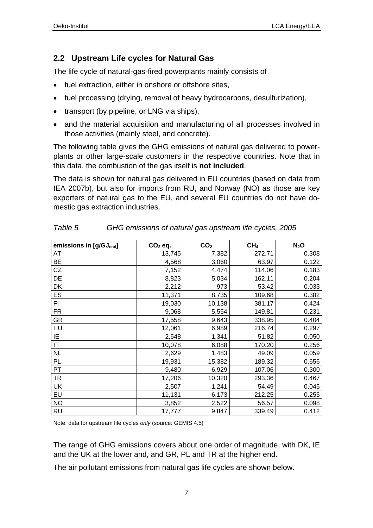### **2.2 Upstream Life cycles for Natural Gas**

The life cycle of natural-gas-fired powerplants mainly consists of

- fuel extraction, either in onshore or offshore sites,
- fuel processing (drying, removal of heavy hydrocarbons, desulfurization),
- transport (by pipeline, or LNG via ships),
- and the material acquisition and manufacturing of all processes involved in those activities (mainly steel, and concrete).

The following table gives the GHG emissions of natural gas delivered to powerplants or other large-scale customers in the respective countries. Note that in this data, the combustion of the gas itself is **not included**.

The data is shown for natural gas delivered in EU countries (based on data from IEA 2007b), but also for imports from RU, and Norway (NO) as those are key exporters of natural gas to the EU, and several EU countries do not have domestic gas extraction industries.

| emissions in [g/GJ <sub>end</sub> ] | $CO2$ eq. | CO <sub>2</sub> | CH <sub>4</sub> | $N_2$ O |
|-------------------------------------|-----------|-----------------|-----------------|---------|
| AT                                  | 13,745    | 7,382           | 272.71          | 0.308   |
| BE                                  | 4,568     | 3,060           | 63.97           | 0.122   |
| CZ                                  | 7,152     | 4,474           | 114.06          | 0.183   |
| DE                                  | 8,823     | 5,034           | 162.11          | 0.204   |
| DK                                  | 2,212     | 973             | 53.42           | 0.033   |
| ES                                  | 11,371    | 8,735           | 109.68          | 0.382   |
| FI                                  | 19,030    | 10,138          | 381.17          | 0.424   |
| <b>FR</b>                           | 9,068     | 5,554           | 149.81          | 0.231   |
| <b>GR</b>                           | 17,558    | 9,643           | 338.95          | 0.404   |
| HU                                  | 12,061    | 6,989           | 216.74          | 0.297   |
| IE                                  | 2,548     | 1,341           | 51.82           | 0.050   |
| $\sf IT$                            | 10,078    | 6,088           | 170.20          | 0.256   |
| <b>NL</b>                           | 2,629     | 1,483           | 49.09           | 0.059   |
| PL                                  | 19,931    | 15,382          | 189.32          | 0.656   |
| PT                                  | 9,480     | 6,929           | 107.06          | 0.300   |
| <b>TR</b>                           | 17,206    | 10,320          | 293.36          | 0.467   |
| <b>UK</b>                           | 2,507     | 1,241           | 54.49           | 0.045   |
| EU                                  | 11,131    | 6,173           | 212.25          | 0.255   |
| <b>NO</b>                           | 3,852     | 2,522           | 56.57           | 0.098   |
| <b>RU</b>                           | 17,777    | 9,847           | 339.49          | 0.412   |

*Table 5 GHG emissions of natural gas upstream life cycles, 2005* 

Note: data for upstream life cycles *only* (source: GEMIS 4.5)

The range of GHG emissions covers about one order of magnitude, with DK, IE and the UK at the lower and, and GR, PL and TR at the higher end.

The air pollutant emissions from natural gas life cycles are shown below.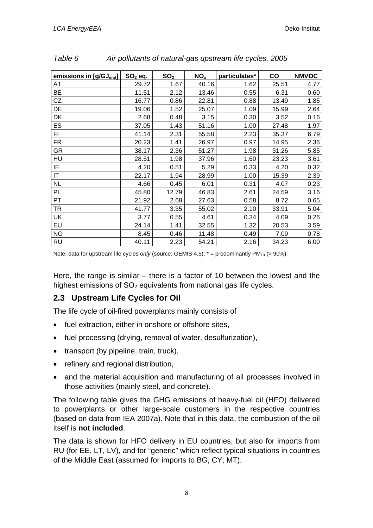| emissions in [g/GJ <sub>end</sub> ] | $SO2$ eq. | SO <sub>2</sub> | NO <sub>x</sub> | particulates* | CO    | <b>NMVOC</b> |
|-------------------------------------|-----------|-----------------|-----------------|---------------|-------|--------------|
| AT                                  | 29.72     | 1.67            | 40.16           | 1.62          | 25.51 | 4.77         |
| <b>BE</b>                           | 11.51     | 2.12            | 13.46           | 0.55          | 6.31  | 0.60         |
| CZ                                  | 16.77     | 0.86            | 22.81           | 0.88          | 13.49 | 1.85         |
| DE                                  | 19.06     | 1.52            | 25.07           | 1.09          | 15.99 | 2.64         |
| DK                                  | 2.68      | 0.48            | 3.15            | 0.30          | 3.52  | 0.16         |
| <b>ES</b>                           | 37.05     | 1.43            | 51.16           | 1.00          | 27.48 | 1.97         |
| FI.                                 | 41.14     | 2.31            | 55.58           | 2.23          | 35.37 | 6.79         |
| FR.                                 | 20.23     | 1.41            | 26.97           | 0.97          | 14.95 | 2.36         |
| <b>GR</b>                           | 38.17     | 2.36            | 51.27           | 1.98          | 31.26 | 5.85         |
| HU                                  | 28.51     | 1.98            | 37.96           | 1.60          | 23.23 | 3.61         |
| ΙE                                  | 4.20      | 0.51            | 5.29            | 0.33          | 4.20  | 0.32         |
| IT.                                 | 22.17     | 1.94            | 28.99           | 1.00          | 15.39 | 2.39         |
| <b>NL</b>                           | 4.66      | 0.45            | 6.01            | 0.31          | 4.07  | 0.23         |
| PL                                  | 45.80     | 12.79           | 46.83           | 2.61          | 24.59 | 3.16         |
| <b>PT</b>                           | 21.92     | 2.68            | 27.63           | 0.58          | 8.72  | 0.65         |
| TR                                  | 41.77     | 3.35            | 55.02           | 2.10          | 33.91 | 5.04         |
| <b>UK</b>                           | 3.77      | 0.55            | 4.61            | 0.34          | 4.09  | 0.26         |
| EU                                  | 24.14     | 1.41            | 32.55           | 1.32          | 20.53 | 3.59         |
| <b>NO</b>                           | 8.45      | 0.46            | 11.48           | 0.49          | 7.09  | 0.78         |
| <b>RU</b>                           | 40.11     | 2.23            | 54.21           | 2.16          | 34.23 | 6.00         |

| Table 6 | Air pollutants of natural-gas upstream life cycles, 2005 |
|---------|----------------------------------------------------------|

Note: data for upstream life cycles *only* (source: GEMIS 4.5);  $* =$  predominantly PM<sub>10</sub> (> 90%)

Here, the range is similar – there is a factor of 10 between the lowest and the highest emissions of  $SO<sub>2</sub>$  equivalents from national gas life cycles.

### **2.3 Upstream Life Cycles for Oil**

The life cycle of oil-fired powerplants mainly consists of

- fuel extraction, either in onshore or offshore sites,
- fuel processing (drying, removal of water, desulfurization),
- transport (by pipeline, train, truck),
- refinery and regional distribution,
- and the material acquisition and manufacturing of all processes involved in those activities (mainly steel, and concrete).

The following table gives the GHG emissions of heavy-fuel oil (HFO) delivered to powerplants or other large-scale customers in the respective countries (based on data from IEA 2007a). Note that in this data, the combustion of the oil itself is **not included**.

The data is shown for HFO delivery in EU countries, but also for imports from RU (for EE, LT, LV), and for "generic" which reflect typical situations in countries of the Middle East (assumed for imports to BG, CY, MT).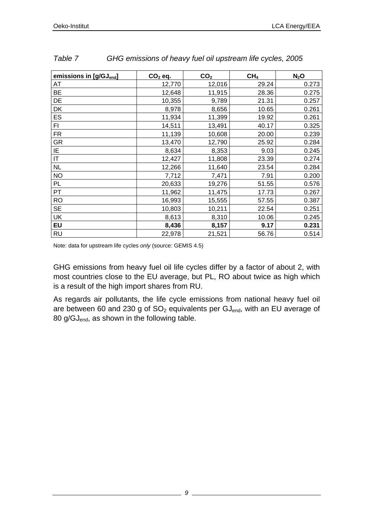| emissions in [g/GJ <sub>end</sub> ] | $CO2$ eq. | CO <sub>2</sub> | CH <sub>4</sub> | $N_2$ O |
|-------------------------------------|-----------|-----------------|-----------------|---------|
| AT                                  | 12,770    | 12,016          | 29.24           | 0.273   |
| <b>BE</b>                           | 12,648    | 11,915          | 28.36           | 0.275   |
| DE                                  | 10,355    | 9,789           | 21.31           | 0.257   |
| DK                                  | 8,978     | 8,656           | 10.65           | 0.261   |
| ES                                  | 11,934    | 11,399          | 19.92           | 0.261   |
| FI                                  | 14,511    | 13,491          | 40.17           | 0.325   |
| <b>FR</b>                           | 11,139    | 10,608          | 20.00           | 0.239   |
| GR                                  | 13,470    | 12,790          | 25.92           | 0.284   |
| IE                                  | 8,634     | 8,353           | 9.03            | 0.245   |
| IT                                  | 12,427    | 11,808          | 23.39           | 0.274   |
| <b>NL</b>                           | 12,266    | 11,640          | 23.54           | 0.284   |
| <b>NO</b>                           | 7,712     | 7,471           | 7.91            | 0.200   |
| PL                                  | 20,633    | 19,276          | 51.55           | 0.576   |
| PT                                  | 11,962    | 11,475          | 17.73           | 0.267   |
| <b>RO</b>                           | 16,993    | 15,555          | 57.55           | 0.387   |
| <b>SE</b>                           | 10,803    | 10,211          | 22.54           | 0.251   |
| <b>UK</b>                           | 8,613     | 8,310           | 10.06           | 0.245   |
| EU                                  | 8,436     | 8,157           | 9.17            | 0.231   |
| <b>RU</b>                           | 22,978    | 21,521          | 56.76           | 0.514   |

| Table 7 | GHG emissions of heavy fuel oil upstream life cycles, 2005 |  |
|---------|------------------------------------------------------------|--|
|         |                                                            |  |

Note: data for upstream life cycles *only* (source: GEMIS 4.5)

GHG emissions from heavy fuel oil life cycles differ by a factor of about 2, with most countries close to the EU average, but PL, RO about twice as high which is a result of the high import shares from RU.

As regards air pollutants, the life cycle emissions from national heavy fuel oil are between 60 and 230 g of  $SO<sub>2</sub>$  equivalents per  $GI<sub>end</sub>$ , with an EU average of 80 g/GJ<sub>end</sub>, as shown in the following table.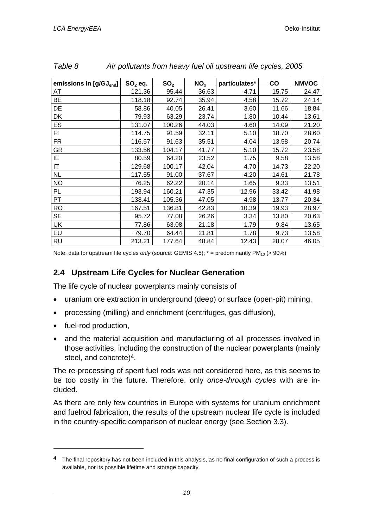| emissions in [g/GJ <sub>end</sub> ] | $SO2$ eq. | SO <sub>2</sub> | NO <sub>x</sub> | particulates* | co    | <b>NMVOC</b> |
|-------------------------------------|-----------|-----------------|-----------------|---------------|-------|--------------|
| AT                                  | 121.36    | 95.44           | 36.63           | 4.71          | 15.75 | 24.47        |
| <b>BE</b>                           | 118.18    | 92.74           | 35.94           | 4.58          | 15.72 | 24.14        |
| DE                                  | 58.86     | 40.05           | 26.41           | 3.60          | 11.66 | 18.84        |
| DK                                  | 79.93     | 63.29           | 23.74           | 1.80          | 10.44 | 13.61        |
| ES                                  | 131.07    | 100.26          | 44.03           | 4.60          | 14.09 | 21.20        |
| FI.                                 | 114.75    | 91.59           | 32.11           | 5.10          | 18.70 | 28.60        |
| FR.                                 | 116.57    | 91.63           | 35.51           | 4.04          | 13.58 | 20.74        |
| GR                                  | 133.56    | 104.17          | 41.77           | 5.10          | 15.72 | 23.58        |
| ΙE                                  | 80.59     | 64.20           | 23.52           | 1.75          | 9.58  | 13.58        |
| IT.                                 | 129.68    | 100.17          | 42.04           | 4.70          | 14.73 | 22.20        |
| <b>NL</b>                           | 117.55    | 91.00           | 37.67           | 4.20          | 14.61 | 21.78        |
| <b>NO</b>                           | 76.25     | 62.22           | 20.14           | 1.65          | 9.33  | 13.51        |
| PL                                  | 193.94    | 160.21          | 47.35           | 12.96         | 33.42 | 41.98        |
| PT                                  | 138.41    | 105.36          | 47.05           | 4.98          | 13.77 | 20.34        |
| <b>RO</b>                           | 167.51    | 136.81          | 42.83           | 10.39         | 19.93 | 28.97        |
| <b>SE</b>                           | 95.72     | 77.08           | 26.26           | 3.34          | 13.80 | 20.63        |
| <b>UK</b>                           | 77.86     | 63.08           | 21.18           | 1.79          | 9.84  | 13.65        |
| EU                                  | 79.70     | 64.44           | 21.81           | 1.78          | 9.73  | 13.58        |
| <b>RU</b>                           | 213.21    | 177.64          | 48.84           | 12.43         | 28.07 | 46.05        |

| Table 8<br>Air pollutants from heavy fuel oil upstream life cycles, 2005 |
|--------------------------------------------------------------------------|
|--------------------------------------------------------------------------|

Note: data for upstream life cycles *only* (source: GEMIS 4.5);  $* =$  predominantly PM<sub>10</sub> (> 90%)

#### **2.4 Upstream Life Cycles for Nuclear Generation**

The life cycle of nuclear powerplants mainly consists of

- uranium ore extraction in underground (deep) or surface (open-pit) mining,
- processing (milling) and enrichment (centrifuges, gas diffusion),
- fuel-rod production,

l

• and the material acquisition and manufacturing of all processes involved in those activities, including the construction of the nuclear powerplants (mainly steel, and concrete)4.

The re-processing of spent fuel rods was not considered here, as this seems to be too costly in the future. Therefore, only *once-through cycles* with are included.

As there are only few countries in Europe with systems for uranium enrichment and fuelrod fabrication, the results of the upstream nuclear life cycle is included in the country-specific comparison of nuclear energy (see Section 3.3).

<sup>&</sup>lt;sup>4</sup> The final repository has not been included in this analysis, as no final configuration of such a process is available, nor its possible lifetime and storage capacity.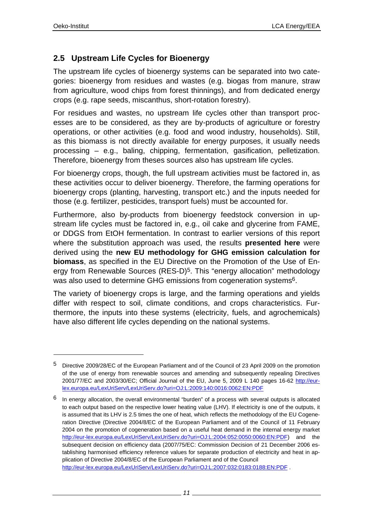l

### **2.5 Upstream Life Cycles for Bioenergy**

The upstream life cycles of bioenergy systems can be separated into two categories: bioenergy from residues and wastes (e.g. biogas from manure, straw from agriculture, wood chips from forest thinnings), and from dedicated energy crops (e.g. rape seeds, miscanthus, short-rotation forestry).

For residues and wastes, no upstream life cycles other than transport processes are to be considered, as they are by-products of agriculture or forestry operations, or other activities (e.g. food and wood industry, households). Still, as this biomass is not directly available for energy purposes, it usually needs processing – e.g., baling, chipping, fermentation, gasification, pelletization. Therefore, bioenergy from theses sources also has upstream life cycles.

For bioenergy crops, though, the full upstream activities must be factored in, as these activities occur to deliver bioenergy. Therefore, the farming operations for bioenergy crops (planting, harvesting, transport etc.) and the inputs needed for those (e.g. fertilizer, pesticides, transport fuels) must be accounted for.

Furthermore, also by-products from bioenergy feedstock conversion in upstream life cycles must be factored in, e.g., oil cake and glycerine from FAME, or DDGS from EtOH fermentation. In contrast to earlier versions of this report where the substitution approach was used, the results **presented here** were derived using the **new EU methodology for GHG emission calculation for biomass**, as specified in the EU Directive on the Promotion of the Use of Energy from Renewable Sources (RES-D)<sup>5</sup>. This "energy allocation" methodology was also used to determine GHG emissions from cogeneration systems<sup>6</sup>.

The variety of bioenergy crops is large, and the farming operations and yields differ with respect to soil, climate conditions, and crops characteristics. Furthermore, the inputs into these systems (electricity, fuels, and agrochemicals) have also different life cycles depending on the national systems.

<sup>5</sup> Directive 2009/28/EC of the European Parliament and of the Council of 23 April 2009 on the promotion of the use of energy from renewable sources and amending and subsequently repealing Directives 2001/77/EC and 2003/30/EC; Official Journal of the EU, June 5, 2009 L 140 pages 16-62 http://eurlex.europa.eu/LexUriServ/LexUriServ.do?uri=OJ:L:2009:140:0016:0062:EN:PDF

 $6$  In energy allocation, the overall environmental "burden" of a process with several outputs is allocated to each output based on the respective lower heating value (LHV). If electricity is one of the outputs, it is assumed that its LHV is 2.5 times the one of heat, which reflects the methodology of the EU Cogeneration Directive (Directive 2004/8/EC of the European Parliament and of the Council of 11 February 2004 on the promotion of cogeneration based on a useful heat demand in the internal energy market http://eur-lex.europa.eu/LexUriServ/LexUriServ.do?uri=OJ:L:2004:052:0050:0060:EN:PDF) and the subsequent decision on efficiency data (2007/75/EC: Commission Decision of 21 December 2006 establishing harmonised efficiency reference values for separate production of electricity and heat in application of Directive 2004/8/EC of the European Parliament and of the Council http://eur-lex.europa.eu/LexUriServ/LexUriServ.do?uri=OJ:L:2007:032:0183:0188:EN:PDF .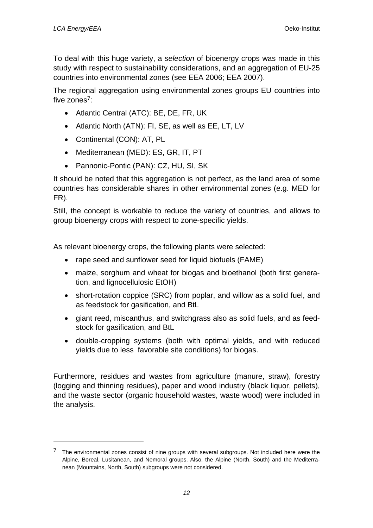l

To deal with this huge variety, a *selection* of bioenergy crops was made in this study with respect to sustainability considerations, and an aggregation of EU-25 countries into environmental zones (see EEA 2006; EEA 2007).

The regional aggregation using environmental zones groups EU countries into five zones<sup>7</sup>:

- Atlantic Central (ATC): BE, DE, FR, UK
- Atlantic North (ATN): FI, SE, as well as EE, LT, LV
- Continental (CON): AT, PL
- Mediterranean (MED): ES, GR, IT, PT
- Pannonic-Pontic (PAN): CZ, HU, SI, SK

It should be noted that this aggregation is not perfect, as the land area of some countries has considerable shares in other environmental zones (e.g. MED for FR).

Still, the concept is workable to reduce the variety of countries, and allows to group bioenergy crops with respect to zone-specific yields.

As relevant bioenergy crops, the following plants were selected:

- rape seed and sunflower seed for liquid biofuels (FAME)
- maize, sorghum and wheat for biogas and bioethanol (both first generation, and lignocellulosic EtOH)
- short-rotation coppice (SRC) from poplar, and willow as a solid fuel, and as feedstock for gasification, and BtL
- giant reed, miscanthus, and switchgrass also as solid fuels, and as feedstock for gasification, and BtL
- double-cropping systems (both with optimal yields, and with reduced yields due to less favorable site conditions) for biogas.

Furthermore, residues and wastes from agriculture (manure, straw), forestry (logging and thinning residues), paper and wood industry (black liquor, pellets), and the waste sector (organic household wastes, waste wood) were included in the analysis.

<sup>7</sup> The environmental zones consist of nine groups with several subgroups. Not included here were the Alpine, Boreal, Lusitanean, and Nemoral groups. Also, the Alpine (North, South) and the Mediterranean (Mountains, North, South) subgroups were not considered.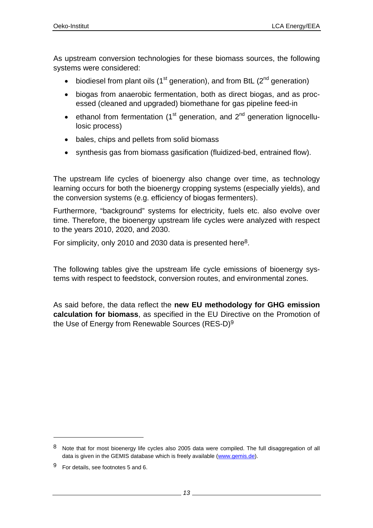As upstream conversion technologies for these biomass sources, the following systems were considered:

- biodiesel from plant oils ( $1<sup>st</sup>$  generation), and from BtL ( $2<sup>nd</sup>$  generation)
- biogas from anaerobic fermentation, both as direct biogas, and as processed (cleaned and upgraded) biomethane for gas pipeline feed-in
- ethanol from fermentation  $(1<sup>st</sup>$  generation, and  $2<sup>nd</sup>$  generation lignocellulosic process)
- bales, chips and pellets from solid biomass
- synthesis gas from biomass gasification (fluidized-bed, entrained flow).

The upstream life cycles of bioenergy also change over time, as technology learning occurs for both the bioenergy cropping systems (especially yields), and the conversion systems (e.g. efficiency of biogas fermenters).

Furthermore, "background" systems for electricity, fuels etc. also evolve over time. Therefore, the bioenergy upstream life cycles were analyzed with respect to the years 2010, 2020, and 2030.

For simplicity, only 2010 and 2030 data is presented here<sup>8</sup>.

The following tables give the upstream life cycle emissions of bioenergy systems with respect to feedstock, conversion routes, and environmental zones.

As said before, the data reflect the **new EU methodology for GHG emission calculation for biomass**, as specified in the EU Directive on the Promotion of the Use of Energy from Renewable Sources (RES-D)9

l

<sup>8</sup> Note that for most bioenergy life cycles also 2005 data were compiled. The full disaggregation of all data is given in the GEMIS database which is freely available (www.gemis.de).

<sup>9</sup> For details, see footnotes 5 and 6.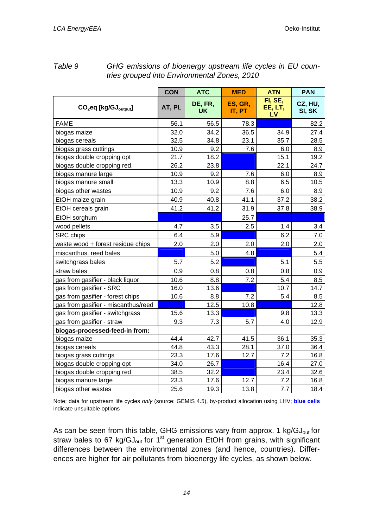|                                               | <b>CON</b> | <b>ATC</b>           | <b>MED</b>        | <b>ATN</b>               | <b>PAN</b>        |
|-----------------------------------------------|------------|----------------------|-------------------|--------------------------|-------------------|
| CO <sub>2</sub> eq [kg/GJ <sub>output</sub> ] | AT, PL     | DE, FR,<br><b>UK</b> | ES, GR,<br>IT, PT | FI, SE,<br>EE, LT,<br>LV | CZ, HU,<br>SI, SK |
| <b>FAME</b>                                   | 56.1       | 56.5                 | 78.3              |                          | 82.2              |
| biogas maize                                  | 32.0       | 34.2                 | 36.5              | 34.9                     | 27.4              |
| biogas cereals                                | 32.5       | 34.8                 | 23.1              | 35.7                     | 28.5              |
| biogas grass cuttings                         | 10.9       | 9.2                  | 7.6               | 6.0                      | 8.9               |
| biogas double cropping opt                    | 21.7       | 18.2                 |                   | 15.1                     | 19.2              |
| biogas double cropping red.                   | 26.2       | 23.8                 |                   | 22.1                     | 24.7              |
| biogas manure large                           | 10.9       | 9.2                  | 7.6               | 6.0                      | 8.9               |
| biogas manure small                           | 13.3       | 10.9                 | 8.8               | 6.5                      | 10.5              |
| biogas other wastes                           | 10.9       | 9.2                  | 7.6               | 6.0                      | 8.9               |
| EtOH maize grain                              | 40.9       | 40.8                 | 41.1              | 37.2                     | 38.2              |
| EtOH cereals grain                            | 41.2       | 41.2                 | 31.9              | 37.8                     | 38.9              |
| EtOH sorghum                                  |            |                      | 25.7              |                          |                   |
| wood pellets                                  | 4.7        | 3.5                  | 2.5               | 1.4                      | 3.4               |
| <b>SRC</b> chips                              | 6.4        | 5.9                  |                   | 6.2                      | 7.0               |
| waste wood + forest residue chips             | 2.0        | 2.0                  | 2.0               | 2.0                      | 2.0               |
| miscanthus, reed bales                        |            | 5.0                  | 4.8               |                          | 5.4               |
| switchgrass bales                             | 5.7        | 5.2                  |                   | 5.1                      | 5.5               |
| straw bales                                   | 0.9        | 0.8                  | 0.8               | 0.8                      | 0.9               |
| gas from gasifier - black liquor              | 10.6       | 8.8                  | 7.2               | 5.4                      | 8.5               |
| gas from gasifier - SRC                       | 16.0       | 13.6                 |                   | 10.7                     | 14.7              |
| gas from gasifier - forest chips              | 10.6       | 8.8                  | 7.2               | 5.4                      | 8.5               |
| gas from gasifier - miscanthus/reed           |            | 12.5                 | 10.8              |                          | 12.8              |
| gas from gasifier - switchgrass               | 15.6       | 13.3                 |                   | 9.8                      | 13.3              |
| gas from gasifier - straw                     | 9.3        | 7.3                  | 5.7               | 4.0                      | 12.9              |
| biogas-processed-feed-in from:                |            |                      |                   |                          |                   |
| biogas maize                                  | 44.4       | 42.7                 | 41.5              | 36.1                     | 35.3              |
| biogas cereals                                | 44.8       | 43.3                 | 28.1              | 37.0                     | 36.4              |
| biogas grass cuttings                         | 23.3       | 17.6                 | 12.7              | 7.2                      | 16.8              |
| biogas double cropping opt                    | 34.0       | 26.7                 |                   | 16.4                     | 27.0              |
| biogas double cropping red.                   | 38.5       | 32.2                 |                   | 23.4                     | 32.6              |
| biogas manure large                           | 23.3       | 17.6                 | 12.7              | 7.2                      | 16.8              |
| biogas other wastes                           | 25.6       | 19.3                 | 13.8              | 7.7                      | 18.4              |

#### *Table 9 GHG emissions of bioenergy upstream life cycles in EU countries grouped into Environmental Zones, 2010*

Note: data for upstream life cycles *only* (source: GEMIS 4.5), by-product allocation using LHV; **blue cells** indicate unsuitable options

As can be seen from this table, GHG emissions vary from approx. 1 kg/GJ<sub>out</sub> for straw bales to 67 kg/GJ<sub>out</sub> for  $1<sup>st</sup>$  generation EtOH from grains, with significant differences between the environmental zones (and hence, countries). Differences are higher for air pollutants from bioenergy life cycles, as shown below.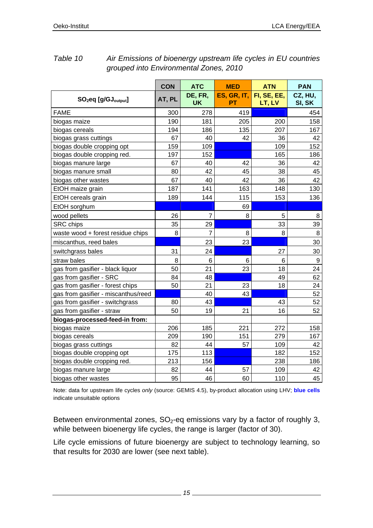|                                     | <b>CON</b> | <b>ATC</b>     | <b>MED</b>        | <b>ATN</b>            | <b>PAN</b>        |
|-------------------------------------|------------|----------------|-------------------|-----------------------|-------------------|
| $SO2$ eq [g/GJ <sub>output</sub> ]  | AT, PL     | DE, FR,<br>UK  | ES, GR, IT,<br>PT | FI, SE, EE,<br>LT, LV | CZ, HU,<br>SI, SK |
| <b>FAME</b>                         | 300        | 278            | 419               |                       | 454               |
| biogas maize                        | 190        | 181            | 205               | 200                   | 158               |
| biogas cereals                      | 194        | 186            | 135               | 207                   | 167               |
| biogas grass cuttings               | 67         | 40             | 42                | 36                    | 42                |
| biogas double cropping opt          | 159        | 109            |                   | 109                   | 152               |
| biogas double cropping red.         | 197        | 152            |                   | 165                   | 186               |
| biogas manure large                 | 67         | 40             | 42                | 36                    | 42                |
| biogas manure small                 | 80         | 42             | 45                | 38                    | 45                |
| biogas other wastes                 | 67         | 40             | 42                | 36                    | 42                |
| EtOH maize grain                    | 187        | 141            | 163               | 148                   | 130               |
| EtOH cereals grain                  | 189        | 144            | 115               | 153                   | 136               |
| EtOH sorghum                        |            |                | 69                |                       |                   |
| wood pellets                        | 26         | $\overline{7}$ | 8                 | 5                     | 8                 |
| <b>SRC</b> chips                    | 35         | 29             |                   | 33                    | 39                |
| waste wood + forest residue chips   | 8          | $\overline{7}$ | 8                 | 8                     | 8                 |
| miscanthus, reed bales              |            | 23             | 23                |                       | 30                |
| switchgrass bales                   | 31         | 24             |                   | 27                    | 30                |
| straw bales                         | 8          | 6              | 6                 | 6                     | $\boldsymbol{9}$  |
| gas from gasifier - black liquor    | 50         | 21             | 23                | 18                    | 24                |
| gas from gasifier - SRC             | 84         | 48             |                   | 49                    | 62                |
| gas from gasifier - forest chips    | 50         | 21             | 23                | 18                    | 24                |
| gas from gasifier - miscanthus/reed |            | 40             | 43                |                       | 52                |
| gas from gasifier - switchgrass     | 80         | 43             |                   | 43                    | 52                |
| gas from gasifier - straw           | 50         | 19             | 21                | 16                    | 52                |
| biogas-processed-feed-in from:      |            |                |                   |                       |                   |
| biogas maize                        | 206        | 185            | 221               | 272                   | 158               |
| biogas cereals                      | 209        | 190            | 151               | 279                   | 167               |
| biogas grass cuttings               | 82         | 44             | 57                | 109                   | 42                |
| biogas double cropping opt          | 175        | 113            |                   | 182                   | 152               |
| biogas double cropping red.         | 213        | 156            |                   | 238                   | 186               |
| biogas manure large                 | 82         | 44             | 57                | 109                   | 42                |
| biogas other wastes                 | 95         | 46             | 60                | 110                   | 45                |

### *Table 10 Air Emissions of bioenergy upstream life cycles in EU countries grouped into Environmental Zones, 2010*

Note: data for upstream life cycles *only* (source: GEMIS 4.5), by-product allocation using LHV; **blue cells** indicate unsuitable options

Between environmental zones,  $SO<sub>2</sub>$ -eq emissions vary by a factor of roughly 3, while between bioenergy life cycles, the range is larger (factor of 30).

Life cycle emissions of future bioenergy are subject to technology learning, so that results for 2030 are lower (see next table).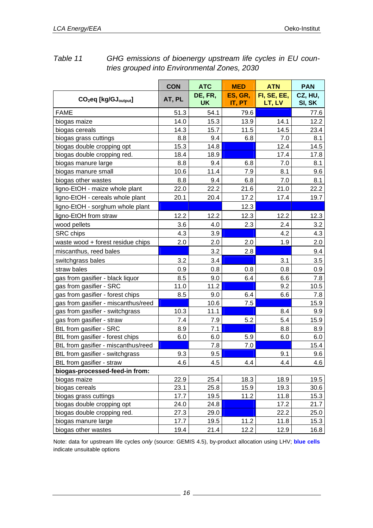|                                               | <b>CON</b> | <b>ATC</b>           | <b>MED</b>        | <b>ATN</b>            | <b>PAN</b>        |
|-----------------------------------------------|------------|----------------------|-------------------|-----------------------|-------------------|
| CO <sub>2</sub> eq [kg/GJ <sub>output</sub> ] | AT, PL     | DE, FR,<br><b>UK</b> | ES, GR,<br>IT, PT | FI, SE, EE,<br>LT, LV | CZ, HU,<br>SI, SK |
| <b>FAME</b>                                   | 51.3       | 54.1                 | 79.6              |                       | 77.6              |
| biogas maize                                  | 14.0       | 15.3                 | 13.9              | 14.1                  | 12.2              |
| biogas cereals                                | 14.3       | 15.7                 | 11.5              | 14.5                  | 23.4              |
| biogas grass cuttings                         | 8.8        | 9.4                  | 6.8               | 7.0                   | 8.1               |
| biogas double cropping opt                    | 15.3       | 14.8                 |                   | 12.4                  | 14.5              |
| biogas double cropping red.                   | 18.4       | 18.9                 |                   | 17.4                  | 17.8              |
| biogas manure large                           | 8.8        | 9.4                  | 6.8               | 7.0                   | 8.1               |
| biogas manure small                           | 10.6       | 11.4                 | 7.9               | 8.1                   | 9.6               |
| biogas other wastes                           | 8.8        | 9.4                  | 6.8               | 7.0                   | 8.1               |
| ligno-EtOH - maize whole plant                | 22.0       | 22.2                 | 21.6              | 21.0                  | 22.2              |
| ligno-EtOH - cereals whole plant              | 20.1       | 20.4                 | 17.2              | 17.4                  | 19.7              |
| ligno-EtOH - sorghum whole plant              |            |                      | 12.3              |                       |                   |
| ligno-EtOH from straw                         | 12.2       | 12.2                 | 12.3              | 12.2                  | 12.3              |
| wood pellets                                  | 3.6        | 4.0                  | 2.3               | 2.4                   | 3.2               |
| <b>SRC</b> chips                              | 4.3        | 3.9                  |                   | 4.2                   | 4.3               |
| waste wood + forest residue chips             | 2.0        | 2.0                  | 2.0               | 1.9                   | 2.0               |
| miscanthus, reed bales                        |            | 3.2                  | 2.8               |                       | 9.4               |
| switchgrass bales                             | 3.2        | 3.4                  |                   | 3.1                   | 3.5               |
| straw bales                                   | 0.9        | 0.8                  | 0.8               | 0.8                   | 0.9               |
| gas from gasifier - black liquor              | 8.5        | 9.0                  | 6.4               | 6.6                   | 7.8               |
| gas from gasifier - SRC                       | 11.0       | 11.2                 |                   | 9.2                   | 10.5              |
| gas from gasifier - forest chips              | 8.5        | 9.0                  | 6.4               | 6.6                   | 7.8               |
| gas from gasifier - miscanthus/reed           |            | 10.6                 | 7.5               |                       | 15.9              |
| gas from gasifier - switchgrass               | 10.3       | 11.1                 |                   | 8.4                   | 9.9               |
| gas from gasifier - straw                     | 7.4        | 7.9                  | 5.2               | 5.4                   | 15.9              |
| BtL from gasifier - SRC                       | 8.9        | 7.1                  |                   | 8.8                   | 8.9               |
| BtL from gasifier - forest chips              | 6.0        | 6.0                  | 5.9               | 6.0                   | 6.0               |
| BtL from gasifier - miscanthus/reed           |            | 7.8                  | 7.0               |                       | 15.4              |
| BtL from gasifier - switchgrass               | 9.3        | 9.5                  |                   | 9.1                   | 9.6               |
| BtL from gasifier - straw                     | 4.6        | 4.5                  | 4.4               | 4.4                   | 4.6               |
| biogas-processed-feed-in from:                |            |                      |                   |                       |                   |
| biogas maize                                  | 22.9       | 25.4                 | 18.3              | 18.9                  | 19.5              |
| biogas cereals                                | 23.1       | 25.8                 | 15.9              | 19.3                  | 30.6              |
| biogas grass cuttings                         | 17.7       | 19.5                 | 11.2              | 11.8                  | 15.3              |
| biogas double cropping opt                    | 24.0       | 24.8                 |                   | 17.2                  | 21.7              |
| biogas double cropping red.                   | 27.3       | 29.0                 |                   | 22.2                  | 25.0              |
| biogas manure large                           | 17.7       | 19.5                 | 11.2              | 11.8                  | 15.3              |
| biogas other wastes                           | 19.4       | 21.4                 | 12.2              | 12.9                  | 16.8              |

#### *Table 11 GHG emissions of bioenergy upstream life cycles in EU countries grouped into Environmental Zones, 2030*

Note: data for upstream life cycles *only* (source: GEMIS 4.5), by-product allocation using LHV; **blue cells** indicate unsuitable options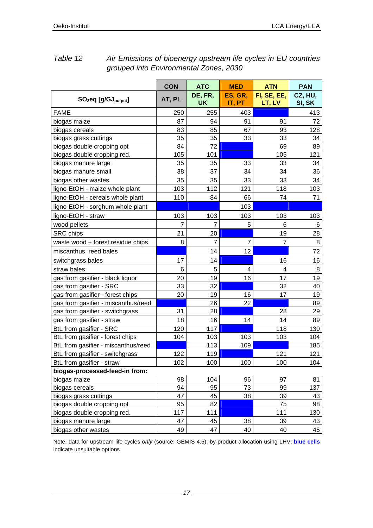|                                     | <b>CON</b>     | <b>ATC</b>     | <b>MED</b>     | <b>ATN</b>     | <b>PAN</b> |
|-------------------------------------|----------------|----------------|----------------|----------------|------------|
| $SO2$ eq [g/GJ <sub>output</sub> ]  | AT, PL         | DE, FR,        | ES, GR,        | FI, SE, EE,    | CZ, HU,    |
|                                     |                | <b>UK</b>      | IT, PT         | LT, LV         | SI, SK     |
| <b>FAME</b>                         | 250            | 255            | 403            |                | 413        |
| biogas maize                        | 87             | 94             | 91             | 91             | 72         |
| biogas cereals                      | 83             | 85             | 67             | 93             | 128        |
| biogas grass cuttings               | 35             | 35             | 33             | 33             | 34         |
| biogas double cropping opt          | 84             | 72             |                | 69             | 89         |
| biogas double cropping red.         | 105            | 101            |                | 105            | 121        |
| biogas manure large                 | 35             | 35             | 33             | 33             | 34         |
| biogas manure small                 | 38             | 37             | 34             | 34             | 36         |
| biogas other wastes                 | 35             | 35             | 33             | 33             | 34         |
| ligno-EtOH - maize whole plant      | 103            | 112            | 121            | 118            | 103        |
| ligno-EtOH - cereals whole plant    | 110            | 84             | 66             | 74             | 71         |
| ligno-EtOH - sorghum whole plant    |                |                | 103            |                |            |
| ligno-EtOH - straw                  | 103            | 103            | 103            | 103            | 103        |
| wood pellets                        | $\overline{7}$ | 7              | 5              | 6              | 6          |
| SRC chips                           | 21             | 20             |                | 19             | 28         |
| waste wood + forest residue chips   | 8              | $\overline{7}$ | $\overline{7}$ | $\overline{7}$ | 8          |
| miscanthus, reed bales              |                | 14             | 12             |                | 72         |
| switchgrass bales                   | 17             | 14             |                | 16             | 16         |
| straw bales                         | 6              | 5              | 4              | 4              | 8          |
| gas from gasifier - black liquor    | 20             | 19             | 16             | 17             | 19         |
| gas from gasifier - SRC             | 33             | 32             |                | 32             | 40         |
| gas from gasifier - forest chips    | 20             | 19             | 16             | 17             | 19         |
| gas from gasifier - miscanthus/reed |                | 26             | 22             |                | 89         |
| gas from gasifier - switchgrass     | 31             | 28             |                | 28             | 29         |
| gas from gasifier - straw           | 18             | 16             | 14             | 14             | 89         |
| BtL from gasifier - SRC             | 120            | 117            |                | 118            | 130        |
| BtL from gasifier - forest chips    | 104            | 103            | 103            | 103            | 104        |
| BtL from gasifier - miscanthus/reed |                | 113            | 109            |                | 185        |
| BtL from gasifier - switchgrass     | 122            | 119            |                | 121            | 121        |
| BtL from gasifier - straw           | 102            | 100            | 100            | 100            | 104        |
| biogas-processed-feed-in from:      |                |                |                |                |            |
| biogas maize                        | 98             | 104            | 96             | 97             | 81         |
| biogas cereals                      | 94             | 95             | 73             | 99             | 137        |
| biogas grass cuttings               | 47             | 45             | 38             | 39             | 43         |
| biogas double cropping opt          | 95             | 82             |                | 75             | 98         |
| biogas double cropping red.         | 117            | 111            |                | 111            | 130        |
| biogas manure large                 | 47             | 45             | 38             | 39             | 43         |
| biogas other wastes                 | 49             | 47             | 40             | 40             | 45         |

#### *Table 12 Air Emissions of bioenergy upstream life cycles in EU countries grouped into Environmental Zones, 2030*

Note: data for upstream life cycles *only* (source: GEMIS 4.5), by-product allocation using LHV; **blue cells** indicate unsuitable options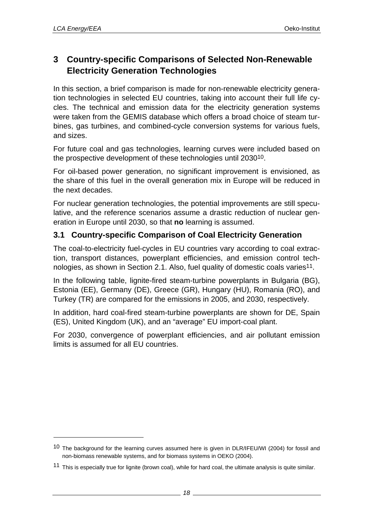l

# **3 Country-specific Comparisons of Selected Non-Renewable Electricity Generation Technologies**

In this section, a brief comparison is made for non-renewable electricity generation technologies in selected EU countries, taking into account their full life cycles. The technical and emission data for the electricity generation systems were taken from the GEMIS database which offers a broad choice of steam turbines, gas turbines, and combined-cycle conversion systems for various fuels, and sizes.

For future coal and gas technologies, learning curves were included based on the prospective development of these technologies until 203010.

For oil-based power generation, no significant improvement is envisioned, as the share of this fuel in the overall generation mix in Europe will be reduced in the next decades.

For nuclear generation technologies, the potential improvements are still speculative, and the reference scenarios assume a drastic reduction of nuclear generation in Europe until 2030, so that **no** learning is assumed.

### **3.1 Country-specific Comparison of Coal Electricity Generation**

The coal-to-electricity fuel-cycles in EU countries vary according to coal extraction, transport distances, powerplant efficiencies, and emission control technologies, as shown in Section 2.1. Also, fuel quality of domestic coals varies<sup>11</sup>.

In the following table, lignite-fired steam-turbine powerplants in Bulgaria (BG), Estonia (EE), Germany (DE), Greece (GR), Hungary (HU), Romania (RO), and Turkey (TR) are compared for the emissions in 2005, and 2030, respectively.

In addition, hard coal-fired steam-turbine powerplants are shown for DE, Spain (ES), United Kingdom (UK), and an "average" EU import-coal plant.

For 2030, convergence of powerplant efficiencies, and air pollutant emission limits is assumed for all EU countries.

<sup>&</sup>lt;sup>10</sup> The background for the learning curves assumed here is given in DLR/IFEU/WI (2004) for fossil and non-biomass renewable systems, and for biomass systems in OEKO (2004).

<sup>11</sup> This is especially true for lignite (brown coal), while for hard coal, the ultimate analysis is quite similar.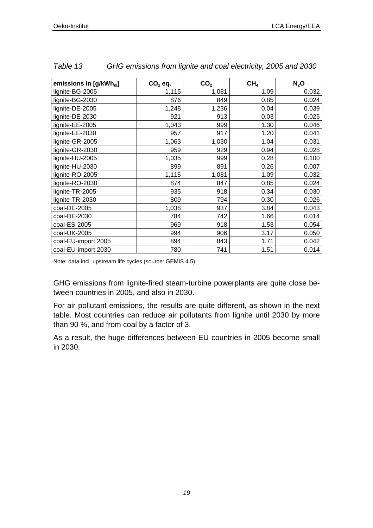| emissions in [g/kWh <sub>el</sub> ] | $CO2$ eq. | CO <sub>2</sub> | CH <sub>4</sub> | $N_2$ O |
|-------------------------------------|-----------|-----------------|-----------------|---------|
| lignite-BG-2005                     | 1,115     | 1,081           | 1.09            | 0.032   |
| lignite-BG-2030                     | 876       | 849             | 0.85            | 0.024   |
| lignite-DE-2005                     | 1,248     | 1,236           | 0.04            | 0.039   |
| lignite-DE-2030                     | 921       | 913             | 0.03            | 0.025   |
| lignite-EE-2005                     | 1,043     | 999             | 1.30            | 0.046   |
| lignite-EE-2030                     | 957       | 917             | 1.20            | 0.041   |
| lignite-GR-2005                     | 1,063     | 1,030           | 1.04            | 0.031   |
| lignite-GR-2030                     | 959       | 929             | 0.94            | 0.028   |
| lignite-HU-2005                     | 1,035     | 999             | 0.28            | 0.100   |
| lignite-HU-2030                     | 899       | 891             | 0.26            | 0.007   |
| lignite-RO-2005                     | 1,115     | 1,081           | 1.09            | 0.032   |
| lignite-RO-2030                     | 874       | 847             | 0.85            | 0.024   |
| lignite-TR-2005                     | 935       | 918             | 0.34            | 0.030   |
| lignite-TR-2030                     | 809       | 794             | 0.30            | 0.026   |
| coal-DE-2005                        | 1,038     | 937             | 3.84            | 0.043   |
| coal-DE-2030                        | 784       | 742             | 1.66            | 0.014   |
| coal-ES-2005                        | 969       | 918             | 1.53            | 0.054   |
| coal-UK-2005                        | 994       | 906             | 3.17            | 0.050   |
| coal-EU-import 2005                 | 894       | 843             | 1.71            | 0.042   |
| coal-EU-import 2030                 | 780       | 741             | 1.51            | 0.014   |

| Table 13 | GHG emissions from lignite and coal electricity, 2005 and 2030 |  |
|----------|----------------------------------------------------------------|--|
|          |                                                                |  |

Note: data incl. upstream life cycles (source: GEMIS 4.5)

GHG emissions from lignite-fired steam-turbine powerplants are quite close between countries in 2005, and also in 2030.

For air pollutant emissions, the results are quite different, as shown in the next table. Most countries can reduce air pollutants from lignite until 2030 by more than 90 %, and from coal by a factor of 3.

As a result, the huge differences between EU countries in 2005 become small in 2030.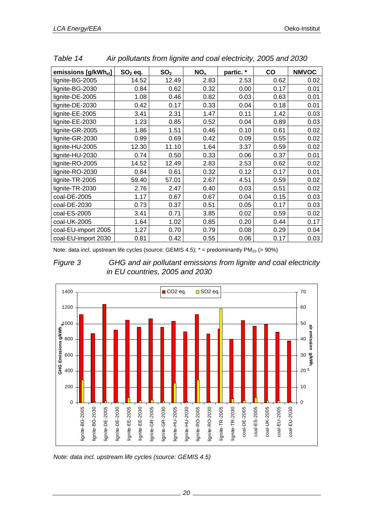| emissions [g/kWh <sub>el</sub> ] | $SO2$ eq. | SO <sub>2</sub> | NO <sub>x</sub> | partic.* | $\mathbf{co}$ | <b>NMVOC</b> |
|----------------------------------|-----------|-----------------|-----------------|----------|---------------|--------------|
| lignite-BG-2005                  | 14.52     | 12.49           | 2.83            | 2.53     | 0.62          | 0.02         |
| lignite-BG-2030                  | 0.84      | 0.62            | 0.32            | 0.00     | 0.17          | 0.01         |
| lignite-DE-2005                  | 1.08      | 0.46            | 0.82            | 0.03     | 0.63          | 0.01         |
| lignite-DE-2030                  | 0.42      | 0.17            | 0.33            | 0.04     | 0.18          | 0.01         |
| lignite-EE-2005                  | 3.41      | 2.31            | 1.47            | 0.11     | 1.42          | 0.03         |
| lignite-EE-2030                  | 1.23      | 0.85            | 0.52            | 0.04     | 0.89          | 0.03         |
| lignite-GR-2005                  | 1.86      | 1.51            | 0.46            | 0.10     | 0.61          | 0.02         |
| lignite-GR-2030                  | 0.99      | 0.69            | 0.42            | 0.09     | 0.55          | 0.02         |
| lignite-HU-2005                  | 12.30     | 11.10           | 1.64            | 3.37     | 0.59          | 0.02         |
| lignite-HU-2030                  | 0.74      | 0.50            | 0.33            | 0.06     | 0.37          | 0.01         |
| lignite-RO-2005                  | 14.52     | 12.49           | 2.83            | 2.53     | 0.62          | 0.02         |
| lignite-RO-2030                  | 0.84      | 0.61            | 0.32            | 0.12     | 0.17          | 0.01         |
| lignite-TR-2005                  | 59.40     | 57.01           | 2.67            | 4.51     | 0.59          | 0.02         |
| lignite-TR-2030                  | 2.76      | 2.47            | 0.40            | 0.03     | 0.51          | 0.02         |
| coal-DE-2005                     | 1.17      | 0.67            | 0.67            | 0.04     | 0.15          | 0.03         |
| coal-DE-2030                     | 0.73      | 0.37            | 0.51            | 0.05     | 0.17          | 0.03         |
| coal-ES-2005                     | 3.41      | 0.71            | 3.85            | 0.02     | 0.59          | 0.02         |
| coal-UK-2005                     | 1.64      | 1.02            | 0.85            | 0.20     | 0.44          | 0.17         |
| coal-EU-import 2005              | 1.27      | 0.70            | 0.79            | 0.08     | 0.29          | 0.04         |
| coal-EU-import 2030              | 0.81      | 0.42            | 0.55            | 0.06     | 0.17          | 0.03         |

*Table 14 Air pollutants from lignite and coal electricity, 2005 and 2030* 

Note: data incl. upstream life cycles (source: GEMIS 4.5);  $*$  = predominantly PM<sub>10</sub> (> 90%)





*Note: data incl. upstream life cycles (source: GEMIS 4.5)*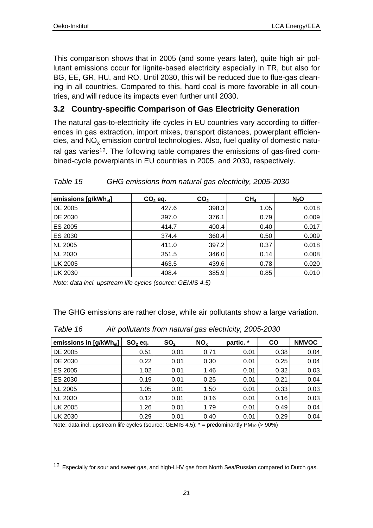l

This comparison shows that in 2005 (and some years later), quite high air pollutant emissions occur for lignite-based electricity especially in TR, but also for BG, EE, GR, HU, and RO. Until 2030, this will be reduced due to flue-gas cleaning in all countries. Compared to this, hard coal is more favorable in all countries, and will reduce its impacts even further until 2030.

### **3.2 Country-specific Comparison of Gas Electricity Generation**

The natural gas-to-electricity life cycles in EU countries vary according to differences in gas extraction, import mixes, transport distances, powerplant efficiencies, and  $NO<sub>v</sub>$  emission control technologies. Also, fuel quality of domestic natural gas varies<sup>12</sup>. The following table compares the emissions of gas-fired combined-cycle powerplants in EU countries in 2005, and 2030, respectively.

| emissions [g/kWh <sub>el</sub> ] | $CO2$ eq. | CO <sub>2</sub> | CH <sub>4</sub> | $N_2$ O |
|----------------------------------|-----------|-----------------|-----------------|---------|
| DE 2005                          | 427.6     | 398.3           | 1.05            | 0.018   |
| DE 2030                          | 397.0     | 376.1           | 0.79            | 0.009   |
| ES 2005                          | 414.7     | 400.4           | 0.40            | 0.017   |
| ES 2030                          | 374.4     | 360.4           | 0.50            | 0.009   |
| <b>NL 2005</b>                   | 411.0     | 397.2           | 0.37            | 0.018   |
| <b>NL 2030</b>                   | 351.5     | 346.0           | 0.14            | 0.008   |
| <b>UK 2005</b>                   | 463.5     | 439.6           | 0.78            | 0.020   |
| <b>UK 2030</b>                   | 408.4     | 385.9           | 0.85            | 0.010   |

#### *Table 15 GHG emissions from natural gas electricity, 2005-2030*

*Note: data incl. upstream life cycles (source: GEMIS 4.5)* 

The GHG emissions are rather close, while air pollutants show a large variation.

|  | Table 16 | Air pollutants from natural gas electricity, 2005-2030 |
|--|----------|--------------------------------------------------------|
|--|----------|--------------------------------------------------------|

| emissions in [g/kWh <sub>el</sub> ] | $SO2$ eq. | SO <sub>2</sub> | NO <sub>x</sub> | partic. * | <b>CO</b> | <b>NMVOC</b> |
|-------------------------------------|-----------|-----------------|-----------------|-----------|-----------|--------------|
| DE 2005                             | 0.51      | 0.01            | 0.71            | 0.01      | 0.38      | 0.04         |
| DE 2030                             | 0.22      | 0.01            | 0.30            | 0.01      | 0.25      | 0.04         |
| ES 2005                             | 1.02      | 0.01            | 1.46            | 0.01      | 0.32      | 0.03         |
| ES 2030                             | 0.19      | 0.01            | 0.25            | 0.01      | 0.21      | 0.04         |
| <b>NL 2005</b>                      | 1.05      | 0.01            | 1.50            | 0.01      | 0.33      | 0.03         |
| <b>NL 2030</b>                      | 0.12      | 0.01            | 0.16            | 0.01      | 0.16      | 0.03         |
| <b>UK 2005</b>                      | 1.26      | 0.01            | 1.79            | 0.01      | 0.49      | 0.04         |
| <b>UK 2030</b>                      | 0.29      | 0.01            | 0.40            | 0.01      | 0.29      | 0.04         |

Note: data incl. upstream life cycles (source: GEMIS  $4.5$ );  $* =$  predominantly PM<sub>10</sub> (> 90%)

<sup>12</sup> Especially for sour and sweet gas, and high-LHV gas from North Sea/Russian compared to Dutch gas.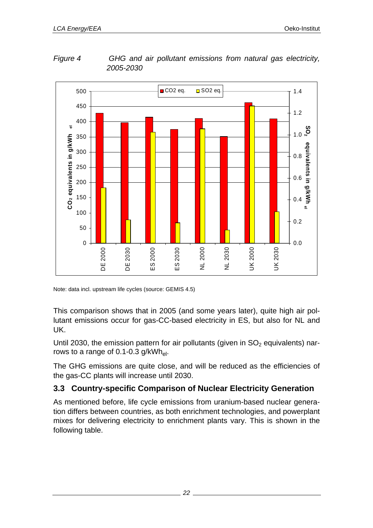*Figure 4 GHG and air pollutant emissions from natural gas electricity, 2005-2030* 



Note: data incl. upstream life cycles (source: GEMIS 4.5)

This comparison shows that in 2005 (and some years later), quite high air pollutant emissions occur for gas-CC-based electricity in ES, but also for NL and UK.

Until 2030, the emission pattern for air pollutants (given in  $SO<sub>2</sub>$  equivalents) narrows to a range of 0.1-0.3  $g/kWh_{el}$ .

The GHG emissions are quite close, and will be reduced as the efficiencies of the gas-CC plants will increase until 2030.

### **3.3 Country-specific Comparison of Nuclear Electricity Generation**

As mentioned before, life cycle emissions from uranium-based nuclear generation differs between countries, as both enrichment technologies, and powerplant mixes for delivering electricity to enrichment plants vary. This is shown in the following table.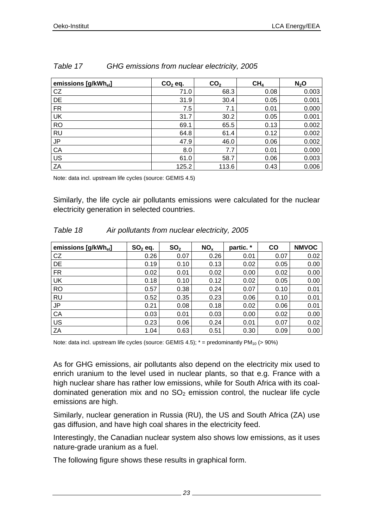| emissions [g/kWh <sub>el</sub> ] | $CO2$ eq. | CO <sub>2</sub> | CH <sub>4</sub> | $N_2$ O |
|----------------------------------|-----------|-----------------|-----------------|---------|
| CZ                               | 71.0      | 68.3            | 0.08            | 0.003   |
| DE                               | 31.9      | 30.4            | 0.05            | 0.001   |
| <b>FR</b>                        | 7.5       | 7.1             | 0.01            | 0.000   |
| UK                               | 31.7      | 30.2            | 0.05            | 0.001   |
| <b>RO</b>                        | 69.1      | 65.5            | 0.13            | 0.002   |
| <b>RU</b>                        | 64.8      | 61.4            | 0.12            | 0.002   |
| <b>JP</b>                        | 47.9      | 46.0            | 0.06            | 0.002   |
| CA                               | 8.0       | 7.7             | 0.01            | 0.000   |
| US                               | 61.0      | 58.7            | 0.06            | 0.003   |
| ZA                               | 125.2     | 113.6           | 0.43            | 0.006   |

#### *Table 17 GHG emissions from nuclear electricity, 2005*

Note: data incl. upstream life cycles (source: GEMIS 4.5)

Similarly, the life cycle air pollutants emissions were calculated for the nuclear electricity generation in selected countries.

| Table 18 | Air pollutants from nuclear electricity, 2005 |
|----------|-----------------------------------------------|
|----------|-----------------------------------------------|

| emissions [g/kWh <sub>el</sub> ] | $SO2$ eq. | SO <sub>2</sub> | NO <sub>x</sub> | partic. * | <b>CO</b> | <b>NMVOC</b> |
|----------------------------------|-----------|-----------------|-----------------|-----------|-----------|--------------|
| CZ                               | 0.26      | 0.07            | 0.26            | 0.01      | 0.07      | 0.02         |
| DE                               | 0.19      | 0.10            | 0.13            | 0.02      | 0.05      | 0.00         |
| <b>FR</b>                        | 0.02      | 0.01            | 0.02            | 0.00      | 0.02      | 0.00         |
| <b>UK</b>                        | 0.18      | 0.10            | 0.12            | 0.02      | 0.05      | 0.00         |
| <b>RO</b>                        | 0.57      | 0.38            | 0.24            | 0.07      | 0.10      | 0.01         |
| <b>RU</b>                        | 0.52      | 0.35            | 0.23            | 0.06      | 0.10      | 0.01         |
| <b>JP</b>                        | 0.21      | 0.08            | 0.18            | 0.02      | 0.06      | 0.01         |
| CA                               | 0.03      | 0.01            | 0.03            | 0.00      | 0.02      | 0.00         |
| US                               | 0.23      | 0.06            | 0.24            | 0.01      | 0.07      | 0.02         |
| ZA                               | 1.04      | 0.63            | 0.51            | 0.30      | 0.09      | 0.00         |

Note: data incl. upstream life cycles (source: GEMIS 4.5);  $* =$  predominantly PM<sub>10</sub> (> 90%)

As for GHG emissions, air pollutants also depend on the electricity mix used to enrich uranium to the level used in nuclear plants, so that e.g. France with a high nuclear share has rather low emissions, while for South Africa with its coaldominated generation mix and no  $SO<sub>2</sub>$  emission control, the nuclear life cycle emissions are high.

Similarly, nuclear generation in Russia (RU), the US and South Africa (ZA) use gas diffusion, and have high coal shares in the electricity feed.

Interestingly, the Canadian nuclear system also shows low emissions, as it uses nature-grade uranium as a fuel.

The following figure shows these results in graphical form.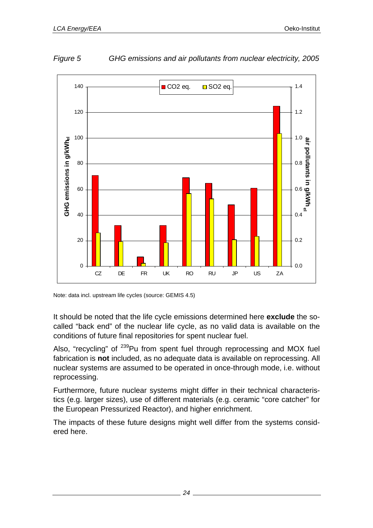



Note: data incl. upstream life cycles (source: GEMIS 4.5)

It should be noted that the life cycle emissions determined here **exclude** the socalled "back end" of the nuclear life cycle, as no valid data is available on the conditions of future final repositories for spent nuclear fuel.

Also, "recycling" of <sup>239</sup>Pu from spent fuel through reprocessing and MOX fuel fabrication is **not** included, as no adequate data is available on reprocessing. All nuclear systems are assumed to be operated in once-through mode, i.e. without reprocessing.

Furthermore, future nuclear systems might differ in their technical characteristics (e.g. larger sizes), use of different materials (e.g. ceramic "core catcher" for the European Pressurized Reactor), and higher enrichment.

The impacts of these future designs might well differ from the systems considered here.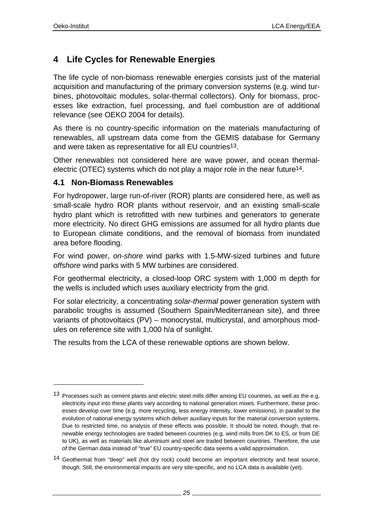l

# **4 Life Cycles for Renewable Energies**

The life cycle of non-biomass renewable energies consists just of the material acquisition and manufacturing of the primary conversion systems (e.g. wind turbines, photovoltaic modules, solar-thermal collectors). Only for biomass, processes like extraction, fuel processing, and fuel combustion are of additional relevance (see OEKO 2004 for details).

As there is no country-specific information on the materials manufacturing of renewables, all upstream data come from the GEMIS database for Germany and were taken as representative for all EU countries<sup>13</sup>.

Other renewables not considered here are wave power, and ocean thermalelectric (OTEC) systems which do not play a major role in the near future<sup>14</sup>.

#### **4.1 Non-Biomass Renewables**

For hydropower, large run-of-river (ROR) plants are considered here, as well as small-scale hydro ROR plants without reservoir, and an existing small-scale hydro plant which is retrofitted with new turbines and generators to generate more electricity. No direct GHG emissions are assumed for all hydro plants due to European climate conditions, and the removal of biomass from inundated area before flooding.

For wind power, *on-shore* wind parks with 1.5-MW-sized turbines and future *offshore* wind parks with 5 MW turbines are considered.

For geothermal electricity, a closed-loop ORC system with 1,000 m depth for the wells is included which uses auxiliary electricity from the grid.

For solar electricity, a concentrating *solar-thermal* power generation system with parabolic troughs is assumed (Southern Spain/Mediterranean site), and three variants of photovoltaics (PV) – monocrystal, multicrystal, and amorphous modules on reference site with 1,000 h/a of sunlight.

The results from the LCA of these renewable options are shown below.

<sup>13</sup> Processes such as cement plants and electric steel mills differ among EU countries, as well as the e.g. electricity input into these plants vary according to national generation mixes. Furthermore, these processes develop over time (e.g. more recycling, less energy intensity, lower emissions), in parallel to the evolution of national energy systems which deliver auxiliary inputs for the material conversion systems. Due to restricted time, no analysis of these effects was possible. It should be noted, though, that renewable energy technologies are traded between countries (e.g. wind mills from DK to ES, or from DE to UK), as well as materials like aluminium and steel are traded between countries. Therefore, the use of the German data instead of "true" EU country-specific data seems a valid approximation.

<sup>14</sup> Geothermal from "deep" well (hot dry rock) could become an important electricity and heat source, though. Still, the environmental impacts are very site-specific, and no LCA data is available (yet).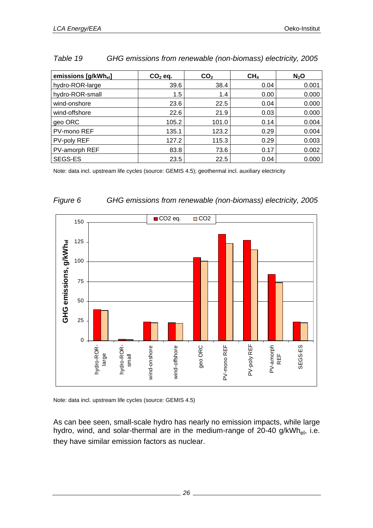| emissions [g/kWh <sub>el</sub> ] | $CO2$ eq. | CO <sub>2</sub> | CH <sub>4</sub> | $N_2$ O |
|----------------------------------|-----------|-----------------|-----------------|---------|
| hydro-ROR-large                  | 39.6      | 38.4            | 0.04            | 0.001   |
| hydro-ROR-small                  | 1.5       | 1.4             | 0.00            | 0.000   |
| wind-onshore                     | 23.6      | 22.5            | 0.04            | 0.000   |
| wind-offshore                    | 22.6      | 21.9            | 0.03            | 0.000   |
| geo ORC                          | 105.2     | 101.0           | 0.14            | 0.004   |
| PV-mono REF                      | 135.1     | 123.2           | 0.29            | 0.004   |
| PV-poly REF                      | 127.2     | 115.3           | 0.29            | 0.003   |
| PV-amorph REF                    | 83.8      | 73.6            | 0.17            | 0.002   |
| <b>SEGS-ES</b>                   | 23.5      | 22.5            | 0.04            | 0.000   |

#### *Table 19 GHG emissions from renewable (non-biomass) electricity, 2005*

Note: data incl. upstream life cycles (source: GEMIS 4.5); geothermal incl. auxiliary electricity



#### *Figure 6 GHG emissions from renewable (non-biomass) electricity, 2005*

Note: data incl. upstream life cycles (source: GEMIS 4.5)

As can bee seen, small-scale hydro has nearly no emission impacts, while large hydro, wind, and solar-thermal are in the medium-range of  $20-40$  g/kWh<sub>el</sub>, i.e. they have similar emission factors as nuclear.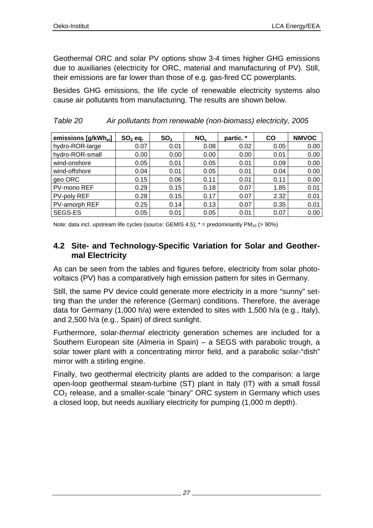Geothermal ORC and solar PV options show 3-4 times higher GHG emissions due to auxiliaries (electricity for ORC, material and manufacturing of PV). Still, their emissions are far lower than those of e.g. gas-fired CC powerplants.

Besides GHG emissions, the life cycle of renewable electricity systems also cause air pollutants from manufacturing. The results are shown below.

| emissions [g/kWh <sub>el</sub> ] | $SO2$ eq. | SO <sub>2</sub> | NO <sub>x</sub> | partic. * | CO   | <b>NMVOC</b> |
|----------------------------------|-----------|-----------------|-----------------|-----------|------|--------------|
| hydro-ROR-large                  | 0.07      | 0.01            | 0.08            | 0.02      | 0.05 | 0.00         |
| hydro-ROR-small                  | 0.00      | 0.00            | 0.00            | 0.00      | 0.01 | 0.00         |
| wind-onshore                     | 0.05      | 0.01            | 0.05            | 0.01      | 0.09 | 0.00         |
| wind-offshore                    | 0.04      | 0.01            | 0.05            | 0.01      | 0.04 | 0.00         |
| geo ORC                          | 0.15      | 0.06            | 0.11            | 0.01      | 0.11 | 0.00         |
| PV-mono REF                      | 0.29      | 0.15            | 0.18            | 0.07      | 1.85 | 0.01         |
| PV-poly REF                      | 0.28      | 0.15            | 0.17            | 0.07      | 2.32 | 0.01         |
| PV-amorph REF                    | 0.25      | 0.14            | 0.13            | 0.07      | 0.35 | 0.01         |
| SEGS-ES                          | 0.05      | 0.01            | 0.05            | 0.01      | 0.07 | 0.00         |

| Table 20 | Air pollutants from renewable (non-biomass) electricity, 2005 |  |  |  |
|----------|---------------------------------------------------------------|--|--|--|
|----------|---------------------------------------------------------------|--|--|--|

Note: data incl. upstream life cycles (source: GEMIS 4.5);  $* =$  predominantly PM<sub>10</sub> (> 90%)

### **4.2 Site- and Technology-Specific Variation for Solar and Geothermal Electricity**

As can be seen from the tables and figures before, electricity from solar photovoltaics (PV) has a comparatively high emission pattern for sites in Germany.

Still, the same PV device could generate more electricity in a more "sunny" setting than the under the reference (German) conditions. Therefore, the average data for Germany (1,000 h/a) were extended to sites with 1,500 h/a (e.g., Italy), and 2,500 h/a (e.g., Spain) of direct sunlight.

Furthermore, solar-*thermal* electricity generation schemes are included for a Southern European site (Almeria in Spain) – a SEGS with parabolic trough, a solar tower plant with a concentrating mirror field, and a parabolic solar-"dish" mirror with a stirling engine.

Finally, two geothermal electricity plants are added to the comparison: a large open-loop geothermal steam-turbine (ST) plant in Italy (IT) with a small fossil CO2 release, and a smaller-scale "binary" ORC system in Germany which uses a closed loop, but needs auxiliary electricity for pumping (1,000 m depth).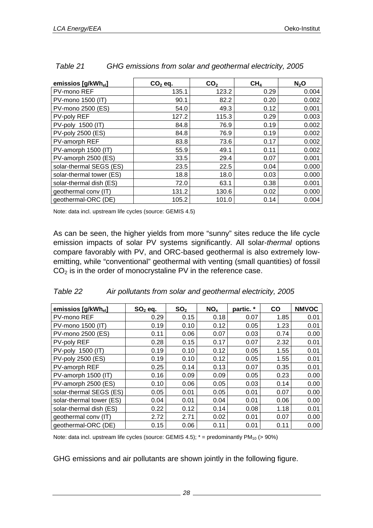| emissios [g/kWh <sub>el</sub> ] | $CO2$ eq. | CO <sub>2</sub> | CH <sub>4</sub> | $N_2$ O |
|---------------------------------|-----------|-----------------|-----------------|---------|
| PV-mono REF                     | 135.1     | 123.2           | 0.29            | 0.004   |
| PV-mono 1500 (IT)               | 90.1      | 82.2            | 0.20            | 0.002   |
| PV-mono 2500 (ES)               | 54.0      | 49.3            | 0.12            | 0.001   |
| PV-poly REF                     | 127.2     | 115.3           | 0.29            | 0.003   |
| PV-poly 1500 (IT)               | 84.8      | 76.9            | 0.19            | 0.002   |
| PV-poly 2500 (ES)               | 84.8      | 76.9            | 0.19            | 0.002   |
| PV-amorph REF                   | 83.8      | 73.6            | 0.17            | 0.002   |
| PV-amorph 1500 (IT)             | 55.9      | 49.1            | 0.11            | 0.002   |
| PV-amorph 2500 (ES)             | 33.5      | 29.4            | 0.07            | 0.001   |
| solar-thermal SEGS (ES)         | 23.5      | 22.5            | 0.04            | 0.000   |
| solar-thermal tower (ES)        | 18.8      | 18.0            | 0.03            | 0.000   |
| solar-thermal dish (ES)         | 72.0      | 63.1            | 0.38            | 0.001   |
| geothermal conv (IT)            | 131.2     | 130.6           | 0.02            | 0.000   |
| geothermal-ORC (DE)             | 105.2     | 101.0           | 0.14            | 0.004   |

| GHG emissions from solar and geothermal electricity, 2005 | Table 21 |  |  |  |
|-----------------------------------------------------------|----------|--|--|--|
|-----------------------------------------------------------|----------|--|--|--|

Note: data incl. upstream life cycles (source: GEMIS 4.5)

As can be seen, the higher yields from more "sunny" sites reduce the life cycle emission impacts of solar PV systems significantly. All solar-*thermal* options compare favorably with PV, and ORC-based geothermal is also extremely lowemitting, while "conventional" geothermal with venting (small quantities) of fossil  $CO<sub>2</sub>$  is in the order of monocrystaline PV in the reference case.

| emissios [g/kWhel]       | $SO2$ eq. | SO <sub>2</sub> | NO <sub>x</sub> | partic. * | <b>CO</b> | <b>NMVOC</b> |
|--------------------------|-----------|-----------------|-----------------|-----------|-----------|--------------|
| PV-mono REF              | 0.29      | 0.15            | 0.18            | 0.07      | 1.85      | 0.01         |
| PV-mono 1500 (IT)        | 0.19      | 0.10            | 0.12            | 0.05      | 1.23      | 0.01         |
| PV-mono 2500 (ES)        | 0.11      | 0.06            | 0.07            | 0.03      | 0.74      | 0.00         |
| PV-poly REF              | 0.28      | 0.15            | 0.17            | 0.07      | 2.32      | 0.01         |
| PV-poly 1500 (IT)        | 0.19      | 0.10            | 0.12            | 0.05      | 1.55      | 0.01         |
| PV-poly 2500 (ES)        | 0.19      | 0.10            | 0.12            | 0.05      | 1.55      | 0.01         |
| PV-amorph REF            | 0.25      | 0.14            | 0.13            | 0.07      | 0.35      | 0.01         |
| PV-amorph 1500 (IT)      | 0.16      | 0.09            | 0.09            | 0.05      | 0.23      | 0.00         |
| PV-amorph 2500 (ES)      | 0.10      | 0.06            | 0.05            | 0.03      | 0.14      | 0.00         |
| solar-thermal SEGS (ES)  | 0.05      | 0.01            | 0.05            | 0.01      | 0.07      | 0.00         |
| solar-thermal tower (ES) | 0.04      | 0.01            | 0.04            | 0.01      | 0.06      | 0.00         |
| solar-thermal dish (ES)  | 0.22      | 0.12            | 0.14            | 0.08      | 1.18      | 0.01         |
| geothermal conv (IT)     | 2.72      | 2.71            | 0.02            | 0.01      | 0.07      | 0.00         |
| geothermal-ORC (DE)      | 0.15      | 0.06            | 0.11            | 0.01      | 0.11      | 0.00         |

| Table 22 |  |  | Air pollutants from solar and geothermal electricity, 2005 |  |
|----------|--|--|------------------------------------------------------------|--|
|          |  |  |                                                            |  |

Note: data incl. upstream life cycles (source: GEMIS 4.5);  $*$  = predominantly PM<sub>10</sub> (> 90%)

GHG emissions and air pollutants are shown jointly in the following figure.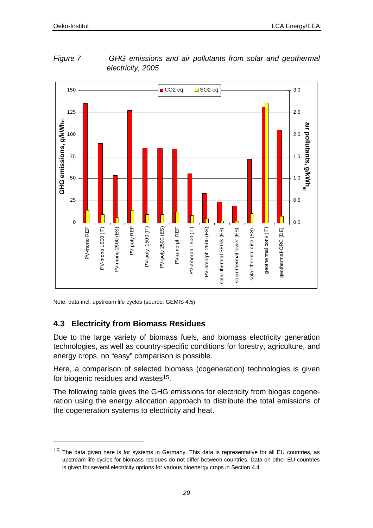

*Figure 7 GHG emissions and air pollutants from solar and geothermal electricity, 2005* 

Note: data incl. upstream life cycles (source: GEMIS 4.5)

## **4.3 Electricity from Biomass Residues**

l

Due to the large variety of biomass fuels, and biomass electricity generation technologies, as well as country-specific conditions for forestry, agriculture, and energy crops, no "easy" comparison is possible.

Here, a comparison of selected biomass (cogeneration) technologies is given for biogenic residues and wastes<sup>15</sup>.

The following table gives the GHG emissions for electricity from biogas cogeneration using the energy allocation approach to distribute the total emissions of the cogeneration systems to electricity and heat.

<sup>15</sup> The data given here is for systems in Germany. This data is representative for all EU countries, as upstream life cycles for biomass residues do not differ between countries. Data on other EU countries is given for several electricity options for various bioenergy crops in Section 4.4.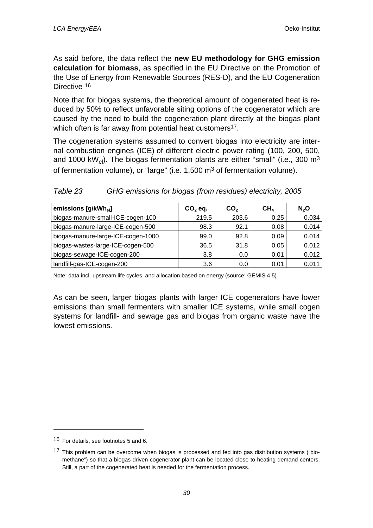As said before, the data reflect the **new EU methodology for GHG emission calculation for biomass**, as specified in the EU Directive on the Promotion of the Use of Energy from Renewable Sources (RES-D), and the EU Cogeneration Directive 16

Note that for biogas systems, the theoretical amount of cogenerated heat is reduced by 50% to reflect unfavorable siting options of the cogenerator which are caused by the need to build the cogeneration plant directly at the biogas plant which often is far away from potential heat customers<sup>17</sup>.

The cogeneration systems assumed to convert biogas into electricity are internal combustion engines (ICE) of different electric power rating (100, 200, 500, and 1000 kW<sub>el</sub>). The biogas fermentation plants are either "small" (i.e., 300 m<sup>3</sup> of fermentation volume), or "large" (i.e. 1,500 m<sup>3</sup> of fermentation volume).

| Table 23 | GHG emissions for biogas (from residues) electricity, 2005 |
|----------|------------------------------------------------------------|
|----------|------------------------------------------------------------|

| emissions [g/kWh <sub>el</sub> ]   | $CO2$ eq. | CO <sub>2</sub> | CH <sub>4</sub> | $N_2$ O |
|------------------------------------|-----------|-----------------|-----------------|---------|
| biogas-manure-small-ICE-cogen-100  | 219.5     | 203.6           | 0.25            | 0.034   |
| biogas-manure-large-ICE-cogen-500  | 98.3      | 92.1            | 0.08            | 0.014   |
| biogas-manure-large-ICE-cogen-1000 | 99.0      | 92.8            | 0.09            | 0.014   |
| biogas-wastes-large-ICE-cogen-500  | 36.5      | 31.8            | 0.05            | 0.012   |
| biogas-sewage-ICE-cogen-200        | 3.8       | 0.0             | 0.01            | 0.012   |
| landfill-gas-ICE-cogen-200         | 3.6       | 0.0             | 0.01            | 0.011   |

Note: data incl. upstream life cycles, and allocation based on energy (source: GEMIS 4.5)

As can be seen, larger biogas plants with larger ICE cogenerators have lower emissions than small fermenters with smaller ICE systems, while small cogen systems for landfill- and sewage gas and biogas from organic waste have the lowest emissions.

l

<sup>16</sup> For details, see footnotes 5 and 6.

 $17$  This problem can be overcome when biogas is processed and fed into gas distribution systems ("biomethane") so that a biogas-driven cogenerator plant can be located close to heating demand centers. Still, a part of the cogenerated heat is needed for the fermentation process.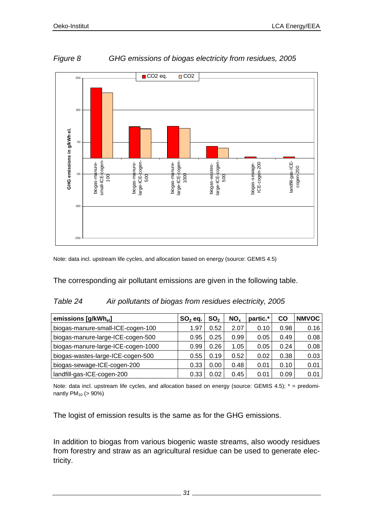

*Figure 8 GHG emissions of biogas electricity from residues, 2005* 

Note: data incl. upstream life cycles, and allocation based on energy (source: GEMIS 4.5)

The corresponding air pollutant emissions are given in the following table.

#### *Table 24 Air pollutants of biogas from residues electricity, 2005*

| emissions [g/kWh <sub>el</sub> ]   | $SO2$ eq. | SO <sub>2</sub> | NO <sub>x</sub> | partic.* | CO   | <b>NMVOC</b> |
|------------------------------------|-----------|-----------------|-----------------|----------|------|--------------|
| biogas-manure-small-ICE-cogen-100  | 1.97      | 0.52            | 2.07            | 0.10     | 0.98 | 0.16         |
| biogas-manure-large-ICE-cogen-500  | 0.95      | 0.25            | 0.99            | 0.05     | 0.49 | 0.08         |
| biogas-manure-large-ICE-cogen-1000 | 0.99      | 0.26            | 1.05            | 0.05     | 0.24 | 0.08         |
| biogas-wastes-large-ICE-cogen-500  | 0.55      | 0.19            | 0.52            | 0.02     | 0.38 | 0.03         |
| biogas-sewage-ICE-cogen-200        | 0.33      | 0.00            | 0.48            | 0.01     | 0.10 | 0.01         |
| landfill-gas-ICE-cogen-200         | 0.33      | 0.02            | 0.45            | 0.01     | 0.09 | 0.01         |

Note: data incl. upstream life cycles, and allocation based on energy (source: GEMIS 4.5);  $* =$  predominantly PM10 (> 90%)

The logist of emission results is the same as for the GHG emissions.

In addition to biogas from various biogenic waste streams, also woody residues from forestry and straw as an agricultural residue can be used to generate electricity.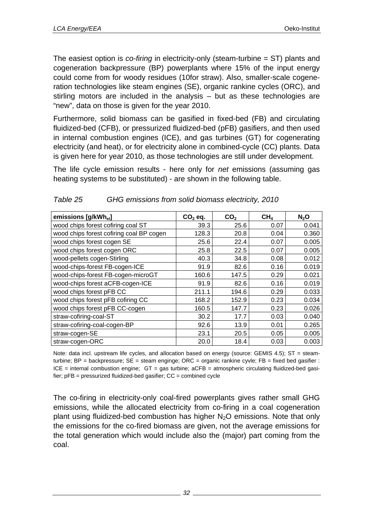The easiest option is *co-firing* in electricity-only (steam-turbine = ST) plants and cogeneration backpressure (BP) powerplants where 15% of the input energy could come from for woody residues (10for straw). Also, smaller-scale cogeneration technologies like steam engines (SE), organic rankine cycles (ORC), and stirling motors are included in the analysis – but as these technologies are "new", data on those is given for the year 2010.

Furthermore, solid biomass can be gasified in fixed-bed (FB) and circulating fluidized-bed (CFB), or pressurized fluidized-bed (pFB) gasifiers, and then used in internal combustion engines (ICE), and gas turbines (GT) for cogenerating electricity (and heat), or for electricity alone in combined-cycle (CC) plants. Data is given here for year 2010, as those technologies are still under development.

The life cycle emission results - here only for *net* emissions (assuming gas heating systems to be substituted) - are shown in the following table.

| emissions [g/kWhel]                      | $CO2$ eq. | CO <sub>2</sub> | CH <sub>4</sub> | N <sub>2</sub> O |
|------------------------------------------|-----------|-----------------|-----------------|------------------|
| wood chips forest cofiring coal ST       | 39.3      | 25.6            | 0.07            | 0.041            |
| wood chips forest cofiring coal BP cogen | 128.3     | 20.8            | 0.04            | 0.360            |
| wood chips forest cogen SE               | 25.6      | 22.4            | 0.07            | 0.005            |
| wood chips forest cogen ORC              | 25.8      | 22.5            | 0.07            | 0.005            |
| wood-pellets cogen-Stirling              | 40.3      | 34.8            | 0.08            | 0.012            |
| wood-chips-forest FB-cogen-ICE           | 91.9      | 82.6            | 0.16            | 0.019            |
| wood-chips-forest FB-cogen-microGT       | 160.6     | 147.5           | 0.29            | 0.021            |
| wood-chips forest aCFB-cogen-ICE         | 91.9      | 82.6            | 0.16            | 0.019            |
| wood chips forest pFB CC                 | 211.1     | 194.6           | 0.29            | 0.033            |
| wood chips forest pFB cofiring CC        | 168.2     | 152.9           | 0.23            | 0.034            |
| wood chips forest pFB CC-cogen           | 160.5     | 147.7           | 0.23            | 0.026            |
| straw-cofiring-coal-ST                   | 30.2      | 17.7            | 0.03            | 0.040            |
| straw-cofiring-coal-cogen-BP             | 92.6      | 13.9            | 0.01            | 0.265            |
| straw-cogen-SE                           | 23.1      | 20.5            | 0.05            | 0.005            |
| straw-cogen-ORC                          | 20.0      | 18.4            | 0.03            | 0.003            |

| Table 25 | GHG emissions from solid biomass electricity, 2010 |
|----------|----------------------------------------------------|
|----------|----------------------------------------------------|

Note: data incl. upstream life cycles, and allocation based on energy (source: GEMIS 4.5); ST = steamturbine; BP = backpressure; SE = steam enginge; ORC = organic rankine cyvle; FB = fixed bed gasifier :  $ICE = internal$  combustion engine;  $GT = gas$  turbine;  $aCFB = atmospheric$  circulating fluidized-bed gasifier;  $pFB = pressure$  pressurized fluidized-bed gasifier;  $CC = combined cycle$ 

The co-firing in electricity-only coal-fired powerplants gives rather small GHG emissions, while the allocated electricity from co-firing in a coal cogeneration plant using fluidized-bed combustion has higher  $N_2O$  emissions. Note that only the emissions for the co-fired biomass are given, not the average emissions for the total generation which would include also the (major) part coming from the coal.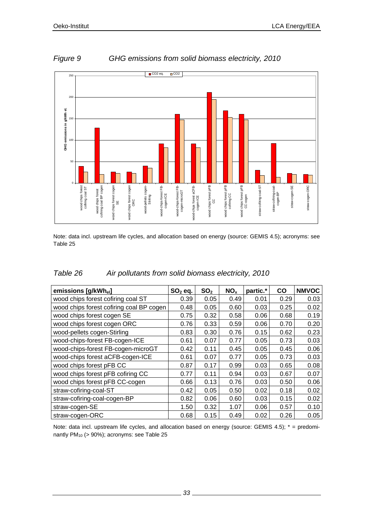

### *Figure 9 GHG emissions from solid biomass electricity, 2010*

Note: data incl. upstream life cycles, and allocation based on energy (source: GEMIS 4.5); acronyms: see Table 25

| Table 26 | Air pollutants from solid biomass electricity, 2010 |  |  |
|----------|-----------------------------------------------------|--|--|
|          |                                                     |  |  |

| emissions [g/kWhel]                      | $SO2$ eq. | SO <sub>2</sub> | NO <sub>x</sub> | partic.* | $\mathsf{co}$ | <b>NMVOC</b> |
|------------------------------------------|-----------|-----------------|-----------------|----------|---------------|--------------|
| wood chips forest cofiring coal ST       | 0.39      | 0.05            | 0.49            | 0.01     | 0.29          | 0.03         |
| wood chips forest cofiring coal BP cogen | 0.48      | 0.05            | 0.60            | 0.03     | 0.25          | 0.02         |
| wood chips forest cogen SE               | 0.75      | 0.32            | 0.58            | 0.06     | 0.68          | 0.19         |
| wood chips forest cogen ORC              | 0.76      | 0.33            | 0.59            | 0.06     | 0.70          | 0.20         |
| wood-pellets cogen-Stirling              | 0.83      | 0.30            | 0.76            | 0.15     | 0.62          | 0.23         |
| wood-chips-forest FB-cogen-ICE           | 0.61      | 0.07            | 0.77            | 0.05     | 0.73          | 0.03         |
| wood-chips-forest FB-cogen-microGT       | 0.42      | 0.11            | 0.45            | 0.05     | 0.45          | 0.06         |
| wood-chips forest aCFB-cogen-ICE         | 0.61      | 0.07            | 0.77            | 0.05     | 0.73          | 0.03         |
| wood chips forest pFB CC                 | 0.87      | 0.17            | 0.99            | 0.03     | 0.65          | 0.08         |
| wood chips forest pFB cofiring CC        | 0.77      | 0.11            | 0.94            | 0.03     | 0.67          | 0.07         |
| wood chips forest pFB CC-cogen           | 0.66      | 0.13            | 0.76            | 0.03     | 0.50          | 0.06         |
| straw-cofiring-coal-ST                   | 0.42      | 0.05            | 0.50            | 0.02     | 0.18          | 0.02         |
| straw-cofiring-coal-cogen-BP             | 0.82      | 0.06            | 0.60            | 0.03     | 0.15          | 0.02         |
| straw-cogen-SE                           | 1.50      | 0.32            | 1.07            | 0.06     | 0.57          | 0.10         |
| straw-cogen-ORC                          | 0.68      | 0.15            | 0.49            | 0.02     | 0.26          | 0.05         |

Note: data incl. upstream life cycles, and allocation based on energy (source: GEMIS 4.5); \* = predominantly  $PM_{10}$  (> 90%); acronyms: see Table 25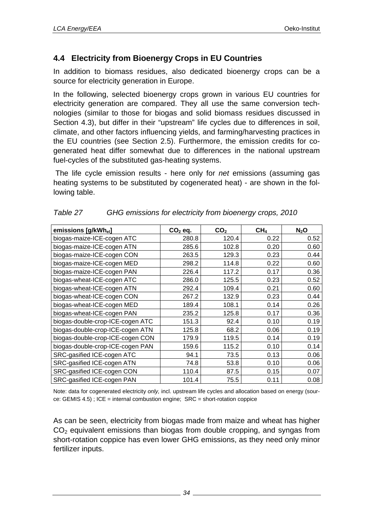## **4.4 Electricity from Bioenergy Crops in EU Countries**

In addition to biomass residues, also dedicated bioenergy crops can be a source for electricity generation in Europe.

In the following, selected bioenergy crops grown in various EU countries for electricity generation are compared. They all use the same conversion technologies (similar to those for biogas and solid biomass residues discussed in Section 4.3), but differ in their "upstream" life cycles due to differences in soil, climate, and other factors influencing yields, and farming/harvesting practices in the EU countries (see Section 2.5). Furthermore, the emission credits for cogenerated heat differ somewhat due to differences in the national upstream fuel-cycles of the substituted gas-heating systems.

 The life cycle emission results - here only for *net* emissions (assuming gas heating systems to be substituted by cogenerated heat) - are shown in the following table.

| emissions [g/kWhel]              | $CO2$ eq. | CO <sub>2</sub> | CH <sub>4</sub> | $N_2$ O |
|----------------------------------|-----------|-----------------|-----------------|---------|
| biogas-maize-ICE-cogen ATC       | 280.8     | 120.4           | 0.22            | 0.52    |
| biogas-maize-ICE-cogen ATN       | 285.6     | 102.8           | 0.20            | 0.60    |
| biogas-maize-ICE-cogen CON       | 263.5     | 129.3           | 0.23            | 0.44    |
| biogas-maize-ICE-cogen MED       | 298.2     | 114.8           | 0.22            | 0.60    |
| biogas-maize-ICE-cogen PAN       | 226.4     | 117.2           | 0.17            | 0.36    |
| biogas-wheat-ICE-cogen ATC       | 286.0     | 125.5           | 0.23            | 0.52    |
| biogas-wheat-ICE-cogen ATN       | 292.4     | 109.4           | 0.21            | 0.60    |
| biogas-wheat-ICE-cogen CON       | 267.2     | 132.9           | 0.23            | 0.44    |
| biogas-wheat-ICE-cogen MED       | 189.4     | 108.1           | 0.14            | 0.26    |
| biogas-wheat-ICE-cogen PAN       | 235.2     | 125.8           | 0.17            | 0.36    |
| biogas-double-crop-ICE-cogen ATC | 151.3     | 92.4            | 0.10            | 0.19    |
| biogas-double-crop-ICE-cogen ATN | 125.8     | 68.2            | 0.06            | 0.19    |
| biogas-double-crop-ICE-cogen CON | 179.9     | 119.5           | 0.14            | 0.19    |
| biogas-double-crop-ICE-cogen PAN | 159.6     | 115.2           | 0.10            | 0.14    |
| SRC-gasified ICE-cogen ATC       | 94.1      | 73.5            | 0.13            | 0.06    |
| SRC-gasified ICE-cogen ATN       | 74.8      | 53.8            | 0.10            | 0.06    |
| SRC-gasified ICE-cogen CON       | 110.4     | 87.5            | 0.15            | 0.07    |
| SRC-gasified ICE-cogen PAN       | 101.4     | 75.5            | 0.11            | 0.08    |

| Table 27 | GHG emissions for electricity from bioenergy crops, 2010 |  |
|----------|----------------------------------------------------------|--|
|          |                                                          |  |

Note: data for cogenerated electricity *only,* incl. upstream life cycles and allocation based on energy (source: GEMIS 4.5) ; ICE = internal combustion engine; SRC = short-rotation coppice

As can be seen, electricity from biogas made from maize and wheat has higher  $CO<sub>2</sub>$  equivalent emissions than biogas from double cropping, and syngas from short-rotation coppice has even lower GHG emissions, as they need only minor fertilizer inputs.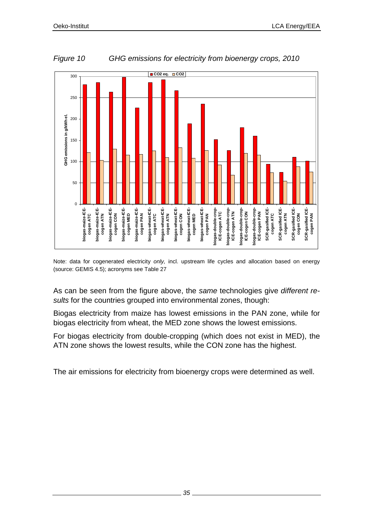

*Figure 10 GHG emissions for electricity from bioenergy crops, 2010* 

Note: data for cogenerated electricity *only,* incl. upstream life cycles and allocation based on energy (source: GEMIS 4.5); acronyms see Table 27

As can be seen from the figure above, the *same* technologies give *different results* for the countries grouped into environmental zones, though:

Biogas electricity from maize has lowest emissions in the PAN zone, while for biogas electricity from wheat, the MED zone shows the lowest emissions.

For biogas electricity from double-cropping (which does not exist in MED), the ATN zone shows the lowest results, while the CON zone has the highest.

The air emissions for electricity from bioenergy crops were determined as well.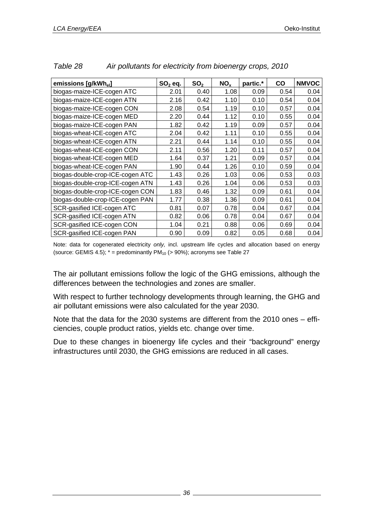| emissions [g/kWh <sub>el</sub> ] | $SO2$ eq. | SO <sub>2</sub> | NO <sub>x</sub> | partic.* | $\mathsf{co}$ | <b>NMVOC</b> |
|----------------------------------|-----------|-----------------|-----------------|----------|---------------|--------------|
| biogas-maize-ICE-cogen ATC       | 2.01      | 0.40            | 1.08            | 0.09     | 0.54          | 0.04         |
| biogas-maize-ICE-cogen ATN       | 2.16      | 0.42            | 1.10            | 0.10     | 0.54          | 0.04         |
| biogas-maize-ICE-cogen CON       | 2.08      | 0.54            | 1.19            | 0.10     | 0.57          | 0.04         |
| biogas-maize-ICE-cogen MED       | 2.20      | 0.44            | 1.12            | 0.10     | 0.55          | 0.04         |
| biogas-maize-ICE-cogen PAN       | 1.82      | 0.42            | 1.19            | 0.09     | 0.57          | 0.04         |
| biogas-wheat-ICE-cogen ATC       | 2.04      | 0.42            | 1.11            | 0.10     | 0.55          | 0.04         |
| biogas-wheat-ICE-cogen ATN       | 2.21      | 0.44            | 1.14            | 0.10     | 0.55          | 0.04         |
| biogas-wheat-ICE-cogen CON       | 2.11      | 0.56            | 1.20            | 0.11     | 0.57          | 0.04         |
| biogas-wheat-ICE-cogen MED       | 1.64      | 0.37            | 1.21            | 0.09     | 0.57          | 0.04         |
| biogas-wheat-ICE-cogen PAN       | 1.90      | 0.44            | 1.26            | 0.10     | 0.59          | 0.04         |
| biogas-double-crop-ICE-cogen ATC | 1.43      | 0.26            | 1.03            | 0.06     | 0.53          | 0.03         |
| biogas-double-crop-ICE-cogen ATN | 1.43      | 0.26            | 1.04            | 0.06     | 0.53          | 0.03         |
| biogas-double-crop-ICE-cogen CON | 1.83      | 0.46            | 1.32            | 0.09     | 0.61          | 0.04         |
| biogas-double-crop-ICE-cogen PAN | 1.77      | 0.38            | 1.36            | 0.09     | 0.61          | 0.04         |
| SCR-gasified ICE-cogen ATC       | 0.81      | 0.07            | 0.78            | 0.04     | 0.67          | 0.04         |
| SCR-gasified ICE-cogen ATN       | 0.82      | 0.06            | 0.78            | 0.04     | 0.67          | 0.04         |
| SCR-gasified ICE-cogen CON       | 1.04      | 0.21            | 0.88            | 0.06     | 0.69          | 0.04         |
| SCR-gasified ICE-cogen PAN       | 0.90      | 0.09            | 0.82            | 0.05     | 0.68          | 0.04         |

| Table 28 |  | Air pollutants for electricity from bioenergy crops, 2010 |
|----------|--|-----------------------------------------------------------|
|          |  |                                                           |

Note: data for cogenerated electricity *only,* incl. upstream life cycles and allocation based on energy (source: GEMIS 4.5);  $* =$  predominantly PM<sub>10</sub> (> 90%); acronyms see Table 27

The air pollutant emissions follow the logic of the GHG emissions, although the differences between the technologies and zones are smaller.

With respect to further technology developments through learning, the GHG and air pollutant emissions were also calculated for the year 2030.

Note that the data for the 2030 systems are different from the 2010 ones – efficiencies, couple product ratios, yields etc. change over time.

Due to these changes in bioenergy life cycles and their "background" energy infrastructures until 2030, the GHG emissions are reduced in all cases.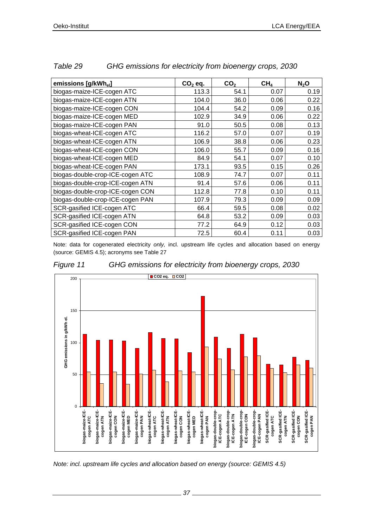| emissions [g/kWh <sub>el</sub> ] | $CO2$ eq. | CO <sub>2</sub> | CH <sub>4</sub> | $N_2$ O |
|----------------------------------|-----------|-----------------|-----------------|---------|
| biogas-maize-ICE-cogen ATC       | 113.3     | 54.1            | 0.07            | 0.19    |
| biogas-maize-ICE-cogen ATN       | 104.0     | 36.0            | 0.06            | 0.22    |
| biogas-maize-ICE-cogen CON       | 104.4     | 54.2            | 0.09            | 0.16    |
| biogas-maize-ICE-cogen MED       | 102.9     | 34.9            | 0.06            | 0.22    |
| biogas-maize-ICE-cogen PAN       | 91.0      | 50.5            | 0.08            | 0.13    |
| biogas-wheat-ICE-cogen ATC       | 116.2     | 57.0            | 0.07            | 0.19    |
| biogas-wheat-ICE-cogen ATN       | 106.9     | 38.8            | 0.06            | 0.23    |
| biogas-wheat-ICE-cogen CON       | 106.0     | 55.7            | 0.09            | 0.16    |
| biogas-wheat-ICE-cogen MED       | 84.9      | 54.1            | 0.07            | 0.10    |
| biogas-wheat-ICE-cogen PAN       | 173.1     | 93.5            | 0.15            | 0.26    |
| biogas-double-crop-ICE-cogen ATC | 108.9     | 74.7            | 0.07            | 0.11    |
| biogas-double-crop-ICE-cogen ATN | 91.4      | 57.6            | 0.06            | 0.11    |
| biogas-double-crop-ICE-cogen CON | 112.8     | 77.8            | 0.10            | 0.11    |
| biogas-double-crop-ICE-cogen PAN | 107.9     | 79.3            | 0.09            | 0.09    |
| SCR-gasified ICE-cogen ATC       | 66.4      | 59.5            | 0.08            | 0.02    |
| SCR-gasified ICE-cogen ATN       | 64.8      | 53.2            | 0.09            | 0.03    |
| SCR-gasified ICE-cogen CON       | 77.2      | 64.9            | 0.12            | 0.03    |
| SCR-gasified ICE-cogen PAN       | 72.5      | 60.4            | 0.11            | 0.03    |

#### *Table 29 GHG emissions for electricity from bioenergy crops, 2030*

Note: data for cogenerated electricity *only,* incl. upstream life cycles and allocation based on energy (source: GEMIS 4.5); acronyms see Table 27



*Figure 11 GHG emissions for electricity from bioenergy crops, 2030* 

*Note: incl. upstream life cycles and allocation based on energy (source: GEMIS 4.5)*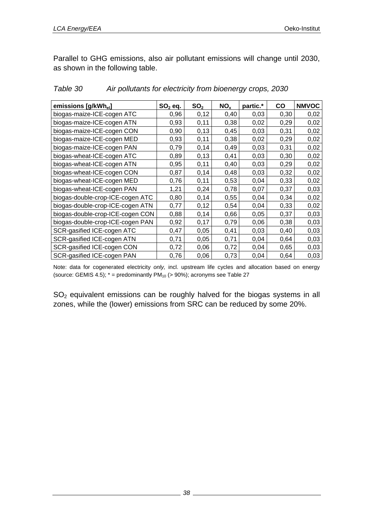Parallel to GHG emissions, also air pollutant emissions will change until 2030, as shown in the following table.

| emissions [g/kWh <sub>el</sub> ] | $SO2$ eq. | SO <sub>2</sub> | NO <sub>x</sub> | partic.* | CO   | <b>NMVOC</b> |
|----------------------------------|-----------|-----------------|-----------------|----------|------|--------------|
| biogas-maize-ICE-cogen ATC       | 0,96      | 0,12            | 0,40            | 0,03     | 0,30 | 0,02         |
| biogas-maize-ICE-cogen ATN       | 0,93      | 0,11            | 0,38            | 0,02     | 0,29 | 0,02         |
| biogas-maize-ICE-cogen CON       | 0,90      | 0,13            | 0,45            | 0,03     | 0,31 | 0,02         |
| biogas-maize-ICE-cogen MED       | 0,93      | 0,11            | 0,38            | 0,02     | 0,29 | 0,02         |
| biogas-maize-ICE-cogen PAN       | 0,79      | 0,14            | 0,49            | 0,03     | 0,31 | 0,02         |
| biogas-wheat-ICE-cogen ATC       | 0,89      | 0,13            | 0,41            | 0,03     | 0,30 | 0,02         |
| biogas-wheat-ICE-cogen ATN       | 0,95      | 0,11            | 0,40            | 0,03     | 0,29 | 0,02         |
| biogas-wheat-ICE-cogen CON       | 0,87      | 0,14            | 0,48            | 0,03     | 0,32 | 0,02         |
| biogas-wheat-ICE-cogen MED       | 0,76      | 0,11            | 0,53            | 0,04     | 0,33 | 0,02         |
| biogas-wheat-ICE-cogen PAN       | 1,21      | 0,24            | 0,78            | 0,07     | 0,37 | 0,03         |
| biogas-double-crop-ICE-cogen ATC | 0,80      | 0,14            | 0,55            | 0,04     | 0,34 | 0,02         |
| biogas-double-crop-ICE-cogen ATN | 0,77      | 0,12            | 0,54            | 0,04     | 0,33 | 0,02         |
| biogas-double-crop-ICE-cogen CON | 0,88      | 0,14            | 0,66            | 0,05     | 0,37 | 0,03         |
| biogas-double-crop-ICE-cogen PAN | 0,92      | 0,17            | 0,79            | 0,06     | 0,38 | 0,03         |
| SCR-gasified ICE-cogen ATC       | 0,47      | 0,05            | 0,41            | 0,03     | 0,40 | 0,03         |
| SCR-gasified ICE-cogen ATN       | 0,71      | 0,05            | 0,71            | 0,04     | 0,64 | 0,03         |
| SCR-gasified ICE-cogen CON       | 0,72      | 0,06            | 0,72            | 0,04     | 0,65 | 0,03         |
| SCR-gasified ICE-cogen PAN       | 0,76      | 0,06            | 0,73            | 0,04     | 0,64 | 0,03         |

#### *Table 30 Air pollutants for electricity from bioenergy crops, 2030*

Note: data for cogenerated electricity *only,* incl. upstream life cycles and allocation based on energy (source: GEMIS 4.5);  $* =$  predominantly PM<sub>10</sub> (> 90%); acronyms see Table 27

 $SO<sub>2</sub>$  equivalent emissions can be roughly halved for the biogas systems in all zones, while the (lower) emissions from SRC can be reduced by some 20%.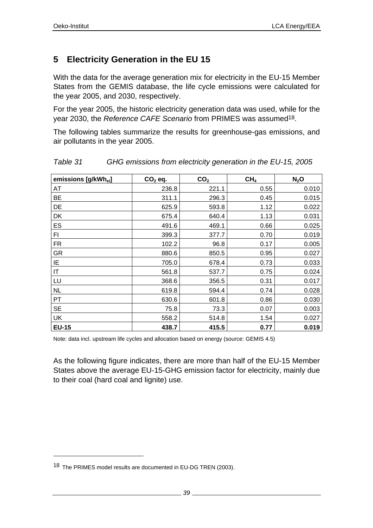# **5 Electricity Generation in the EU 15**

With the data for the average generation mix for electricity in the EU-15 Member States from the GEMIS database, the life cycle emissions were calculated for the year 2005, and 2030, respectively.

For the year 2005, the historic electricity generation data was used, while for the year 2030, the *Reference CAFE Scenario* from PRIMES was assumed18.

The following tables summarize the results for greenhouse-gas emissions, and air pollutants in the year 2005.

| emissions [g/kWh <sub>el</sub> ] | $CO2$ eq. | CO <sub>2</sub> | CH <sub>4</sub> | $N_2$ O |
|----------------------------------|-----------|-----------------|-----------------|---------|
| AT                               | 236.8     | 221.1           | 0.55            | 0.010   |
| BE                               | 311.1     | 296.3           | 0.45            | 0.015   |
| DE                               | 625.9     | 593.8           | 1.12            | 0.022   |
| DK                               | 675.4     | 640.4           | 1.13            | 0.031   |
| ES                               | 491.6     | 469.1           | 0.66            | 0.025   |
| FI                               | 399.3     | 377.7           | 0.70            | 0.019   |
| <b>FR</b>                        | 102.2     | 96.8            | 0.17            | 0.005   |
| GR                               | 880.6     | 850.5           | 0.95            | 0.027   |
| IE                               | 705.0     | 678.4           | 0.73            | 0.033   |
| IT                               | 561.8     | 537.7           | 0.75            | 0.024   |
| LU                               | 368.6     | 356.5           | 0.31            | 0.017   |
| <b>NL</b>                        | 619.8     | 594.4           | 0.74            | 0.028   |
| PT                               | 630.6     | 601.8           | 0.86            | 0.030   |
| <b>SE</b>                        | 75.8      | 73.3            | 0.07            | 0.003   |
| UK                               | 558.2     | 514.8           | 1.54            | 0.027   |
| <b>EU-15</b>                     | 438.7     | 415.5           | 0.77            | 0.019   |

*Table 31 GHG emissions from electricity generation in the EU-15, 2005* 

Note: data incl. upstream life cycles and allocation based on energy (source: GEMIS 4.5)

As the following figure indicates, there are more than half of the EU-15 Member States above the average EU-15-GHG emission factor for electricity, mainly due to their coal (hard coal and lignite) use.

l

<sup>18</sup> The PRIMES model results are documented in EU-DG TREN (2003).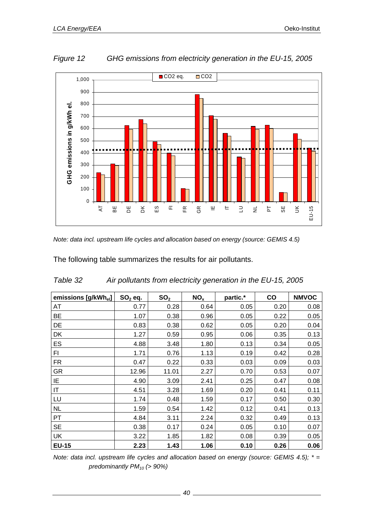

*Figure 12 GHG emissions from electricity generation in the EU-15, 2005* 

*Note: data incl. upstream life cycles and allocation based on energy (source: GEMIS 4.5)* 

The following table summarizes the results for air pollutants.

| emissions [g/kWh <sub>el</sub> ] | $SO2$ eq. | SO <sub>2</sub> | NO <sub>x</sub> | partic.* | CO   | <b>NMVOC</b> |
|----------------------------------|-----------|-----------------|-----------------|----------|------|--------------|
| AT                               | 0.77      | 0.28            | 0.64            | 0.05     | 0.20 | 0.08         |
| <b>BE</b>                        | 1.07      | 0.38            | 0.96            | 0.05     | 0.22 | 0.05         |
| DE                               | 0.83      | 0.38            | 0.62            | 0.05     | 0.20 | 0.04         |
| DK                               | 1.27      | 0.59            | 0.95            | 0.06     | 0.35 | 0.13         |
| ES                               | 4.88      | 3.48            | 1.80            | 0.13     | 0.34 | 0.05         |
| FI                               | 1.71      | 0.76            | 1.13            | 0.19     | 0.42 | 0.28         |
| <b>FR</b>                        | 0.47      | 0.22            | 0.33            | 0.03     | 0.09 | 0.03         |
| <b>GR</b>                        | 12.96     | 11.01           | 2.27            | 0.70     | 0.53 | 0.07         |
| ΙE                               | 4.90      | 3.09            | 2.41            | 0.25     | 0.47 | 0.08         |
| IT                               | 4.51      | 3.28            | 1.69            | 0.20     | 0.41 | 0.11         |
| LU                               | 1.74      | 0.48            | 1.59            | 0.17     | 0.50 | 0.30         |
| <b>NL</b>                        | 1.59      | 0.54            | 1.42            | 0.12     | 0.41 | 0.13         |
| PT                               | 4.84      | 3.11            | 2.24            | 0.32     | 0.49 | 0.13         |
| <b>SE</b>                        | 0.38      | 0.17            | 0.24            | 0.05     | 0.10 | 0.07         |
| UK                               | 3.22      | 1.85            | 1.82            | 0.08     | 0.39 | 0.05         |
| <b>EU-15</b>                     | 2.23      | 1.43            | 1.06            | 0.10     | 0.26 | 0.06         |

| Table 32 | Air pollutants from electricity generation in the EU-15, 2005 |
|----------|---------------------------------------------------------------|
|          |                                                               |

*Note: data incl. upstream life cycles and allocation based on energy (source: GEMIS 4.5); \* = predominantly PM10 (> 90%)*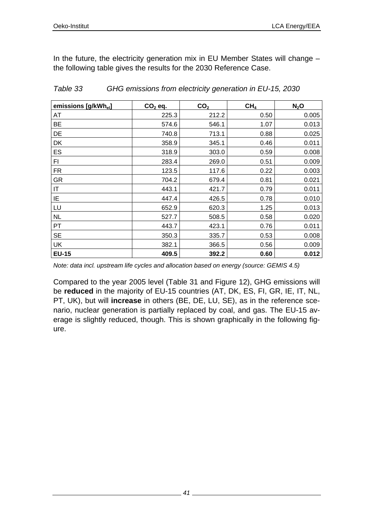In the future, the electricity generation mix in EU Member States will change – the following table gives the results for the 2030 Reference Case.

| emissions [g/kWhel] | $CO2$ eq. | CO <sub>2</sub> | CH <sub>4</sub> | $N_2$ O |
|---------------------|-----------|-----------------|-----------------|---------|
| AT                  | 225.3     | 212.2           | 0.50            | 0.005   |
| BE                  | 574.6     | 546.1           | 1.07            | 0.013   |
| DE                  | 740.8     | 713.1           | 0.88            | 0.025   |
| DK                  | 358.9     | 345.1           | 0.46            | 0.011   |
| ES                  | 318.9     | 303.0           | 0.59            | 0.008   |
| FI                  | 283.4     | 269.0           | 0.51            | 0.009   |
| FR.                 | 123.5     | 117.6           | 0.22            | 0.003   |
| <b>GR</b>           | 704.2     | 679.4           | 0.81            | 0.021   |
| IT                  | 443.1     | 421.7           | 0.79            | 0.011   |
| IE                  | 447.4     | 426.5           | 0.78            | 0.010   |
| LU                  | 652.9     | 620.3           | 1.25            | 0.013   |
| <b>NL</b>           | 527.7     | 508.5           | 0.58            | 0.020   |
| PT                  | 443.7     | 423.1           | 0.76            | 0.011   |
| <b>SE</b>           | 350.3     | 335.7           | 0.53            | 0.008   |
| UK                  | 382.1     | 366.5           | 0.56            | 0.009   |
| <b>EU-15</b>        | 409.5     | 392.2           | 0.60            | 0.012   |

*Table 33 GHG emissions from electricity generation in EU-15, 2030* 

*Note: data incl. upstream life cycles and allocation based on energy (source: GEMIS 4.5)* 

Compared to the year 2005 level (Table 31 and Figure 12), GHG emissions will be **reduced** in the majority of EU-15 countries (AT, DK, ES, FI, GR, IE, IT, NL, PT, UK), but will **increase** in others (BE, DE, LU, SE), as in the reference scenario, nuclear generation is partially replaced by coal, and gas. The EU-15 average is slightly reduced, though. This is shown graphically in the following figure.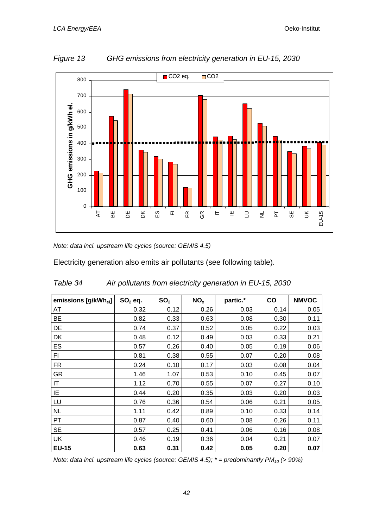

*Figure 13 GHG emissions from electricity generation in EU-15, 2030* 

*Note: data incl. upstream life cycles (source: GEMIS 4.5)* 

Electricity generation also emits air pollutants (see following table).

| emissions [g/kWh <sub>el</sub> ] | $SO2$ eq. | SO <sub>2</sub> | NO <sub>x</sub> | partic.* | co   | <b>NMVOC</b> |
|----------------------------------|-----------|-----------------|-----------------|----------|------|--------------|
| AT                               | 0.32      | 0.12            | 0.26            | 0.03     | 0.14 | 0.05         |
| BE                               | 0.82      | 0.33            | 0.63            | 0.08     | 0.30 | 0.11         |
| DE                               | 0.74      | 0.37            | 0.52            | 0.05     | 0.22 | 0.03         |
| DK                               | 0.48      | 0.12            | 0.49            | 0.03     | 0.33 | 0.21         |
| ES                               | 0.57      | 0.26            | 0.40            | 0.05     | 0.19 | 0.06         |
| FI                               | 0.81      | 0.38            | 0.55            | 0.07     | 0.20 | 0.08         |
| FR.                              | 0.24      | 0.10            | 0.17            | 0.03     | 0.08 | 0.04         |
| <b>GR</b>                        | 1.46      | 1.07            | 0.53            | 0.10     | 0.45 | 0.07         |
| IT                               | 1.12      | 0.70            | 0.55            | 0.07     | 0.27 | 0.10         |
| ΙE                               | 0.44      | 0.20            | 0.35            | 0.03     | 0.20 | 0.03         |
| LU                               | 0.76      | 0.36            | 0.54            | 0.06     | 0.21 | 0.05         |
| <b>NL</b>                        | 1.11      | 0.42            | 0.89            | 0.10     | 0.33 | 0.14         |
| PT                               | 0.87      | 0.40            | 0.60            | 0.08     | 0.26 | 0.11         |
| <b>SE</b>                        | 0.57      | 0.25            | 0.41            | 0.06     | 0.16 | 0.08         |
| UK                               | 0.46      | 0.19            | 0.36            | 0.04     | 0.21 | 0.07         |
| <b>EU-15</b>                     | 0.63      | 0.31            | 0.42            | 0.05     | 0.20 | 0.07         |

| Table 34 | Air pollutants from electricity generation in EU-15, 2030 |
|----------|-----------------------------------------------------------|
|          |                                                           |

*Note: data incl. upstream life cycles (source: GEMIS 4.5); \** = *predominantly PM<sub>10</sub> (> 90%)*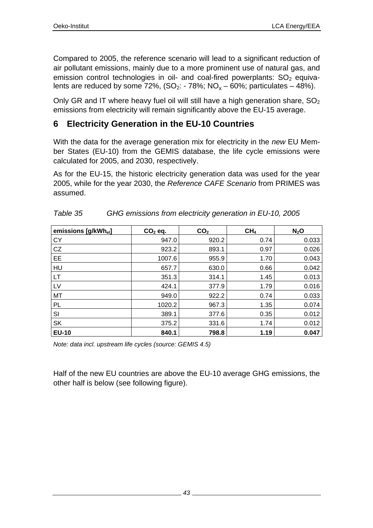Compared to 2005, the reference scenario will lead to a significant reduction of air pollutant emissions, mainly due to a more prominent use of natural gas, and emission control technologies in oil- and coal-fired powerplants:  $SO<sub>2</sub>$  equivalents are reduced by some 72%,  $(SO_2: -78\%; NO_x - 60\%;$  particulates  $-48\%$ ).

Only GR and IT where heavy fuel oil will still have a high generation share,  $SO<sub>2</sub>$ emissions from electricity will remain significantly above the EU-15 average.

# **6 Electricity Generation in the EU-10 Countries**

With the data for the average generation mix for electricity in the *new* EU Member States (EU-10) from the GEMIS database, the life cycle emissions were calculated for 2005, and 2030, respectively.

As for the EU-15, the historic electricity generation data was used for the year 2005, while for the year 2030, the *Reference CAFE Scenario* from PRIMES was assumed.

| emissions [g/kWh <sub>el</sub> ] | $CO2$ eq. | CO <sub>2</sub> | CH <sub>4</sub> | $N_2$ O |
|----------------------------------|-----------|-----------------|-----------------|---------|
| <b>CY</b>                        | 947.0     | 920.2           | 0.74            | 0.033   |
| CZ                               | 923.2     | 893.1           | 0.97            | 0.026   |
| EE                               | 1007.6    | 955.9           | 1.70            | 0.043   |
| HU                               | 657.7     | 630.0           | 0.66            | 0.042   |
| LT                               | 351.3     | 314.1           | 1.45            | 0.013   |
| LV                               | 424.1     | 377.9           | 1.79            | 0.016   |
| MT                               | 949.0     | 922.2           | 0.74            | 0.033   |
| PL                               | 1020.2    | 967.3           | 1.35            | 0.074   |
| SI                               | 389.1     | 377.6           | 0.35            | 0.012   |
| SK                               | 375.2     | 331.6           | 1.74            | 0.012   |
| <b>EU-10</b>                     | 840.1     | 798.8           | 1.19            | 0.047   |

| Table 35 | GHG emissions from electricity generation in EU-10, 2005 |
|----------|----------------------------------------------------------|
|----------|----------------------------------------------------------|

*Note: data incl. upstream life cycles (source: GEMIS 4.5)* 

Half of the new EU countries are above the EU-10 average GHG emissions, the other half is below (see following figure).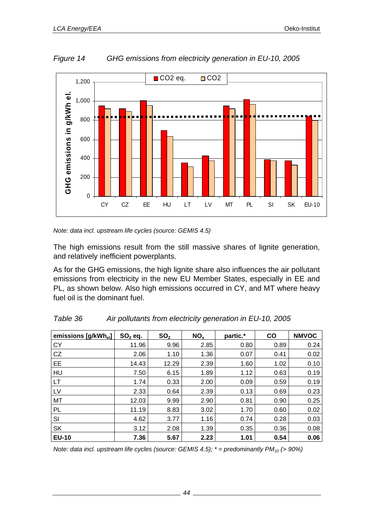

*Figure 14 GHG emissions from electricity generation in EU-10, 2005* 

*Note: data incl. upstream life cycles (source: GEMIS 4.5)* 

The high emissions result from the still massive shares of lignite generation, and relatively inefficient powerplants.

As for the GHG emissions, the high lignite share also influences the air pollutant emissions from electricity in the new EU Member States, especially in EE and PL, as shown below. Also high emissions occurred in CY, and MT where heavy fuel oil is the dominant fuel.

| emissions [g/kWh <sub>el</sub> ] | $SO2$ eq. | SO <sub>2</sub> | NO <sub>x</sub> | partic.* | <b>CO</b> | <b>NMVOC</b> |
|----------------------------------|-----------|-----------------|-----------------|----------|-----------|--------------|
| <b>CY</b>                        | 11.96     | 9.96            | 2.85            | 0.80     | 0.89      | 0.24         |
| CZ                               | 2.06      | 1.10            | 1.36            | 0.07     | 0.41      | 0.02         |
| EE                               | 14.43     | 12.29           | 2.39            | 1.60     | 1.02      | 0.10         |
| HU                               | 7.50      | 6.15            | 1.89            | 1.12     | 0.63      | 0.19         |
| <b>LT</b>                        | 1.74      | 0.33            | 2.00            | 0.09     | 0.59      | 0.19         |
| LV                               | 2.33      | 0.64            | 2.39            | 0.13     | 0.69      | 0.23         |
| MT                               | 12.03     | 9.99            | 2.90            | 0.81     | 0.90      | 0.25         |
| PL                               | 11.19     | 8.83            | 3.02            | 1.70     | 0.60      | 0.02         |
| SI                               | 4.62      | 3.77            | 1.16            | 0.74     | 0.28      | 0.03         |
| <b>SK</b>                        | 3.12      | 2.08            | 1.39            | 0.35     | 0.36      | 0.08         |
| <b>EU-10</b>                     | 7.36      | 5.67            | 2.23            | 1.01     | 0.54      | 0.06         |

*Table 36 Air pollutants from electricity generation in EU-10, 2005* 

*Note: data incl. upstream life cycles (source: GEMIS 4.5); \* = predominantly PM<sub>10</sub> (> 90%)* 

*44*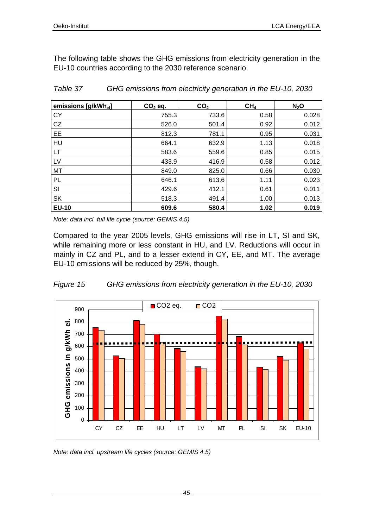The following table shows the GHG emissions from electricity generation in the EU-10 countries according to the 2030 reference scenario.

| emissions [g/kWh <sub>el</sub> ] | $CO2$ eq. | CO <sub>2</sub> | CH <sub>4</sub> | $N_2$ O |
|----------------------------------|-----------|-----------------|-----------------|---------|
| <b>CY</b>                        | 755.3     | 733.6           | 0.58            | 0.028   |
| CZ                               | 526.0     | 501.4           | 0.92            | 0.012   |
| EE                               | 812.3     | 781.1           | 0.95            | 0.031   |
| HU                               | 664.1     | 632.9           | 1.13            | 0.018   |
| <b>LT</b>                        | 583.6     | 559.6           | 0.85            | 0.015   |
| LV                               | 433.9     | 416.9           | 0.58            | 0.012   |
| MT                               | 849.0     | 825.0           | 0.66            | 0.030   |
| PL                               | 646.1     | 613.6           | 1.11            | 0.023   |
| SI                               | 429.6     | 412.1           | 0.61            | 0.011   |
| <b>SK</b>                        | 518.3     | 491.4           | 1.00            | 0.013   |
| <b>EU-10</b>                     | 609.6     | 580.4           | 1.02            | 0.019   |

*Table 37 GHG emissions from electricity generation in the EU-10, 2030* 

*Note: data incl. full life cycle (source: GEMIS 4.5)* 

Compared to the year 2005 levels, GHG emissions will rise in LT, SI and SK, while remaining more or less constant in HU, and LV. Reductions will occur in mainly in CZ and PL, and to a lesser extend in CY, EE, and MT. The average EU-10 emissions will be reduced by 25%, though.





*Note: data incl. upstream life cycles (source: GEMIS 4.5)*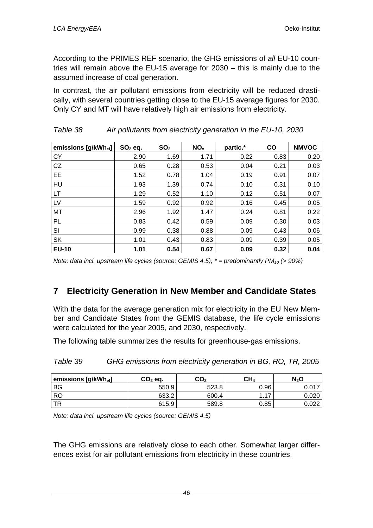According to the PRIMES REF scenario, the GHG emissions of *all* EU-10 countries will remain above the EU-15 average for 2030 – this is mainly due to the assumed increase of coal generation.

In contrast, the air pollutant emissions from electricity will be reduced drastically, with several countries getting close to the EU-15 average figures for 2030. Only CY and MT will have relatively high air emissions from electricity.

| emissions [g/kWh <sub>el</sub> ] | $SO2$ eq. | SO <sub>2</sub> | NO <sub>x</sub> | partic.* | <b>CO</b> | <b>NMVOC</b> |
|----------------------------------|-----------|-----------------|-----------------|----------|-----------|--------------|
| <b>CY</b>                        | 2.90      | 1.69            | 1.71            | 0.22     | 0.83      | 0.20         |
| CZ                               | 0.65      | 0.28            | 0.53            | 0.04     | 0.21      | 0.03         |
| EE                               | 1.52      | 0.78            | 1.04            | 0.19     | 0.91      | 0.07         |
| HU                               | 1.93      | 1.39            | 0.74            | 0.10     | 0.31      | 0.10         |
| LT                               | 1.29      | 0.52            | 1.10            | 0.12     | 0.51      | 0.07         |
| LV                               | 1.59      | 0.92            | 0.92            | 0.16     | 0.45      | 0.05         |
| MT                               | 2.96      | 1.92            | 1.47            | 0.24     | 0.81      | 0.22         |
| PL                               | 0.83      | 0.42            | 0.59            | 0.09     | 0.30      | 0.03         |
| SI                               | 0.99      | 0.38            | 0.88            | 0.09     | 0.43      | 0.06         |
| SK                               | 1.01      | 0.43            | 0.83            | 0.09     | 0.39      | 0.05         |
| <b>EU-10</b>                     | 1.01      | 0.54            | 0.67            | 0.09     | 0.32      | 0.04         |

| Table 38 | Air pollutants from electricity generation in the EU-10, 2030 |  |
|----------|---------------------------------------------------------------|--|
|          |                                                               |  |

*Note: data incl. upstream life cycles (source: GEMIS 4.5); \* = predominantly PM<sub>10</sub> (> 90%)* 

# **7 Electricity Generation in New Member and Candidate States**

With the data for the average generation mix for electricity in the EU New Member and Candidate States from the GEMIS database, the life cycle emissions were calculated for the year 2005, and 2030, respectively.

The following table summarizes the results for greenhouse-gas emissions.

| emissions [g/kWh <sub>el</sub> ] | $CO2$ eq. | CO,   | CH <sub>4</sub> | $N_2$ O |
|----------------------------------|-----------|-------|-----------------|---------|
| <b>BG</b>                        | 550.9     | 523.8 | 0.96            |         |
| <b>RO</b>                        | 633.2     | 600.4 | . 17            | 0.020   |
| TR                               | 615.9     | 589.8 | 0.85            | 0.022   |

*Table 39 GHG emissions from electricity generation in BG, RO, TR, 2005* 

*Note: data incl. upstream life cycles (source: GEMIS 4.5)* 

The GHG emissions are relatively close to each other. Somewhat larger differences exist for air pollutant emissions from electricity in these countries.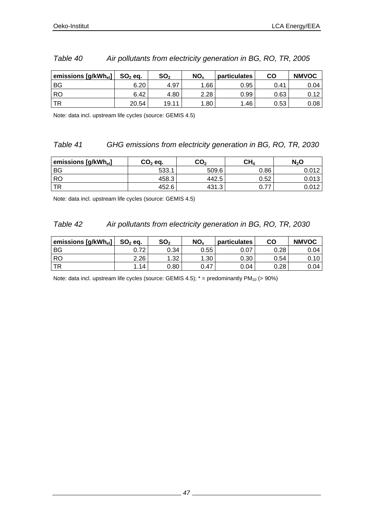| emissions [g/kWhel] | $SO2$ eq. | SO <sub>2</sub> | NO <sub>x</sub> | <b>particulates</b> | CO   | <b>NMVOC</b> |
|---------------------|-----------|-----------------|-----------------|---------------------|------|--------------|
| BG                  | 6.20      | 4.97            | .66             | 0.95                | 0.41 | 0.04         |
| RO                  | 6.42      | 4.80            | 2.28            | 0.99                | 0.63 | 0.12         |
| TR                  | 20.54     | 19.11           | .80             | .46                 | 0.53 | 0.08         |

#### *Table 40 Air pollutants from electricity generation in BG, RO, TR, 2005*

Note: data incl. upstream life cycles (source: GEMIS 4.5)

#### *Table 41 GHG emissions from electricity generation in BG, RO, TR, 2030*

| emissions [g/kWh <sub>el</sub> ] | $CO2$ eq. | CO <sub>2</sub> | $\mathsf{CH}_{4}$ | N2O   |
|----------------------------------|-----------|-----------------|-------------------|-------|
| <b>BG</b>                        | 533.1     | 509.6           | 0.86              |       |
| <b>RO</b>                        | 458.3     | 442.5           | 0.52              | 0.013 |
| <b>TR</b>                        | 452.6     | 431.3           | 77                |       |

Note: data incl. upstream life cycles (source: GEMIS 4.5)

#### *Table 42 Air pollutants from electricity generation in BG, RO, TR, 2030*

| emissions [g/kWhel] | $SO2$ eq. | SO <sub>2</sub> | NO <sub>x</sub>  | particulates | CO   | <b>NMVOC</b> |
|---------------------|-----------|-----------------|------------------|--------------|------|--------------|
| BG                  | 0.72      | 0.34            | 0.55             | 0.07         | 0.28 | 0.04         |
| <b>RO</b>           | 2.26      | 1.32            | .30 <sup>°</sup> | 0.30         | 0.54 | 0.10 l       |
| TR                  | .14       | 0.80            | 0.47             | 0.04         | 0.28 | 0.04 l       |

Note: data incl. upstream life cycles (source: GEMIS 4.5);  $* =$  predominantly PM<sub>10</sub> (> 90%)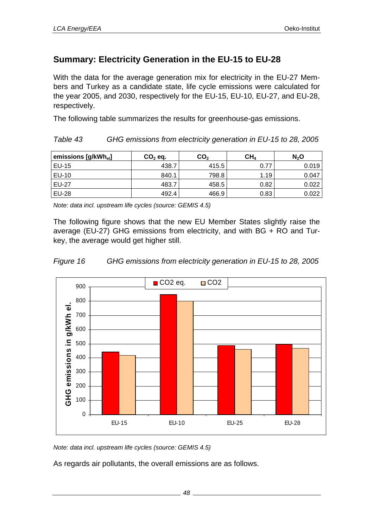# **Summary: Electricity Generation in the EU-15 to EU-28**

With the data for the average generation mix for electricity in the EU-27 Members and Turkey as a candidate state, life cycle emissions were calculated for the year 2005, and 2030, respectively for the EU-15, EU-10, EU-27, and EU-28, respectively.

The following table summarizes the results for greenhouse-gas emissions.

*Table 43 GHG emissions from electricity generation in EU-15 to 28, 2005* 

| emissions [g/kWh <sub>el</sub> ] | $CO2$ eq. | CO <sub>2</sub> | CH <sub>4</sub> | N <sub>2</sub> O |
|----------------------------------|-----------|-----------------|-----------------|------------------|
| EU-15                            | 438.7     | 415.5           | 0.77            | 0.019            |
| EU-10                            | 840.1     | 798.8           | 1.19            | 0.047            |
| <b>EU-27</b>                     | 483.7     | 458.5           | 0.82            | 0.022            |
| <b>EU-28</b>                     | 492.4     | 466.9           | 0.83            | 0.022            |

*Note: data incl. upstream life cycles (source: GEMIS 4.5)* 

The following figure shows that the new EU Member States slightly raise the average (EU-27) GHG emissions from electricity, and with BG + RO and Turkey, the average would get higher still.





*Note: data incl. upstream life cycles (source: GEMIS 4.5)* 

As regards air pollutants, the overall emissions are as follows.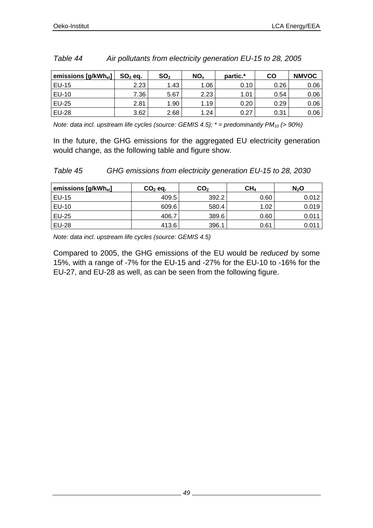| emissions [g/kWh <sub>el</sub> ] ' | $SO2$ eq. | SO <sub>2</sub> | NO <sub>x</sub> | partic.* | CO   | <b>NMVOC</b> |
|------------------------------------|-----------|-----------------|-----------------|----------|------|--------------|
| <b>EU-15</b>                       | 2.23      | 1.43            | 1.06            | 0.10     | 0.26 | 0.06         |
| <b>EU-10</b>                       | 7.36      | 5.67            | 2.23            | 1.01     | 0.54 | 0.06         |
| <b>EU-25</b>                       | 2.81      | 1.90            | 1.19            | 0.20     | 0.29 | 0.06         |
| <b>EU-28</b>                       | 3.62      | 2.68            | 1.24            | 0.27     | 0.31 | 0.06         |

#### *Table 44 Air pollutants from electricity generation EU-15 to 28, 2005*

*Note: data incl. upstream life cycles (source: GEMIS 4.5); \** = predominantly PM<sub>10</sub> (> 90%)

In the future, the GHG emissions for the aggregated EU electricity generation would change, as the following table and figure show.

*Table 45 GHG emissions from electricity generation EU-15 to 28, 2030* 

| emissions [g/kWh <sub>el</sub> ] | $CO2$ eq. |       | CH <sub>4</sub> | $N_2$ O |  |
|----------------------------------|-----------|-------|-----------------|---------|--|
| EU-15                            | 409.5     | 392.2 | 0.60            | 0.012   |  |
| EU-10                            | 609.6     | 580.4 | 1.02            | 0.019   |  |
| <b>EU-25</b>                     | 406.7     | 389.6 | 0.60            | 0.011   |  |
| <b>EU-28</b>                     | 413.6     | 396.1 | 0.61            | 0.011   |  |

*Note: data incl. upstream life cycles (source: GEMIS 4.5)* 

Compared to 2005, the GHG emissions of the EU would be *reduced* by some 15%, with a range of -7% for the EU-15 and -27% for the EU-10 to -16% for the EU-27, and EU-28 as well, as can be seen from the following figure.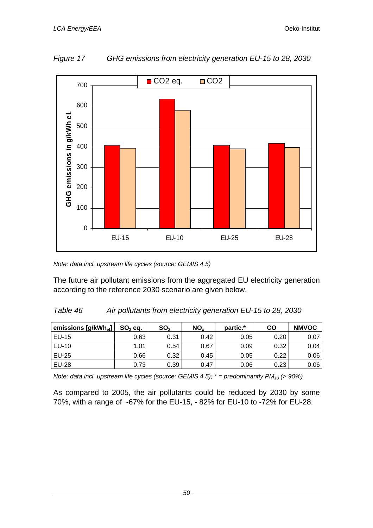

*Figure 17 GHG emissions from electricity generation EU-15 to 28, 2030* 

*Note: data incl. upstream life cycles (source: GEMIS 4.5)* 

The future air pollutant emissions from the aggregated EU electricity generation according to the reference 2030 scenario are given below.

### *Table 46 Air pollutants from electricity generation EU-15 to 28, 2030*

| emissions [g/kWhel] ' | $SO2$ eq. | SO <sub>2</sub> | NO <sub>x</sub> | partic.* | CO   | <b>NMVOC</b> |
|-----------------------|-----------|-----------------|-----------------|----------|------|--------------|
| EU-15                 | 0.63      | 0.31            | 0.42            | 0.05     | 0.20 | 0.07         |
| <b>EU-10</b>          | 1.01      | 0.54            | 0.67            | 0.09     | 0.32 | 0.04         |
| <b>EU-25</b>          | 0.66      | 0.32            | 0.45            | 0.05     | 0.22 | 0.06         |
| <b>EU-28</b>          | 0.73      | 0.39            | 0.47            | 0.06     | 0.23 | 0.06         |

*Note: data incl. upstream life cycles (source: GEMIS 4.5); \* = predominantly PM<sub>10</sub> (> 90%)* 

As compared to 2005, the air pollutants could be reduced by 2030 by some 70%, with a range of -67% for the EU-15, - 82% for EU-10 to -72% for EU-28.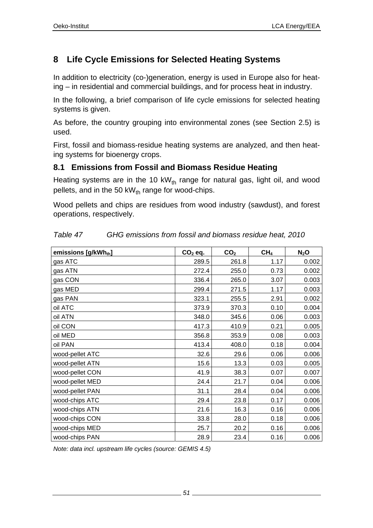# **8 Life Cycle Emissions for Selected Heating Systems**

In addition to electricity (co-)generation, energy is used in Europe also for heating – in residential and commercial buildings, and for process heat in industry.

In the following, a brief comparison of life cycle emissions for selected heating systems is given.

As before, the country grouping into environmental zones (see Section 2.5) is used.

First, fossil and biomass-residue heating systems are analyzed, and then heating systems for bioenergy crops.

## **8.1 Emissions from Fossil and Biomass Residue Heating**

Heating systems are in the 10 kW $_{\text{th}}$  range for natural gas, light oil, and wood pellets, and in the 50 kW $_{th}$  range for wood-chips.

Wood pellets and chips are residues from wood industry (sawdust), and forest operations, respectively.

| emissions [g/kWhth] | $CO2$ eq. | CO <sub>2</sub> | CH <sub>4</sub> | $N_2$ O |
|---------------------|-----------|-----------------|-----------------|---------|
| gas ATC             | 289.5     | 261.8           | 1.17            | 0.002   |
| gas ATN             | 272.4     | 255.0           | 0.73            | 0.002   |
| gas CON             | 336.4     | 265.0           | 3.07            | 0.003   |
| gas MED             | 299.4     | 271.5           | 1.17            | 0.003   |
| gas PAN             | 323.1     | 255.5           | 2.91            | 0.002   |
| oil ATC             | 373.9     | 370.3           | 0.10            | 0.004   |
| oil ATN             | 348.0     | 345.6           | 0.06            | 0.003   |
| oil CON             | 417.3     | 410.9           | 0.21            | 0.005   |
| oil MED             | 356.8     | 353.9           | 0.08            | 0.003   |
| oil PAN             | 413.4     | 408.0           | 0.18            | 0.004   |
| wood-pellet ATC     | 32.6      | 29.6            | 0.06            | 0.006   |
| wood-pellet ATN     | 15.6      | 13.3            | 0.03            | 0.005   |
| wood-pellet CON     | 41.9      | 38.3            | 0.07            | 0.007   |
| wood-pellet MED     | 24.4      | 21.7            | 0.04            | 0.006   |
| wood-pellet PAN     | 31.1      | 28.4            | 0.04            | 0.006   |
| wood-chips ATC      | 29.4      | 23.8            | 0.17            | 0.006   |
| wood-chips ATN      | 21.6      | 16.3            | 0.16            | 0.006   |
| wood-chips CON      | 33.8      | 28.0            | 0.18            | 0.006   |
| wood-chips MED      | 25.7      | 20.2            | 0.16            | 0.006   |
| wood-chips PAN      | 28.9      | 23.4            | 0.16            | 0.006   |

| Table 47 | GHG emissions from fossil and biomass residue heat, 2010 |  |
|----------|----------------------------------------------------------|--|
|          |                                                          |  |

*Note: data incl. upstream life cycles (source: GEMIS 4.5)*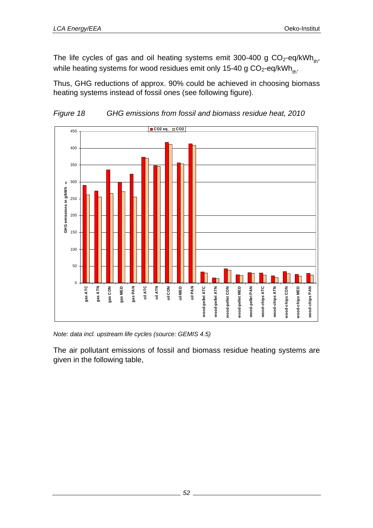The life cycles of gas and oil heating systems emit 300-400 g  $CO<sub>2</sub>$ -eq/kWh<sub>th</sub>, while heating systems for wood residues emit only 15-40 g  $CO_2$ -eq/kWh<sub>th</sub>.

Thus, GHG reductions of approx. 90% could be achieved in choosing biomass heating systems instead of fossil ones (see following figure).



*Figure 18 GHG emissions from fossil and biomass residue heat, 2010* 

*Note: data incl. upstream life cycles (source: GEMIS 4.5)* 

The air pollutant emissions of fossil and biomass residue heating systems are given in the following table,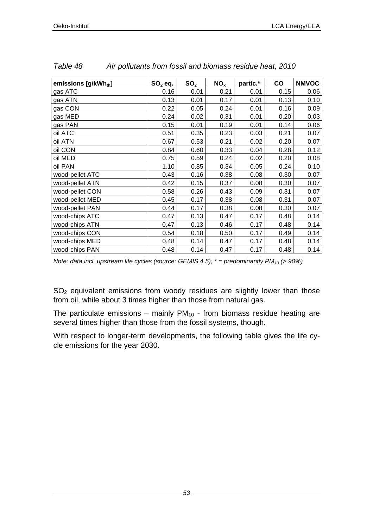| emissions [g/kWhth] | $SO2$ eq. | SO <sub>2</sub> | NO <sub>x</sub> | partic.* | $\mathbf{co}$ | <b>NMVOC</b> |
|---------------------|-----------|-----------------|-----------------|----------|---------------|--------------|
| gas ATC             | 0.16      | 0.01            | 0.21            | 0.01     | 0.15          | 0.06         |
| gas ATN             | 0.13      | 0.01            | 0.17            | 0.01     | 0.13          | 0.10         |
| gas CON             | 0.22      | 0.05            | 0.24            | 0.01     | 0.16          | 0.09         |
| gas MED             | 0.24      | 0.02            | 0.31            | 0.01     | 0.20          | 0.03         |
| gas PAN             | 0.15      | 0.01            | 0.19            | 0.01     | 0.14          | 0.06         |
| oil ATC             | 0.51      | 0.35            | 0.23            | 0.03     | 0.21          | 0.07         |
| oil ATN             | 0.67      | 0.53            | 0.21            | 0.02     | 0.20          | 0.07         |
| oil CON             | 0.84      | 0.60            | 0.33            | 0.04     | 0.28          | 0.12         |
| oil MED             | 0.75      | 0.59            | 0.24            | 0.02     | 0.20          | 0.08         |
| oil PAN             | 1.10      | 0.85            | 0.34            | 0.05     | 0.24          | 0.10         |
| wood-pellet ATC     | 0.43      | 0.16            | 0.38            | 0.08     | 0.30          | 0.07         |
| wood-pellet ATN     | 0.42      | 0.15            | 0.37            | 0.08     | 0.30          | 0.07         |
| wood-pellet CON     | 0.58      | 0.26            | 0.43            | 0.09     | 0.31          | 0.07         |
| wood-pellet MED     | 0.45      | 0.17            | 0.38            | 0.08     | 0.31          | 0.07         |
| wood-pellet PAN     | 0.44      | 0.17            | 0.38            | 0.08     | 0.30          | 0.07         |
| wood-chips ATC      | 0.47      | 0.13            | 0.47            | 0.17     | 0.48          | 0.14         |
| wood-chips ATN      | 0.47      | 0.13            | 0.46            | 0.17     | 0.48          | 0.14         |
| wood-chips CON      | 0.54      | 0.18            | 0.50            | 0.17     | 0.49          | 0.14         |
| wood-chips MED      | 0.48      | 0.14            | 0.47            | 0.17     | 0.48          | 0.14         |
| wood-chips PAN      | 0.48      | 0.14            | 0.47            | 0.17     | 0.48          | 0.14         |

| Table 48 | Air pollutants from fossil and biomass residue heat, 2010 |  |
|----------|-----------------------------------------------------------|--|
|          |                                                           |  |

*Note: data incl. upstream life cycles (source: GEMIS 4.5); \* = predominantly PM<sub>10</sub> (> 90%)* 

SO<sub>2</sub> equivalent emissions from woody residues are slightly lower than those from oil, while about 3 times higher than those from natural gas.

The particulate emissions – mainly  $PM_{10}$  - from biomass residue heating are several times higher than those from the fossil systems, though.

With respect to longer-term developments, the following table gives the life cycle emissions for the year 2030.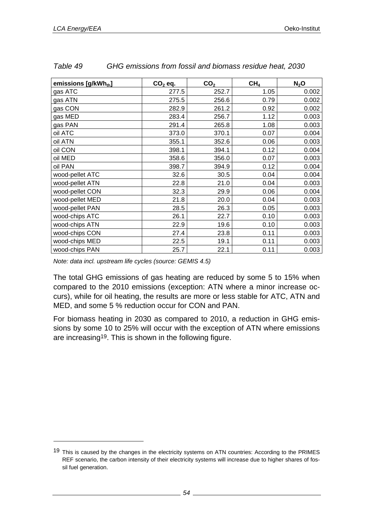l

| emissions [g/kWhth] | $CO2$ eq. | CO <sub>2</sub> | CH <sub>4</sub> | $N_2$ O |
|---------------------|-----------|-----------------|-----------------|---------|
| gas ATC             | 277.5     | 252.7           | 1.05            | 0.002   |
| gas ATN             | 275.5     | 256.6           | 0.79            | 0.002   |
| gas CON             | 282.9     | 261.2           | 0.92            | 0.002   |
| gas MED             | 283.4     | 256.7           | 1.12            | 0.003   |
| gas PAN             | 291.4     | 265.8           | 1.08            | 0.003   |
| oil ATC             | 373.0     | 370.1           | 0.07            | 0.004   |
| oil ATN             | 355.1     | 352.6           | 0.06            | 0.003   |
| oil CON             | 398.1     | 394.1           | 0.12            | 0.004   |
| oil MED             | 358.6     | 356.0           | 0.07            | 0.003   |
| oil PAN             | 398.7     | 394.9           | 0.12            | 0.004   |
| wood-pellet ATC     | 32.6      | 30.5            | 0.04            | 0.004   |
| wood-pellet ATN     | 22.8      | 21.0            | 0.04            | 0.003   |
| wood-pellet CON     | 32.3      | 29.9            | 0.06            | 0.004   |
| wood-pellet MED     | 21.8      | 20.0            | 0.04            | 0.003   |
| wood-pellet PAN     | 28.5      | 26.3            | 0.05            | 0.003   |
| wood-chips ATC      | 26.1      | 22.7            | 0.10            | 0.003   |
| wood-chips ATN      | 22.9      | 19.6            | 0.10            | 0.003   |
| wood-chips CON      | 27.4      | 23.8            | 0.11            | 0.003   |
| wood-chips MED      | 22.5      | 19.1            | 0.11            | 0.003   |
| wood-chips PAN      | 25.7      | 22.1            | 0.11            | 0.003   |

| Table 49 | GHG emissions from fossil and biomass residue heat, 2030 |  |
|----------|----------------------------------------------------------|--|
|----------|----------------------------------------------------------|--|

*Note: data incl. upstream life cycles (source: GEMIS 4.5)* 

The total GHG emissions of gas heating are reduced by some 5 to 15% when compared to the 2010 emissions (exception: ATN where a minor increase occurs), while for oil heating, the results are more or less stable for ATC, ATN and MED, and some 5 % reduction occur for CON and PAN.

For biomass heating in 2030 as compared to 2010, a reduction in GHG emissions by some 10 to 25% will occur with the exception of ATN where emissions are increasing19. This is shown in the following figure.

<sup>19</sup> This is caused by the changes in the electricity systems on ATN countries: According to the PRIMES REF scenario, the carbon intensity of their electricity systems will increase due to higher shares of fossil fuel generation.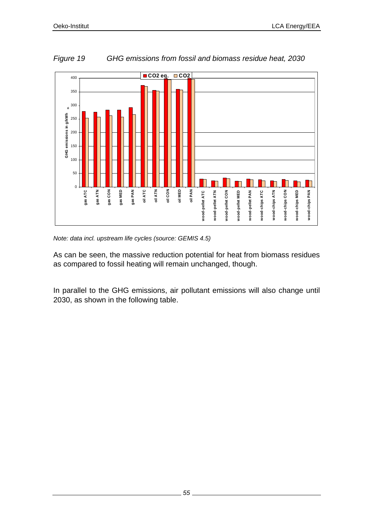

*Figure 19 GHG emissions from fossil and biomass residue heat, 2030* 

*Note: data incl. upstream life cycles (source: GEMIS 4.5)* 

As can be seen, the massive reduction potential for heat from biomass residues as compared to fossil heating will remain unchanged, though.

In parallel to the GHG emissions, air pollutant emissions will also change until 2030, as shown in the following table.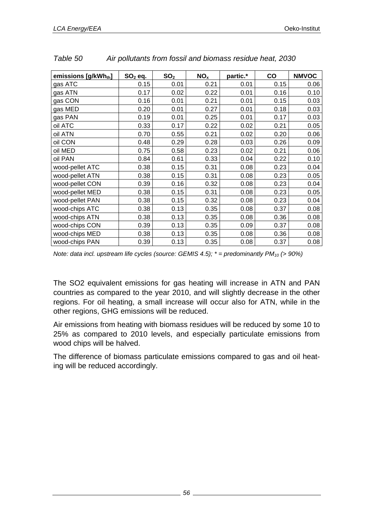| emissions [g/kWh <sub>th</sub> ] | $SO2$ eq. | SO <sub>2</sub> | NO <sub>x</sub> | partic.* | co   | <b>NMVOC</b> |
|----------------------------------|-----------|-----------------|-----------------|----------|------|--------------|
| gas ATC                          | 0.15      | 0.01            | 0.21            | 0.01     | 0.15 | 0.06         |
| gas ATN                          | 0.17      | 0.02            | 0.22            | 0.01     | 0.16 | 0.10         |
| gas CON                          | 0.16      | 0.01            | 0.21            | 0.01     | 0.15 | 0.03         |
| gas MED                          | 0.20      | 0.01            | 0.27            | 0.01     | 0.18 | 0.03         |
| gas PAN                          | 0.19      | 0.01            | 0.25            | 0.01     | 0.17 | 0.03         |
| oil ATC                          | 0.33      | 0.17            | 0.22            | 0.02     | 0.21 | 0.05         |
| oil ATN                          | 0.70      | 0.55            | 0.21            | 0.02     | 0.20 | 0.06         |
| oil CON                          | 0.48      | 0.29            | 0.28            | 0.03     | 0.26 | 0.09         |
| oil MED                          | 0.75      | 0.58            | 0.23            | 0.02     | 0.21 | 0.06         |
| oil PAN                          | 0.84      | 0.61            | 0.33            | 0.04     | 0.22 | 0.10         |
| wood-pellet ATC                  | 0.38      | 0.15            | 0.31            | 0.08     | 0.23 | 0.04         |
| wood-pellet ATN                  | 0.38      | 0.15            | 0.31            | 0.08     | 0.23 | 0.05         |
| wood-pellet CON                  | 0.39      | 0.16            | 0.32            | 0.08     | 0.23 | 0.04         |
| wood-pellet MED                  | 0.38      | 0.15            | 0.31            | 0.08     | 0.23 | 0.05         |
| wood-pellet PAN                  | 0.38      | 0.15            | 0.32            | 0.08     | 0.23 | 0.04         |
| wood-chips ATC                   | 0.38      | 0.13            | 0.35            | 0.08     | 0.37 | 0.08         |
| wood-chips ATN                   | 0.38      | 0.13            | 0.35            | 0.08     | 0.36 | 0.08         |
| wood-chips CON                   | 0.39      | 0.13            | 0.35            | 0.09     | 0.37 | 0.08         |
| wood-chips MED                   | 0.38      | 0.13            | 0.35            | 0.08     | 0.36 | 0.08         |
| wood-chips PAN                   | 0.39      | 0.13            | 0.35            | 0.08     | 0.37 | 0.08         |

*Table 50 Air pollutants from fossil and biomass residue heat, 2030* 

The SO2 equivalent emissions for gas heating will increase in ATN and PAN countries as compared to the year 2010, and will slightly decrease in the other regions. For oil heating, a small increase will occur also for ATN, while in the other regions, GHG emissions will be reduced.

Air emissions from heating with biomass residues will be reduced by some 10 to 25% as compared to 2010 levels, and especially particulate emissions from wood chips will be halved.

The difference of biomass particulate emissions compared to gas and oil heating will be reduced accordingly.

*Note: data incl. upstream life cycles (source: GEMIS 4.5); \* = predominantly PM<sub>10</sub> (> 90%)*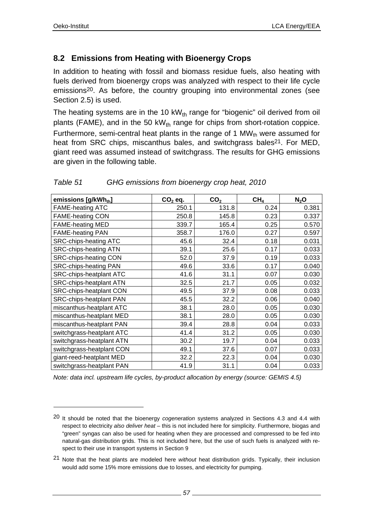l

## **8.2 Emissions from Heating with Bioenergy Crops**

In addition to heating with fossil and biomass residue fuels, also heating with fuels derived from bioenergy crops was analyzed with respect to their life cycle emissions20. As before, the country grouping into environmental zones (see Section 2.5) is used.

The heating systems are in the 10  $kW_{th}$  range for "biogenic" oil derived from oil plants (FAME), and in the 50 kW $_{th}$  range for chips from short-rotation coppice. Furthermore, semi-central heat plants in the range of 1 MW $_{\text{th}}$  were assumed for heat from SRC chips, miscanthus bales, and switchgrass bales<sup>21</sup>. For MED, giant reed was assumed instead of switchgrass. The results for GHG emissions are given in the following table.

| emissions [g/kWhth]            | $CO2$ eq. | CO <sub>2</sub> | CH <sub>4</sub> | $N_2$ O |
|--------------------------------|-----------|-----------------|-----------------|---------|
| <b>FAME-heating ATC</b>        | 250.1     | 131.8           | 0.24            | 0.381   |
| <b>FAME-heating CON</b>        | 250.8     | 145.8           | 0.23            | 0.337   |
| <b>FAME-heating MED</b>        | 339.7     | 165.4           | 0.25            | 0.570   |
| <b>FAME-heating PAN</b>        | 358.7     | 176.0           | 0.27            | 0.597   |
| <b>SRC-chips-heating ATC</b>   | 45.6      | 32.4            | 0.18            | 0.031   |
| <b>SRC-chips-heating ATN</b>   | 39.1      | 25.6            | 0.17            | 0.033   |
| <b>SRC-chips-heating CON</b>   | 52.0      | 37.9            | 0.19            | 0.033   |
| <b>SRC-chips-heating PAN</b>   | 49.6      | 33.6            | 0.17            | 0.040   |
| SRC-chips-heatplant ATC        | 41.6      | 31.1            | 0.07            | 0.030   |
| <b>SRC-chips-heatplant ATN</b> | 32.5      | 21.7            | 0.05            | 0.032   |
| <b>SRC-chips-heatplant CON</b> | 49.5      | 37.9            | 0.08            | 0.033   |
| SRC-chips-heatplant PAN        | 45.5      | 32.2            | 0.06            | 0.040   |
| miscanthus-heatplant ATC       | 38.1      | 28.0            | 0.05            | 0.030   |
| miscanthus-heatplant MED       | 38.1      | 28.0            | 0.05            | 0.030   |
| miscanthus-heatplant PAN       | 39.4      | 28.8            | 0.04            | 0.033   |
| switchgrass-heatplant ATC      | 41.4      | 31.2            | 0.05            | 0.030   |
| switchgrass-heatplant ATN      | 30.2      | 19.7            | 0.04            | 0.033   |
| switchgrass-heatplant CON      | 49.1      | 37.6            | 0.07            | 0.033   |
| giant-reed-heatplant MED       | 32.2      | 22.3            | 0.04            | 0.030   |
| switchgrass-heatplant PAN      | 41.9      | 31.1            | 0.04            | 0.033   |

### *Table 51 GHG emissions from bioenergy crop heat, 2010*

*Note: data incl. upstream life cycles, by-product allocation by energy (source: GEMIS 4.5)* 

<sup>20</sup> It should be noted that the bioenergy *cogeneration* systems analyzed in Sections 4.3 and 4.4 with respect to electricity *also deliver heat* – this is not included here for simplicity. Furthermore, biogas and "green" syngas can also be used for heating when they are processed and compressed to be fed into natural-gas distribution grids. This is not included here, but the use of such fuels is analyzed with respect to their use in transport systems in Section 9

<sup>21</sup> Note that the heat plants are modeled here *without* heat distribution grids. Typically, their inclusion would add some 15% more emissions due to losses, and electricity for pumping.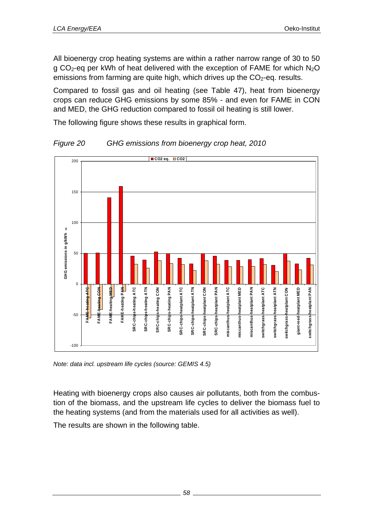All bioenergy crop heating systems are within a rather narrow range of 30 to 50 g  $CO<sub>2</sub>$ -eg per kWh of heat delivered with the exception of FAME for which N<sub>2</sub>O emissions from farming are quite high, which drives up the  $CO<sub>2</sub>$ -eq. results.

Compared to fossil gas and oil heating (see Table 47), heat from bioenergy crops can reduce GHG emissions by some 85% - and even for FAME in CON and MED, the GHG reduction compared to fossil oil heating is still lower.

The following figure shows these results in graphical form.



*Figure 20 GHG emissions from bioenergy crop heat, 2010* 

*Note: data incl. upstream life cycles (source: GEMIS 4.5)* 

Heating with bioenergy crops also causes air pollutants, both from the combustion of the biomass, and the upstream life cycles to deliver the biomass fuel to the heating systems (and from the materials used for all activities as well).

The results are shown in the following table.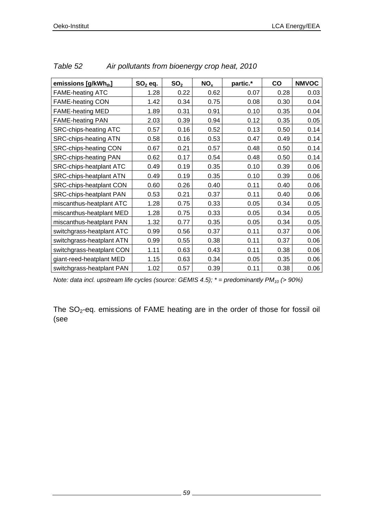| emissions [g/kWhth]            | $SO2$ eq. | SO <sub>2</sub> | NO <sub>x</sub> | partic.* | co   | <b>NMVOC</b> |
|--------------------------------|-----------|-----------------|-----------------|----------|------|--------------|
| <b>FAME-heating ATC</b>        | 1.28      | 0.22            | 0.62            | 0.07     | 0.28 | 0.03         |
| <b>FAME-heating CON</b>        | 1.42      | 0.34            | 0.75            | 0.08     | 0.30 | 0.04         |
| <b>FAME-heating MED</b>        | 1.89      | 0.31            | 0.91            | 0.10     | 0.35 | 0.04         |
| <b>FAME-heating PAN</b>        | 2.03      | 0.39            | 0.94            | 0.12     | 0.35 | 0.05         |
| <b>SRC-chips-heating ATC</b>   | 0.57      | 0.16            | 0.52            | 0.13     | 0.50 | 0.14         |
| <b>SRC-chips-heating ATN</b>   | 0.58      | 0.16            | 0.53            | 0.47     | 0.49 | 0.14         |
| <b>SRC-chips-heating CON</b>   | 0.67      | 0.21            | 0.57            | 0.48     | 0.50 | 0.14         |
| <b>SRC-chips-heating PAN</b>   | 0.62      | 0.17            | 0.54            | 0.48     | 0.50 | 0.14         |
| SRC-chips-heatplant ATC        | 0.49      | 0.19            | 0.35            | 0.10     | 0.39 | 0.06         |
| SRC-chips-heatplant ATN        | 0.49      | 0.19            | 0.35            | 0.10     | 0.39 | 0.06         |
| SRC-chips-heatplant CON        | 0.60      | 0.26            | 0.40            | 0.11     | 0.40 | 0.06         |
| <b>SRC-chips-heatplant PAN</b> | 0.53      | 0.21            | 0.37            | 0.11     | 0.40 | 0.06         |
| miscanthus-heatplant ATC       | 1.28      | 0.75            | 0.33            | 0.05     | 0.34 | 0.05         |
| miscanthus-heatplant MED       | 1.28      | 0.75            | 0.33            | 0.05     | 0.34 | 0.05         |
| miscanthus-heatplant PAN       | 1.32      | 0.77            | 0.35            | 0.05     | 0.34 | 0.05         |
| switchgrass-heatplant ATC      | 0.99      | 0.56            | 0.37            | 0.11     | 0.37 | 0.06         |
| switchgrass-heatplant ATN      | 0.99      | 0.55            | 0.38            | 0.11     | 0.37 | 0.06         |
| switchgrass-heatplant CON      | 1.11      | 0.63            | 0.43            | 0.11     | 0.38 | 0.06         |
| giant-reed-heatplant MED       | 1.15      | 0.63            | 0.34            | 0.05     | 0.35 | 0.06         |
| switchgrass-heatplant PAN      | 1.02      | 0.57            | 0.39            | 0.11     | 0.38 | 0.06         |

*Table 52 Air pollutants from bioenergy crop heat, 2010* 

*Note: data incl. upstream life cycles (source: GEMIS 4.5); \* = predominantly PM<sub>10</sub> (> 90%)* 

The SO<sub>2</sub>-eq. emissions of FAME heating are in the order of those for fossil oil (see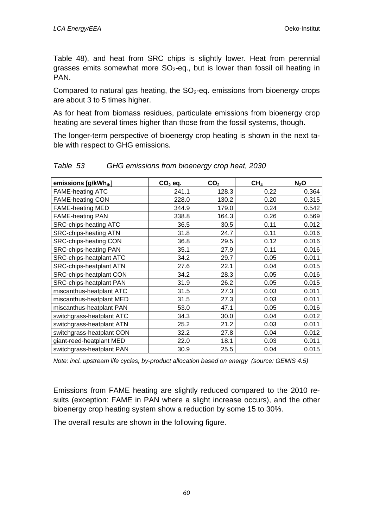Table 48), and heat from SRC chips is slightly lower. Heat from perennial grasses emits somewhat more  $SO_2$ -eq., but is lower than fossil oil heating in PAN.

Compared to natural gas heating, the  $SO<sub>2</sub>$ -eq. emissions from bioenergy crops are about 3 to 5 times higher.

As for heat from biomass residues, particulate emissions from bioenergy crop heating are several times higher than those from the fossil systems, though.

The longer-term perspective of bioenergy crop heating is shown in the next table with respect to GHG emissions.

| emissions [g/kWhth]            | $CO2$ eq. | CO <sub>2</sub> | CH <sub>4</sub> | $N_2$ O |
|--------------------------------|-----------|-----------------|-----------------|---------|
| <b>FAME-heating ATC</b>        | 241.1     | 128.3           | 0.22            | 0.364   |
| <b>FAME-heating CON</b>        | 228.0     | 130.2           | 0.20            | 0.315   |
| <b>FAME-heating MED</b>        | 344.9     | 179.0           | 0.24            | 0.542   |
| <b>FAME-heating PAN</b>        | 338.8     | 164.3           | 0.26            | 0.569   |
| <b>SRC-chips-heating ATC</b>   | 36.5      | 30.5            | 0.11            | 0.012   |
| <b>SRC-chips-heating ATN</b>   | 31.8      | 24.7            | 0.11            | 0.016   |
| <b>SRC-chips-heating CON</b>   | 36.8      | 29.5            | 0.12            | 0.016   |
| <b>SRC-chips-heating PAN</b>   | 35.1      | 27.9            | 0.11            | 0.016   |
| <b>SRC-chips-heatplant ATC</b> | 34.2      | 29.7            | 0.05            | 0.011   |
| <b>SRC-chips-heatplant ATN</b> | 27.6      | 22.1            | 0.04            | 0.015   |
| <b>SRC-chips-heatplant CON</b> | 34.2      | 28.3            | 0.05            | 0.016   |
| <b>SRC-chips-heatplant PAN</b> | 31.9      | 26.2            | 0.05            | 0.015   |
| miscanthus-heatplant ATC       | 31.5      | 27.3            | 0.03            | 0.011   |
| miscanthus-heatplant MED       | 31.5      | 27.3            | 0.03            | 0.011   |
| miscanthus-heatplant PAN       | 53.0      | 47.1            | 0.05            | 0.016   |
| switchgrass-heatplant ATC      | 34.3      | 30.0            | 0.04            | 0.012   |
| switchgrass-heatplant ATN      | 25.2      | 21.2            | 0.03            | 0.011   |
| switchgrass-heatplant CON      | 32.2      | 27.8            | 0.04            | 0.012   |
| giant-reed-heatplant MED       | 22.0      | 18.1            | 0.03            | 0.011   |
| switchgrass-heatplant PAN      | 30.9      | 25.5            | 0.04            | 0.015   |

*Table 53 GHG emissions from bioenergy crop heat, 2030* 

*Note: incl. upstream life cycles, by-product allocation based on energy (source: GEMIS 4.5)* 

Emissions from FAME heating are slightly reduced compared to the 2010 results (exception: FAME in PAN where a slight increase occurs), and the other bioenergy crop heating system show a reduction by some 15 to 30%.

The overall results are shown in the following figure.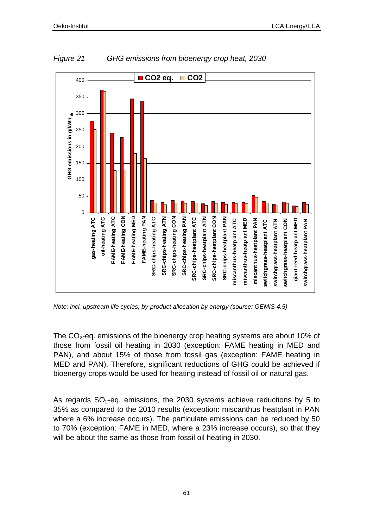

*Figure 21 GHG emissions from bioenergy crop heat, 2030* 

*Note: incl. upstream life cycles, by-product allocation by energy (source: GEMIS 4.5)* 

The  $CO<sub>2</sub>$ -eq. emissions of the bioenergy crop heating systems are about 10% of those from fossil oil heating in 2030 (exception: FAME heating in MED and PAN), and about 15% of those from fossil gas (exception: FAME heating in MED and PAN). Therefore, significant reductions of GHG could be achieved if bioenergy crops would be used for heating instead of fossil oil or natural gas.

As regards  $SO<sub>2</sub>$ -eq. emissions, the 2030 systems achieve reductions by 5 to 35% as compared to the 2010 results (exception: miscanthus heatplant in PAN where a 6% increase occurs). The particulate emissions can be reduced by 50 to 70% (exception: FAME in MED, where a 23% increase occurs), so that they will be about the same as those from fossil oil heating in 2030.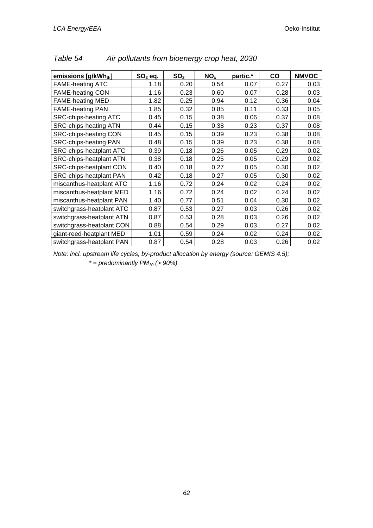| emissions [g/kWhth]            | $SO2$ eq. | SO <sub>2</sub> | NO <sub>x</sub> | partic.* | CO   | <b>NMVOC</b> |
|--------------------------------|-----------|-----------------|-----------------|----------|------|--------------|
| <b>FAME-heating ATC</b>        | 1.18      | 0.20            | 0.54            | 0.07     | 0.27 | 0.03         |
| <b>FAME-heating CON</b>        | 1.16      | 0.23            | 0.60            | 0.07     | 0.28 | 0.03         |
| <b>FAME-heating MED</b>        | 1.82      | 0.25            | 0.94            | 0.12     | 0.36 | 0.04         |
| <b>FAME-heating PAN</b>        | 1.85      | 0.32            | 0.85            | 0.11     | 0.33 | 0.05         |
| <b>SRC-chips-heating ATC</b>   | 0.45      | 0.15            | 0.38            | 0.06     | 0.37 | 0.08         |
| <b>SRC-chips-heating ATN</b>   | 0.44      | 0.15            | 0.38            | 0.23     | 0.37 | 0.08         |
| SRC-chips-heating CON          | 0.45      | 0.15            | 0.39            | 0.23     | 0.38 | 0.08         |
| <b>SRC-chips-heating PAN</b>   | 0.48      | 0.15            | 0.39            | 0.23     | 0.38 | 0.08         |
| <b>SRC-chips-heatplant ATC</b> | 0.39      | 0.18            | 0.26            | 0.05     | 0.29 | 0.02         |
| <b>SRC-chips-heatplant ATN</b> | 0.38      | 0.18            | 0.25            | 0.05     | 0.29 | 0.02         |
| <b>SRC-chips-heatplant CON</b> | 0.40      | 0.18            | 0.27            | 0.05     | 0.30 | 0.02         |
| <b>SRC-chips-heatplant PAN</b> | 0.42      | 0.18            | 0.27            | 0.05     | 0.30 | 0.02         |
| miscanthus-heatplant ATC       | 1.16      | 0.72            | 0.24            | 0.02     | 0.24 | 0.02         |
| miscanthus-heatplant MED       | 1.16      | 0.72            | 0.24            | 0.02     | 0.24 | 0.02         |
| miscanthus-heatplant PAN       | 1.40      | 0.77            | 0.51            | 0.04     | 0.30 | 0.02         |
| switchgrass-heatplant ATC      | 0.87      | 0.53            | 0.27            | 0.03     | 0.26 | 0.02         |
| switchgrass-heatplant ATN      | 0.87      | 0.53            | 0.28            | 0.03     | 0.26 | 0.02         |
| switchgrass-heatplant CON      | 0.88      | 0.54            | 0.29            | 0.03     | 0.27 | 0.02         |
| giant-reed-heatplant MED       | 1.01      | 0.59            | 0.24            | 0.02     | 0.24 | 0.02         |
| switchgrass-heatplant PAN      | 0.87      | 0.54            | 0.28            | 0.03     | 0.26 | 0.02         |

| Table 54 | Air pollutants from bioenergy crop heat, 2030 |  |  |  |
|----------|-----------------------------------------------|--|--|--|

*Note: incl. upstream life cycles, by-product allocation by energy (source: GEMIS 4.5);* 

 $* =$  predominantly  $PM_{10}$  (> 90%)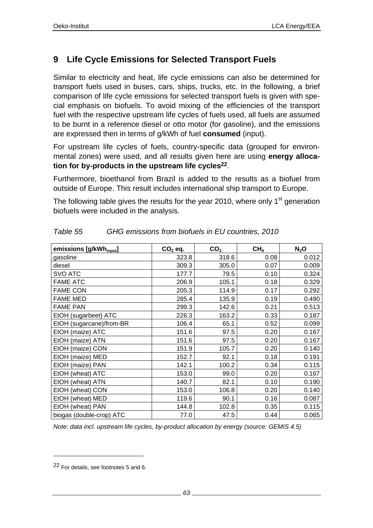# **9 Life Cycle Emissions for Selected Transport Fuels**

Similar to electricity and heat, life cycle emissions can also be determined for transport fuels used in buses, cars, ships, trucks, etc. In the following, a brief comparison of life cycle emissions for selected transport fuels is given with special emphasis on biofuels. To avoid mixing of the efficiencies of the transport fuel with the respective upstream life cycles of fuels used, all fuels are assumed to be burnt in a reference diesel or otto motor (for gasoline), and the emissions are expressed then in terms of g/kWh of fuel **consumed** (input).

For upstream life cycles of fuels, country-specific data (grouped for environmental zones) were used, and all results given here are using **energy allocation for by-products in the upstream life cycles22**.

Furthermore, bioethanol from Brazil is added to the results as a biofuel from outside of Europe. This result includes international ship transport to Europe.

The following table gives the results for the year 2010, where only  $1<sup>st</sup>$  generation biofuels were included in the analysis.

| emissions [g/kWh <sub>input</sub> ] | $CO2$ eq. | CO <sub>2</sub> | CH <sub>4</sub> | $N_2O$ |
|-------------------------------------|-----------|-----------------|-----------------|--------|
| gasoline                            | 323.8     | 318.6           | 0.08            | 0.012  |
| diesel                              | 309.3     | 305.0           | 0.07            | 0.009  |
| <b>SVO ATC</b>                      | 177.7     | 79.5            | 0.10            | 0.324  |
| <b>FAME ATC</b>                     | 206.9     | 105.1           | 0.18            | 0.329  |
| <b>FAME CON</b>                     | 205.3     | 114.9           | 0.17            | 0.292  |
| <b>FAME MED</b>                     | 285.4     | 135.9           | 0.19            | 0.490  |
| <b>FAME PAN</b>                     | 299.3     | 142.6           | 0.21            | 0.513  |
| EtOH (sugarbeet) ATC                | 226.3     | 163.2           | 0.33            | 0.187  |
| EtOH (sugarcane)/from-BR            | 106.4     | 65.1            | 0.52            | 0.099  |
| EtOH (maize) ATC                    | 151.6     | 97.5            | 0.20            | 0.167  |
| EtOH (maize) ATN                    | 151.6     | 97.5            | 0.20            | 0.167  |
| EtOH (maize) CON                    | 151.9     | 105.7           | 0.20            | 0.140  |
| EtOH (maize) MED                    | 152.7     | 92.1            | 0.18            | 0.191  |
| EtOH (maize) PAN                    | 142.1     | 100.2           | 0.34            | 0.115  |
| EtOH (wheat) ATC                    | 153.0     | 99.0            | 0.20            | 0.167  |
| EtOH (wheat) ATN                    | 140.7     | 82.1            | 0.10            | 0.190  |
| EtOH (wheat) CON                    | 153.0     | 106.8           | 0.20            | 0.140  |
| EtOH (wheat) MED                    | 119.6     | 90.1            | 0.16            | 0.087  |
| EtOH (wheat) PAN                    | 144.8     | 102.8           | 0.35            | 0.115  |
| biogas (double-crop) ATC            | 77.0      | 47.5            | 0.44            | 0.065  |

| Table 55 | GHG emissions from biofuels in EU countries, 2010 |  |  |
|----------|---------------------------------------------------|--|--|
|          |                                                   |  |  |

*Note: data incl. upstream life cycles, by-product allocation by energy (source: GEMIS 4.5)* 

l

<sup>22</sup> For details, see footnotes 5 and 6.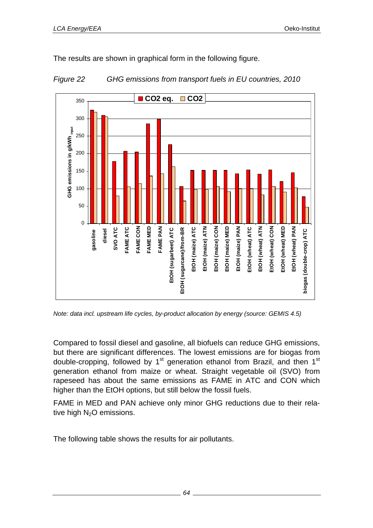The results are shown in graphical form in the following figure.





*Note: data incl. upstream life cycles, by-product allocation by energy (source: GEMIS 4.5)* 

Compared to fossil diesel and gasoline, all biofuels can reduce GHG emissions, but there are significant differences. The lowest emissions are for biogas from double-cropping, followed by  $1<sup>st</sup>$  generation ethanol from Brazil, and then  $1<sup>st</sup>$ generation ethanol from maize or wheat. Straight vegetable oil (SVO) from rapeseed has about the same emissions as FAME in ATC and CON which higher than the EtOH options, but still below the fossil fuels.

FAME in MED and PAN achieve only minor GHG reductions due to their relative high  $N_2O$  emissions.

The following table shows the results for air pollutants.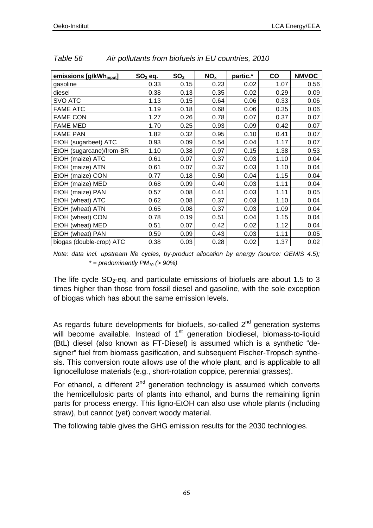| emissions [g/kWh <sub>input</sub> ] | $SO2$ eq. | SO <sub>2</sub> | NO <sub>x</sub> | partic.* | co   | <b>NMVOC</b> |
|-------------------------------------|-----------|-----------------|-----------------|----------|------|--------------|
|                                     |           |                 |                 |          |      |              |
| gasoline                            | 0.33      | 0.15            | 0.23            | 0.02     | 1.07 | 0.56         |
| diesel                              | 0.38      | 0.13            | 0.35            | 0.02     | 0.29 | 0.09         |
| <b>SVO ATC</b>                      | 1.13      | 0.15            | 0.64            | 0.06     | 0.33 | 0.06         |
| <b>FAME ATC</b>                     | 1.19      | 0.18            | 0.68            | 0.06     | 0.35 | 0.06         |
| <b>FAME CON</b>                     | 1.27      | 0.26            | 0.78            | 0.07     | 0.37 | 0.07         |
| <b>FAME MED</b>                     | 1.70      | 0.25            | 0.93            | 0.09     | 0.42 | 0.07         |
| <b>FAME PAN</b>                     | 1.82      | 0.32            | 0.95            | 0.10     | 0.41 | 0.07         |
| EtOH (sugarbeet) ATC                | 0.93      | 0.09            | 0.54            | 0.04     | 1.17 | 0.07         |
| EtOH (sugarcane)/from-BR            | 1.10      | 0.38            | 0.97            | 0.15     | 1.38 | 0.53         |
| EtOH (maize) ATC                    | 0.61      | 0.07            | 0.37            | 0.03     | 1.10 | 0.04         |
| EtOH (maize) ATN                    | 0.61      | 0.07            | 0.37            | 0.03     | 1.10 | 0.04         |
| EtOH (maize) CON                    | 0.77      | 0.18            | 0.50            | 0.04     | 1.15 | 0.04         |
| EtOH (maize) MED                    | 0.68      | 0.09            | 0.40            | 0.03     | 1.11 | 0.04         |
| EtOH (maize) PAN                    | 0.57      | 0.08            | 0.41            | 0.03     | 1.11 | 0.05         |
| EtOH (wheat) ATC                    | 0.62      | 0.08            | 0.37            | 0.03     | 1.10 | 0.04         |
| EtOH (wheat) ATN                    | 0.65      | 0.08            | 0.37            | 0.03     | 1.09 | 0.04         |
| EtOH (wheat) CON                    | 0.78      | 0.19            | 0.51            | 0.04     | 1.15 | 0.04         |
| EtOH (wheat) MED                    | 0.51      | 0.07            | 0.42            | 0.02     | 1.12 | 0.04         |
| EtOH (wheat) PAN                    | 0.59      | 0.09            | 0.43            | 0.03     | 1.11 | 0.05         |
| biogas (double-crop) ATC            | 0.38      | 0.03            | 0.28            | 0.02     | 1.37 | 0.02         |

*Table 56 Air pollutants from biofuels in EU countries, 2010* 

*Note: data incl. upstream life cycles, by-product allocation by energy (source: GEMIS 4.5);*   $* = \text{predominantly} PM_{10} (> 90\%)$ 

The life cycle  $SO_2$ -eq. and particulate emissions of biofuels are about 1.5 to 3 times higher than those from fossil diesel and gasoline, with the sole exception of biogas which has about the same emission levels.

As regards future developments for biofuels, so-called  $2<sup>nd</sup>$  generation systems will become available. Instead of  $1<sup>st</sup>$  generation biodiesel, biomass-to-liquid (BtL) diesel (also known as FT-Diesel) is assumed which is a synthetic "designer" fuel from biomass gasification, and subsequent Fischer-Tropsch synthesis. This conversion route allows use of the whole plant, and is applicable to all lignocellulose materials (e.g., short-rotation coppice, perennial grasses).

For ethanol, a different  $2^{nd}$  generation technology is assumed which converts the hemicellulosic parts of plants into ethanol, and burns the remaining lignin parts for process energy. This ligno-EtOH can also use whole plants (including straw), but cannot (yet) convert woody material.

The following table gives the GHG emission results for the 2030 technlogies.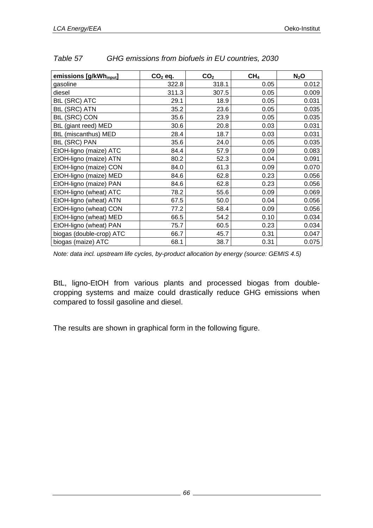| emissions [g/kWh <sub>input</sub> ] | $CO2$ eq. | CO <sub>2</sub> | CH <sub>4</sub> | $N_2$ O |
|-------------------------------------|-----------|-----------------|-----------------|---------|
| gasoline                            | 322.8     | 318.1           | 0.05            | 0.012   |
| diesel                              | 311.3     | 307.5           | 0.05            | 0.009   |
| <b>BtL (SRC) ATC</b>                | 29.1      | 18.9            | 0.05            | 0.031   |
| <b>BtL (SRC) ATN</b>                | 35.2      | 23.6            | 0.05            | 0.035   |
| <b>BtL (SRC) CON</b>                | 35.6      | 23.9            | 0.05            | 0.035   |
| BtL (giant reed) MED                | 30.6      | 20.8            | 0.03            | 0.031   |
| BtL (miscanthus) MED                | 28.4      | 18.7            | 0.03            | 0.031   |
| <b>BtL (SRC) PAN</b>                | 35.6      | 24.0            | 0.05            | 0.035   |
| EtOH-ligno (maize) ATC              | 84.4      | 57.9            | 0.09            | 0.083   |
| EtOH-ligno (maize) ATN              | 80.2      | 52.3            | 0.04            | 0.091   |
| EtOH-ligno (maize) CON              | 84.0      | 61.3            | 0.09            | 0.070   |
| EtOH-ligno (maize) MED              | 84.6      | 62.8            | 0.23            | 0.056   |
| EtOH-ligno (maize) PAN              | 84.6      | 62.8            | 0.23            | 0.056   |
| EtOH-ligno (wheat) ATC              | 78.2      | 55.6            | 0.09            | 0.069   |
| EtOH-ligno (wheat) ATN              | 67.5      | 50.0            | 0.04            | 0.056   |
| EtOH-ligno (wheat) CON              | 77.2      | 58.4            | 0.09            | 0.056   |
| EtOH-ligno (wheat) MED              | 66.5      | 54.2            | 0.10            | 0.034   |
| EtOH-ligno (wheat) PAN              | 75.7      | 60.5            | 0.23            | 0.034   |
| biogas (double-crop) ATC            | 66.7      | 45.7            | 0.31            | 0.047   |
| biogas (maize) ATC                  | 68.1      | 38.7            | 0.31            | 0.075   |

| Table 57 | GHG emissions from biofuels in EU countries, 2030 |
|----------|---------------------------------------------------|
|          |                                                   |

*Note: data incl. upstream life cycles, by-product allocation by energy (source: GEMIS 4.5)* 

BtL, ligno-EtOH from various plants and processed biogas from doublecropping systems and maize could drastically reduce GHG emissions when compared to fossil gasoline and diesel.

The results are shown in graphical form in the following figure.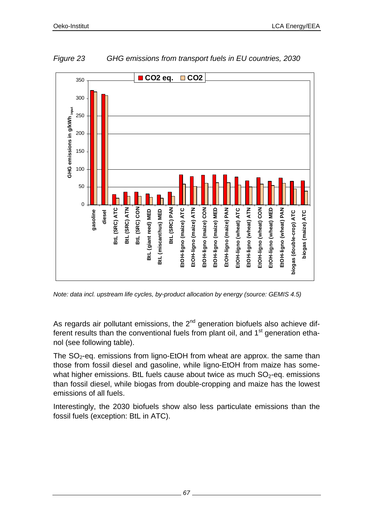

*Figure 23 GHG emissions from transport fuels in EU countries, 2030* 

*Note: data incl. upstream life cycles, by-product allocation by energy (source: GEMIS 4.5)* 

As regards air pollutant emissions, the  $2<sup>nd</sup>$  generation biofuels also achieve different results than the conventional fuels from plant oil, and  $1<sup>st</sup>$  generation ethanol (see following table).

The  $SO_2$ -eq. emissions from ligno-EtOH from wheat are approx. the same than those from fossil diesel and gasoline, while ligno-EtOH from maize has somewhat higher emissions. BtL fuels cause about twice as much  $SO<sub>2</sub>$ -eg. emissions than fossil diesel, while biogas from double-cropping and maize has the lowest emissions of all fuels.

Interestingly, the 2030 biofuels show also less particulate emissions than the fossil fuels (exception: BtL in ATC).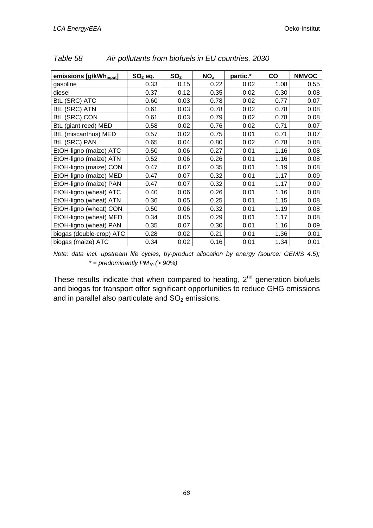| emissions [g/kWh <sub>input</sub> ] | $SO2$ eq. | SO <sub>2</sub> | NO <sub>x</sub> | partic.* | CO   | <b>NMVOC</b> |
|-------------------------------------|-----------|-----------------|-----------------|----------|------|--------------|
| gasoline                            | 0.33      | 0.15            | 0.22            | 0.02     | 1.08 | 0.55         |
| diesel                              | 0.37      | 0.12            | 0.35            | 0.02     | 0.30 | 0.08         |
| <b>BtL (SRC) ATC</b>                | 0.60      | 0.03            | 0.78            | 0.02     | 0.77 | 0.07         |
| <b>BtL (SRC) ATN</b>                | 0.61      | 0.03            | 0.78            | 0.02     | 0.78 | 0.08         |
| <b>BtL (SRC) CON</b>                | 0.61      | 0.03            | 0.79            | 0.02     | 0.78 | 0.08         |
| BtL (giant reed) MED                | 0.58      | 0.02            | 0.76            | 0.02     | 0.71 | 0.07         |
| BtL (miscanthus) MED                | 0.57      | 0.02            | 0.75            | 0.01     | 0.71 | 0.07         |
| <b>BtL (SRC) PAN</b>                | 0.65      | 0.04            | 0.80            | 0.02     | 0.78 | 0.08         |
| EtOH-ligno (maize) ATC              | 0.50      | 0.06            | 0.27            | 0.01     | 1.16 | 0.08         |
| EtOH-ligno (maize) ATN              | 0.52      | 0.06            | 0.26            | 0.01     | 1.16 | 0.08         |
| EtOH-ligno (maize) CON              | 0.47      | 0.07            | 0.35            | 0.01     | 1.19 | 0.08         |
| EtOH-ligno (maize) MED              | 0.47      | 0.07            | 0.32            | 0.01     | 1.17 | 0.09         |
| EtOH-ligno (maize) PAN              | 0.47      | 0.07            | 0.32            | 0.01     | 1.17 | 0.09         |
| EtOH-ligno (wheat) ATC              | 0.40      | 0.06            | 0.26            | 0.01     | 1.16 | 0.08         |
| EtOH-ligno (wheat) ATN              | 0.36      | 0.05            | 0.25            | 0.01     | 1.15 | 0.08         |
| EtOH-ligno (wheat) CON              | 0.50      | 0.06            | 0.32            | 0.01     | 1.19 | 0.08         |
| EtOH-ligno (wheat) MED              | 0.34      | 0.05            | 0.29            | 0.01     | 1.17 | 0.08         |
| EtOH-ligno (wheat) PAN              | 0.35      | 0.07            | 0.30            | 0.01     | 1.16 | 0.09         |
| biogas (double-crop) ATC            | 0.28      | 0.02            | 0.21            | 0.01     | 1.36 | 0.01         |
| biogas (maize) ATC                  | 0.34      | 0.02            | 0.16            | 0.01     | 1.34 | 0.01         |

| Table 58 |  |  |  | Air pollutants from biofuels in EU countries, 2030 |  |
|----------|--|--|--|----------------------------------------------------|--|
|          |  |  |  |                                                    |  |

*Note: data incl. upstream life cycles, by-product allocation by energy (source: GEMIS 4.5);*   $* =$  predominantly  $PM_{10}$  (> 90%)

These results indicate that when compared to heating,  $2<sup>nd</sup>$  generation biofuels and biogas for transport offer significant opportunities to reduce GHG emissions and in parallel also particulate and  $SO<sub>2</sub>$  emissions.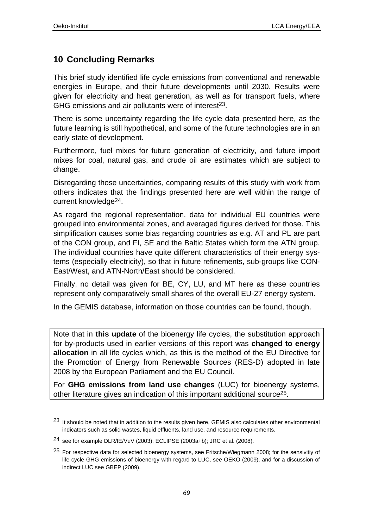l

# **10 Concluding Remarks**

This brief study identified life cycle emissions from conventional and renewable energies in Europe, and their future developments until 2030. Results were given for electricity and heat generation, as well as for transport fuels, where GHG emissions and air pollutants were of interest<sup>23</sup>.

There is some uncertainty regarding the life cycle data presented here, as the future learning is still hypothetical, and some of the future technologies are in an early state of development.

Furthermore, fuel mixes for future generation of electricity, and future import mixes for coal, natural gas, and crude oil are estimates which are subject to change.

Disregarding those uncertainties, comparing results of this study with work from others indicates that the findings presented here are well within the range of current knowledge24.

As regard the regional representation, data for individual EU countries were grouped into environmental zones, and averaged figures derived for those. This simplification causes some bias regarding countries as e.g. AT and PL are part of the CON group, and FI, SE and the Baltic States which form the ATN group. The individual countries have quite different characteristics of their energy systems (especially electricity), so that in future refinements, sub-groups like CON-East/West, and ATN-North/East should be considered.

Finally, no detail was given for BE, CY, LU, and MT here as these countries represent only comparatively small shares of the overall EU-27 energy system.

In the GEMIS database, information on those countries can be found, though.

Note that in **this update** of the bioenergy life cycles, the substitution approach for by-products used in earlier versions of this report was **changed to energy allocation** in all life cycles which, as this is the method of the EU Directive for the Promotion of Energy from Renewable Sources (RES-D) adopted in late 2008 by the European Parliament and the EU Council.

For **GHG emissions from land use changes** (LUC) for bioenergy systems, other literature gives an indication of this important additional source<sup>25</sup>.

<sup>23</sup> It should be noted that in addition to the results given here, GEMIS also calculates other environmental indicators such as solid wastes, liquid effluents, land use, and resource requirements.

<sup>24</sup> see for example DLR/IE/VuV (2003); ECLIPSE (2003a+b); JRC et al. (2008).

<sup>25</sup> For respective data for selected bioenergy systems, see Fritsche/Wiegmann 2008; for the sensivitiy of life cycle GHG emissions of bioenergy with regard to LUC, see OEKO (2009), and for a discussion of indirect LUC see GBEP (2009).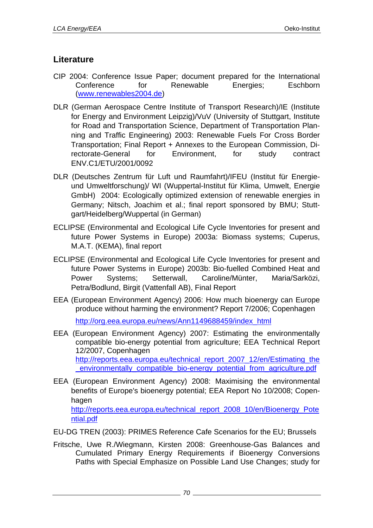# **Literature**

- CIP 2004: Conference Issue Paper; document prepared for the International Conference for Renewable Energies; Eschborn (www.renewables2004.de)
- DLR (German Aerospace Centre Institute of Transport Research)/IE (Institute for Energy and Environment Leipzig)/VuV (University of Stuttgart, Institute for Road and Transportation Science, Department of Transportation Planning and Traffic Engineering) 2003: Renewable Fuels For Cross Border Transportation; Final Report + Annexes to the European Commission, Directorate-General for Environment, for study contract ENV.C1/ETU/2001/0092
- DLR (Deutsches Zentrum für Luft und Raumfahrt)/IFEU (Institut für Energieund Umweltforschung)/ WI (Wuppertal-Institut für Klima, Umwelt, Energie GmbH) 2004: Ecologically optimized extension of renewable energies in Germany; Nitsch, Joachim et al.; final report sponsored by BMU; Stuttgart/Heidelberg/Wuppertal (in German)
- ECLIPSE (Environmental and Ecological Life Cycle Inventories for present and future Power Systems in Europe) 2003a: Biomass systems; Cuperus, M.A.T. (KEMA), final report
- ECLIPSE (Environmental and Ecological Life Cycle Inventories for present and future Power Systems in Europe) 2003b: Bio-fuelled Combined Heat and Power Systems; Setterwall, Caroline/Münter, Maria/Sarközi, Petra/Bodlund, Birgit (Vattenfall AB), Final Report
- EEA (European Environment Agency) 2006: How much bioenergy can Europe produce without harming the environment? Report 7/2006; Copenhagen

http://org.eea.europa.eu/news/Ann1149688459/index\_html

- EEA (European Environment Agency) 2007: Estimating the environmentally compatible bio-energy potential from agriculture; EEA Technical Report 12/2007, Copenhagen http://reports.eea.europa.eu/technical\_report\_2007\_12/en/Estimating\_the environmentally compatible bio-energy potential from agriculture.pdf
- EEA (European Environment Agency) 2008: Maximising the environmental benefits of Europe's bioenergy potential; EEA Report No 10/2008; Copenhagen http://reports.eea.europa.eu/technical\_report\_2008\_10/en/Bioenergy\_Pote ntial.pdf

EU-DG TREN (2003): PRIMES Reference Cafe Scenarios for the EU; Brussels

Fritsche, Uwe R./Wiegmann, Kirsten 2008: Greenhouse-Gas Balances and Cumulated Primary Energy Requirements if Bioenergy Conversions Paths with Special Emphasize on Possible Land Use Changes; study for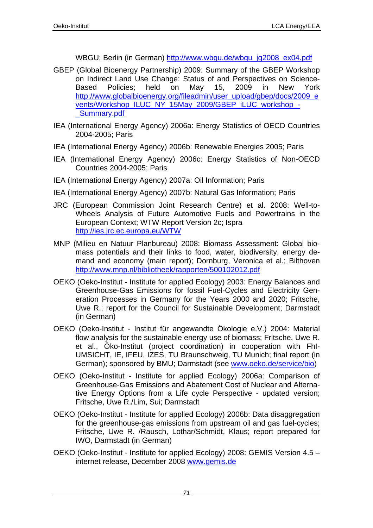WBGU; Berlin (in German) http://www.wbgu.de/wbgu\_jg2008\_ex04.pdf

- GBEP (Global Bioenergy Partnership) 2009: Summary of the GBEP Workshop on Indirect Land Use Change: Status of and Perspectives on Science-Based Policies; held on May 15, 2009 in New York http://www.globalbioenergy.org/fileadmin/user\_upload/gbep/docs/2009\_e vents/Workshop\_ILUC\_NY\_15May\_2009/GBEP\_iLUC\_workshop\_- \_Summary.pdf
- IEA (International Energy Agency) 2006a: Energy Statistics of OECD Countries 2004-2005; Paris
- IEA (International Energy Agency) 2006b: Renewable Energies 2005; Paris
- IEA (International Energy Agency) 2006c: Energy Statistics of Non-OECD Countries 2004-2005; Paris
- IEA (International Energy Agency) 2007a: Oil Information; Paris
- IEA (International Energy Agency) 2007b: Natural Gas Information; Paris
- JRC (European Commission Joint Research Centre) et al. 2008: Well-to-Wheels Analysis of Future Automotive Fuels and Powertrains in the European Context; WTW Report Version 2c; Ispra http://ies.jrc.ec.europa.eu/WTW
- MNP (Milieu en Natuur Planbureau) 2008: Biomass Assessment: Global biomass potentials and their links to food, water, biodiversity, energy demand and economy (main report); Dornburg, Veronica et al.; Bilthoven http://www.mnp.nl/bibliotheek/rapporten/500102012.pdf
- OEKO (Oeko-Institut Institute for applied Ecology) 2003: Energy Balances and Greenhouse-Gas Emissions for fossil Fuel-Cycles and Electricity Generation Processes in Germany for the Years 2000 and 2020; Fritsche, Uwe R.; report for the Council for Sustainable Development; Darmstadt (in German)
- OEKO (Oeko-Institut Institut für angewandte Ökologie e.V.) 2004: Material flow analysis for the sustainable energy use of biomass; Fritsche, Uwe R. et al., Öko-Institut (project coordination) in cooperation with FhI-UMSICHT, IE, IFEU, IZES, TU Braunschweig, TU Munich: final report (in German); sponsored by BMU; Darmstadt (see www.oeko.de/service/bio)
- OEKO (Oeko-Institut Institute for applied Ecology) 2006a: Comparison of Greenhouse-Gas Emissions and Abatement Cost of Nuclear and Alternative Energy Options from a Life cycle Perspective - updated version; Fritsche, Uwe R./Lim, Sui; Darmstadt
- OEKO (Oeko-Institut Institute for applied Ecology) 2006b: Data disaggregation for the greenhouse-gas emissions from upstream oil and gas fuel-cycles; Fritsche, Uwe R. /Rausch, Lothar/Schmidt, Klaus; report prepared for IWO, Darmstadt (in German)
- OEKO (Oeko-Institut Institute for applied Ecology) 2008: GEMIS Version 4.5 internet release, December 2008 www.gemis.de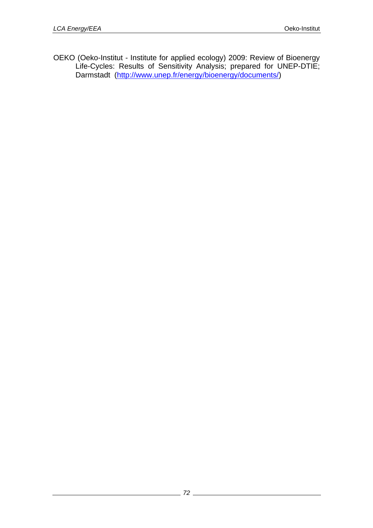OEKO (Oeko-Institut - Institute for applied ecology) 2009: Review of Bioenergy Life-Cycles: Results of Sensitivity Analysis; prepared for UNEP-DTIE; Darmstadt (http://www.unep.fr/energy/bioenergy/documents/)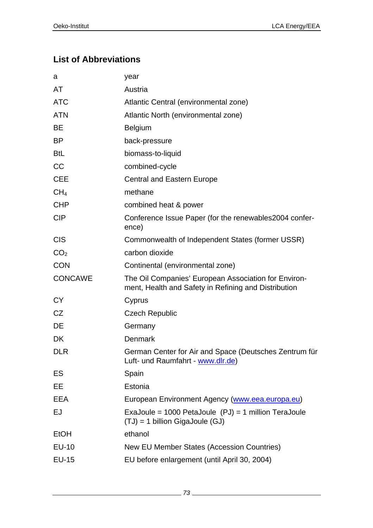### **List of Abbreviations**

| a               | year                                                                                                         |
|-----------------|--------------------------------------------------------------------------------------------------------------|
| AT              | Austria                                                                                                      |
| <b>ATC</b>      | Atlantic Central (environmental zone)                                                                        |
| <b>ATN</b>      | Atlantic North (environmental zone)                                                                          |
| <b>BE</b>       | <b>Belgium</b>                                                                                               |
| <b>BP</b>       | back-pressure                                                                                                |
| <b>BtL</b>      | biomass-to-liquid                                                                                            |
| CC              | combined-cycle                                                                                               |
| <b>CEE</b>      | <b>Central and Eastern Europe</b>                                                                            |
| CH <sub>4</sub> | methane                                                                                                      |
| <b>CHP</b>      | combined heat & power                                                                                        |
| <b>CIP</b>      | Conference Issue Paper (for the renewables 2004 confer-<br>ence)                                             |
| <b>CIS</b>      | Commonwealth of Independent States (former USSR)                                                             |
| CO <sub>2</sub> | carbon dioxide                                                                                               |
| <b>CON</b>      |                                                                                                              |
|                 | Continental (environmental zone)                                                                             |
| <b>CONCAWE</b>  | The Oil Companies' European Association for Environ-<br>ment, Health and Safety in Refining and Distribution |
| <b>CY</b>       | Cyprus                                                                                                       |
| CZ              | <b>Czech Republic</b>                                                                                        |
| DE              | Germany                                                                                                      |
| DK              | <b>Denmark</b>                                                                                               |
| <b>DLR</b>      | German Center for Air and Space (Deutsches Zentrum für<br>Luft- und Raumfahrt - www.dlr.de)                  |
| ES              | Spain                                                                                                        |
| EE              | Estonia                                                                                                      |
| EEA             | European Environment Agency (www.eea.europa.eu)                                                              |
| EJ              | ExaJoule = $1000$ PetaJoule $(PJ) = 1$ million TeraJoule<br>$(TJ) = 1$ billion GigaJoule (GJ)                |
| EtOH            | ethanol                                                                                                      |
| EU-10           | New EU Member States (Accession Countries)                                                                   |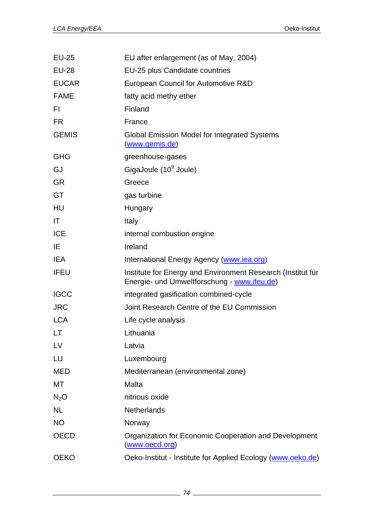| <b>EU-25</b> | EU after enlargement (as of May, 2004)                                                                     |
|--------------|------------------------------------------------------------------------------------------------------------|
| <b>EU-28</b> | EU-25 plus Candidate countries                                                                             |
| <b>EUCAR</b> | European Council for Automotive R&D                                                                        |
| <b>FAME</b>  | fatty acid methy ether                                                                                     |
| FI.          | Finland                                                                                                    |
| <b>FR</b>    | France                                                                                                     |
| <b>GEMIS</b> | Global Emission Model for Integrated Systems<br><u>(www.gemis.de)</u>                                      |
| <b>GHG</b>   | greenhouse-gases                                                                                           |
| GJ           | GigaJoule (10 <sup>9</sup> Joule)                                                                          |
| <b>GR</b>    | Greece                                                                                                     |
| GT           | gas turbine                                                                                                |
| HU           | Hungary                                                                                                    |
| IT.          | Italy                                                                                                      |
| <b>ICE</b>   | internal combustion engine                                                                                 |
| IE           | Ireland                                                                                                    |
| <b>IEA</b>   | International Energy Agency (www.iea.org)                                                                  |
| <b>IFEU</b>  | Institute for Energy and Environment Research (Institut für<br>Energie- und Umweltforschung - www.ifeu.de) |
| <b>IGCC</b>  | integrated gasification combined-cycle                                                                     |
| <b>JRC</b>   | Joint Research Centre of the EU Commission                                                                 |
| <b>LCA</b>   | Life cycle analysis                                                                                        |
| LT.          | Lithuania                                                                                                  |
| LV           | Latvia                                                                                                     |
| LU           | Luxembourg                                                                                                 |
| <b>MED</b>   | Mediterranean (environmental zone)                                                                         |
| MT           | Malta                                                                                                      |
| $N_2O$       | nitrious oxide                                                                                             |
| <b>NL</b>    | <b>Netherlands</b>                                                                                         |
| <b>NO</b>    | Norway                                                                                                     |
| <b>OECD</b>  | Organization for Economic Cooperation and Development<br>(www.oecd.org)                                    |
| <b>OEKO</b>  | Oeko-Institut - Institute for Applied Ecology (www.oeko.de)                                                |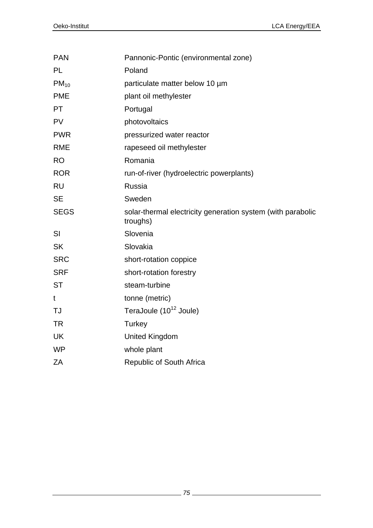| <b>PAN</b>  | Pannonic-Pontic (environmental zone)                                    |
|-------------|-------------------------------------------------------------------------|
| <b>PL</b>   | Poland                                                                  |
| $PM_{10}$   | particulate matter below 10 µm                                          |
| <b>PME</b>  | plant oil methylester                                                   |
| PT          | Portugal                                                                |
| <b>PV</b>   | photovoltaics                                                           |
| <b>PWR</b>  | pressurized water reactor                                               |
| <b>RME</b>  | rapeseed oil methylester                                                |
| <b>RO</b>   | Romania                                                                 |
| <b>ROR</b>  | run-of-river (hydroelectric powerplants)                                |
| <b>RU</b>   | Russia                                                                  |
| <b>SE</b>   | Sweden                                                                  |
| <b>SEGS</b> | solar-thermal electricity generation system (with parabolic<br>troughs) |
| SI          | Slovenia                                                                |
| <b>SK</b>   | Slovakia                                                                |
| <b>SRC</b>  | short-rotation coppice                                                  |
| <b>SRF</b>  | short-rotation forestry                                                 |
| <b>ST</b>   | steam-turbine                                                           |
| t           | tonne (metric)                                                          |
| <b>TJ</b>   | TeraJoule (10 <sup>12</sup> Joule)                                      |
| <b>TR</b>   | Turkey                                                                  |
| <b>UK</b>   | <b>United Kingdom</b>                                                   |
| <b>WP</b>   | whole plant                                                             |
| ΖA          | Republic of South Africa                                                |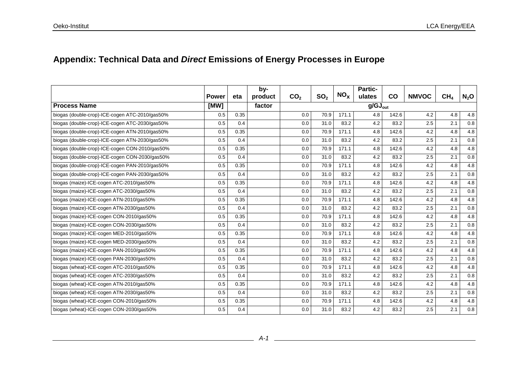# **Appendix: Technical Data and** *Direct* **Emissions of Energy Processes in Europe**

|                                                | <b>Power</b> | eta  | by-<br>product | CO <sub>2</sub> | SO <sub>2</sub> | NO <sub>x</sub> | <b>Partic-</b><br>ulates | <b>CO</b> | <b>NMVOC</b> | CH <sub>4</sub> | $N_2$ O |
|------------------------------------------------|--------------|------|----------------|-----------------|-----------------|-----------------|--------------------------|-----------|--------------|-----------------|---------|
| <b>Process Name</b>                            | [MW]         |      | factor         |                 |                 |                 | $g/GJ_{\text{out}}$      |           |              |                 |         |
| biogas (double-crop)-ICE-cogen ATC-2010/gas50% | 0.5          | 0.35 |                | 0.0             | 70.9            | 171.1           | 4.8                      | 142.6     | 4.2          | 4.8             | 4.8     |
| biogas (double-crop)-ICE-cogen ATC-2030/gas50% | 0.5          | 0.4  |                | 0.0             | 31.0            | 83.2            | 4.2                      | 83.2      | 2.5          | 2.1             | 0.8     |
| biogas (double-crop)-ICE-cogen ATN-2010/gas50% | 0.5          | 0.35 |                | 0.0             | 70.9            | 171.1           | 4.8                      | 142.6     | 4.2          | 4.8             | 4.8     |
| biogas (double-crop)-ICE-cogen ATN-2030/gas50% | 0.5          | 0.4  |                | 0.0             | 31.0            | 83.2            | 4.2                      | 83.2      | 2.5          | 2.1             | 0.8     |
| biogas (double-crop)-ICE-cogen CON-2010/gas50% | 0.5          | 0.35 |                | 0.0             | 70.9            | 171.1           | 4.8                      | 142.6     | 4.2          | 4.8             | 4.8     |
| biogas (double-crop)-ICE-cogen CON-2030/gas50% | 0.5          | 0.4  |                | 0.0             | 31.0            | 83.2            | 4.2                      | 83.2      | 2.5          | 2.1             | $0.8\,$ |
| biogas (double-crop)-ICE-cogen PAN-2010/gas50% | 0.5          | 0.35 |                | 0.0             | 70.9            | 171.1           | 4.8                      | 142.6     | 4.2          | 4.8             | 4.8     |
| biogas (double-crop)-ICE-cogen PAN-2030/gas50% | 0.5          | 0.4  |                | 0.0             | 31.0            | 83.2            | 4.2                      | 83.2      | 2.5          | 2.1             | 0.8     |
| biogas (maize)-ICE-cogen ATC-2010/gas50%       | 0.5          | 0.35 |                | 0.0             | 70.9            | 171.1           | 4.8                      | 142.6     | 4.2          | 4.8             | 4.8     |
| biogas (maize)-ICE-cogen ATC-2030/gas50%       | 0.5          | 0.4  |                | 0.0             | 31.0            | 83.2            | 4.2                      | 83.2      | 2.5          | 2.1             | 0.8     |
| biogas (maize)-ICE-cogen ATN-2010/gas50%       | 0.5          | 0.35 |                | 0.0             | 70.9            | 171.1           | 4.8                      | 142.6     | 4.2          | 4.8             | 4.8     |
| biogas (maize)-ICE-cogen ATN-2030/gas50%       | 0.5          | 0.4  |                | 0.0             | 31.0            | 83.2            | 4.2                      | 83.2      | 2.5          | 2.1             | 0.8     |
| biogas (maize)-ICE-cogen CON-2010/gas50%       | 0.5          | 0.35 |                | 0.0             | 70.9            | 171.1           | 4.8                      | 142.6     | 4.2          | 4.8             | 4.8     |
| biogas (maize)-ICE-cogen CON-2030/gas50%       | 0.5          | 0.4  |                | 0.0             | 31.0            | 83.2            | 4.2                      | 83.2      | 2.5          | 2.1             | 0.8     |
| biogas (maize)-ICE-cogen MED-2010/gas50%       | 0.5          | 0.35 |                | 0.0             | 70.9            | 171.1           | 4.8                      | 142.6     | 4.2          | 4.8             | 4.8     |
| biogas (maize)-ICE-cogen MED-2030/gas50%       | 0.5          | 0.4  |                | 0.0             | 31.0            | 83.2            | 4.2                      | 83.2      | 2.5          | 2.1             | 0.8     |
| biogas (maize)-ICE-cogen PAN-2010/gas50%       | 0.5          | 0.35 |                | 0.0             | 70.9            | 171.1           | 4.8                      | 142.6     | 4.2          | 4.8             | 4.8     |
| biogas (maize)-ICE-cogen PAN-2030/gas50%       | 0.5          | 0.4  |                | 0.0             | 31.0            | 83.2            | 4.2                      | 83.2      | 2.5          | 2.1             | 0.8     |
| biogas (wheat)-ICE-cogen ATC-2010/gas50%       | 0.5          | 0.35 |                | 0.0             | 70.9            | 171.1           | 4.8                      | 142.6     | 4.2          | 4.8             | 4.8     |
| biogas (wheat)-ICE-cogen ATC-2030/gas50%       | 0.5          | 0.4  |                | 0.0             | 31.0            | 83.2            | 4.2                      | 83.2      | 2.5          | 2.1             | 0.8     |
| biogas (wheat)-ICE-cogen ATN-2010/gas50%       | 0.5          | 0.35 |                | 0.0             | 70.9            | 171.1           | 4.8                      | 142.6     | 4.2          | 4.8             | 4.8     |
| biogas (wheat)-ICE-cogen ATN-2030/gas50%       | 0.5          | 0.4  |                | 0.0             | 31.0            | 83.2            | 4.2                      | 83.2      | 2.5          | 2.1             | 0.8     |
| biogas (wheat)-ICE-cogen CON-2010/gas50%       | 0.5          | 0.35 |                | 0.0             | 70.9            | 171.1           | 4.8                      | 142.6     | 4.2          | 4.8             | 4.8     |
| biogas (wheat)-ICE-cogen CON-2030/gas50%       | 0.5          | 0.4  |                | 0.0             | 31.0            | 83.2            | 4.2                      | 83.2      | 2.5          | 2.1             | $0.8\,$ |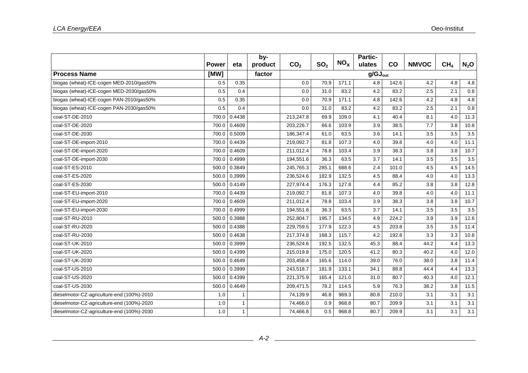|                                            |              |        | by-     |                 |                 |                 | <b>Partic-</b>      |           |              |                 |         |
|--------------------------------------------|--------------|--------|---------|-----------------|-----------------|-----------------|---------------------|-----------|--------------|-----------------|---------|
|                                            | <b>Power</b> | eta    | product | CO <sub>2</sub> | SO <sub>2</sub> | NO <sub>x</sub> | ulates              | <b>CO</b> | <b>NMVOC</b> | CH <sub>4</sub> | $N_2$ O |
| <b>Process Name</b>                        | [MW]         |        | factor  |                 |                 |                 | $g/GJ_{\text{out}}$ |           |              |                 |         |
| biogas (wheat)-ICE-cogen MED-2010/gas50%   | 0.5          | 0.35   |         | 0.0             | 70.9            | 171.1           | 4.8                 | 142.6     | 4.2          | 4.8             | 4.8     |
| biogas (wheat)-ICE-cogen MED-2030/gas50%   | 0.5          | 0.4    |         | 0.0             | 31.0            | 83.2            | 4.2                 | 83.2      | 2.5          | 2.1             | 0.8     |
| biogas (wheat)-ICE-cogen PAN-2010/gas50%   | 0.5          | 0.35   |         | 0.0             | 70.9            | 171.1           | 4.8                 | 142.6     | 4.2          | 4.8             | 4.8     |
| biogas (wheat)-ICE-cogen PAN-2030/gas50%   | 0.5          | 0.4    |         | 0.0             | 31.0            | 83.2            | 4.2                 | 83.2      | 2.5          | 2.1             | 0.8     |
| coal-ST-DE-2010                            | 700.0        | 0.4438 |         | 213,247.8       | 69.9            | 109.0           | 4.1                 | 40.4      | 8.1          | 4.0             | 11.3    |
| coal-ST-DE-2020                            | 700.0        | 0.4609 |         | 203.226.7       | 66.6            | 103.9           | 3.9                 | 38.5      | 7.7          | 3.8             | 10.8    |
| coal-ST-DE-2030                            | 700.0        | 0.5009 |         | 186,347.4       | 61.0            | 63.5            | 3.6                 | 14.1      | 3.5          | 3.5             | 3.5     |
| coal-ST-DE-import-2010                     | 700.0        | 0.4439 |         | 219,092.7       | 81.8            | 107.3           | 4.0                 | 39.8      | 4.0          | 4.0             | 11.1    |
| coal-ST-DE-import-2020                     | 700.0        | 0.4609 |         | 211,012.4       | 78.8            | 103.4           | 3.9                 | 38.3      | 3.8          | 3.8             | 10.7    |
| coal-ST-DE-import-2030                     | 700.0        | 0.4999 |         | 194,551.6       | 36.3            | 63.5            | 3.7                 | 14.1      | 3.5          | 3.5             | 3.5     |
| coal-ST-ES-2010                            | 500.0        | 0.3849 |         | 245,765.3       | 285.1           | 688.6           | 2.4                 | 101.0     | 4.5          | 4.5             | 14.5    |
| coal-ST-ES-2020                            | 500.0        | 0.3999 |         | 236,524.6       | 182.9           | 132.5           | 4.5                 | 88.4      | 4.0          | 4.0             | 13.3    |
| coal-ST-ES-2030                            | 500.0        | 0.4149 |         | 227,974.4       | 176.3           | 127.8           | 4.4                 | 85.2      | 3.8          | 3.8             | 12.8    |
| coal-ST-EU-import-2010                     | 700.0        | 0.4439 |         | 219,092.7       | 81.8            | 107.3           | 4.0                 | 39.8      | 4.0          | 4.0             | 11.1    |
| coal-ST-EU-import-2020                     | 700.0        | 0.4609 |         | 211,012.4       | 78.8            | 103.4           | 3.9                 | 38.3      | 3.8          | 3.8             | 10.7    |
| coal-ST-EU-import-2030                     | 700.0        | 0.4999 |         | 194,551.6       | 36.3            | 63.5            | 3.7                 | 14.1      | 3.5          | 3.5             | 3.5     |
| coal-ST-RU-2010                            | 500.0        | 0.3988 |         | 252,804.7       | 195.7           | 134.5           | 4.9                 | 224.2     | 3.9          | 3.9             | 12.6    |
| coal-ST-RU-2020                            | 500.0        | 0.4388 |         | 229,759.5       | 177.9           | 122.3           | 4.5                 | 203.8     | 3.5          | 3.5             | 11.4    |
| coal-ST-RU-2030                            | 500.0        | 0.4638 |         | 217,374.8       | 168.3           | 115.7           | 4.2                 | 192.8     | 3.3          | 3.3             | 10.8    |
| coal-ST-UK-2010                            | 500.0        | 0.3999 |         | 236.524.6       | 192.5           | 132.5           | 45.3                | 88.4      | 44.2         | 4.4             | 13.3    |
| coal-ST-UK-2020                            | 500.0        | 0.4399 |         | 215,019.8       | 175.0           | 120.5           | 41.2                | 80.3      | 40.2         | 4.0             | 12.0    |
| coal-ST-UK-2030                            | 500.0        | 0.4649 |         | 203,458.4       | 165.6           | 114.0           | 39.0                | 76.0      | 38.0         | 3.8             | 11.4    |
| coal-ST-US-2010                            | 500.0        | 0.3999 |         | 243,518.7       | 181.9           | 133.1           | 34.1                | 88.8      | 44.4         | 4.4             | 13.3    |
| coal-ST-US-2020                            | 500.0        | 0.4399 |         | 221,375.9       | 165.4           | 121.0           | 31.0                | 80.7      | 40.3         | 4.0             | 12.1    |
| coal-ST-US-2030                            | 500.0        | 0.4649 |         | 209.471.5       | 78.2            | 114.5           | 5.9                 | 76.3      | 38.2         | 3.8             | 11.5    |
| dieselmotor-CZ-agriculture-end (100%)-2010 | 1.0          | 1      |         | 74,139.9        | 46.8            | 969.3           | 80.8                | 210.0     | 3.1          | 3.1             | 3.1     |
| dieselmotor-CZ-agriculture-end (100%)-2020 | 1.0          | 1      |         | 74,466.0        | 0.9             | 968.8           | 80.7                | 209.9     | 3.1          | 3.1             | 3.1     |
| dieselmotor-CZ-agriculture-end (100%)-2030 | 1.0          | 1      |         | 74,466.8        | 0.5             | 968.8           | 80.7                | 209.9     | 3.1          | 3.1             | 3.1     |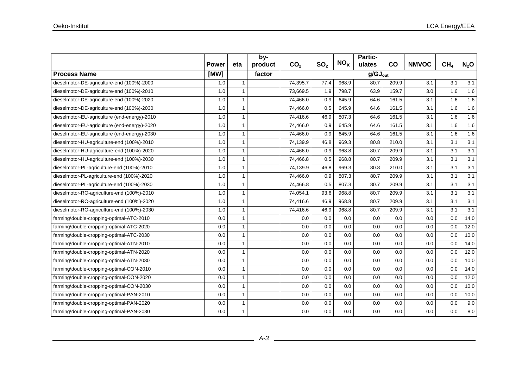|                                              |              |                | by-     |                 |                 |                 | <b>Partic-</b>      |       |              |                 |         |
|----------------------------------------------|--------------|----------------|---------|-----------------|-----------------|-----------------|---------------------|-------|--------------|-----------------|---------|
|                                              | <b>Power</b> | eta            | product | CO <sub>2</sub> | SO <sub>2</sub> | NO <sub>x</sub> | ulates              | co    | <b>NMVOC</b> | CH <sub>4</sub> | $N_2$ O |
| <b>Process Name</b>                          | [MW]         |                | factor  |                 |                 |                 | $g/GJ_{\text{out}}$ |       |              |                 |         |
| dieselmotor-DE-agriculture-end (100%)-2000   | 1.0          | $\overline{1}$ |         | 74,395.7        | 77.4            | 968.9           | 80.7                | 209.9 | 3.1          | 3.1             | 3.1     |
| dieselmotor-DE-agriculture-end (100%)-2010   | 1.0          | $\overline{1}$ |         | 73,669.5        | 1.9             | 798.7           | 63.9                | 159.7 | 3.0          | 1.6             | 1.6     |
| dieselmotor-DE-agriculture-end (100%)-2020   | 1.0          | $\overline{1}$ |         | 74,466.0        | 0.9             | 645.9           | 64.6                | 161.5 | 3.1          | 1.6             | 1.6     |
| dieselmotor-DE-agriculture-end (100%)-2030   | 1.0          | $\overline{1}$ |         | 74,466.0        | 0.5             | 645.9           | 64.6                | 161.5 | 3.1          | 1.6             | 1.6     |
| dieselmotor-EU-agriculture (end-energy)-2010 | 1.0          | -1             |         | 74,416.6        | 46.9            | 807.3           | 64.6                | 161.5 | 3.1          | 1.6             | 1.6     |
| dieselmotor-EU-agriculture (end-energy)-2020 | 1.0          | $\overline{1}$ |         | 74,466.0        | 0.9             | 645.9           | 64.6                | 161.5 | 3.1          | 1.6             | 1.6     |
| dieselmotor-EU-agriculture (end-energy)-2030 | 1.0          | $\overline{1}$ |         | 74,466.0        | 0.9             | 645.9           | 64.6                | 161.5 | 3.1          | 1.6             | 1.6     |
| dieselmotor-HU-agriculture-end (100%)-2010   | 1.0          | $\overline{1}$ |         | 74,139.9        | 46.8            | 969.3           | 80.8                | 210.0 | 3.1          | 3.1             | 3.1     |
| dieselmotor-HU-agriculture-end (100%)-2020   | 1.0          | $\overline{1}$ |         | 74,466.0        | 0.9             | 968.8           | 80.7                | 209.9 | 3.1          | 3.1             | 3.1     |
| dieselmotor-HU-agriculture-end (100%)-2030   | 1.0          | -1             |         | 74,466.8        | 0.5             | 968.8           | 80.7                | 209.9 | 3.1          | 3.1             | 3.1     |
| dieselmotor-PL-agriculture-end (100%)-2010   | 1.0          | $\overline{1}$ |         | 74,139.9        | 46.8            | 969.3           | 80.8                | 210.0 | 3.1          | 3.1             | 3.1     |
| dieselmotor-PL-agriculture-end (100%)-2020   | 1.0          | $\overline{1}$ |         | 74,466.0        | 0.9             | 807.3           | 80.7                | 209.9 | 3.1          | 3.1             | 3.1     |
| dieselmotor-PL-agriculture-end (100%)-2030   | 1.0          | $\mathbf 1$    |         | 74,466.8        | 0.5             | 807.3           | 80.7                | 209.9 | 3.1          | 3.1             | 3.1     |
| dieselmotor-RO-agriculture-end (100%)-2010   | 1.0          | $\overline{1}$ |         | 74,054.1        | 93.6            | 968.8           | 80.7                | 209.9 | 3.1          | 3.1             | 3.1     |
| dieselmotor-RO-agriculture-end (100%)-2020   | 1.0          | -1             |         | 74,416.6        | 46.9            | 968.8           | 80.7                | 209.9 | 3.1          | 3.1             | 3.1     |
| dieselmotor-RO-agriculture-end (100%)-2030   | 1.0          | $\overline{1}$ |         | 74,416.6        | 46.9            | 968.8           | 80.7                | 209.9 | 3.1          | 3.1             | 3.1     |
| farming\double-cropping-optimal-ATC-2010     | 0.0          | $\overline{1}$ |         | 0.0             | 0.0             | 0.0             | 0.0                 | 0.0   | 0.0          | 0.0             | 14.0    |
| farming\double-cropping-optimal-ATC-2020     | 0.0          | $\overline{1}$ |         | 0.0             | 0.0             | 0.0             | 0.0                 | 0.0   | 0.0          | 0.0             | 12.0    |
| farming\double-cropping-optimal-ATC-2030     | 0.0          | $\overline{1}$ |         | 0.0             | 0.0             | 0.0             | 0.0                 | 0.0   | 0.0          | 0.0             | 10.0    |
| farming\double-cropping-optimal-ATN-2010     | 0.0          | $\overline{1}$ |         | 0.0             | 0.0             | 0.0             | 0.0                 | 0.0   | 0.0          | 0.0             | 14.0    |
| farming\double-cropping-optimal-ATN-2020     | 0.0          | $\overline{1}$ |         | 0.0             | 0.0             | 0.0             | 0.0                 | 0.0   | 0.0          | 0.0             | 12.0    |
| farming\double-cropping-optimal-ATN-2030     | 0.0          | $\overline{1}$ |         | 0.0             | 0.0             | 0.0             | 0.0                 | 0.0   | 0.0          | 0.0             | 10.0    |
| farming\double-cropping-optimal-CON-2010     | 0.0          | $\overline{1}$ |         | 0.0             | 0.0             | 0.0             | 0.0                 | 0.0   | 0.0          | 0.0             | 14.0    |
| farming\double-cropping-optimal-CON-2020     | 0.0          | $\overline{1}$ |         | 0.0             | 0.0             | 0.0             | 0.0                 | 0.0   | 0.0          | 0.0             | 12.0    |
| farming\double-cropping-optimal-CON-2030     | 0.0          | $\overline{1}$ |         | 0.0             | 0.0             | 0.0             | 0.0                 | 0.0   | 0.0          | 0.0             | 10.0    |
| farming\double-cropping-optimal-PAN-2010     | 0.0          | $\overline{1}$ |         | 0.0             | 0.0             | 0.0             | 0.0                 | 0.0   | 0.0          | 0.0             | 10.0    |
| farming\double-cropping-optimal-PAN-2020     | 0.0          | $\overline{1}$ |         | 0.0             | 0.0             | 0.0             | 0.0                 | 0.0   | 0.0          | 0.0             | 9.0     |
| farming\double-cropping-optimal-PAN-2030     | 0.0          | $\mathbf 1$    |         | 0.0             | 0.0             | 0.0             | 0.0                 | 0.0   | 0.0          | 0.0             | 8.0     |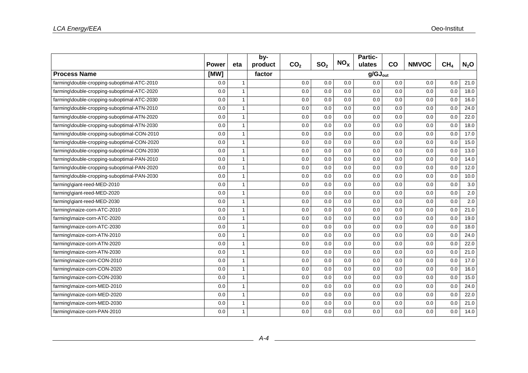|                                             |              |                          | by-     |                 |                 |                 | Partic-             |     |              |                 |         |
|---------------------------------------------|--------------|--------------------------|---------|-----------------|-----------------|-----------------|---------------------|-----|--------------|-----------------|---------|
|                                             | <b>Power</b> | eta                      | product | CO <sub>2</sub> | SO <sub>2</sub> | NO <sub>x</sub> | ulates              | CO  | <b>NMVOC</b> | CH <sub>4</sub> | $N_2$ O |
| <b>Process Name</b>                         | [MW]         |                          | factor  |                 |                 |                 | $q/GJ_{\text{out}}$ |     |              |                 |         |
| farming\double-cropping-suboptimal-ATC-2010 | 0.0          | $\overline{1}$           |         | 0.0             | 0.0             | 0.0             | 0.0                 | 0.0 | 0.0          | 0.0             | 21.0    |
| farming\double-cropping-suboptimal-ATC-2020 | 0.0          | $\overline{\mathbf{1}}$  |         | 0.0             | 0.0             | 0.0             | 0.0                 | 0.0 | 0.0          | 0.0             | 18.0    |
| farming\double-cropping-suboptimal-ATC-2030 | 0.0          | $\overline{1}$           |         | 0.0             | 0.0             | 0.0             | 0.0                 | 0.0 | 0.0          | 0.0             | 16.0    |
| farming\double-cropping-suboptimal-ATN-2010 | 0.0          | $\overline{1}$           |         | 0.0             | 0.0             | 0.0             | 0.0                 | 0.0 | 0.0          | 0.0             | 24.0    |
| farming\double-cropping-suboptimal-ATN-2020 | 0.0          | $\overline{1}$           |         | 0.0             | 0.0             | 0.0             | 0.0                 | 0.0 | 0.0          | 0.0             | 22.0    |
| farming\double-cropping-suboptimal-ATN-2030 | 0.0          | $\overline{1}$           |         | 0.0             | 0.0             | 0.0             | 0.0                 | 0.0 | 0.0          | 0.0             | 18.0    |
| farming\double-cropping-suboptimal-CON-2010 | 0.0          | -1                       |         | 0.0             | 0.0             | 0.0             | 0.0                 | 0.0 | 0.0          | 0.0             | 17.0    |
| farming\double-cropping-suboptimal-CON-2020 | 0.0          | $\overline{1}$           |         | 0.0             | 0.0             | 0.0             | 0.0                 | 0.0 | 0.0          | 0.0             | 15.0    |
| farming\double-cropping-suboptimal-CON-2030 | 0.0          | $\overline{1}$           |         | 0.0             | 0.0             | 0.0             | 0.0                 | 0.0 | 0.0          | 0.0             | 13.0    |
| farming\double-cropping-suboptimal-PAN-2010 | 0.0          | $\overline{\phantom{a}}$ |         | 0.0             | 0.0             | 0.0             | 0.0                 | 0.0 | 0.0          | 0.0             | 14.0    |
| farming\double-cropping-suboptimal-PAN-2020 | 0.0          | $\overline{1}$           |         | 0.0             | 0.0             | 0.0             | 0.0                 | 0.0 | 0.0          | 0.0             | 12.0    |
| farming\double-cropping-suboptimal-PAN-2030 | 0.0          | $\overline{1}$           |         | 0.0             | 0.0             | 0.0             | 0.0                 | 0.0 | 0.0          | 0.0             | 10.0    |
| farming\giant-reed-MED-2010                 | 0.0          | $\overline{1}$           |         | 0.0             | 0.0             | 0.0             | 0.0                 | 0.0 | 0.0          | 0.0             | 3.0     |
| farming\giant-reed-MED-2020                 | 0.0          | $\overline{1}$           |         | 0.0             | 0.0             | 0.0             | 0.0                 | 0.0 | 0.0          | 0.0             | 2.0     |
| farming\giant-reed-MED-2030                 | 0.0          | 1                        |         | 0.0             | 0.0             | 0.0             | 0.0                 | 0.0 | 0.0          | 0.0             | 2.0     |
| farming\maize-corn-ATC-2010                 | 0.0          | $\overline{1}$           |         | 0.0             | 0.0             | 0.0             | 0.0                 | 0.0 | 0.0          | 0.0             | 21.0    |
| farming\maize-corn-ATC-2020                 | 0.0          | $\overline{1}$           |         | 0.0             | 0.0             | 0.0             | 0.0                 | 0.0 | 0.0          | 0.0             | 19.0    |
| farming\maize-corn-ATC-2030                 | 0.0          | $\overline{1}$           |         | 0.0             | 0.0             | 0.0             | 0.0                 | 0.0 | 0.0          | 0.0             | 18.0    |
| farming\maize-corn-ATN-2010                 | 0.0          | $\overline{1}$           |         | 0.0             | 0.0             | 0.0             | 0.0                 | 0.0 | 0.0          | 0.0             | 24.0    |
| farming\maize-corn-ATN-2020                 | 0.0          | -1                       |         | 0.0             | 0.0             | 0.0             | 0.0                 | 0.0 | 0.0          | 0.0             | 22.0    |
| farming\maize-corn-ATN-2030                 | 0.0          | $\overline{1}$           |         | 0.0             | 0.0             | 0.0             | 0.0                 | 0.0 | 0.0          | 0.0             | 21.0    |
| farming\maize-corn-CON-2010                 | 0.0          | $\overline{1}$           |         | 0.0             | 0.0             | 0.0             | 0.0                 | 0.0 | 0.0          | 0.0             | 17.0    |
| farming\maize-corn-CON-2020                 | 0.0          | $\overline{1}$           |         | 0.0             | 0.0             | 0.0             | 0.0                 | 0.0 | 0.0          | 0.0             | 16.0    |
| farming\maize-corn-CON-2030                 | 0.0          | $\overline{1}$           |         | 0.0             | 0.0             | 0.0             | 0.0                 | 0.0 | 0.0          | 0.0             | 15.0    |
| farming\maize-corn-MED-2010                 | 0.0          | 1                        |         | 0.0             | 0.0             | 0.0             | 0.0                 | 0.0 | 0.0          | 0.0             | 24.0    |
| farming\maize-corn-MED-2020                 | 0.0          | $\overline{1}$           |         | 0.0             | 0.0             | 0.0             | 0.0                 | 0.0 | 0.0          | 0.0             | 22.0    |
| farming\maize-corn-MED-2030                 | 0.0          | $\overline{1}$           |         | 0.0             | 0.0             | 0.0             | 0.0                 | 0.0 | 0.0          | 0.0             | 21.0    |
| farming\maize-corn-PAN-2010                 | 0.0          | $\overline{1}$           |         | 0.0             | 0.0             | 0.0             | 0.0                 | 0.0 | 0.0          | 0.0             | 14.0    |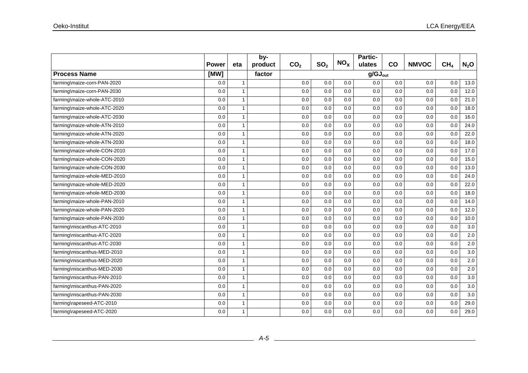|                              |              |                | by-     |                 |                 |                 | Partic-             |     |              |                 |         |
|------------------------------|--------------|----------------|---------|-----------------|-----------------|-----------------|---------------------|-----|--------------|-----------------|---------|
|                              | <b>Power</b> | eta            | product | CO <sub>2</sub> | SO <sub>2</sub> | NO <sub>x</sub> | ulates              | co  | <b>NMVOC</b> | CH <sub>4</sub> | $N_2$ O |
| <b>Process Name</b>          | [MW]         |                | factor  |                 |                 |                 | $g/GJ_{\text{out}}$ |     |              |                 |         |
| farming\maize-corn-PAN-2020  | 0.0          | $\overline{1}$ |         | 0.0             | 0.0             | 0.0             | 0.0                 | 0.0 | 0.0          | 0.0             | 13.0    |
| farming\maize-corn-PAN-2030  | 0.0          | $\overline{1}$ |         | 0.0             | 0.0             | 0.0             | 0.0                 | 0.0 | 0.0          | 0.0             | 12.0    |
| farming\maize-whole-ATC-2010 | 0.0          | $\overline{1}$ |         | 0.0             | 0.0             | 0.0             | 0.0                 | 0.0 | 0.0          | 0.0             | 21.0    |
| farming\maize-whole-ATC-2020 | 0.0          | $\overline{1}$ |         | 0.0             | 0.0             | 0.0             | 0.0                 | 0.0 | 0.0          | 0.0             | 18.0    |
| farming\maize-whole-ATC-2030 | 0.0          | $\overline{1}$ |         | 0.0             | 0.0             | 0.0             | 0.0                 | 0.0 | 0.0          | 0.0             | 16.0    |
| farming\maize-whole-ATN-2010 | 0.0          | $\overline{1}$ |         | 0.0             | 0.0             | 0.0             | 0.0                 | 0.0 | 0.0          | 0.0             | 24.0    |
| farming\maize-whole-ATN-2020 | 0.0          | $\overline{1}$ |         | 0.0             | 0.0             | 0.0             | 0.0                 | 0.0 | 0.0          | 0.0             | 22.0    |
| farming\maize-whole-ATN-2030 | 0.0          | $\overline{1}$ |         | 0.0             | 0.0             | 0.0             | 0.0                 | 0.0 | 0.0          | 0.0             | 18.0    |
| farming\maize-whole-CON-2010 | 0.0          | $\overline{1}$ |         | 0.0             | 0.0             | 0.0             | 0.0                 | 0.0 | 0.0          | 0.0             | 17.0    |
| farming\maize-whole-CON-2020 | 0.0          | -1             |         | 0.0             | 0.0             | 0.0             | 0.0                 | 0.0 | 0.0          | 0.0             | 15.0    |
| farming\maize-whole-CON-2030 | 0.0          | $\overline{1}$ |         | 0.0             | 0.0             | 0.0             | 0.0                 | 0.0 | 0.0          | 0.0             | 13.0    |
| farming\maize-whole-MED-2010 | 0.0          | $\overline{1}$ |         | 0.0             | 0.0             | 0.0             | 0.0                 | 0.0 | 0.0          | 0.0             | 24.0    |
| farming\maize-whole-MED-2020 | 0.0          | $\overline{1}$ |         | 0.0             | 0.0             | 0.0             | 0.0                 | 0.0 | 0.0          | 0.0             | 22.0    |
| farming\maize-whole-MED-2030 | 0.0          | $\overline{1}$ |         | 0.0             | 0.0             | 0.0             | 0.0                 | 0.0 | 0.0          | 0.0             | 18.0    |
| farming\maize-whole-PAN-2010 | 0.0          | -1             |         | 0.0             | 0.0             | 0.0             | 0.0                 | 0.0 | 0.0          | 0.0             | 14.0    |
| farming\maize-whole-PAN-2020 | 0.0          | $\overline{1}$ |         | 0.0             | 0.0             | 0.0             | 0.0                 | 0.0 | 0.0          | 0.0             | 12.0    |
| farming\maize-whole-PAN-2030 | 0.0          | $\overline{1}$ |         | 0.0             | 0.0             | 0.0             | 0.0                 | 0.0 | 0.0          | 0.0             | 10.0    |
| farming\miscanthus-ATC-2010  | 0.0          | $\overline{1}$ |         | 0.0             | 0.0             | 0.0             | 0.0                 | 0.0 | 0.0          | 0.0             | 3.0     |
| farming\miscanthus-ATC-2020  | 0.0          | $\overline{1}$ |         | 0.0             | 0.0             | 0.0             | 0.0                 | 0.0 | 0.0          | 0.0             | 2.0     |
| farming\miscanthus-ATC-2030  | 0.0          | $\overline{1}$ |         | 0.0             | 0.0             | 0.0             | 0.0                 | 0.0 | 0.0          | 0.0             | 2.0     |
| farming\miscanthus-MED-2010  | 0.0          | $\overline{1}$ |         | 0.0             | 0.0             | 0.0             | 0.0                 | 0.0 | 0.0          | 0.0             | 3.0     |
| farming\miscanthus-MED-2020  | 0.0          | $\overline{1}$ |         | 0.0             | 0.0             | 0.0             | 0.0                 | 0.0 | 0.0          | 0.0             | 2.0     |
| farming\miscanthus-MED-2030  | 0.0          | $\mathbf{1}$   |         | 0.0             | 0.0             | 0.0             | 0.0                 | 0.0 | 0.0          | 0.0             | 2.0     |
| farming\miscanthus-PAN-2010  | 0.0          | $\overline{1}$ |         | 0.0             | 0.0             | 0.0             | 0.0                 | 0.0 | 0.0          | 0.0             | 3.0     |
| farming\miscanthus-PAN-2020  | 0.0          | 1              |         | 0.0             | 0.0             | 0.0             | 0.0                 | 0.0 | 0.0          | 0.0             | 3.0     |
| farming\miscanthus-PAN-2030  | 0.0          | $\overline{1}$ |         | 0.0             | 0.0             | 0.0             | 0.0                 | 0.0 | 0.0          | 0.0             | 3.0     |
| farming\rapeseed-ATC-2010    | 0.0          | $\overline{1}$ |         | 0.0             | 0.0             | 0.0             | 0.0                 | 0.0 | 0.0          | 0.0             | 29.0    |
| farming\rapeseed-ATC-2020    | 0.0          | $\mathbf 1$    |         | 0.0             | 0.0             | 0.0             | 0.0                 | 0.0 | 0.0          | 0.0             | 29.0    |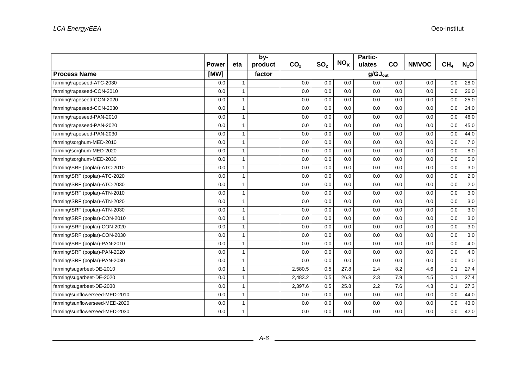|                                | <b>Power</b> |                | by-     |                 | SO <sub>2</sub> | NO <sub>x</sub> | Partic-             | co  |              | CH <sub>4</sub> |         |
|--------------------------------|--------------|----------------|---------|-----------------|-----------------|-----------------|---------------------|-----|--------------|-----------------|---------|
|                                |              | eta            | product | CO <sub>2</sub> |                 |                 | ulates              |     | <b>NMVOC</b> |                 | $N_2$ O |
| <b>Process Name</b>            | [MW]         |                | factor  |                 |                 |                 | $g/GJ_{\text{out}}$ |     |              |                 |         |
| farming\rapeseed-ATC-2030      | 0.0          | $\mathbf{1}$   |         | 0.0             | 0.0             | 0.0             | 0.0                 | 0.0 | 0.0          | 0.0             | 28.0    |
| farming\rapeseed-CON-2010      | 0.0          | $\mathbf{1}$   |         | 0.0             | 0.0             | 0.0             | 0.0                 | 0.0 | 0.0          | 0.0             | 26.0    |
| farming\rapeseed-CON-2020      | 0.0          | $\overline{1}$ |         | 0.0             | 0.0             | 0.0             | 0.0                 | 0.0 | 0.0          | 0.0             | 25.0    |
| farming\rapeseed-CON-2030      | 0.0          | $\mathbf{1}$   |         | 0.0             | 0.0             | 0.0             | 0.0                 | 0.0 | 0.0          | 0.0             | 24.0    |
| farming\rapeseed-PAN-2010      | 0.0          | 1              |         | 0.0             | 0.0             | 0.0             | 0.0                 | 0.0 | 0.0          | 0.0             | 46.0    |
| farming\rapeseed-PAN-2020      | 0.0          | $\mathbf{1}$   |         | 0.0             | 0.0             | 0.0             | 0.0                 | 0.0 | 0.0          | 0.0             | 45.0    |
| farming\rapeseed-PAN-2030      | 0.0          | $\mathbf{1}$   |         | 0.0             | 0.0             | 0.0             | 0.0                 | 0.0 | 0.0          | 0.0             | 44.0    |
| farming\sorghum-MED-2010       | 0.0          | $\mathbf{1}$   |         | 0.0             | 0.0             | 0.0             | 0.0                 | 0.0 | 0.0          | 0.0             | 7.0     |
| farming\sorghum-MED-2020       | 0.0          | $\mathbf{1}$   |         | 0.0             | 0.0             | 0.0             | 0.0                 | 0.0 | 0.0          | 0.0             | 8.0     |
| farming\sorghum-MED-2030       | 0.0          | $\mathbf{1}$   |         | 0.0             | 0.0             | 0.0             | 0.0                 | 0.0 | 0.0          | 0.0             | 5.0     |
| farming\SRF (poplar)-ATC-2010  | 0.0          | $\mathbf{1}$   |         | 0.0             | 0.0             | 0.0             | 0.0                 | 0.0 | 0.0          | 0.0             | 3.0     |
| farming\SRF (poplar)-ATC-2020  | 0.0          | $\overline{1}$ |         | 0.0             | 0.0             | 0.0             | 0.0                 | 0.0 | 0.0          | 0.0             | 2.0     |
| farming\SRF (poplar)-ATC-2030  | 0.0          | $\mathbf{1}$   |         | 0.0             | 0.0             | 0.0             | 0.0                 | 0.0 | 0.0          | 0.0             | 2.0     |
| farming\SRF (poplar)-ATN-2010  | 0.0          | $\overline{1}$ |         | 0.0             | 0.0             | 0.0             | 0.0                 | 0.0 | 0.0          | 0.0             | 3.0     |
| farming\SRF (poplar)-ATN-2020  | 0.0          | 1              |         | 0.0             | 0.0             | 0.0             | 0.0                 | 0.0 | 0.0          | 0.0             | 3.0     |
| farming\SRF (poplar)-ATN-2030  | 0.0          | $\overline{1}$ |         | 0.0             | 0.0             | 0.0             | 0.0                 | 0.0 | 0.0          | 0.0             | 3.0     |
| farming\SRF (poplar)-CON-2010  | 0.0          | $\mathbf{1}$   |         | 0.0             | 0.0             | 0.0             | 0.0                 | 0.0 | 0.0          | 0.0             | 3.0     |
| farming\SRF (poplar)-CON-2020  | 0.0          | $\mathbf{1}$   |         | 0.0             | 0.0             | 0.0             | 0.0                 | 0.0 | 0.0          | 0.0             | 3.0     |
| farming\SRF (poplar)-CON-2030  | 0.0          | $\mathbf{1}$   |         | 0.0             | 0.0             | 0.0             | 0.0                 | 0.0 | 0.0          | 0.0             | 3.0     |
| farming\SRF (poplar)-PAN-2010  | 0.0          | 1              |         | 0.0             | 0.0             | 0.0             | 0.0                 | 0.0 | 0.0          | 0.0             | 4.0     |
| farming\SRF (poplar)-PAN-2020  | 0.0          | $\overline{1}$ |         | 0.0             | 0.0             | 0.0             | 0.0                 | 0.0 | 0.0          | 0.0             | 4.0     |
| farming\SRF (poplar)-PAN-2030  | 0.0          | $\mathbf{1}$   |         | 0.0             | 0.0             | 0.0             | 0.0                 | 0.0 | 0.0          | 0.0             | 3.0     |
| farming\sugarbeet-DE-2010      | 0.0          | 1              |         | 2,580.5         | 0.5             | 27.8            | 2.4                 | 8.2 | 4.6          | 0.1             | 27.4    |
| farming\sugarbeet-DE-2020      | 0.0          | $\mathbf{1}$   |         | 2,483.2         | 0.5             | 26.8            | 2.3                 | 7.9 | 4.5          | 0.1             | 27.4    |
| farming\sugarbeet-DE-2030      | 0.0          | $\overline{1}$ |         | 2,397.6         | 0.5             | 25.8            | 2.2                 | 7.6 | 4.3          | 0.1             | 27.3    |
| farming\sunflowerseed-MED-2010 | 0.0          | 1              |         | 0.0             | 0.0             | 0.0             | 0.0                 | 0.0 | 0.0          | 0.0             | 44.0    |
| farming\sunflowerseed-MED-2020 | 0.0          | $\mathbf{1}$   |         | 0.0             | 0.0             | 0.0             | 0.0                 | 0.0 | 0.0          | 0.0             | 43.0    |
| farming\sunflowerseed-MED-2030 | 0.0          | 1              |         | 0.0             | 0.0             | 0.0             | 0.0                 | 0.0 | 0.0          | 0.0             | 42.0    |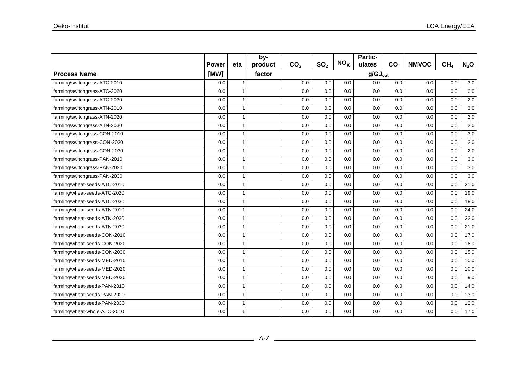|                              |              |                         | by-     |                 |                 | NO <sub>x</sub> | Partic-             |     |              |                 |         |
|------------------------------|--------------|-------------------------|---------|-----------------|-----------------|-----------------|---------------------|-----|--------------|-----------------|---------|
|                              | <b>Power</b> | eta                     | product | CO <sub>2</sub> | SO <sub>2</sub> |                 | ulates              | co  | <b>NMVOC</b> | CH <sub>4</sub> | $N_2$ O |
| <b>Process Name</b>          | [MW]         |                         | factor  |                 |                 |                 | $g/GJ_{\text{out}}$ |     |              |                 |         |
| farming\switchgrass-ATC-2010 | 0.0          | $\overline{1}$          |         | 0.0             | 0.0             | 0.0             | 0.0                 | 0.0 | 0.0          | 0.0             | 3.0     |
| farming\switchgrass-ATC-2020 | 0.0          | $\overline{1}$          |         | 0.0             | 0.0             | 0.0             | 0.0                 | 0.0 | 0.0          | 0.0             | 2.0     |
| farming\switchgrass-ATC-2030 | 0.0          | $\overline{\mathbf{1}}$ |         | 0.0             | 0.0             | 0.0             | 0.0                 | 0.0 | 0.0          | 0.0             | 2.0     |
| farming\switchgrass-ATN-2010 | 0.0          | $\overline{1}$          |         | 0.0             | 0.0             | 0.0             | 0.0                 | 0.0 | 0.0          | 0.0             | 3.0     |
| farming\switchgrass-ATN-2020 | 0.0          | $\overline{\mathbf{1}}$ |         | 0.0             | 0.0             | 0.0             | 0.0                 | 0.0 | 0.0          | 0.0             | 2.0     |
| farming\switchgrass-ATN-2030 | 0.0          | $\overline{1}$          |         | 0.0             | 0.0             | 0.0             | 0.0                 | 0.0 | 0.0          | 0.0             | 2.0     |
| farming\switchgrass-CON-2010 | 0.0          | $\overline{1}$          |         | 0.0             | 0.0             | 0.0             | 0.0                 | 0.0 | 0.0          | 0.0             | 3.0     |
| farming\switchgrass-CON-2020 | 0.0          | $\overline{\mathbf{1}}$ |         | 0.0             | 0.0             | 0.0             | 0.0                 | 0.0 | 0.0          | 0.0             | 2.0     |
| farming\switchgrass-CON-2030 | 0.0          | $\overline{1}$          |         | 0.0             | 0.0             | 0.0             | 0.0                 | 0.0 | 0.0          | 0.0             | 2.0     |
| farming\switchgrass-PAN-2010 | 0.0          | $\overline{1}$          |         | 0.0             | 0.0             | 0.0             | 0.0                 | 0.0 | 0.0          | 0.0             | 3.0     |
| farming\switchgrass-PAN-2020 | 0.0          | $\overline{1}$          |         | 0.0             | 0.0             | 0.0             | 0.0                 | 0.0 | 0.0          | 0.0             | 3.0     |
| farming\switchgrass-PAN-2030 | 0.0          | $\mathbf{1}$            |         | 0.0             | 0.0             | 0.0             | 0.0                 | 0.0 | 0.0          | 0.0             | 3.0     |
| farming\wheat-seeds-ATC-2010 | 0.0          | -1                      |         | 0.0             | 0.0             | 0.0             | 0.0                 | 0.0 | 0.0          | 0.0             | 21.0    |
| farming\wheat-seeds-ATC-2020 | 0.0          | $\overline{1}$          |         | 0.0             | 0.0             | 0.0             | 0.0                 | 0.0 | 0.0          | 0.0             | 19.0    |
| farming\wheat-seeds-ATC-2030 | 0.0          | $\overline{1}$          |         | 0.0             | 0.0             | 0.0             | 0.0                 | 0.0 | 0.0          | 0.0             | 18.0    |
| farming\wheat-seeds-ATN-2010 | 0.0          | $\mathbf{1}$            |         | 0.0             | 0.0             | 0.0             | 0.0                 | 0.0 | 0.0          | 0.0             | 24.0    |
| farming\wheat-seeds-ATN-2020 | 0.0          | $\overline{1}$          |         | 0.0             | 0.0             | 0.0             | 0.0                 | 0.0 | 0.0          | 0.0             | 22.0    |
| farming\wheat-seeds-ATN-2030 | 0.0          | 1                       |         | 0.0             | 0.0             | 0.0             | 0.0                 | 0.0 | 0.0          | 0.0             | 21.0    |
| farming\wheat-seeds-CON-2010 | 0.0          | $\overline{1}$          |         | 0.0             | 0.0             | 0.0             | 0.0                 | 0.0 | 0.0          | 0.0             | 17.0    |
| farming\wheat-seeds-CON-2020 | 0.0          | 1                       |         | 0.0             | 0.0             | 0.0             | 0.0                 | 0.0 | 0.0          | 0.0             | 16.0    |
| farming\wheat-seeds-CON-2030 | 0.0          | $\mathbf{1}$            |         | 0.0             | 0.0             | 0.0             | 0.0                 | 0.0 | 0.0          | 0.0             | 15.0    |
| farming\wheat-seeds-MED-2010 | 0.0          | $\mathbf{1}$            |         | 0.0             | 0.0             | 0.0             | 0.0                 | 0.0 | 0.0          | 0.0             | 10.0    |
| farming\wheat-seeds-MED-2020 | 0.0          | 1                       |         | 0.0             | 0.0             | 0.0             | 0.0                 | 0.0 | 0.0          | 0.0             | 10.0    |
| farming\wheat-seeds-MED-2030 | 0.0          | $\overline{1}$          |         | 0.0             | 0.0             | 0.0             | 0.0                 | 0.0 | 0.0          | 0.0             | 9.0     |
| farming\wheat-seeds-PAN-2010 | 0.0          | $\overline{1}$          |         | 0.0             | 0.0             | 0.0             | 0.0                 | 0.0 | 0.0          | 0.0             | 14.0    |
| farming\wheat-seeds-PAN-2020 | 0.0          | $\overline{1}$          |         | 0.0             | 0.0             | 0.0             | 0.0                 | 0.0 | 0.0          | 0.0             | 13.0    |
| farming\wheat-seeds-PAN-2030 | 0.0          | $\overline{1}$          |         | 0.0             | 0.0             | 0.0             | 0.0                 | 0.0 | 0.0          | 0.0             | 12.0    |
| farming\wheat-whole-ATC-2010 | 0.0          | -1                      |         | 0.0             | 0.0             | 0.0             | 0.0                 | 0.0 | 0.0          | 0.0             | 17.0    |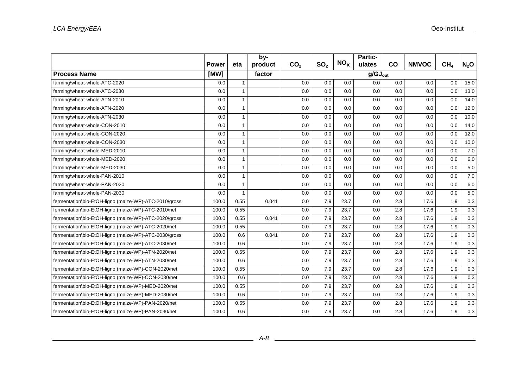|                                                       | <b>Power</b> | eta            | by-<br>product | CO <sub>2</sub> | SO <sub>2</sub> | NO <sub>x</sub> | <b>Partic-</b><br>ulates | co  | <b>NMVOC</b> | CH <sub>4</sub> | $N_2$ O |
|-------------------------------------------------------|--------------|----------------|----------------|-----------------|-----------------|-----------------|--------------------------|-----|--------------|-----------------|---------|
| <b>Process Name</b>                                   | [MW]         |                | factor         |                 |                 |                 | $g/GJ_{\text{out}}$      |     |              |                 |         |
| farming\wheat-whole-ATC-2020                          | 0.0          | $\mathbf{1}$   |                | 0.0             | 0.0             | 0.0             | 0.0                      | 0.0 | 0.0          | 0.0             | 15.0    |
| farming\wheat-whole-ATC-2030                          | 0.0          | $\mathbf{1}$   |                | 0.0             | 0.0             | 0.0             | 0.0                      | 0.0 | 0.0          | 0.0             | 13.0    |
| farming\wheat-whole-ATN-2010                          | 0.0          | $\mathbf{1}$   |                | 0.0             | 0.0             | 0.0             | 0.0                      | 0.0 | 0.0          | 0.0             | 14.0    |
| farming\wheat-whole-ATN-2020                          | 0.0          | $\overline{1}$ |                | 0.0             | 0.0             | 0.0             | 0.0                      | 0.0 | 0.0          | 0.0             | 12.0    |
| farming\wheat-whole-ATN-2030                          | 0.0          | $\mathbf{1}$   |                | 0.0             | 0.0             | 0.0             | 0.0                      | 0.0 | 0.0          | 0.0             | 10.0    |
| farming\wheat-whole-CON-2010                          | 0.0          | $\mathbf{1}$   |                | 0.0             | 0.0             | 0.0             | 0.0                      | 0.0 | 0.0          | 0.0             | 14.0    |
| farming\wheat-whole-CON-2020                          | 0.0          | $\mathbf{1}$   |                | 0.0             | 0.0             | 0.0             | 0.0                      | 0.0 | 0.0          | 0.0             | 12.0    |
| farming\wheat-whole-CON-2030                          | 0.0          | $\mathbf{1}$   |                | 0.0             | 0.0             | 0.0             | 0.0                      | 0.0 | 0.0          | 0.0             | 10.0    |
| farming\wheat-whole-MED-2010                          | 0.0          | $\overline{1}$ |                | 0.0             | 0.0             | 0.0             | 0.0                      | 0.0 | 0.0          | 0.0             | 7.0     |
| farming\wheat-whole-MED-2020                          | 0.0          | $\overline{1}$ |                | 0.0             | 0.0             | 0.0             | 0.0                      | 0.0 | 0.0          | 0.0             | 6.0     |
| farming\wheat-whole-MED-2030                          | 0.0          | $\mathbf{1}$   |                | 0.0             | 0.0             | 0.0             | 0.0                      | 0.0 | 0.0          | 0.0             | $5.0\,$ |
| farming\wheat-whole-PAN-2010                          | 0.0          | $\mathbf{1}$   |                | 0.0             | 0.0             | 0.0             | 0.0                      | 0.0 | 0.0          | 0.0             | 7.0     |
| farming\wheat-whole-PAN-2020                          | 0.0          | $\mathbf{1}$   |                | 0.0             | 0.0             | 0.0             | 0.0                      | 0.0 | 0.0          | 0.0             | 6.0     |
| farming\wheat-whole-PAN-2030                          | 0.0          | $\overline{1}$ |                | 0.0             | 0.0             | 0.0             | 0.0                      | 0.0 | 0.0          | 0.0             | 5.0     |
| fermentation\bio-EtOH-ligno (maize-WP)-ATC-2010/gross | 100.0        | 0.55           | 0.041          | 0.0             | 7.9             | 23.7            | 0.0                      | 2.8 | 17.6         | 1.9             | 0.3     |
| fermentation\bio-EtOH-ligno (maize-WP)-ATC-2010/net   | 100.0        | 0.55           |                | 0.0             | 7.9             | 23.7            | 0.0                      | 2.8 | 17.6         | 1.9             | 0.3     |
| fermentation\bio-EtOH-ligno (maize-WP)-ATC-2020/gross | 100.0        | 0.55           | 0.041          | 0.0             | 7.9             | 23.7            | 0.0                      | 2.8 | 17.6         | 1.9             | 0.3     |
| fermentation\bio-EtOH-ligno (maize-WP)-ATC-2020/net   | 100.0        | 0.55           |                | 0.0             | 7.9             | 23.7            | 0.0                      | 2.8 | 17.6         | 1.9             | 0.3     |
| fermentation\bio-EtOH-ligno (maize-WP)-ATC-2030/gross | 100.0        | 0.6            | 0.041          | 0.0             | 7.9             | 23.7            | 0.0                      | 2.8 | 17.6         | 1.9             | 0.3     |
| fermentation\bio-EtOH-ligno (maize-WP)-ATC-2030/net   | 100.0        | 0.6            |                | 0.0             | 7.9             | 23.7            | 0.0                      | 2.8 | 17.6         | 1.9             | 0.3     |
| fermentation\bio-EtOH-ligno (maize-WP)-ATN-2020/net   | 100.0        | 0.55           |                | 0.0             | 7.9             | 23.7            | 0.0                      | 2.8 | 17.6         | 1.9             | 0.3     |
| fermentation\bio-EtOH-ligno (maize-WP)-ATN-2030/net   | 100.0        | 0.6            |                | 0.0             | 7.9             | 23.7            | 0.0                      | 2.8 | 17.6         | 1.9             | 0.3     |
| fermentation\bio-EtOH-ligno (maize-WP)-CON-2020/net   | 100.0        | 0.55           |                | 0.0             | 7.9             | 23.7            | 0.0                      | 2.8 | 17.6         | 1.9             | 0.3     |
| fermentation\bio-EtOH-ligno (maize-WP)-CON-2030/net   | 100.0        | 0.6            |                | 0.0             | 7.9             | 23.7            | 0.0                      | 2.8 | 17.6         | 1.9             | 0.3     |
| fermentation\bio-EtOH-ligno (maize-WP)-MED-2020/net   | 100.0        | 0.55           |                | 0.0             | 7.9             | 23.7            | 0.0                      | 2.8 | 17.6         | 1.9             | 0.3     |
| fermentation\bio-EtOH-ligno (maize-WP)-MED-2030/net   | 100.0        | 0.6            |                | 0.0             | 7.9             | 23.7            | 0.0                      | 2.8 | 17.6         | 1.9             | $0.3\,$ |
| fermentation\bio-EtOH-ligno (maize-WP)-PAN-2020/net   | 100.0        | 0.55           |                | 0.0             | 7.9             | 23.7            | 0.0                      | 2.8 | 17.6         | 1.9             | 0.3     |
| fermentation\bio-EtOH-ligno (maize-WP)-PAN-2030/net   | 100.0        | 0.6            |                | 0.0             | 7.9             | 23.7            | 0.0                      | 2.8 | 17.6         | 1.9             | 0.3     |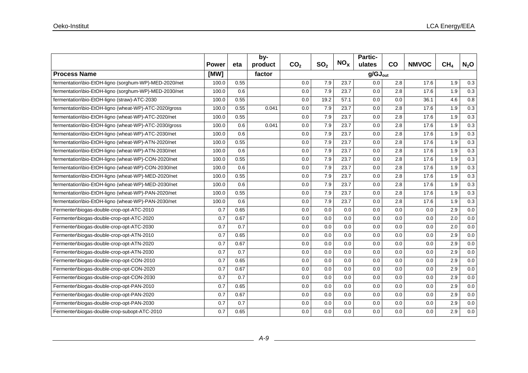|                                                       |              |      | by-     |                 |                 | NO <sub>x</sub> | Partic-             |     |              |                 |         |
|-------------------------------------------------------|--------------|------|---------|-----------------|-----------------|-----------------|---------------------|-----|--------------|-----------------|---------|
|                                                       | <b>Power</b> | eta  | product | CO <sub>2</sub> | SO <sub>2</sub> |                 | ulates              | co  | <b>NMVOC</b> | CH <sub>4</sub> | $N_2$ O |
| <b>Process Name</b>                                   | [MW]         |      | factor  |                 |                 |                 | $g/GJ_{\text{out}}$ |     |              |                 |         |
| fermentation\bio-EtOH-ligno (sorghum-WP)-MED-2020/net | 100.0        | 0.55 |         | 0.0             | 7.9             | 23.7            | 0.0                 | 2.8 | 17.6         | 1.9             | $0.3\,$ |
| fermentation\bio-EtOH-ligno (sorghum-WP)-MED-2030/net | 100.0        | 0.6  |         | 0.0             | 7.9             | 23.7            | 0.0                 | 2.8 | 17.6         | 1.9             | 0.3     |
| fermentation\bio-EtOH-ligno (straw)-ATC-2030          | 100.0        | 0.55 |         | 0.0             | 19.2            | 57.1            | 0.0                 | 0.0 | 36.1         | 4.6             | 0.8     |
| fermentation\bio-EtOH-ligno (wheat-WP)-ATC-2020/gross | 100.0        | 0.55 | 0.041   | 0.0             | 7.9             | 23.7            | 0.0                 | 2.8 | 17.6         | 1.9             | 0.3     |
| fermentation\bio-EtOH-ligno (wheat-WP)-ATC-2020/net   | 100.0        | 0.55 |         | 0.0             | 7.9             | 23.7            | 0.0                 | 2.8 | 17.6         | 1.9             | 0.3     |
| fermentation\bio-EtOH-ligno (wheat-WP)-ATC-2030/gross | 100.0        | 0.6  | 0.041   | 0.0             | 7.9             | 23.7            | 0.0                 | 2.8 | 17.6         | 1.9             | 0.3     |
| fermentation\bio-EtOH-ligno (wheat-WP)-ATC-2030/net   | 100.0        | 0.6  |         | 0.0             | 7.9             | 23.7            | 0.0                 | 2.8 | 17.6         | 1.9             | 0.3     |
| fermentation\bio-EtOH-ligno (wheat-WP)-ATN-2020/net   | 100.0        | 0.55 |         | 0.0             | 7.9             | 23.7            | 0.0                 | 2.8 | 17.6         | 1.9             | 0.3     |
| fermentation\bio-EtOH-ligno (wheat-WP)-ATN-2030/net   | 100.0        | 0.6  |         | 0.0             | 7.9             | 23.7            | 0.0                 | 2.8 | 17.6         | 1.9             | 0.3     |
| fermentation\bio-EtOH-ligno (wheat-WP)-CON-2020/net   | 100.0        | 0.55 |         | 0.0             | 7.9             | 23.7            | 0.0                 | 2.8 | 17.6         | 1.9             | 0.3     |
| fermentation\bio-EtOH-ligno (wheat-WP)-CON-2030/net   | 100.0        | 0.6  |         | 0.0             | 7.9             | 23.7            | 0.0                 | 2.8 | 17.6         | 1.9             | 0.3     |
| fermentation\bio-EtOH-ligno (wheat-WP)-MED-2020/net   | 100.0        | 0.55 |         | 0.0             | 7.9             | 23.7            | 0.0                 | 2.8 | 17.6         | 1.9             | 0.3     |
| fermentation\bio-EtOH-ligno (wheat-WP)-MED-2030/net   | 100.0        | 0.6  |         | 0.0             | 7.9             | 23.7            | 0.0                 | 2.8 | 17.6         | 1.9             | 0.3     |
| fermentation\bio-EtOH-ligno (wheat-WP)-PAN-2020/net   | 100.0        | 0.55 |         | 0.0             | 7.9             | 23.7            | 0.0                 | 2.8 | 17.6         | 1.9             | 0.3     |
| fermentation\bio-EtOH-ligno (wheat-WP)-PAN-2030/net   | 100.0        | 0.6  |         | 0.0             | 7.9             | 23.7            | 0.0                 | 2.8 | 17.6         | 1.9             | 0.3     |
| Fermenter\biogas-double-crop-opt-ATC-2010             | 0.7          | 0.65 |         | 0.0             | 0.0             | 0.0             | 0.0                 | 0.0 | 0.0          | 2.9             | 0.0     |
| Fermenter\biogas-double-crop-opt-ATC-2020             | 0.7          | 0.67 |         | 0.0             | 0.0             | 0.0             | 0.0                 | 0.0 | 0.0          | 2.0             | 0.0     |
| Fermenter\biogas-double-crop-opt-ATC-2030             | 0.7          | 0.7  |         | 0.0             | 0.0             | 0.0             | 0.0                 | 0.0 | 0.0          | 2.0             | 0.0     |
| Fermenter\biogas-double-crop-opt-ATN-2010             | 0.7          | 0.65 |         | 0.0             | 0.0             | 0.0             | 0.0                 | 0.0 | 0.0          | 2.9             | 0.0     |
| Fermenter\biogas-double-crop-opt-ATN-2020             | 0.7          | 0.67 |         | 0.0             | 0.0             | 0.0             | 0.0                 | 0.0 | 0.0          | 2.9             | 0.0     |
| Fermenter\biogas-double-crop-opt-ATN-2030             | 0.7          | 0.7  |         | 0.0             | 0.0             | 0.0             | 0.0                 | 0.0 | 0.0          | 2.9             | 0.0     |
| Fermenter\biogas-double-crop-opt-CON-2010             | 0.7          | 0.65 |         | 0.0             | 0.0             | 0.0             | 0.0                 | 0.0 | 0.0          | 2.9             | 0.0     |
| Fermenter\biogas-double-crop-opt-CON-2020             | 0.7          | 0.67 |         | 0.0             | 0.0             | 0.0             | 0.0                 | 0.0 | 0.0          | 2.9             | $0.0\,$ |
| Fermenter\biogas-double-crop-opt-CON-2030             | 0.7          | 0.7  |         | 0.0             | 0.0             | 0.0             | 0.0                 | 0.0 | 0.0          | 2.9             | 0.0     |
| Fermenter\biogas-double-crop-opt-PAN-2010             | 0.7          | 0.65 |         | 0.0             | 0.0             | 0.0             | 0.0                 | 0.0 | 0.0          | 2.9             | 0.0     |
| Fermenter\biogas-double-crop-opt-PAN-2020             | 0.7          | 0.67 |         | 0.0             | 0.0             | 0.0             | 0.0                 | 0.0 | 0.0          | 2.9             | 0.0     |
| Fermenter\biogas-double-crop-opt-PAN-2030             | 0.7          | 0.7  |         | 0.0             | 0.0             | 0.0             | 0.0                 | 0.0 | 0.0          | 2.9             | 0.0     |
| Fermenter\biogas-double-crop-subopt-ATC-2010          | 0.7          | 0.65 |         | 0.0             | 0.0             | 0.0             | 0.0                 | 0.0 | 0.0          | 2.9             | 0.0     |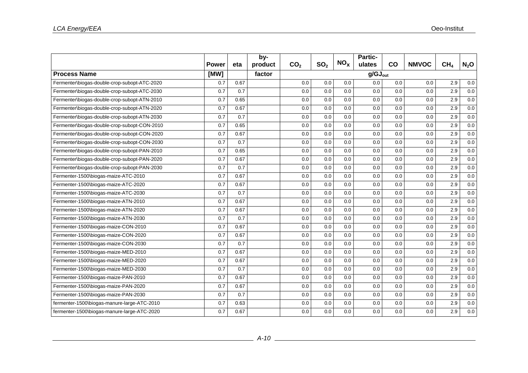|                                              |              |      | by-     |                 |                 |                 | <b>Partic-</b>      |           |              |                 |         |
|----------------------------------------------|--------------|------|---------|-----------------|-----------------|-----------------|---------------------|-----------|--------------|-----------------|---------|
|                                              | <b>Power</b> | eta  | product | CO <sub>2</sub> | SO <sub>2</sub> | NO <sub>x</sub> | ulates              | <b>CO</b> | <b>NMVOC</b> | CH <sub>4</sub> | $N_2$ O |
| <b>Process Name</b>                          | [MW]         |      | factor  |                 |                 |                 | $q/GJ_{\text{out}}$ |           |              |                 |         |
| Fermenter\biogas-double-crop-subopt-ATC-2020 | 0.7          | 0.67 |         | 0.0             | 0.0             | 0.0             | 0.0                 | 0.0       | 0.0          | 2.9             | 0.0     |
| Fermenter\biogas-double-crop-subopt-ATC-2030 | 0.7          | 0.7  |         | 0.0             | 0.0             | 0.0             | 0.0                 | 0.0       | 0.0          | 2.9             | 0.0     |
| Fermenter\biogas-double-crop-subopt-ATN-2010 | 0.7          | 0.65 |         | 0.0             | 0.0             | 0.0             | 0.0                 | 0.0       | 0.0          | 2.9             | 0.0     |
| Fermenter\biogas-double-crop-subopt-ATN-2020 | 0.7          | 0.67 |         | 0.0             | 0.0             | 0.0             | 0.0                 | 0.0       | 0.0          | 2.9             | 0.0     |
| Fermenter\biogas-double-crop-subopt-ATN-2030 | 0.7          | 0.7  |         | 0.0             | 0.0             | 0.0             | 0.0                 | 0.0       | 0.0          | 2.9             | 0.0     |
| Fermenter\biogas-double-crop-subopt-CON-2010 | 0.7          | 0.65 |         | 0.0             | 0.0             | 0.0             | 0.0                 | 0.0       | 0.0          | 2.9             | 0.0     |
| Fermenter\biogas-double-crop-subopt-CON-2020 | 0.7          | 0.67 |         | 0.0             | 0.0             | 0.0             | 0.0                 | 0.0       | 0.0          | 2.9             | 0.0     |
| Fermenter\biogas-double-crop-subopt-CON-2030 | 0.7          | 0.7  |         | 0.0             | 0.0             | 0.0             | 0.0                 | 0.0       | 0.0          | 2.9             | $0.0\,$ |
| Fermenter\biogas-double-crop-subopt-PAN-2010 | 0.7          | 0.65 |         | 0.0             | 0.0             | 0.0             | 0.0                 | 0.0       | 0.0          | 2.9             | 0.0     |
| Fermenter\biogas-double-crop-subopt-PAN-2020 | 0.7          | 0.67 |         | 0.0             | 0.0             | 0.0             | 0.0                 | 0.0       | 0.0          | 2.9             | 0.0     |
| Fermenter\biogas-double-crop-subopt-PAN-2030 | 0.7          | 0.7  |         | 0.0             | 0.0             | 0.0             | 0.0                 | 0.0       | 0.0          | 2.9             | 0.0     |
| Fermenter-1500\biogas-maize-ATC-2010         | 0.7          | 0.67 |         | 0.0             | 0.0             | 0.0             | 0.0                 | 0.0       | 0.0          | 2.9             | 0.0     |
| Fermenter-1500\biogas-maize-ATC-2020         | 0.7          | 0.67 |         | 0.0             | 0.0             | 0.0             | 0.0                 | 0.0       | 0.0          | 2.9             | 0.0     |
| Fermenter-1500\biogas-maize-ATC-2030         | 0.7          | 0.7  |         | 0.0             | 0.0             | 0.0             | 0.0                 | 0.0       | 0.0          | 2.9             | 0.0     |
| Fermenter-1500\biogas-maize-ATN-2010         | 0.7          | 0.67 |         | 0.0             | 0.0             | 0.0             | 0.0                 | 0.0       | 0.0          | 2.9             | 0.0     |
| Fermenter-1500\biogas-maize-ATN-2020         | 0.7          | 0.67 |         | 0.0             | 0.0             | 0.0             | 0.0                 | 0.0       | 0.0          | 2.9             | 0.0     |
| Fermenter-1500\biogas-maize-ATN-2030         | 0.7          | 0.7  |         | 0.0             | 0.0             | 0.0             | 0.0                 | 0.0       | 0.0          | 2.9             | 0.0     |
| Fermenter-1500\biogas-maize-CON-2010         | 0.7          | 0.67 |         | 0.0             | 0.0             | 0.0             | 0.0                 | 0.0       | 0.0          | 2.9             | 0.0     |
| Fermenter-1500\biogas-maize-CON-2020         | 0.7          | 0.67 |         | 0.0             | 0.0             | 0.0             | 0.0                 | 0.0       | 0.0          | 2.9             | 0.0     |
| Fermenter-1500\biogas-maize-CON-2030         | 0.7          | 0.7  |         | 0.0             | 0.0             | 0.0             | 0.0                 | 0.0       | 0.0          | 2.9             | 0.0     |
| Fermenter-1500\biogas-maize-MED-2010         | 0.7          | 0.67 |         | 0.0             | 0.0             | 0.0             | 0.0                 | 0.0       | 0.0          | 2.9             | 0.0     |
| Fermenter-1500\biogas-maize-MED-2020         | 0.7          | 0.67 |         | 0.0             | 0.0             | 0.0             | 0.0                 | 0.0       | 0.0          | 2.9             | 0.0     |
| Fermenter-1500\biogas-maize-MED-2030         | 0.7          | 0.7  |         | 0.0             | 0.0             | 0.0             | 0.0                 | 0.0       | 0.0          | 2.9             | 0.0     |
| Fermenter-1500\biogas-maize-PAN-2010         | 0.7          | 0.67 |         | 0.0             | 0.0             | 0.0             | 0.0                 | 0.0       | 0.0          | 2.9             | 0.0     |
| Fermenter-1500\biogas-maize-PAN-2020         | 0.7          | 0.67 |         | 0.0             | 0.0             | 0.0             | 0.0                 | 0.0       | 0.0          | 2.9             | 0.0     |
| Fermenter-1500\biogas-maize-PAN-2030         | 0.7          | 0.7  |         | 0.0             | 0.0             | 0.0             | 0.0                 | 0.0       | 0.0          | 2.9             | 0.0     |
| fermenter-1500\biogas-manure-large-ATC-2010  | 0.7          | 0.63 |         | 0.0             | 0.0             | 0.0             | 0.0                 | 0.0       | 0.0          | 2.9             | 0.0     |
| fermenter-1500\biogas-manure-large-ATC-2020  | 0.7          | 0.67 |         | 0.0             | 0.0             | 0.0             | 0.0                 | 0.0       | 0.0          | 2.9             | 0.0     |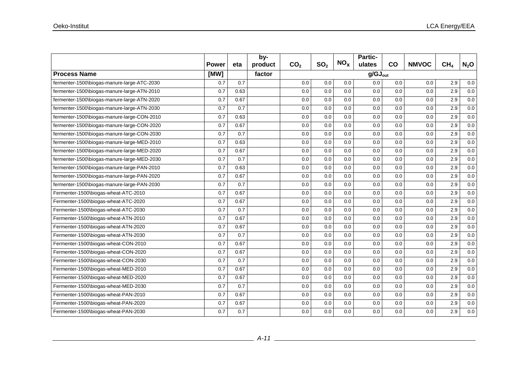|                                             |              |      | by-     |                 |                 |                 | Partic-             |     |              |                 |         |
|---------------------------------------------|--------------|------|---------|-----------------|-----------------|-----------------|---------------------|-----|--------------|-----------------|---------|
|                                             | <b>Power</b> | eta  | product | CO <sub>2</sub> | SO <sub>2</sub> | NO <sub>x</sub> | ulates              | co  | <b>NMVOC</b> | CH <sub>4</sub> | $N_2$ O |
| <b>Process Name</b>                         | [MW]         |      | factor  |                 |                 |                 | $g/GJ_{\text{out}}$ |     |              |                 |         |
| fermenter-1500\biogas-manure-large-ATC-2030 | 0.7          | 0.7  |         | 0.0             | 0.0             | 0.0             | 0.0                 | 0.0 | 0.0          | 2.9             | 0.0     |
| fermenter-1500\biogas-manure-large-ATN-2010 | 0.7          | 0.63 |         | 0.0             | 0.0             | 0.0             | 0.0                 | 0.0 | 0.0          | 2.9             | 0.0     |
| fermenter-1500\biogas-manure-large-ATN-2020 | 0.7          | 0.67 |         | 0.0             | 0.0             | 0.0             | 0.0                 | 0.0 | 0.0          | 2.9             | 0.0     |
| fermenter-1500\biogas-manure-large-ATN-2030 | 0.7          | 0.7  |         | 0.0             | 0.0             | 0.0             | 0.0                 | 0.0 | 0.0          | 2.9             | 0.0     |
| fermenter-1500\biogas-manure-large-CON-2010 | 0.7          | 0.63 |         | 0.0             | 0.0             | 0.0             | 0.0                 | 0.0 | 0.0          | 2.9             | 0.0     |
| fermenter-1500\biogas-manure-large-CON-2020 | 0.7          | 0.67 |         | 0.0             | 0.0             | 0.0             | 0.0                 | 0.0 | 0.0          | 2.9             | 0.0     |
| fermenter-1500\biogas-manure-large-CON-2030 | 0.7          | 0.7  |         | 0.0             | 0.0             | 0.0             | 0.0                 | 0.0 | 0.0          | 2.9             | 0.0     |
| fermenter-1500\biogas-manure-large-MED-2010 | 0.7          | 0.63 |         | 0.0             | 0.0             | 0.0             | 0.0                 | 0.0 | 0.0          | 2.9             | 0.0     |
| fermenter-1500\biogas-manure-large-MED-2020 | 0.7          | 0.67 |         | 0.0             | 0.0             | 0.0             | 0.0                 | 0.0 | 0.0          | 2.9             | 0.0     |
| fermenter-1500\biogas-manure-large-MED-2030 | 0.7          | 0.7  |         | 0.0             | 0.0             | 0.0             | 0.0                 | 0.0 | 0.0          | 2.9             | 0.0     |
| fermenter-1500\biogas-manure-large-PAN-2010 | 0.7          | 0.63 |         | 0.0             | 0.0             | 0.0             | 0.0                 | 0.0 | 0.0          | 2.9             | 0.0     |
| fermenter-1500\biogas-manure-large-PAN-2020 | 0.7          | 0.67 |         | 0.0             | 0.0             | 0.0             | 0.0                 | 0.0 | 0.0          | 2.9             | 0.0     |
| fermenter-1500\biogas-manure-large-PAN-2030 | 0.7          | 0.7  |         | 0.0             | 0.0             | 0.0             | 0.0                 | 0.0 | 0.0          | 2.9             | 0.0     |
| Fermenter-1500\biogas-wheat-ATC-2010        | 0.7          | 0.67 |         | 0.0             | 0.0             | 0.0             | 0.0                 | 0.0 | 0.0          | 2.9             | 0.0     |
| Fermenter-1500\biogas-wheat-ATC-2020        | 0.7          | 0.67 |         | 0.0             | 0.0             | 0.0             | 0.0                 | 0.0 | 0.0          | 2.9             | 0.0     |
| Fermenter-1500\biogas-wheat-ATC-2030        | 0.7          | 0.7  |         | 0.0             | 0.0             | 0.0             | 0.0                 | 0.0 | 0.0          | 2.9             | 0.0     |
| Fermenter-1500\biogas-wheat-ATN-2010        | 0.7          | 0.67 |         | 0.0             | 0.0             | 0.0             | 0.0                 | 0.0 | 0.0          | 2.9             | 0.0     |
| Fermenter-1500\biogas-wheat-ATN-2020        | 0.7          | 0.67 |         | 0.0             | 0.0             | 0.0             | 0.0                 | 0.0 | 0.0          | 2.9             | 0.0     |
| Fermenter-1500\biogas-wheat-ATN-2030        | 0.7          | 0.7  |         | 0.0             | 0.0             | 0.0             | 0.0                 | 0.0 | 0.0          | 2.9             | 0.0     |
| Fermenter-1500\biogas-wheat-CON-2010        | 0.7          | 0.67 |         | 0.0             | 0.0             | 0.0             | 0.0                 | 0.0 | 0.0          | 2.9             | 0.0     |
| Fermenter-1500\biogas-wheat-CON-2020        | 0.7          | 0.67 |         | 0.0             | 0.0             | 0.0             | 0.0                 | 0.0 | 0.0          | 2.9             | 0.0     |
| Fermenter-1500\biogas-wheat-CON-2030        | 0.7          | 0.7  |         | 0.0             | 0.0             | 0.0             | 0.0                 | 0.0 | 0.0          | 2.9             | 0.0     |
| Fermenter-1500\biogas-wheat-MED-2010        | 0.7          | 0.67 |         | 0.0             | 0.0             | 0.0             | 0.0                 | 0.0 | 0.0          | 2.9             | 0.0     |
| Fermenter-1500\biogas-wheat-MED-2020        | 0.7          | 0.67 |         | 0.0             | 0.0             | 0.0             | 0.0                 | 0.0 | 0.0          | 2.9             | 0.0     |
| Fermenter-1500\biogas-wheat-MED-2030        | 0.7          | 0.7  |         | 0.0             | 0.0             | 0.0             | 0.0                 | 0.0 | 0.0          | 2.9             | 0.0     |
| Fermenter-1500\biogas-wheat-PAN-2010        | 0.7          | 0.67 |         | 0.0             | 0.0             | 0.0             | 0.0                 | 0.0 | 0.0          | 2.9             | 0.0     |
| Fermenter-1500\biogas-wheat-PAN-2020        | 0.7          | 0.67 |         | 0.0             | 0.0             | 0.0             | 0.0                 | 0.0 | 0.0          | 2.9             | 0.0     |
| Fermenter-1500\biogas-wheat-PAN-2030        | 0.7          | 0.7  |         | 0.0             | 0.0             | 0.0             | 0.0                 | 0.0 | 0.0          | 2.9             | 0.0     |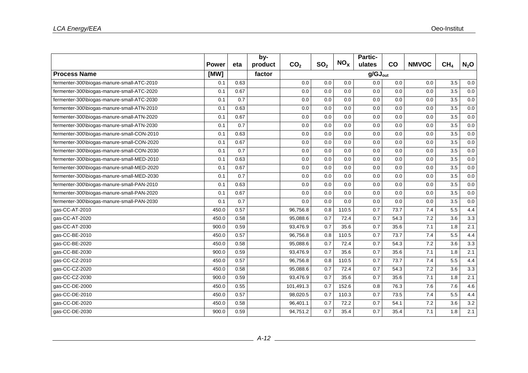|                                            |       |      | by-     |                 |                 |                 | Partic-             |      |              |                 |         |
|--------------------------------------------|-------|------|---------|-----------------|-----------------|-----------------|---------------------|------|--------------|-----------------|---------|
|                                            | Power | eta  | product | CO <sub>2</sub> | SO <sub>2</sub> | NO <sub>x</sub> | ulates              | CO   | <b>NMVOC</b> | CH <sub>4</sub> | $N_2$ O |
| <b>Process Name</b>                        | [MW]  |      | factor  |                 |                 |                 | $g/GJ_{\text{out}}$ |      |              |                 |         |
| fermenter-300\biogas-manure-small-ATC-2010 | 0.1   | 0.63 |         | 0.0             | 0.0             | 0.0             | 0.0                 | 0.0  | 0.0          | 3.5             | 0.0     |
| fermenter-300\biogas-manure-small-ATC-2020 | 0.1   | 0.67 |         | 0.0             | 0.0             | 0.0             | 0.0                 | 0.0  | 0.0          | 3.5             | 0.0     |
| fermenter-300\biogas-manure-small-ATC-2030 | 0.1   | 0.7  |         | 0.0             | 0.0             | 0.0             | 0.0                 | 0.0  | 0.0          | 3.5             | 0.0     |
| fermenter-300\biogas-manure-small-ATN-2010 | 0.1   | 0.63 |         | 0.0             | 0.0             | 0.0             | 0.0                 | 0.0  | 0.0          | 3.5             | 0.0     |
| fermenter-300\biogas-manure-small-ATN-2020 | 0.1   | 0.67 |         | 0.0             | 0.0             | 0.0             | 0.0                 | 0.0  | 0.0          | 3.5             | 0.0     |
| fermenter-300\biogas-manure-small-ATN-2030 | 0.1   | 0.7  |         | 0.0             | 0.0             | 0.0             | 0.0                 | 0.0  | 0.0          | 3.5             | 0.0     |
| fermenter-300\biogas-manure-small-CON-2010 | 0.1   | 0.63 |         | 0.0             | 0.0             | 0.0             | 0.0                 | 0.0  | 0.0          | 3.5             | 0.0     |
| fermenter-300\biogas-manure-small-CON-2020 | 0.1   | 0.67 |         | 0.0             | 0.0             | 0.0             | 0.0                 | 0.0  | 0.0          | 3.5             | 0.0     |
| fermenter-300\biogas-manure-small-CON-2030 | 0.1   | 0.7  |         | 0.0             | 0.0             | 0.0             | 0.0                 | 0.0  | 0.0          | 3.5             | 0.0     |
| fermenter-300\biogas-manure-small-MED-2010 | 0.1   | 0.63 |         | 0.0             | 0.0             | 0.0             | 0.0                 | 0.0  | 0.0          | 3.5             | 0.0     |
| fermenter-300\biogas-manure-small-MED-2020 | 0.1   | 0.67 |         | 0.0             | 0.0             | 0.0             | 0.0                 | 0.0  | 0.0          | 3.5             | 0.0     |
| fermenter-300\biogas-manure-small-MED-2030 | 0.1   | 0.7  |         | 0.0             | 0.0             | 0.0             | 0.0                 | 0.0  | 0.0          | 3.5             | 0.0     |
| fermenter-300\biogas-manure-small-PAN-2010 | 0.1   | 0.63 |         | 0.0             | 0.0             | 0.0             | 0.0                 | 0.0  | 0.0          | 3.5             | 0.0     |
| fermenter-300\biogas-manure-small-PAN-2020 | 0.1   | 0.67 |         | 0.0             | 0.0             | 0.0             | 0.0                 | 0.0  | 0.0          | 3.5             | 0.0     |
| fermenter-300\biogas-manure-small-PAN-2030 | 0.1   | 0.7  |         | 0.0             | 0.0             | 0.0             | 0.0                 | 0.0  | 0.0          | 3.5             | 0.0     |
| gas-CC-AT-2010                             | 450.0 | 0.57 |         | 96,756.8        | 0.8             | 110.5           | 0.7                 | 73.7 | 7.4          | 5.5             | 4.4     |
| gas-CC-AT-2020                             | 450.0 | 0.58 |         | 95,088.6        | 0.7             | 72.4            | 0.7                 | 54.3 | 7.2          | 3.6             | 3.3     |
| qas-CC-AT-2030                             | 900.0 | 0.59 |         | 93,476.9        | 0.7             | 35.6            | 0.7                 | 35.6 | 7.1          | 1.8             | 2.1     |
| gas-CC-BE-2010                             | 450.0 | 0.57 |         | 96,756.8        | 0.8             | 110.5           | 0.7                 | 73.7 | 7.4          | 5.5             | 4.4     |
| gas-CC-BE-2020                             | 450.0 | 0.58 |         | 95,088.6        | 0.7             | 72.4            | 0.7                 | 54.3 | 7.2          | 3.6             | 3.3     |
| gas-CC-BE-2030                             | 900.0 | 0.59 |         | 93,476.9        | 0.7             | 35.6            | 0.7                 | 35.6 | 7.1          | 1.8             | 2.1     |
| gas-CC-CZ-2010                             | 450.0 | 0.57 |         | 96,756.8        | 0.8             | 110.5           | 0.7                 | 73.7 | 7.4          | 5.5             | 4.4     |
| qas-CC-CZ-2020                             | 450.0 | 0.58 |         | 95,088.6        | 0.7             | 72.4            | 0.7                 | 54.3 | 7.2          | 3.6             | 3.3     |
| gas-CC-CZ-2030                             | 900.0 | 0.59 |         | 93,476.9        | 0.7             | 35.6            | 0.7                 | 35.6 | 7.1          | 1.8             | 2.1     |
| gas-CC-DE-2000                             | 450.0 | 0.55 |         | 101,491.3       | 0.7             | 152.6           | 0.8                 | 76.3 | 7.6          | 7.6             | 4.6     |
| gas-CC-DE-2010                             | 450.0 | 0.57 |         | 98,020.5        | 0.7             | 110.3           | 0.7                 | 73.5 | 7.4          | 5.5             | 4.4     |
| gas-CC-DE-2020                             | 450.0 | 0.58 |         | 96,401.1        | 0.7             | 72.2            | 0.7                 | 54.1 | 7.2          | 3.6             | 3.2     |
| gas-CC-DE-2030                             | 900.0 | 0.59 |         | 94,751.2        | 0.7             | 35.4            | 0.7                 | 35.4 | 7.1          | 1.8             | 2.1     |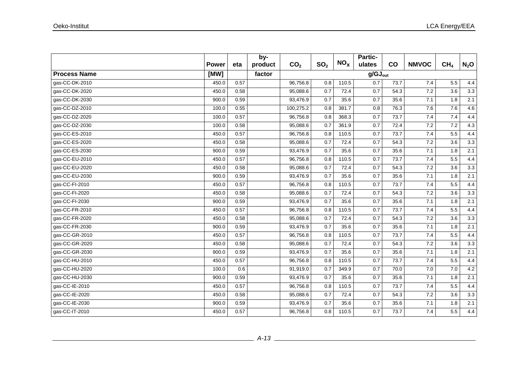|                     |              |      | by-     |                 |                 | NO <sub>x</sub> | Partic-             |           |              |                 |         |
|---------------------|--------------|------|---------|-----------------|-----------------|-----------------|---------------------|-----------|--------------|-----------------|---------|
|                     | <b>Power</b> | eta  | product | CO <sub>2</sub> | SO <sub>2</sub> |                 | ulates              | <b>CO</b> | <b>NMVOC</b> | CH <sub>4</sub> | $N_2$ O |
| <b>Process Name</b> | [MW]         |      | factor  |                 |                 |                 | $g/GJ_{\text{out}}$ |           |              |                 |         |
| gas-CC-DK-2010      | 450.0        | 0.57 |         | 96,756.8        | 0.8             | 110.5           | 0.7                 | 73.7      | 7.4          | 5.5             | 4.4     |
| gas-CC-DK-2020      | 450.0        | 0.58 |         | 95,088.6        | 0.7             | 72.4            | 0.7                 | 54.3      | 7.2          | 3.6             | 3.3     |
| gas-CC-DK-2030      | 900.0        | 0.59 |         | 93,476.9        | 0.7             | 35.6            | 0.7                 | 35.6      | 7.1          | 1.8             | 2.1     |
| gas-CC-DZ-2010      | 100.0        | 0.55 |         | 100,275.2       | 0.8             | 381.7           | 0.8                 | 76.3      | 7.6          | 7.6             | 4.6     |
| gas-CC-DZ-2020      | 100.0        | 0.57 |         | 96,756.8        | 0.8             | 368.3           | 0.7                 | 73.7      | 7.4          | 7.4             | 4.4     |
| gas-CC-DZ-2030      | 100.0        | 0.58 |         | 95,088.6        | 0.7             | 361.9           | 0.7                 | 72.4      | 7.2          | 7.2             | 4.3     |
| qas-CC-ES-2010      | 450.0        | 0.57 |         | 96,756.8        | 0.8             | 110.5           | 0.7                 | 73.7      | 7.4          | 5.5             | 4.4     |
| gas-CC-ES-2020      | 450.0        | 0.58 |         | 95,088.6        | 0.7             | 72.4            | 0.7                 | 54.3      | 7.2          | 3.6             | 3.3     |
| gas-CC-ES-2030      | 900.0        | 0.59 |         | 93,476.9        | 0.7             | 35.6            | 0.7                 | 35.6      | 7.1          | 1.8             | 2.1     |
| gas-CC-EU-2010      | 450.0        | 0.57 |         | 96,756.8        | 0.8             | 110.5           | 0.7                 | 73.7      | 7.4          | 5.5             | 4.4     |
| gas-CC-EU-2020      | 450.0        | 0.58 |         | 95,088.6        | 0.7             | 72.4            | 0.7                 | 54.3      | 7.2          | 3.6             | 3.3     |
| gas-CC-EU-2030      | 900.0        | 0.59 |         | 93,476.9        | 0.7             | 35.6            | 0.7                 | 35.6      | 7.1          | 1.8             | 2.1     |
| gas-CC-FI-2010      | 450.0        | 0.57 |         | 96,756.8        | 0.8             | 110.5           | 0.7                 | 73.7      | 7.4          | 5.5             | 4.4     |
| gas-CC-FI-2020      | 450.0        | 0.58 |         | 95,088.6        | 0.7             | 72.4            | 0.7                 | 54.3      | 7.2          | 3.6             | 3.3     |
| qas-CC-FI-2030      | 900.0        | 0.59 |         | 93.476.9        | 0.7             | 35.6            | 0.7                 | 35.6      | 7.1          | 1.8             | 2.1     |
| gas-CC-FR-2010      | 450.0        | 0.57 |         | 96,756.8        | 0.8             | 110.5           | 0.7                 | 73.7      | 7.4          | 5.5             | 4.4     |
| gas-CC-FR-2020      | 450.0        | 0.58 |         | 95,088.6        | 0.7             | 72.4            | 0.7                 | 54.3      | 7.2          | 3.6             | 3.3     |
| gas-CC-FR-2030      | 900.0        | 0.59 |         | 93,476.9        | 0.7             | 35.6            | 0.7                 | 35.6      | 7.1          | 1.8             | 2.1     |
| gas-CC-GR-2010      | 450.0        | 0.57 |         | 96,756.8        | 0.8             | 110.5           | 0.7                 | 73.7      | 7.4          | 5.5             | 4.4     |
| gas-CC-GR-2020      | 450.0        | 0.58 |         | 95,088.6        | 0.7             | 72.4            | 0.7                 | 54.3      | 7.2          | 3.6             | 3.3     |
| gas-CC-GR-2030      | 900.0        | 0.59 |         | 93,476.9        | 0.7             | 35.6            | 0.7                 | 35.6      | 7.1          | 1.8             | 2.1     |
| gas-CC-HU-2010      | 450.0        | 0.57 |         | 96,756.8        | 0.8             | 110.5           | 0.7                 | 73.7      | 7.4          | 5.5             | 4.4     |
| gas-CC-HU-2020      | 100.0        | 0.6  |         | 91,919.0        | 0.7             | 349.9           | 0.7                 | 70.0      | 7.0          | 7.0             | 4.2     |
| gas-CC-HU-2030      | 900.0        | 0.59 |         | 93,476.9        | 0.7             | 35.6            | 0.7                 | 35.6      | 7.1          | 1.8             | 2.1     |
| gas-CC-IE-2010      | 450.0        | 0.57 |         | 96,756.8        | 0.8             | 110.5           | 0.7                 | 73.7      | 7.4          | 5.5             | 4.4     |
| gas-CC-IE-2020      | 450.0        | 0.58 |         | 95,088.6        | 0.7             | 72.4            | 0.7                 | 54.3      | 7.2          | 3.6             | 3.3     |
| gas-CC-IE-2030      | 900.0        | 0.59 |         | 93,476.9        | 0.7             | 35.6            | 0.7                 | 35.6      | 7.1          | 1.8             | 2.1     |
| gas-CC-IT-2010      | 450.0        | 0.57 |         | 96,756.8        | 0.8             | 110.5           | 0.7                 | 73.7      | 7.4          | 5.5             | 4.4     |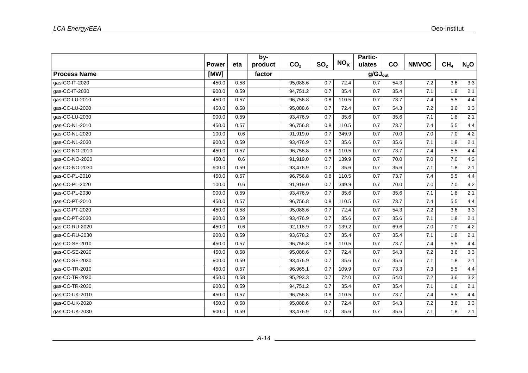|                     |              |      | by-     |                       |                 |                 | Partic-             |      |              |                 |         |
|---------------------|--------------|------|---------|-----------------------|-----------------|-----------------|---------------------|------|--------------|-----------------|---------|
|                     | <b>Power</b> | eta  | product | CO <sub>2</sub>       | SO <sub>2</sub> | NO <sub>x</sub> | ulates              | co   | <b>NMVOC</b> | CH <sub>4</sub> | $N_2$ O |
| <b>Process Name</b> | [MW]         |      | factor  |                       |                 |                 | $g/GJ_{\text{out}}$ |      |              |                 |         |
| gas-CC-IT-2020      | 450.0        | 0.58 |         | 95,088.6              | 0.7             | 72.4            | 0.7                 | 54.3 | 7.2          | 3.6             | 3.3     |
| gas-CC-IT-2030      | 900.0        | 0.59 |         | 94,751.2              | 0.7             | 35.4            | 0.7                 | 35.4 | 7.1          | 1.8             | 2.1     |
| gas-CC-LU-2010      | 450.0        | 0.57 |         | 96,756.8              | 0.8             | 110.5           | 0.7                 | 73.7 | 7.4          | 5.5             | 4.4     |
| gas-CC-LU-2020      | 450.0        | 0.58 |         | 95,088.6              | 0.7             | 72.4            | 0.7                 | 54.3 | $7.2\,$      | 3.6             | 3.3     |
| gas-CC-LU-2030      | 900.0        | 0.59 |         | 93,476.9              | 0.7             | 35.6            | 0.7                 | 35.6 | 7.1          | 1.8             | 2.1     |
| gas-CC-NL-2010      | 450.0        | 0.57 |         | 96,756.8              | 0.8             | 110.5           | 0.7                 | 73.7 | 7.4          | 5.5             | 4.4     |
| gas-CC-NL-2020      | 100.0        | 0.6  |         | 91,919.0              | 0.7             | 349.9           | 0.7                 | 70.0 | $7.0$        | 7.0             | 4.2     |
| gas-CC-NL-2030      | 900.0        | 0.59 |         | 93,476.9              | 0.7             | 35.6            | 0.7                 | 35.6 | 7.1          | 1.8             | 2.1     |
| gas-CC-NO-2010      | 450.0        | 0.57 |         | 96,756.8              | 0.8             | 110.5           | 0.7                 | 73.7 | 7.4          | 5.5             | 4.4     |
| gas-CC-NO-2020      | 450.0        | 0.6  |         | 91,919.0              | 0.7             | 139.9           | 0.7                 | 70.0 | 7.0          | 7.0             | 4.2     |
| gas-CC-NO-2030      | 900.0        | 0.59 |         | 93,476.9              | 0.7             | 35.6            | 0.7                 | 35.6 | 7.1          | 1.8             | 2.1     |
| gas-CC-PL-2010      | 450.0        | 0.57 |         | 96,756.8              | 0.8             | 110.5           | 0.7                 | 73.7 | 7.4          | 5.5             | 4.4     |
| gas-CC-PL-2020      | 100.0        | 0.6  |         | 91,919.0              | 0.7             | 349.9           | 0.7                 | 70.0 | 7.0          | 7.0             | 4.2     |
| gas-CC-PL-2030      | 900.0        | 0.59 |         | 93,476.9              | 0.7             | 35.6            | 0.7                 | 35.6 | 7.1          | 1.8             | 2.1     |
| gas-CC-PT-2010      | 450.0        | 0.57 |         | 96,756.8              | 0.8             | 110.5           | 0.7                 | 73.7 | 7.4          | 5.5             | 4.4     |
| gas-CC-PT-2020      | 450.0        | 0.58 |         | 95,088.6              | 0.7             | 72.4            | 0.7                 | 54.3 | 7.2          | 3.6             | 3.3     |
| gas-CC-PT-2030      | 900.0        | 0.59 |         | 93,476.9              | 0.7             | 35.6            | 0.7                 | 35.6 | 7.1          | 1.8             | 2.1     |
| gas-CC-RU-2020      | 450.0        | 0.6  |         | 92,116.9              | 0.7             | 139.2           | 0.7                 | 69.6 | 7.0          | 7.0             | 4.2     |
| gas-CC-RU-2030      | 900.0        | 0.59 |         | 93,678.2              | 0.7             | 35.4            | 0.7                 | 35.4 | 7.1          | 1.8             | 2.1     |
| gas-CC-SE-2010      | 450.0        | 0.57 |         | 96,756.8              | 0.8             | 110.5           | 0.7                 | 73.7 | 7.4          | 5.5             | 4.4     |
| gas-CC-SE-2020      | 450.0        | 0.58 |         | 95,088.6              | 0.7             | 72.4            | 0.7                 | 54.3 | 7.2          | 3.6             | 3.3     |
| qas-CC-SE-2030      | 900.0        | 0.59 |         | 93,476.9              | 0.7             | 35.6            | 0.7                 | 35.6 | 7.1          | 1.8             | 2.1     |
| gas-CC-TR-2010      | 450.0        | 0.57 |         | 96,965.1              | 0.7             | 109.9           | 0.7                 | 73.3 | 7.3          | 5.5             | 4.4     |
| gas-CC-TR-2020      | 450.0        | 0.58 |         | 95,293.3              | 0.7             | 72.0            | 0.7                 | 54.0 | 7.2          | 3.6             | 3.2     |
| gas-CC-TR-2030      | 900.0        | 0.59 |         | 94,751.2              | 0.7             | 35.4            | 0.7                 | 35.4 | 7.1          | 1.8             | 2.1     |
| gas-CC-UK-2010      | 450.0        | 0.57 |         | 96,756.8              | 0.8             | 110.5           | 0.7                 | 73.7 | 7.4          | 5.5             | 4.4     |
| gas-CC-UK-2020      | 450.0        | 0.58 |         | 95,088.6              | 0.7             | 72.4            | 0.7                 | 54.3 | 7.2          | 3.6             | 3.3     |
| gas-CC-UK-2030      | 900.0        | 0.59 |         | $\overline{93,476.9}$ | 0.7             | 35.6            | 0.7                 | 35.6 | 7.1          | 1.8             | 2.1     |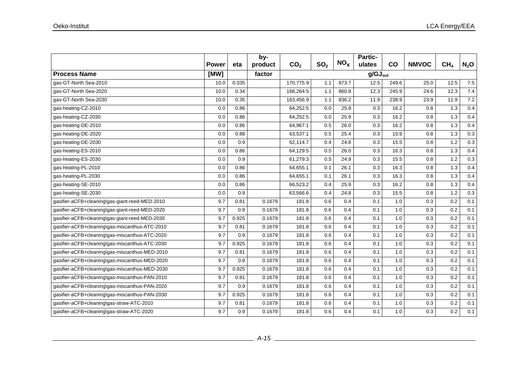|                                                |              |       | by-     |                 |                 |                     | Partic- |       |              |                 |         |
|------------------------------------------------|--------------|-------|---------|-----------------|-----------------|---------------------|---------|-------|--------------|-----------------|---------|
|                                                | <b>Power</b> | eta   | product | CO <sub>2</sub> | SO <sub>2</sub> | $NO_{x}$            | ulates  | co    | <b>NMVOC</b> | CH <sub>4</sub> | $N_2$ O |
| <b>Process Name</b>                            | [MW]         |       | factor  |                 |                 | $g/GJ_{\text{out}}$ |         |       |              |                 |         |
| gas-GT-North Sea-2010                          | 10.0         | 0.335 |         | 170,775.9       | 1.1             | 873.7               | 12.5    | 249.6 | 25.0         | 12.5            | 7.5     |
| qas-GT-North Sea-2020                          | 10.0         | 0.34  |         | 168,264.5       | 1.1             | 860.8               | 12.3    | 245.9 | 24.6         | 12.3            | 7.4     |
| gas-GT-North Sea-2030                          | 10.0         | 0.35  |         | 163,456.9       | 1.1             | 836.2               | 11.9    | 238.9 | 23.9         | 11.9            | 7.2     |
| gas-heating-CZ-2010                            | 0.0          | 0.86  |         | 64,252.5        | 0.0             | 25.9                | 0.3     | 16.2  | 0.8          | 1.3             | 0.4     |
| gas-heating-CZ-2030                            | 0.0          | 0.86  |         | 64,252.5        | 0.0             | 25.9                | 0.3     | 16.2  | 0.8          | 1.3             | 0.4     |
| gas-heating-DE-2010                            | 0.0          | 0.86  |         | 64,967.1        | 0.5             | 26.0                | 0.3     | 16.2  | 0.8          | 1.3             | 0.4     |
| gas-heating-DE-2020                            | 0.0          | 0.88  |         | 63,537.1        | 0.5             | 25.4                | 0.3     | 15.9  | 0.8          | 1.3             | 0.3     |
| gas-heating-DE-2030                            | 0.0          | 0.9   |         | 62,114.7        | 0.4             | 24.8                | 0.3     | 15.5  | 0.8          | 1.2             | 0.3     |
| gas-heating-ES-2010                            | 0.0          | 0.86  |         | 64,129.5        | 0.5             | 26.0                | 0.3     | 16.3  | 0.8          | 1.3             | 0.4     |
| gas-heating-ES-2030                            | 0.0          | 0.9   |         | 61,279.3        | 0.5             | 24.9                | 0.3     | 15.5  | 0.8          | 1.2             | 0.3     |
| gas-heating-PL-2010                            | 0.0          | 0.86  |         | 64,655.1        | 0.1             | 26.1                | 0.3     | 16.3  | 0.8          | 1.3             | 0.4     |
| gas-heating-PL-2030                            | 0.0          | 0.86  |         | 64,655.1        | 0.1             | 26.1                | 0.3     | 16.3  | 0.8          | 1.3             | 0.4     |
| gas-heating-SE-2010                            | 0.0          | 0.86  |         | 66,523.2        | 0.4             | 25.9                | 0.3     | 16.2  | 0.8          | 1.3             | 0.4     |
| gas-heating-SE-2030                            | 0.0          | 0.9   |         | 63,566.6        | 0.4             | 24.8                | 0.3     | 15.5  | 0.8          | $1.2$           | 0.3     |
| gasifier-aCFB+cleaning\gas-giant-reed-MED-2010 | 9.7          | 0.81  | 0.1679  | 181.8           | 0.6             | 0.4                 | 0.1     | 1.0   | 0.3          | 0.2             | 0.1     |
| gasifier-aCFB+cleaning\gas-giant-reed-MED-2020 | 9.7          | 0.9   | 0.1679  | 181.8           | 0.6             | 0.4                 | 0.1     | 1.0   | 0.3          | 0.2             | 0.1     |
| gasifier-aCFB+cleaning\gas-giant-reed-MED-2030 | 9.7          | 0.925 | 0.1679  | 181.8           | 0.6             | 0.4                 | 0.1     | 1.0   | 0.3          | 0.2             | 0.1     |
| gasifier-aCFB+cleaning\gas-miscanthus-ATC-2010 | 9.7          | 0.81  | 0.1679  | 181.8           | 0.6             | 0.4                 | 0.1     | 1.0   | 0.3          | 0.2             | 0.1     |
| gasifier-aCFB+cleaning\gas-miscanthus-ATC-2020 | 9.7          | 0.9   | 0.1679  | 181.8           | 0.6             | 0.4                 | 0.1     | 1.0   | 0.3          | 0.2             | 0.1     |
| gasifier-aCFB+cleaning\gas-miscanthus-ATC-2030 | 9.7          | 0.925 | 0.1679  | 181.8           | 0.6             | 0.4                 | 0.1     | 1.0   | 0.3          | 0.2             | 0.1     |
| gasifier-aCFB+cleaning\gas-miscanthus-MED-2010 | 9.7          | 0.81  | 0.1679  | 181.8           | 0.6             | 0.4                 | 0.1     | 1.0   | 0.3          | 0.2             | 0.1     |
| gasifier-aCFB+cleaning\gas-miscanthus-MED-2020 | 9.7          | 0.9   | 0.1679  | 181.8           | 0.6             | 0.4                 | 0.1     | 1.0   | 0.3          | 0.2             | 0.1     |
| gasifier-aCFB+cleaning\gas-miscanthus-MED-2030 | 9.7          | 0.925 | 0.1679  | 181.8           | 0.6             | 0.4                 | 0.1     | 1.0   | 0.3          | 0.2             | 0.1     |
| gasifier-aCFB+cleaning\gas-miscanthus-PAN-2010 | 9.7          | 0.81  | 0.1679  | 181.8           | 0.6             | 0.4                 | 0.1     | 1.0   | 0.3          | 0.2             | 0.1     |
| gasifier-aCFB+cleaning\gas-miscanthus-PAN-2020 | 9.7          | 0.9   | 0.1679  | 181.8           | 0.6             | 0.4                 | 0.1     | 1.0   | 0.3          | 0.2             | 0.1     |
| gasifier-aCFB+cleaning\gas-miscanthus-PAN-2030 | 9.7          | 0.925 | 0.1679  | 181.8           | 0.6             | 0.4                 | 0.1     | 1.0   | 0.3          | 0.2             | 0.1     |
| gasifier-aCFB+cleaning\gas-straw-ATC-2010      | 9.7          | 0.81  | 0.1679  | 181.8           | 0.6             | 0.4                 | 0.1     | 1.0   | 0.3          | 0.2             | 0.1     |
| gasifier-aCFB+cleaning\gas-straw-ATC-2020      | 9.7          | 0.9   | 0.1679  | 181.8           | 0.6             | 0.4                 | 0.1     | 1.0   | 0.3          | 0.2             | 0.1     |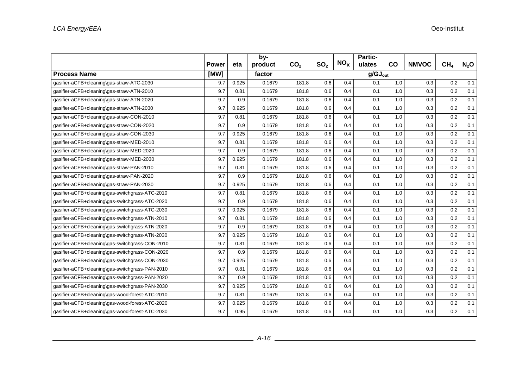|                                                 |              |       | by-     |                 |                 | $NO_{x}$ | <b>Partic-</b> |                     |              |                 |                  |  |  |
|-------------------------------------------------|--------------|-------|---------|-----------------|-----------------|----------|----------------|---------------------|--------------|-----------------|------------------|--|--|
|                                                 | <b>Power</b> | eta   | product | CO <sub>2</sub> | SO <sub>2</sub> |          | ulates         | CO                  | <b>NMVOC</b> | CH <sub>4</sub> | N <sub>2</sub> O |  |  |
| <b>Process Name</b>                             | [MW]         |       | factor  |                 |                 |          |                | $g/GJ_{\text{out}}$ |              |                 |                  |  |  |
| gasifier-aCFB+cleaning\gas-straw-ATC-2030       | 9.7          | 0.925 | 0.1679  | 181.8           | 0.6             | 0.4      | 0.1            | 1.0                 | 0.3          | 0.2             | 0.1              |  |  |
| gasifier-aCFB+cleaning\gas-straw-ATN-2010       | 9.7          | 0.81  | 0.1679  | 181.8           | 0.6             | 0.4      | 0.1            | 1.0                 | 0.3          | 0.2             | 0.1              |  |  |
| gasifier-aCFB+cleaning\gas-straw-ATN-2020       | 9.7          | 0.9   | 0.1679  | 181.8           | 0.6             | 0.4      | 0.1            | 1.0                 | 0.3          | 0.2             | 0.1              |  |  |
| gasifier-aCFB+cleaning\gas-straw-ATN-2030       | 9.7          | 0.925 | 0.1679  | 181.8           | 0.6             | 0.4      | 0.1            | 1.0                 | 0.3          | 0.2             | 0.1              |  |  |
| gasifier-aCFB+cleaning\gas-straw-CON-2010       | 9.7          | 0.81  | 0.1679  | 181.8           | 0.6             | 0.4      | 0.1            | 1.0                 | 0.3          | 0.2             | 0.1              |  |  |
| gasifier-aCFB+cleaning\gas-straw-CON-2020       | 9.7          | 0.9   | 0.1679  | 181.8           | 0.6             | 0.4      | 0.1            | 1.0                 | 0.3          | 0.2             | 0.1              |  |  |
| gasifier-aCFB+cleaning\gas-straw-CON-2030       | 9.7          | 0.925 | 0.1679  | 181.8           | 0.6             | 0.4      | 0.1            | 1.0                 | 0.3          | 0.2             | 0.1              |  |  |
| gasifier-aCFB+cleaning\gas-straw-MED-2010       | 9.7          | 0.81  | 0.1679  | 181.8           | 0.6             | 0.4      | 0.1            | 1.0                 | 0.3          | 0.2             | 0.1              |  |  |
| gasifier-aCFB+cleaning\gas-straw-MED-2020       | 9.7          | 0.9   | 0.1679  | 181.8           | 0.6             | 0.4      | 0.1            | 1.0                 | 0.3          | 0.2             | 0.1              |  |  |
| gasifier-aCFB+cleaning\gas-straw-MED-2030       | 9.7          | 0.925 | 0.1679  | 181.8           | 0.6             | 0.4      | 0.1            | 1.0                 | 0.3          | 0.2             | 0.1              |  |  |
| gasifier-aCFB+cleaning\gas-straw-PAN-2010       | 9.7          | 0.81  | 0.1679  | 181.8           | 0.6             | 0.4      | 0.1            | 1.0                 | 0.3          | 0.2             | 0.1              |  |  |
| gasifier-aCFB+cleaning\gas-straw-PAN-2020       | 9.7          | 0.9   | 0.1679  | 181.8           | 0.6             | 0.4      | 0.1            | 1.0                 | 0.3          | 0.2             | 0.1              |  |  |
| gasifier-aCFB+cleaning\gas-straw-PAN-2030       | 9.7          | 0.925 | 0.1679  | 181.8           | 0.6             | 0.4      | 0.1            | 1.0                 | 0.3          | 0.2             | 0.1              |  |  |
| gasifier-aCFB+cleaning\gas-switchgrass-ATC-2010 | 9.7          | 0.81  | 0.1679  | 181.8           | 0.6             | 0.4      | 0.1            | 1.0                 | 0.3          | 0.2             | 0.1              |  |  |
| gasifier-aCFB+cleaning\gas-switchgrass-ATC-2020 | 9.7          | 0.9   | 0.1679  | 181.8           | 0.6             | 0.4      | 0.1            | 1.0                 | 0.3          | 0.2             | 0.1              |  |  |
| gasifier-aCFB+cleaning\gas-switchgrass-ATC-2030 | 9.7          | 0.925 | 0.1679  | 181.8           | 0.6             | 0.4      | 0.1            | 1.0                 | 0.3          | 0.2             | 0.1              |  |  |
| gasifier-aCFB+cleaning\gas-switchgrass-ATN-2010 | 9.7          | 0.81  | 0.1679  | 181.8           | 0.6             | 0.4      | 0.1            | 1.0                 | 0.3          | 0.2             | 0.1              |  |  |
| gasifier-aCFB+cleaning\gas-switchgrass-ATN-2020 | 9.7          | 0.9   | 0.1679  | 181.8           | 0.6             | 0.4      | 0.1            | 1.0                 | 0.3          | 0.2             | 0.1              |  |  |
| gasifier-aCFB+cleaning\gas-switchgrass-ATN-2030 | 9.7          | 0.925 | 0.1679  | 181.8           | 0.6             | 0.4      | 0.1            | 1.0                 | 0.3          | 0.2             | 0.1              |  |  |
| gasifier-aCFB+cleaning\gas-switchgrass-CON-2010 | 9.7          | 0.81  | 0.1679  | 181.8           | 0.6             | 0.4      | 0.1            | 1.0                 | 0.3          | 0.2             | 0.1              |  |  |
| gasifier-aCFB+cleaning\gas-switchgrass-CON-2020 | 9.7          | 0.9   | 0.1679  | 181.8           | 0.6             | 0.4      | 0.1            | 1.0                 | 0.3          | 0.2             | 0.1              |  |  |
| gasifier-aCFB+cleaning\gas-switchgrass-CON-2030 | 9.7          | 0.925 | 0.1679  | 181.8           | 0.6             | 0.4      | 0.1            | 1.0                 | 0.3          | 0.2             | 0.1              |  |  |
| gasifier-aCFB+cleaning\gas-switchgrass-PAN-2010 | 9.7          | 0.81  | 0.1679  | 181.8           | 0.6             | 0.4      | 0.1            | 1.0                 | 0.3          | 0.2             | 0.1              |  |  |
| gasifier-aCFB+cleaning\gas-switchgrass-PAN-2020 | 9.7          | 0.9   | 0.1679  | 181.8           | 0.6             | 0.4      | 0.1            | 1.0                 | 0.3          | 0.2             | 0.1              |  |  |
| gasifier-aCFB+cleaning\gas-switchgrass-PAN-2030 | 9.7          | 0.925 | 0.1679  | 181.8           | 0.6             | 0.4      | 0.1            | 1.0                 | 0.3          | 0.2             | 0.1              |  |  |
| gasifier-aCFB+cleaning\gas-wood-forest-ATC-2010 | 9.7          | 0.81  | 0.1679  | 181.8           | 0.6             | 0.4      | 0.1            | 1.0                 | 0.3          | 0.2             | 0.1              |  |  |
| gasifier-aCFB+cleaning\gas-wood-forest-ATC-2020 | 9.7          | 0.925 | 0.1679  | 181.8           | 0.6             | 0.4      | 0.1            | 1.0                 | 0.3          | 0.2             | 0.1              |  |  |
| gasifier-aCFB+cleaning\gas-wood-forest-ATC-2030 | 9.7          | 0.95  | 0.1679  | 181.8           | 0.6             | 0.4      | 0.1            | 1.0                 | 0.3          | 0.2             | 0.1              |  |  |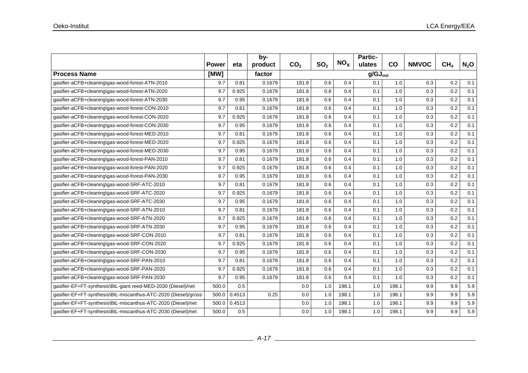|                                                                 |              |        | by-     |                 |                 |                 | Partic-             |           |              |                 |                  |
|-----------------------------------------------------------------|--------------|--------|---------|-----------------|-----------------|-----------------|---------------------|-----------|--------------|-----------------|------------------|
|                                                                 | <b>Power</b> | eta    | product | CO <sub>2</sub> | SO <sub>2</sub> | NO <sub>x</sub> | ulates              | <b>CO</b> | <b>NMVOC</b> | CH <sub>4</sub> | N <sub>2</sub> O |
| <b>Process Name</b>                                             | [MW]         |        | factor  |                 |                 |                 | $g/GJ_{\text{out}}$ |           |              |                 |                  |
| gasifier-aCFB+cleaning\gas-wood-forest-ATN-2010                 | 9.7          | 0.81   | 0.1679  | 181.8           | 0.6             | 0.4             | 0.1                 | 1.0       | 0.3          | 0.2             | 0.1              |
| gasifier-aCFB+cleaning\gas-wood-forest-ATN-2020                 | 9.7          | 0.925  | 0.1679  | 181.8           | 0.6             | 0.4             | 0.1                 | 1.0       | 0.3          | 0.2             | 0.1              |
| gasifier-aCFB+cleaning\gas-wood-forest-ATN-2030                 | 9.7          | 0.95   | 0.1679  | 181.8           | 0.6             | 0.4             | 0.1                 | 1.0       | 0.3          | 0.2             | 0.1              |
| gasifier-aCFB+cleaning\gas-wood-forest-CON-2010                 | 9.7          | 0.81   | 0.1679  | 181.8           | 0.6             | 0.4             | 0.1                 | 1.0       | 0.3          | 0.2             | 0.1              |
| gasifier-aCFB+cleaning\gas-wood-forest-CON-2020                 | 9.7          | 0.925  | 0.1679  | 181.8           | 0.6             | 0.4             | 0.1                 | 1.0       | 0.3          | 0.2             | 0.1              |
| gasifier-aCFB+cleaning\gas-wood-forest-CON-2030                 | 9.7          | 0.95   | 0.1679  | 181.8           | 0.6             | 0.4             | 0.1                 | 1.0       | 0.3          | 0.2             | 0.1              |
| gasifier-aCFB+cleaning\gas-wood-forest-MED-2010                 | 9.7          | 0.81   | 0.1679  | 181.8           | 0.6             | 0.4             | 0.1                 | 1.0       | 0.3          | 0.2             | 0.1              |
| gasifier-aCFB+cleaning\gas-wood-forest-MED-2020                 | 9.7          | 0.925  | 0.1679  | 181.8           | 0.6             | 0.4             | 0.1                 | 1.0       | 0.3          | 0.2             | 0.1              |
| gasifier-aCFB+cleaning\gas-wood-forest-MED-2030                 | 9.7          | 0.95   | 0.1679  | 181.8           | 0.6             | 0.4             | 0.1                 | 1.0       | 0.3          | 0.2             | 0.1              |
| gasifier-aCFB+cleaning\gas-wood-forest-PAN-2010                 | 9.7          | 0.81   | 0.1679  | 181.8           | 0.6             | 0.4             | 0.1                 | 1.0       | 0.3          | 0.2             | 0.1              |
| gasifier-aCFB+cleaning\gas-wood-forest-PAN-2020                 | 9.7          | 0.925  | 0.1679  | 181.8           | 0.6             | 0.4             | 0.1                 | 1.0       | 0.3          | 0.2             | 0.1              |
| gasifier-aCFB+cleaning\gas-wood-forest-PAN-2030                 | 9.7          | 0.95   | 0.1679  | 181.8           | 0.6             | 0.4             | 0.1                 | 1.0       | 0.3          | 0.2             | 0.1              |
| gasifier-aCFB+cleaning\gas-wood-SRF-ATC-2010                    | 9.7          | 0.81   | 0.1679  | 181.8           | 0.6             | 0.4             | 0.1                 | 1.0       | 0.3          | 0.2             | 0.1              |
| gasifier-aCFB+cleaning\gas-wood-SRF-ATC-2020                    | 9.7          | 0.925  | 0.1679  | 181.8           | 0.6             | 0.4             | 0.1                 | 1.0       | 0.3          | 0.2             | 0.1              |
| gasifier-aCFB+cleaning\gas-wood-SRF-ATC-2030                    | 9.7          | 0.95   | 0.1679  | 181.8           | 0.6             | 0.4             | 0.1                 | 1.0       | 0.3          | 0.2             | 0.1              |
| gasifier-aCFB+cleaning\gas-wood-SRF-ATN-2010                    | 9.7          | 0.81   | 0.1679  | 181.8           | 0.6             | 0.4             | 0.1                 | 1.0       | 0.3          | 0.2             | 0.1              |
| gasifier-aCFB+cleaning\gas-wood-SRF-ATN-2020                    | 9.7          | 0.925  | 0.1679  | 181.8           | 0.6             | 0.4             | 0.1                 | 1.0       | 0.3          | 0.2             | 0.1              |
| gasifier-aCFB+cleaning\gas-wood-SRF-ATN-2030                    | 9.7          | 0.95   | 0.1679  | 181.8           | 0.6             | 0.4             | 0.1                 | 1.0       | 0.3          | 0.2             | 0.1              |
| gasifier-aCFB+cleaning\gas-wood-SRF-CON-2010                    | 9.7          | 0.81   | 0.1679  | 181.8           | 0.6             | 0.4             | 0.1                 | 1.0       | 0.3          | 0.2             | 0.1              |
| gasifier-aCFB+cleaning\gas-wood-SRF-CON-2020                    | 9.7          | 0.925  | 0.1679  | 181.8           | 0.6             | 0.4             | 0.1                 | 1.0       | 0.3          | 0.2             | 0.1              |
| gasifier-aCFB+cleaning\gas-wood-SRF-CON-2030                    | 9.7          | 0.95   | 0.1679  | 181.8           | 0.6             | 0.4             | 0.1                 | 1.0       | 0.3          | 0.2             | 0.1              |
| gasifier-aCFB+cleaning\gas-wood-SRF-PAN-2010                    | 9.7          | 0.81   | 0.1679  | 181.8           | 0.6             | 0.4             | 0.1                 | 1.0       | 0.3          | 0.2             | 0.1              |
| gasifier-aCFB+cleaning\gas-wood-SRF-PAN-2020                    | 9.7          | 0.925  | 0.1679  | 181.8           | 0.6             | 0.4             | 0.1                 | 1.0       | 0.3          | 0.2             | 0.1              |
| gasifier-aCFB+cleaning\gas-wood-SRF-PAN-2030                    | 9.7          | 0.95   | 0.1679  | 181.8           | 0.6             | 0.4             | 0.1                 | 1.0       | 0.3          | 0.2             | 0.1              |
| gasifier-EF+FT-synthesis\BtL-giant reed-MED-2030 (Diesel)/net   | 500.0        | 0.5    |         | 0.0             | 1.0             | 198.1           | 1.0                 | 198.1     | 9.9          | 9.9             | 5.9              |
| gasifier-EF+FT-synthesis\BtL-miscanthus-ATC-2020 (Diesel)/gross | 500.0        | 0.4513 | 0.25    | 0.0             | 1.0             | 198.1           | 1.0                 | 198.1     | 9.9          | 9.9             | 5.9              |
| gasifier-EF+FT-synthesis\BtL-miscanthus-ATC-2020 (Diesel)/net   | 500.0        | 0.4513 |         | 0.0             | 1.0             | 198.1           | 1.0                 | 198.1     | 9.9          | 9.9             | 5.9              |
| gasifier-EF+FT-synthesis\BtL-miscanthus-ATC-2030 (Diesel)/net   | 500.0        | 0.5    |         | 0.0             | 1.0             | 198.1           | 1.0                 | 198.1     | 9.9          | 9.9             | 5.9              |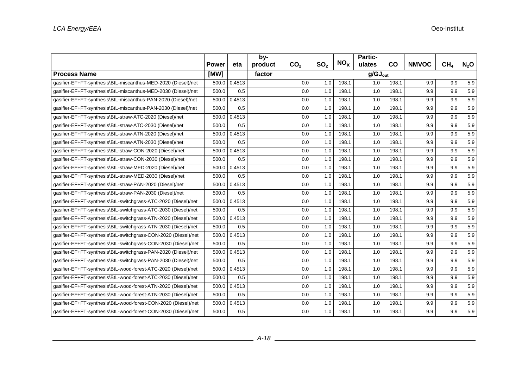|                                                                |              |        | by-     |                     |                 |          | Partic- |       |              |                 |                  |  |  |
|----------------------------------------------------------------|--------------|--------|---------|---------------------|-----------------|----------|---------|-------|--------------|-----------------|------------------|--|--|
|                                                                | <b>Power</b> | eta    | product | CO <sub>2</sub>     | SO <sub>2</sub> | $NO_{x}$ | ulates  | co    | <b>NMVOC</b> | CH <sub>4</sub> | N <sub>2</sub> O |  |  |
| <b>Process Name</b>                                            | [MW]         |        | factor  | $g/GJ_{\text{out}}$ |                 |          |         |       |              |                 |                  |  |  |
| gasifier-EF+FT-synthesis\BtL-miscanthus-MED-2020 (Diesel)/net  | 500.0        | 0.4513 |         | 0.0                 | 1.0             | 198.1    | 1.0     | 198.1 | 9.9          | 9.9             | 5.9              |  |  |
| qasifier-EF+FT-synthesis\BtL-miscanthus-MED-2030 (Diesel)/net  | 500.0        | 0.5    |         | 0.0                 | 1.0             | 198.1    | 1.0     | 198.1 | 9.9          | 9.9             | 5.9              |  |  |
| qasifier-EF+FT-synthesis\BtL-miscanthus-PAN-2020 (Diesel)/net  | 500.0        | 0.4513 |         | 0.0                 | 1.0             | 198.1    | 1.0     | 198.1 | 9.9          | 9.9             | 5.9              |  |  |
| gasifier-EF+FT-synthesis\BtL-miscanthus-PAN-2030 (Diesel)/net  | 500.0        | 0.5    |         | 0.0                 | 1.0             | 198.1    | 1.0     | 198.1 | 9.9          | 9.9             | 5.9              |  |  |
| gasifier-EF+FT-synthesis\BtL-straw-ATC-2020 (Diesel)/net       | 500.0        | 0.4513 |         | 0.0                 | 1.0             | 198.1    | 1.0     | 198.1 | 9.9          | 9.9             | 5.9              |  |  |
| qasifier-EF+FT-synthesis\BtL-straw-ATC-2030 (Diesel)/net       | 500.0        | 0.5    |         | 0.0                 | 1.0             | 198.1    | 1.0     | 198.1 | 9.9          | 9.9             | 5.9              |  |  |
| qasifier-EF+FT-synthesis\BtL-straw-ATN-2020 (Diesel)/net       | 500.0        | 0.4513 |         | 0.0                 | 1.0             | 198.1    | 1.0     | 198.1 | 9.9          | 9.9             | 5.9              |  |  |
| gasifier-EF+FT-synthesis\BtL-straw-ATN-2030 (Diesel)/net       | 500.0        | 0.5    |         | 0.0                 | 1.0             | 198.1    | 1.0     | 198.1 | 9.9          | 9.9             | 5.9              |  |  |
| gasifier-EF+FT-synthesis\BtL-straw-CON-2020 (Diesel)/net       | 500.0        | 0.4513 |         | 0.0                 | 1.0             | 198.1    | 1.0     | 198.1 | 9.9          | 9.9             | 5.9              |  |  |
| qasifier-EF+FT-synthesis\BtL-straw-CON-2030 (Diesel)/net       | 500.0        | 0.5    |         | 0.0                 | 1.0             | 198.1    | 1.0     | 198.1 | 9.9          | 9.9             | 5.9              |  |  |
| gasifier-EF+FT-synthesis\BtL-straw-MED-2020 (Diesel)/net       | 500.0        | 0.4513 |         | 0.0                 | 1.0             | 198.1    | 1.0     | 198.1 | 9.9          | 9.9             | 5.9              |  |  |
| gasifier-EF+FT-synthesis\BtL-straw-MED-2030 (Diesel)/net       | 500.0        | 0.5    |         | 0.0                 | 1.0             | 198.1    | 1.0     | 198.1 | 9.9          | 9.9             | 5.9              |  |  |
| qasifier-EF+FT-synthesis\BtL-straw-PAN-2020 (Diesel)/net       | 500.0        | 0.4513 |         | 0.0                 | 1.0             | 198.1    | 1.0     | 198.1 | 9.9          | 9.9             | 5.9              |  |  |
| gasifier-EF+FT-synthesis\BtL-straw-PAN-2030 (Diesel)/net       | 500.0        | 0.5    |         | 0.0                 | 1.0             | 198.1    | 1.0     | 198.1 | 9.9          | 9.9             | 5.9              |  |  |
| gasifier-EF+FT-synthesis\BtL-switchgrass-ATC-2020 (Diesel)/net | 500.0        | 0.4513 |         | 0.0                 | 1.0             | 198.1    | 1.0     | 198.1 | 9.9          | 9.9             | 5.9              |  |  |
| gasifier-EF+FT-synthesis\BtL-switchgrass-ATC-2030 (Diesel)/net | 500.0        | 0.5    |         | 0.0                 | 1.0             | 198.1    | 1.0     | 198.1 | 9.9          | 9.9             | 5.9              |  |  |
| qasifier-EF+FT-synthesis\BtL-switchgrass-ATN-2020 (Diesel)/net | 500.0        | 0.4513 |         | 0.0                 | 1.0             | 198.1    | 1.0     | 198.1 | 9.9          | 9.9             | 5.9              |  |  |
| gasifier-EF+FT-synthesis\BtL-switchgrass-ATN-2030 (Diesel)/net | 500.0        | 0.5    |         | 0.0                 | 1.0             | 198.1    | 1.0     | 198.1 | 9.9          | 9.9             | 5.9              |  |  |
| gasifier-EF+FT-synthesis\BtL-switchgrass-CON-2020 (Diesel)/net | 500.0        | 0.4513 |         | 0.0                 | 1.0             | 198.1    | 1.0     | 198.1 | 9.9          | 9.9             | 5.9              |  |  |
| gasifier-EF+FT-synthesis\BtL-switchgrass-CON-2030 (Diesel)/net | 500.0        | 0.5    |         | 0.0                 | 1.0             | 198.1    | 1.0     | 198.1 | 9.9          | 9.9             | 5.9              |  |  |
| qasifier-EF+FT-synthesis\BtL-switchgrass-PAN-2020 (Diesel)/net | 500.0        | 0.4513 |         | 0.0                 | 1.0             | 198.1    | 1.0     | 198.1 | 9.9          | 9.9             | 5.9              |  |  |
| gasifier-EF+FT-synthesis\BtL-switchgrass-PAN-2030 (Diesel)/net | 500.0        | 0.5    |         | 0.0                 | 1.0             | 198.1    | 1.0     | 198.1 | 9.9          | 9.9             | 5.9              |  |  |
| gasifier-EF+FT-synthesis\BtL-wood-forest-ATC-2020 (Diesel)/net | 500.0        | 0.4513 |         | 0.0                 | 1.0             | 198.1    | 1.0     | 198.1 | 9.9          | 9.9             | 5.9              |  |  |
| gasifier-EF+FT-synthesis\BtL-wood-forest-ATC-2030 (Diesel)/net | 500.0        | 0.5    |         | 0.0                 | 1.0             | 198.1    | 1.0     | 198.1 | 9.9          | 9.9             | 5.9              |  |  |
| qasifier-EF+FT-synthesis\BtL-wood-forest-ATN-2020 (Diesel)/net | 500.0        | 0.4513 |         | 0.0                 | 1.0             | 198.1    | 1.0     | 198.1 | 9.9          | 9.9             | 5.9              |  |  |
| gasifier-EF+FT-synthesis\BtL-wood-forest-ATN-2030 (Diesel)/net | 500.0        | 0.5    |         | 0.0                 | 1.0             | 198.1    | 1.0     | 198.1 | 9.9          | 9.9             | 5.9              |  |  |
| gasifier-EF+FT-synthesis\BtL-wood-forest-CON-2020 (Diesel)/net | 500.0        | 0.4513 |         | 0.0                 | 1.0             | 198.1    | 1.0     | 198.1 | 9.9          | 9.9             | 5.9              |  |  |
| gasifier-EF+FT-synthesis\BtL-wood-forest-CON-2030 (Diesel)/net | 500.0        | 0.5    |         | 0.0                 | 1.0             | 198.1    | 1.0     | 198.1 | 9.9          | 9.9             | 5.9              |  |  |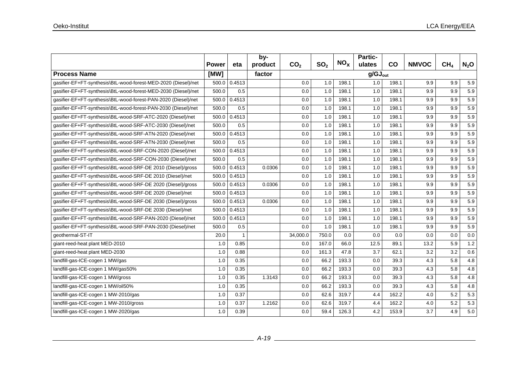|                                                                |              |                | by-     |                 |                 |                 | Partic-             |           |              |                 |         |
|----------------------------------------------------------------|--------------|----------------|---------|-----------------|-----------------|-----------------|---------------------|-----------|--------------|-----------------|---------|
|                                                                | <b>Power</b> | eta            | product | CO <sub>2</sub> | SO <sub>2</sub> | NO <sub>x</sub> | ulates              | <b>CO</b> | <b>NMVOC</b> | CH <sub>4</sub> | $N_2$ O |
| <b>Process Name</b>                                            | [MW]         |                | factor  |                 |                 |                 | $g/GJ_{\text{out}}$ |           |              |                 |         |
| gasifier-EF+FT-synthesis\BtL-wood-forest-MED-2020 (Diesel)/net | 500.0        | 0.4513         |         | 0.0             | 1.0             | 198.1           | 1.0                 | 198.1     | 9.9          | 9.9             | 5.9     |
| qasifier-EF+FT-synthesis\BtL-wood-forest-MED-2030 (Diesel)/net | 500.0        | 0.5            |         | 0.0             | 1.0             | 198.1           | 1.0                 | 198.1     | 9.9          | 9.9             | 5.9     |
| gasifier-EF+FT-synthesis\BtL-wood-forest-PAN-2020 (Diesel)/net | 500.0        | 0.4513         |         | 0.0             | 1.0             | 198.1           | 1.0                 | 198.1     | 9.9          | 9.9             | 5.9     |
| gasifier-EF+FT-synthesis\BtL-wood-forest-PAN-2030 (Diesel)/net | 500.0        | 0.5            |         | 0.0             | 1.0             | 198.1           | 1.0                 | 198.1     | 9.9          | 9.9             | 5.9     |
| gasifier-EF+FT-synthesis\BtL-wood-SRF-ATC-2020 (Diesel)/net    | 500.0        | 0.4513         |         | 0.0             | 1.0             | 198.1           | 1.0                 | 198.1     | 9.9          | 9.9             | 5.9     |
| gasifier-EF+FT-synthesis\BtL-wood-SRF-ATC-2030 (Diesel)/net    | 500.0        | 0.5            |         | 0.0             | 1.0             | 198.1           | 1.0                 | 198.1     | 9.9          | 9.9             | 5.9     |
| qasifier-EF+FT-synthesis\BtL-wood-SRF-ATN-2020 (Diesel)/net    | 500.0        | 0.4513         |         | 0.0             | 1.0             | 198.1           | 1.0                 | 198.1     | 9.9          | 9.9             | 5.9     |
| gasifier-EF+FT-synthesis\BtL-wood-SRF-ATN-2030 (Diesel)/net    | 500.0        | 0.5            |         | 0.0             | 1.0             | 198.1           | 1.0                 | 198.1     | 9.9          | 9.9             | 5.9     |
| gasifier-EF+FT-synthesis\BtL-wood-SRF-CON-2020 (Diesel)/net    | 500.0        | 0.4513         |         | 0.0             | 1.0             | 198.1           | 1.0                 | 198.1     | 9.9          | 9.9             | 5.9     |
| gasifier-EF+FT-synthesis\BtL-wood-SRF-CON-2030 (Diesel)/net    | 500.0        | 0.5            |         | 0.0             | 1.0             | 198.1           | 1.0                 | 198.1     | 9.9          | 9.9             | 5.9     |
| gasifier-EF+FT-synthesis\BtL-wood-SRF-DE 2010 (Diesel)/gross   | 500.0        | 0.4513         | 0.0306  | 0.0             | 1.0             | 198.1           | 1.0                 | 198.1     | 9.9          | 9.9             | 5.9     |
| qasifier-EF+FT-synthesis\BtL-wood-SRF-DE 2010 (Diesel)/net     | 500.0        | 0.4513         |         | 0.0             | 1.0             | 198.1           | 1.0                 | 198.1     | 9.9          | 9.9             | 5.9     |
| gasifier-EF+FT-synthesis\BtL-wood-SRF-DE 2020 (Diesel)/gross   | 500.0        | 0.4513         | 0.0306  | 0.0             | 1.0             | 198.1           | 1.0                 | 198.1     | 9.9          | 9.9             | 5.9     |
| gasifier-EF+FT-synthesis\BtL-wood-SRF-DE 2020 (Diesel)/net     | 500.0        | 0.4513         |         | 0.0             | 1.0             | 198.1           | 1.0                 | 198.1     | 9.9          | 9.9             | 5.9     |
| gasifier-EF+FT-synthesis\BtL-wood-SRF-DE 2030 (Diesel)/gross   | 500.0        | 0.4513         | 0.0306  | 0.0             | 1.0             | 198.1           | 1.0                 | 198.1     | 9.9          | 9.9             | 5.9     |
| gasifier-EF+FT-synthesis\BtL-wood-SRF-DE 2030 (Diesel)/net     | 500.0        | 0.4513         |         | 0.0             | 1.0             | 198.1           | 1.0                 | 198.1     | 9.9          | 9.9             | 5.9     |
| qasifier-EF+FT-synthesis\BtL-wood-SRF-PAN-2020 (Diesel)/net    | 500.0        | 0.4513         |         | 0.0             | 1.0             | 198.1           | 1.0                 | 198.1     | 9.9          | 9.9             | 5.9     |
| gasifier-EF+FT-synthesis\BtL-wood-SRF-PAN-2030 (Diesel)/net    | 500.0        | 0.5            |         | 0.0             | 1.0             | 198.1           | 1.0                 | 198.1     | 9.9          | 9.9             | 5.9     |
| geothermal-ST-IT                                               | 20.0         | $\overline{1}$ |         | 34,000.0        | 750.0           | 0.0             | 0.0                 | 0.0       | 0.0          | 0.0             | 0.0     |
| giant-reed-heat plant MED-2010                                 | 1.0          | 0.85           |         | 0.0             | 167.0           | 66.0            | 12.5                | 89.1      | 13.2         | 5.9             | $1.2$   |
| giant-reed-heat plant MED-2030                                 | 1.0          | 0.88           |         | 0.0             | 161.3           | 47.8            | 3.7                 | 62.1      | 3.2          | 3.2             | 0.6     |
| landfill-gas-ICE-cogen 1 MW/gas                                | 1.0          | 0.35           |         | 0.0             | 66.2            | 193.3           | 0.0                 | 39.3      | 4.3          | 5.8             | 4.8     |
| landfill-gas-ICE-cogen 1 MW/gas50%                             | 1.0          | 0.35           |         | 0.0             | 66.2            | 193.3           | 0.0                 | 39.3      | 4.3          | 5.8             | 4.8     |
| landfill-gas-ICE-cogen 1 MW/gross                              | 1.0          | 0.35           | 1.3143  | 0.0             | 66.2            | 193.3           | 0.0                 | 39.3      | 4.3          | 5.8             | 4.8     |
| landfill-gas-ICE-cogen 1 MW/oil50%                             | 1.0          | 0.35           |         | 0.0             | 66.2            | 193.3           | 0.0                 | 39.3      | 4.3          | 5.8             | 4.8     |
| landfill-gas-ICE-cogen 1 MW-2010/gas                           | 1.0          | 0.37           |         | 0.0             | 62.6            | 319.7           | 4.4                 | 162.2     | 4.0          | 5.2             | 5.3     |
| landfill-gas-ICE-cogen 1 MW-2010/gross                         | 1.0          | 0.37           | 1.2162  | 0.0             | 62.6            | 319.7           | 4.4                 | 162.2     | 4.0          | 5.2             | 5.3     |
| landfill-gas-ICE-cogen 1 MW-2020/gas                           | 1.0          | 0.39           |         | 0.0             | 59.4            | 126.3           | 4.2                 | 153.9     | 3.7          | 4.9             | 5.0     |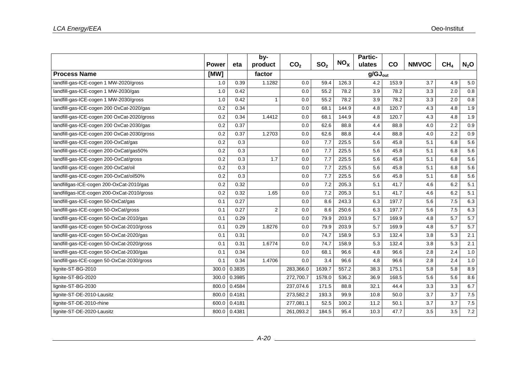|                                             |              |              | by-            |                 |                 |                 | Partic- |       |              |                 |                  |
|---------------------------------------------|--------------|--------------|----------------|-----------------|-----------------|-----------------|---------|-------|--------------|-----------------|------------------|
|                                             | <b>Power</b> | eta          | product        | CO <sub>2</sub> | SO <sub>2</sub> | NO <sub>x</sub> | ulates  | co    | <b>NMVOC</b> | CH <sub>4</sub> | N <sub>2</sub> O |
| <b>Process Name</b>                         | [MW]         |              | factor         |                 |                 |                 |         |       |              |                 |                  |
| landfill-gas-ICE-cogen 1 MW-2020/gross      | 1.0          | 0.39         | 1.1282         | 0.0             | 59.4            | 126.3           | 4.2     | 153.9 | 3.7          | 4.9             | 5.0              |
| landfill-gas-ICE-cogen 1 MW-2030/gas        | 1.0          | 0.42         |                | 0.0             | 55.2            | 78.2            | 3.9     | 78.2  | 3.3          | 2.0             | 0.8              |
| landfill-gas-ICE-cogen 1 MW-2030/gross      | 1.0          | 0.42         | 1              | 0.0             | 55.2            | 78.2            | 3.9     | 78.2  | 3.3          | 2.0             | $0.8\,$          |
| landfill-gas-ICE-cogen 200 OxCat-2020/gas   | 0.2          | 0.34         |                | 0.0             | 68.1            | 144.9           | 4.8     | 120.7 | 4.3          | 4.8             | 1.9              |
| landfill-gas-ICE-cogen 200 OxCat-2020/gross | 0.2          | 0.34         | 1.4412         | 0.0             | 68.1            | 144.9           | 4.8     | 120.7 | 4.3          | 4.8             | 1.9              |
| landfill-gas-ICE-cogen 200 OxCat-2030/gas   | 0.2          | 0.37         |                | 0.0             | 62.6            | 88.8            | 4.4     | 88.8  | 4.0          | 2.2             | 0.9              |
| landfill-gas-ICE-cogen 200 OxCat-2030/gross | 0.2          | 0.37         | 1.2703         | 0.0             | 62.6            | 88.8            | 4.4     | 88.8  | 4.0          | 2.2             | 0.9              |
| landfill-gas-ICE-cogen 200-OxCat/gas        | 0.2          | 0.3          |                | 0.0             | 7.7             | 225.5           | 5.6     | 45.8  | 5.1          | 6.8             | 5.6              |
| landfill-gas-ICE-cogen 200-OxCat/gas50%     | 0.2          | 0.3          |                | 0.0             | 7.7             | 225.5           | 5.6     | 45.8  | 5.1          | 6.8             | 5.6              |
| landfill-gas-ICE-cogen 200-OxCat/gross      | 0.2          | 0.3          | 1.7            | 0.0             | 7.7             | 225.5           | 5.6     | 45.8  | 5.1          | 6.8             | 5.6              |
| landfill-gas-ICE-cogen 200-OxCat/oil        | 0.2          | 0.3          |                | 0.0             | 7.7             | 225.5           | 5.6     | 45.8  | 5.1          | 6.8             | 5.6              |
| landfill-gas-ICE-cogen 200-OxCat/oil50%     | 0.2          | 0.3          |                | 0.0             | 7.7             | 225.5           | 5.6     | 45.8  | 5.1          | 6.8             | 5.6              |
| landfillgas-ICE-cogen 200-OxCat-2010/gas    | 0.2          | 0.32         |                | 0.0             | 7.2             | 205.3           | 5.1     | 41.7  | 4.6          | 6.2             | 5.1              |
| landfillgas-ICE-cogen 200-OxCat-2010/gross  | 0.2          | 0.32         | 1.65           | 0.0             | 7.2             | 205.3           | 5.1     | 41.7  | 4.6          | 6.2             | 5.1              |
| landfill-gas-ICE-cogen 50-OxCat/gas         | 0.1          | 0.27         |                | 0.0             | 8.6             | 243.3           | 6.3     | 197.7 | 5.6          | 7.5             | 6.3              |
| landfill-gas-ICE-cogen 50-OxCat/gross       | 0.1          | 0.27         | $\overline{2}$ | 0.0             | 8.6             | 250.6           | 6.3     | 197.7 | 5.6          | 7.5             | 6.3              |
| landfill-gas-ICE-cogen 50-OxCat-2010/gas    | 0.1          | 0.29         |                | 0.0             | 79.9            | 203.9           | 5.7     | 169.9 | 4.8          | 5.7             | 5.7              |
| landfill-gas-ICE-cogen 50-OxCat-2010/gross  | 0.1          | 0.29         | 1.8276         | 0.0             | 79.9            | 203.9           | 5.7     | 169.9 | 4.8          | 5.7             | $\overline{5.7}$ |
| landfill-gas-ICE-cogen 50-OxCat-2020/gas    | 0.1          | 0.31         |                | 0.0             | 74.7            | 158.9           | 5.3     | 132.4 | 3.8          | 5.3             | 2.1              |
| landfill-gas-ICE-cogen 50-OxCat-2020/gross  | 0.1          | 0.31         | 1.6774         | 0.0             | 74.7            | 158.9           | 5.3     | 132.4 | 3.8          | 5.3             | 2.1              |
| landfill-gas-ICE-cogen 50-OxCat-2030/gas    | 0.1          | 0.34         |                | 0.0             | 68.1            | 96.6            | 4.8     | 96.6  | 2.8          | 2.4             | 1.0              |
| landfill-gas-ICE-cogen 50-OxCat-2030/gross  | 0.1          | 0.34         | 1.4706         | 0.0             | 3.4             | 96.6            | 4.8     | 96.6  | 2.8          | 2.4             | 1.0              |
| lignite-ST-BG-2010                          | 300.0        | 0.3835       |                | 283,366.0       | 1639.7          | 557.2           | 38.3    | 175.1 | 5.8          | 5.8             | 8.9              |
| lignite-ST-BG-2020                          | 300.0        | 0.3985       |                | 272,700.7       | 1578.0          | 536.2           | 36.9    | 168.5 | 5.6          | 5.6             | 8.6              |
| lignite-ST-BG-2030                          | 800.0        | 0.4584       |                | 237,074.6       | 171.5           | 88.8            | 32.1    | 44.4  | 3.3          | 3.3             | 6.7              |
| lignite-ST-DE-2010-Lausitz                  | 800.0        | 0.4181       |                | 273,582.2       | 193.3           | 99.9            | 10.8    | 50.0  | 3.7          | 3.7             | 7.5              |
| lignite-ST-DE-2010-rhine                    | 600.0        | 0.4181       |                | 277,081.1       | 52.5            | 100.2           | 11.2    | 50.1  | 3.7          | 3.7             | 7.5              |
| lignite-ST-DE-2020-Lausitz                  |              | 800.0 0.4381 |                | 261,093.2       | 184.5           | 95.4            | 10.3    | 47.7  | 3.5          | 3.5             | 7.2              |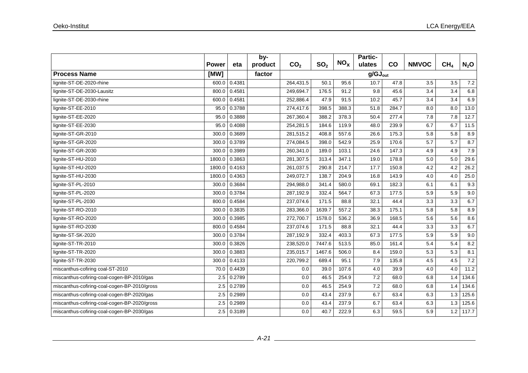|                                              |              |        | by-     |                 |                     |                 | Partic- |       |              |                 |         |
|----------------------------------------------|--------------|--------|---------|-----------------|---------------------|-----------------|---------|-------|--------------|-----------------|---------|
|                                              | <b>Power</b> | eta    | product | CO <sub>2</sub> | SO <sub>2</sub>     | NO <sub>x</sub> | ulates  | co    | <b>NMVOC</b> | CH <sub>4</sub> | $N_2$ O |
| <b>Process Name</b>                          | [MW]         |        | factor  |                 | $g/GJ_{\text{out}}$ |                 |         |       |              |                 |         |
| lignite-ST-DE-2020-rhine                     | 600.0        | 0.4381 |         | 264,431.5       | 50.1                | 95.6            | 10.7    | 47.8  | 3.5          | 3.5             | 7.2     |
| lignite-ST-DE-2030-Lausitz                   | 800.0        | 0.4581 |         | 249,694.7       | 176.5               | 91.2            | 9.8     | 45.6  | 3.4          | 3.4             | 6.8     |
| lignite-ST-DE-2030-rhine                     | 600.0        | 0.4581 |         | 252,886.4       | 47.9                | 91.5            | 10.2    | 45.7  | 3.4          | 3.4             | 6.9     |
| lignite-ST-EE-2010                           | 95.0         | 0.3788 |         | 274,417.6       | 398.5               | 388.3           | 51.8    | 284.7 | 8.0          | 8.0             | 13.0    |
| lignite-ST-EE-2020                           | 95.0         | 0.3888 |         | 267,360.4       | 388.2               | 378.3           | 50.4    | 277.4 | 7.8          | 7.8             | 12.7    |
| lignite-ST-EE-2030                           | 95.0         | 0.4088 |         | 254,281.5       | 184.6               | 119.9           | 48.0    | 239.9 | 6.7          | 6.7             | 11.5    |
| lignite-ST-GR-2010                           | 300.0        | 0.3689 |         | 281,515.2       | 408.8               | 557.6           | 26.6    | 175.3 | 5.8          | 5.8             | 8.9     |
| lignite-ST-GR-2020                           | 300.0        | 0.3789 |         | 274,084.5       | 398.0               | 542.9           | 25.9    | 170.6 | 5.7          | 5.7             | 8.7     |
| lignite-ST-GR-2030                           | 300.0        | 0.3989 |         | 260,341.0       | 189.0               | 103.1           | 24.6    | 147.3 | 4.9          | 4.9             | 7.9     |
| lignite-ST-HU-2010                           | 1800.0       | 0.3863 |         | 281,307.5       | 313.4               | 347.1           | 19.0    | 178.8 | 5.0          | 5.0             | 29.6    |
| lignite-ST-HU-2020                           | 1800.0       | 0.4163 |         | 261,037.5       | 290.8               | 214.7           | 17.7    | 150.8 | 4.2          | 4.2             | 26.2    |
| lignite-ST-HU-2030                           | 1800.0       | 0.4363 |         | 249,072.7       | 138.7               | 204.9           | 16.8    | 143.9 | 4.0          | 4.0             | 25.0    |
| lignite-ST-PL-2010                           | 300.0        | 0.3684 |         | 294,988.0       | 341.4               | 580.0           | 69.1    | 182.3 | 6.1          | 6.1             | 9.3     |
| lignite-ST-PL-2020                           | 300.0        | 0.3784 |         | 287,192.9       | 332.4               | 564.7           | 67.3    | 177.5 | 5.9          | 5.9             | 9.0     |
| lignite-ST-PL-2030                           | 800.0        | 0.4584 |         | 237,074.6       | 171.5               | 88.8            | 32.1    | 44.4  | 3.3          | 3.3             | 6.7     |
| lignite-ST-RO-2010                           | 300.0        | 0.3835 |         | 283,366.0       | 1639.7              | 557.2           | 38.3    | 175.1 | 5.8          | 5.8             | 8.9     |
| lignite-ST-RO-2020                           | 300.0        | 0.3985 |         | 272,700.7       | 1578.0              | 536.2           | 36.9    | 168.5 | 5.6          | 5.6             | 8.6     |
| lignite-ST-RO-2030                           | 800.0        | 0.4584 |         | 237,074.6       | 171.5               | 88.8            | 32.1    | 44.4  | 3.3          | 3.3             | 6.7     |
| lignite-ST-SK-2020                           | 300.0        | 0.3784 |         | 287,192.9       | 332.4               | 403.3           | 67.3    | 177.5 | 5.9          | 5.9             | 9.0     |
| lignite-ST-TR-2010                           | 300.0        | 0.3826 |         | 238,520.0       | 7447.6              | 513.5           | 85.0    | 161.4 | 5.4          | 5.4             | 8.2     |
| lignite-ST-TR-2020                           | 300.0        | 0.3883 |         | 235,015.7       | 1467.6              | 506.0           | 8.4     | 159.0 | 5.3          | 5.3             | 8.1     |
| lignite-ST-TR-2030                           | 300.0        | 0.4133 |         | 220,799.2       | 689.4               | 95.1            | 7.9     | 135.8 | 4.5          | 4.5             | 7.2     |
| miscanthus-cofiring coal-ST-2010             | 70.0         | 0.4439 |         | 0.0             | 39.0                | 107.6           | 4.0     | 39.9  | 4.0          | 4.0             | 11.2    |
| miscanthus-cofiring-coal-cogen-BP-2010/gas   | 2.5          | 0.2789 |         | $0.0\,$         | 46.5                | 254.9           | 7.2     | 68.0  | 6.8          | 1.4             | 134.6   |
| miscanthus-cofiring-coal-cogen-BP-2010/gross | 2.5          | 0.2789 |         | 0.0             | 46.5                | 254.9           | 7.2     | 68.0  | 6.8          | 1.4             | 134.6   |
| miscanthus-cofiring-coal-cogen-BP-2020/gas   | 2.5          | 0.2989 |         | 0.0             | 43.4                | 237.9           | 6.7     | 63.4  | 6.3          | 1.3             | 125.6   |
| miscanthus-cofiring-coal-cogen-BP-2020/gross | 2.5          | 0.2989 |         | $0.0\,$         | 43.4                | 237.9           | 6.7     | 63.4  | 6.3          | 1.3             | 125.6   |
| miscanthus-cofiring-coal-cogen-BP-2030/gas   | 2.5          | 0.3189 |         | 0.0             | 40.7                | 222.9           | 6.3     | 59.5  | 5.9          | 1.2             | 117.7   |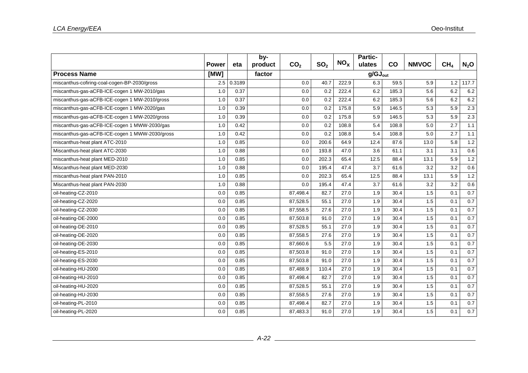|                                                |              |        | by-     |                 |                 |                 | <b>Partic-</b> |                     |              |                 |         |  |  |
|------------------------------------------------|--------------|--------|---------|-----------------|-----------------|-----------------|----------------|---------------------|--------------|-----------------|---------|--|--|
|                                                | <b>Power</b> | eta    | product | CO <sub>2</sub> | SO <sub>2</sub> | NO <sub>x</sub> | ulates         | CO                  | <b>NMVOC</b> | CH <sub>4</sub> | $N_2$ O |  |  |
| <b>Process Name</b>                            | [MW]         |        | factor  |                 |                 |                 |                | $q/GJ_{\text{out}}$ |              |                 |         |  |  |
| miscanthus-cofiring-coal-cogen-BP-2030/gross   | 2.5          | 0.3189 |         | 0.0             | 40.7            | 222.9           | 6.3            | 59.5                | 5.9          | 1.2             | 117.7   |  |  |
| miscanthus-gas-aCFB-ICE-cogen 1 MW-2010/gas    | 1.0          | 0.37   |         | 0.0             | 0.2             | 222.4           | 6.2            | 185.3               | 5.6          | 6.2             | 6.2     |  |  |
| miscanthus-gas-aCFB-ICE-cogen 1 MW-2010/gross  | 1.0          | 0.37   |         | 0.0             | 0.2             | 222.4           | 6.2            | 185.3               | 5.6          | 6.2             | 6.2     |  |  |
| miscanthus-gas-aCFB-ICE-cogen 1 MW-2020/gas    | 1.0          | 0.39   |         | 0.0             | 0.2             | 175.8           | 5.9            | 146.5               | 5.3          | 5.9             | 2.3     |  |  |
| miscanthus-gas-aCFB-ICE-cogen 1 MW-2020/gross  | 1.0          | 0.39   |         | 0.0             | 0.2             | 175.8           | 5.9            | 146.5               | 5.3          | 5.9             | 2.3     |  |  |
| miscanthus-gas-aCFB-ICE-cogen 1 MWW-2030/gas   | 1.0          | 0.42   |         | 0.0             | 0.2             | 108.8           | 5.4            | 108.8               | 5.0          | 2.7             | 1.1     |  |  |
| miscanthus-gas-aCFB-ICE-cogen 1 MWW-2030/gross | 1.0          | 0.42   |         | 0.0             | 0.2             | 108.8           | 5.4            | 108.8               | 5.0          | 2.7             | 1.1     |  |  |
| miscanthus-heat plant ATC-2010                 | 1.0          | 0.85   |         | 0.0             | 200.6           | 64.9            | 12.4           | 87.6                | 13.0         | 5.8             | 1.2     |  |  |
| Miscanthus-heat plant ATC-2030                 | 1.0          | 0.88   |         | 0.0             | 193.8           | 47.0            | 3.6            | 61.1                | 3.1          | 3.1             | 0.6     |  |  |
| miscanthus-heat plant MED-2010                 | 1.0          | 0.85   |         | 0.0             | 202.3           | 65.4            | 12.5           | 88.4                | 13.1         | 5.9             | $1.2$   |  |  |
| Miscanthus-heat plant MED-2030                 | 1.0          | 0.88   |         | 0.0             | 195.4           | 47.4            | 3.7            | 61.6                | 3.2          | 3.2             | 0.6     |  |  |
| miscanthus-heat plant PAN-2010                 | 1.0          | 0.85   |         | 0.0             | 202.3           | 65.4            | 12.5           | 88.4                | 13.1         | 5.9             | 1.2     |  |  |
| Miscanthus-heat plant PAN-2030                 | 1.0          | 0.88   |         | 0.0             | 195.4           | 47.4            | 3.7            | 61.6                | 3.2          | 3.2             | 0.6     |  |  |
| oil-heating-CZ-2010                            | 0.0          | 0.85   |         | 87,498.4        | 82.7            | 27.0            | 1.9            | 30.4                | 1.5          | 0.1             | 0.7     |  |  |
| oil-heating-CZ-2020                            | 0.0          | 0.85   |         | 87,528.5        | 55.1            | 27.0            | 1.9            | 30.4                | 1.5          | 0.1             | 0.7     |  |  |
| oil-heating-CZ-2030                            | 0.0          | 0.85   |         | 87,558.5        | 27.6            | 27.0            | 1.9            | 30.4                | 1.5          | 0.1             | 0.7     |  |  |
| oil-heating-DE-2000                            | 0.0          | 0.85   |         | 87,503.8        | 91.0            | 27.0            | 1.9            | 30.4                | 1.5          | 0.1             | 0.7     |  |  |
| oil-heating-DE-2010                            | 0.0          | 0.85   |         | 87,528.5        | 55.1            | 27.0            | 1.9            | 30.4                | 1.5          | 0.1             | 0.7     |  |  |
| oil-heating-DE-2020                            | 0.0          | 0.85   |         | 87,558.5        | 27.6            | 27.0            | 1.9            | 30.4                | 1.5          | 0.1             | 0.7     |  |  |
| oil-heating-DE-2030                            | 0.0          | 0.85   |         | 87,660.6        | 5.5             | 27.0            | 1.9            | 30.4                | 1.5          | 0.1             | 0.7     |  |  |
| oil-heating-ES-2010                            | 0.0          | 0.85   |         | 87,503.8        | 91.0            | 27.0            | 1.9            | 30.4                | 1.5          | 0.1             | 0.7     |  |  |
| oil-heating-ES-2030                            | 0.0          | 0.85   |         | 87,503.8        | 91.0            | 27.0            | 1.9            | 30.4                | 1.5          | 0.1             | 0.7     |  |  |
| oil-heating-HU-2000                            | 0.0          | 0.85   |         | 87,488.9        | 110.4           | 27.0            | 1.9            | 30.4                | 1.5          | 0.1             | 0.7     |  |  |
| oil-heating-HU-2010                            | 0.0          | 0.85   |         | 87,498.4        | 82.7            | 27.0            | 1.9            | 30.4                | 1.5          | 0.1             | 0.7     |  |  |
| oil-heating-HU-2020                            | 0.0          | 0.85   |         | 87,528.5        | 55.1            | 27.0            | 1.9            | 30.4                | 1.5          | 0.1             | 0.7     |  |  |
| oil-heating-HU-2030                            | 0.0          | 0.85   |         | 87,558.5        | 27.6            | 27.0            | 1.9            | 30.4                | 1.5          | 0.1             | 0.7     |  |  |
| oil-heating-PL-2010                            | 0.0          | 0.85   |         | 87,498.4        | 82.7            | 27.0            | 1.9            | 30.4                | 1.5          | 0.1             | 0.7     |  |  |
| oil-heating-PL-2020                            | 0.0          | 0.85   |         | 87,483.3        | 91.0            | 27.0            | 1.9            | 30.4                | 1.5          | 0.1             | 0.7     |  |  |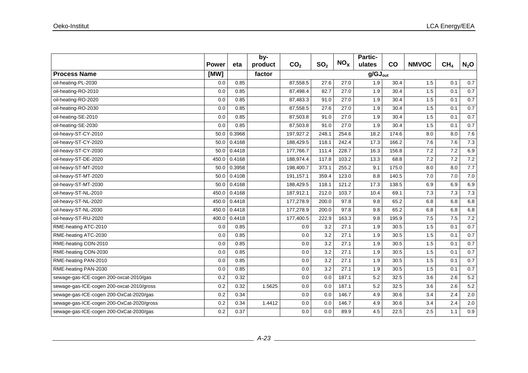|                                           |              |        | by-     |                 |                 |                 | Partic-             |       |              |                 |                  |
|-------------------------------------------|--------------|--------|---------|-----------------|-----------------|-----------------|---------------------|-------|--------------|-----------------|------------------|
|                                           | <b>Power</b> | eta    | product | CO <sub>2</sub> | SO <sub>2</sub> | NO <sub>x</sub> | ulates              | co    | <b>NMVOC</b> | CH <sub>4</sub> | N <sub>2</sub> O |
| <b>Process Name</b>                       | [MW]         |        | factor  |                 |                 |                 | $g/GJ_{\text{out}}$ |       |              |                 |                  |
| oil-heating-PL-2030                       | 0.0          | 0.85   |         | 87,558.5        | 27.6            | 27.0            | 1.9                 | 30.4  | 1.5          | 0.1             | 0.7              |
| oil-heating-RO-2010                       | 0.0          | 0.85   |         | 87,498.4        | 82.7            | 27.0            | 1.9                 | 30.4  | 1.5          | 0.1             | 0.7              |
| oil-heating-RO-2020                       | 0.0          | 0.85   |         | 87,483.3        | 91.0            | 27.0            | 1.9                 | 30.4  | 1.5          | 0.1             | 0.7              |
| oil-heating-RO-2030                       | 0.0          | 0.85   |         | 87,558.5        | 27.6            | 27.0            | 1.9                 | 30.4  | 1.5          | 0.1             | 0.7              |
| oil-heating-SE-2010                       | 0.0          | 0.85   |         | 87,503.8        | 91.0            | 27.0            | 1.9                 | 30.4  | 1.5          | 0.1             | 0.7              |
| oil-heating-SE-2030                       | 0.0          | 0.85   |         | 87,503.8        | 91.0            | 27.0            | 1.9                 | 30.4  | 1.5          | 0.1             | 0.7              |
| oil-heavy-ST-CY-2010                      | 50.0         | 0.3968 |         | 197,927.2       | 248.1           | 254.6           | 18.2                | 174.6 | 8.0          | 8.0             | 7.6              |
| oil-heavy-ST-CY-2020                      | 50.0         | 0.4168 |         | 188,429.5       | 118.1           | 242.4           | 17.3                | 166.2 | 7.6          | 7.6             | 7.3              |
| oil-heavy-ST-CY-2030                      | 50.0         | 0.4418 |         | 177,766.7       | 111.4           | 228.7           | 16.3                | 156.8 | 7.2          | 7.2             | 6.9              |
| oil-heavy-ST-DE-2020                      | 450.0        | 0.4168 |         | 188,974.4       | 117.8           | 103.2           | 13.3                | 68.8  | 7.2          | 7.2             | 7.2              |
| oil-heavy-ST-MT-2010                      | 50.0         | 0.3958 |         | 198,400.7       | 373.1           | 255.2           | 9.1                 | 175.0 | 8.0          | 8.0             | 7.7              |
| oil-heavy-ST-MT-2020                      | 50.0         | 0.4108 |         | 191,157.1       | 359.4           | 123.0           | 8.8                 | 140.5 | 7.0          | $7.0$           | 7.0              |
| oil-heavy-ST-MT-2030                      | 50.0         | 0.4168 |         | 188,429.5       | 118.1           | 121.2           | 17.3                | 138.5 | 6.9          | 6.9             | 6.9              |
| oil-heavy-ST-NL-2010                      | 450.0        | 0.4168 |         | 187,912.1       | 212.0           | 103.7           | 10.4                | 69.1  | 7.3          | 7.3             | 7.3              |
| oil-heavy-ST-NL-2020                      | 450.0        | 0.4418 |         | 177,278.9       | 200.0           | 97.8            | 9.8                 | 65.2  | 6.8          | 6.8             | 6.8              |
| oil-heavy-ST-NL-2030                      | 450.0        | 0.4418 |         | 177,278.9       | 200.0           | 97.8            | 9.8                 | 65.2  | 6.8          | 6.8             | 6.8              |
| oil-heavy-ST-RU-2020                      | 400.0        | 0.4418 |         | 177,400.5       | 222.9           | 163.3           | 9.8                 | 195.9 | 7.5          | 7.5             | 7.2              |
| RME-heating ATC-2010                      | 0.0          | 0.85   |         | 0.0             | 3.2             | 27.1            | 1.9                 | 30.5  | 1.5          | 0.1             | 0.7              |
| RME-heating ATC-2030                      | 0.0          | 0.85   |         | 0.0             | 3.2             | 27.1            | 1.9                 | 30.5  | 1.5          | 0.1             | 0.7              |
| RME-heating CON-2010                      | 0.0          | 0.85   |         | 0.0             | 3.2             | 27.1            | 1.9                 | 30.5  | 1.5          | 0.1             | 0.7              |
| RME-heating CON-2030                      | 0.0          | 0.85   |         | 0.0             | 3.2             | 27.1            | 1.9                 | 30.5  | 1.5          | 0.1             | 0.7              |
| RME-heating PAN-2010                      | 0.0          | 0.85   |         | 0.0             | 3.2             | 27.1            | 1.9                 | 30.5  | 1.5          | 0.1             | 0.7              |
| RME-heating PAN-2030                      | 0.0          | 0.85   |         | 0.0             | 3.2             | 27.1            | 1.9                 | 30.5  | 1.5          | 0.1             | 0.7              |
| sewage-gas-ICE-cogen 200-oxcat-2010/gas   | 0.2          | 0.32   |         | 0.0             | 0.0             | 187.1           | 5.2                 | 32.5  | 3.6          | 2.6             | 5.2              |
| sewage-gas-ICE-cogen 200-oxcat-2010/gross | 0.2          | 0.32   | 1.5625  | 0.0             | 0.0             | 187.1           | 5.2                 | 32.5  | 3.6          | 2.6             | 5.2              |
| sewage-gas-ICE-cogen 200-OxCat-2020/gas   | 0.2          | 0.34   |         | 0.0             | 0.0             | 146.7           | 4.9                 | 30.6  | 3.4          | 2.4             | 2.0              |
| sewage-gas-ICE-cogen 200-OxCat-2020/gross | 0.2          | 0.34   | 1.4412  | 0.0             | 0.0             | 146.7           | 4.9                 | 30.6  | 3.4          | 2.4             | $2.0\,$          |
| sewage-gas-ICE-cogen 200-OxCat-2030/gas   | 0.2          | 0.37   |         | 0.0             | 0.0             | 89.9            | 4.5                 | 22.5  | 2.5          | 1.1             | 0.9              |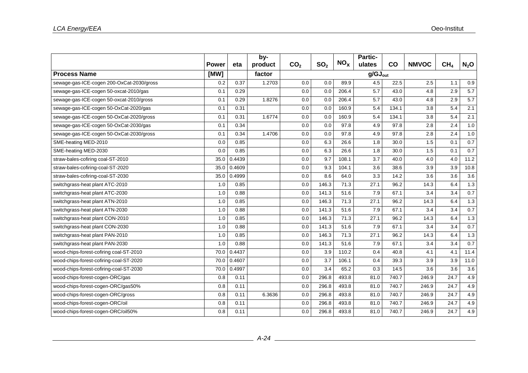|                                           |              |        | by-     |                 |                 |                 | <b>Partic-</b>      |       |              |                 |         |
|-------------------------------------------|--------------|--------|---------|-----------------|-----------------|-----------------|---------------------|-------|--------------|-----------------|---------|
|                                           | <b>Power</b> | eta    | product | CO <sub>2</sub> | SO <sub>2</sub> | NO <sub>x</sub> | ulates              | CO    | <b>NMVOC</b> | CH <sub>4</sub> | $N_2$ O |
| <b>Process Name</b>                       | [MW]         |        | factor  |                 |                 |                 | $g/GJ_{\text{out}}$ |       |              |                 |         |
| sewage-gas-ICE-cogen 200-OxCat-2030/gross | 0.2          | 0.37   | 1.2703  | 0.0             | 0.0             | 89.9            | 4.5                 | 22.5  | 2.5          | 1.1             | 0.9     |
| sewage-gas-ICE-cogen 50-oxcat-2010/gas    | 0.1          | 0.29   |         | 0.0             | 0.0             | 206.4           | 5.7                 | 43.0  | 4.8          | 2.9             | 5.7     |
| sewage-gas-ICE-cogen 50-oxcat-2010/gross  | 0.1          | 0.29   | 1.8276  | 0.0             | 0.0             | 206.4           | 5.7                 | 43.0  | 4.8          | 2.9             | 5.7     |
| sewage-gas-ICE-cogen 50-OxCat-2020/gas    | 0.1          | 0.31   |         | 0.0             | 0.0             | 160.9           | 5.4                 | 134.1 | 3.8          | 5.4             | 2.1     |
| sewage-gas-ICE-cogen 50-OxCat-2020/gross  | 0.1          | 0.31   | 1.6774  | 0.0             | 0.0             | 160.9           | 5.4                 | 134.1 | 3.8          | 5.4             | 2.1     |
| sewage-gas-ICE-cogen 50-OxCat-2030/gas    | 0.1          | 0.34   |         | 0.0             | 0.0             | 97.8            | 4.9                 | 97.8  | 2.8          | 2.4             | 1.0     |
| sewage-gas-ICE-cogen 50-OxCat-2030/gross  | 0.1          | 0.34   | 1.4706  | 0.0             | 0.0             | 97.8            | 4.9                 | 97.8  | 2.8          | 2.4             | 1.0     |
| SME-heating MED-2010                      | 0.0          | 0.85   |         | 0.0             | 6.3             | 26.6            | 1.8                 | 30.0  | 1.5          | 0.1             | 0.7     |
| SME-heating MED-2030                      | 0.0          | 0.85   |         | 0.0             | 6.3             | 26.6            | 1.8                 | 30.0  | 1.5          | 0.1             | 0.7     |
| straw-bales-cofiring coal-ST-2010         | 35.0         | 0.4439 |         | 0.0             | 9.7             | 108.1           | 3.7                 | 40.0  | 4.0          | 4.0             | 11.2    |
| straw-bales-cofiring-coal-ST-2020         | 35.0         | 0.4609 |         | 0.0             | 9.3             | 104.1           | 3.6                 | 38.6  | 3.9          | 3.9             | 10.8    |
| straw-bales-cofiring-coal-ST-2030         | 35.0         | 0.4999 |         | 0.0             | 8.6             | 64.0            | 3.3                 | 14.2  | 3.6          | 3.6             | 3.6     |
| switchgrass-heat plant ATC-2010           | 1.0          | 0.85   |         | 0.0             | 146.3           | 71.3            | 27.1                | 96.2  | 14.3         | 6.4             | 1.3     |
| switchgrass-heat plant ATC-2030           | 1.0          | 0.88   |         | 0.0             | 141.3           | 51.6            | 7.9                 | 67.1  | 3.4          | 3.4             | 0.7     |
| switchgrass-heat plant ATN-2010           | 1.0          | 0.85   |         | 0.0             | 146.3           | 71.3            | 27.1                | 96.2  | 14.3         | 6.4             | 1.3     |
| switchgrass-heat plant ATN-2030           | 1.0          | 0.88   |         | 0.0             | 141.3           | 51.6            | 7.9                 | 67.1  | 3.4          | 3.4             | 0.7     |
| switchgrass-heat plant CON-2010           | 1.0          | 0.85   |         | 0.0             | 146.3           | 71.3            | 27.1                | 96.2  | 14.3         | 6.4             | 1.3     |
| switchgrass-heat plant CON-2030           | 1.0          | 0.88   |         | 0.0             | 141.3           | 51.6            | 7.9                 | 67.1  | 3.4          | 3.4             | 0.7     |
| switchgrass-heat plant PAN-2010           | 1.0          | 0.85   |         | 0.0             | 146.3           | 71.3            | 27.1                | 96.2  | 14.3         | 6.4             | 1.3     |
| switchgrass-heat plant PAN-2030           | 1.0          | 0.88   |         | 0.0             | 141.3           | 51.6            | 7.9                 | 67.1  | 3.4          | 3.4             | 0.7     |
| wood-chips-forest-cofiring coal-ST-2010   | 70.0         | 0.4437 |         | 0.0             | 3.9             | 110.2           | 0.4                 | 40.8  | 4.1          | 4.1             | 11.4    |
| wood-chips-forest-cofiring-coal-ST-2020   | 70.0         | 0.4607 |         | 0.0             | 3.7             | 106.1           | 0.4                 | 39.3  | 3.9          | 3.9             | 11.0    |
| wood-chips-forest-cofiring-coal-ST-2030   | 70.0         | 0.4997 |         | 0.0             | 3.4             | 65.2            | 0.3                 | 14.5  | 3.6          | 3.6             | 3.6     |
| wood-chips-forest-cogen-ORC/gas           | 0.8          | 0.11   |         | 0.0             | 296.8           | 493.8           | 81.0                | 740.7 | 246.9        | 24.7            | 4.9     |
| wood-chips-forest-cogen-ORC/gas50%        | 0.8          | 0.11   |         | 0.0             | 296.8           | 493.8           | 81.0                | 740.7 | 246.9        | 24.7            | 4.9     |
| wood-chips-forest-cogen-ORC/gross         | 0.8          | 0.11   | 6.3636  | 0.0             | 296.8           | 493.8           | 81.0                | 740.7 | 246.9        | 24.7            | 4.9     |
| wood-chips-forest-cogen-ORC/oil           | 0.8          | 0.11   |         | 0.0             | 296.8           | 493.8           | 81.0                | 740.7 | 246.9        | 24.7            | 4.9     |
| wood-chips-forest-cogen-ORC/oil50%        | 0.8          | 0.11   |         | 0.0             | 296.8           | 493.8           | 81.0                | 740.7 | 246.9        | 24.7            | 4.9     |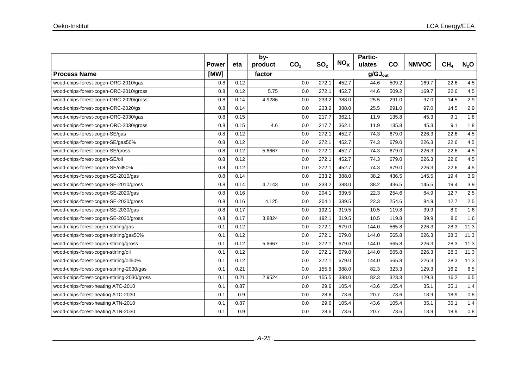|                                             |              |      | by-     |                 |                 |                 | Partic- |                     |              |                 |         |
|---------------------------------------------|--------------|------|---------|-----------------|-----------------|-----------------|---------|---------------------|--------------|-----------------|---------|
|                                             | <b>Power</b> | eta  | product | CO <sub>2</sub> | SO <sub>2</sub> | NO <sub>x</sub> | ulates  | co                  | <b>NMVOC</b> | CH <sub>4</sub> | $N_2$ O |
| <b>Process Name</b>                         | [MW]         |      | factor  |                 |                 |                 |         | $g/GJ_{\text{out}}$ |              |                 |         |
| wood-chips-forest-cogen-ORC-2010/gas        | 0.8          | 0.12 |         | 0.0             | 272.1           | 452.7           | 44.6    | 509.2               | 169.7        | 22.6            | 4.5     |
| wood-chips-forest-cogen-ORC-2010/gross      | 0.8          | 0.12 | 5.75    | 0.0             | 272.1           | 452.7           | 44.6    | 509.2               | 169.7        | 22.6            | 4.5     |
| wood-chips-forest-cogen-ORC-2020/gross      | 0.8          | 0.14 | 4.9286  | 0.0             | 233.2           | 388.0           | 25.5    | 291.0               | 97.0         | 14.5            | 2.9     |
| wood-chips-forest-cogen-ORC-2020/gs         | 0.8          | 0.14 |         | 0.0             | 233.2           | 388.0           | 25.5    | 291.0               | 97.0         | 14.5            | 2.9     |
| wood-chips-forest-cogen-ORC-2030/gas        | 0.8          | 0.15 |         | 0.0             | 217.7           | 362.1           | 11.9    | 135.8               | 45.3         | 9.1             | 1.8     |
| wood-chips-forest-cogen-ORC-2030/gross      | 0.8          | 0.15 | 4.6     | 0.0             | 217.7           | 362.1           | 11.9    | 135.8               | 45.3         | 9.1             | 1.8     |
| wood-chips-forest-cogen-SE/gas              | 0.8          | 0.12 |         | 0.0             | 272.1           | 452.7           | 74.3    | 679.0               | 226.3        | 22.6            | 4.5     |
| wood-chips-forest-cogen-SE/gas50%           | 0.8          | 0.12 |         | 0.0             | 272.1           | 452.7           | 74.3    | 679.0               | 226.3        | 22.6            | 4.5     |
| wood-chips-forest-cogen-SE/gross            | 0.8          | 0.12 | 5.6667  | 0.0             | 272.1           | 452.7           | 74.3    | 679.0               | 226.3        | 22.6            | 4.5     |
| wood-chips-forest-cogen-SE/oil              | 0.8          | 0.12 |         | 0.0             | 272.1           | 452.7           | 74.3    | 679.0               | 226.3        | 22.6            | 4.5     |
| wood-chips-forest-cogen-SE/oil50%           | 0.8          | 0.12 |         | 0.0             | 272.1           | 452.7           | 74.3    | 679.0               | 226.3        | 22.6            | 4.5     |
| wood-chips-forest-cogen-SE-2010/gas         | 0.8          | 0.14 |         | 0.0             | 233.2           | 388.0           | 38.2    | 436.5               | 145.5        | 19.4            | 3.9     |
| wood-chips-forest-cogen-SE-2010/gross       | 0.8          | 0.14 | 4.7143  | 0.0             | 233.2           | 388.0           | 38.2    | 436.5               | 145.5        | 19.4            | 3.9     |
| wood-chips-forest-cogen-SE-2020/gas         | 0.8          | 0.16 |         | 0.0             | 204.1           | 339.5           | 22.3    | 254.6               | 84.9         | 12.7            | 2.5     |
| wood-chips-forest-cogen-SE-2020/gross       | 0.8          | 0.16 | 4.125   | 0.0             | 204.1           | 339.5           | 22.3    | 254.6               | 84.9         | 12.7            | 2.5     |
| wood-chips-forest-cogen-SE-2030/gas         | 0.8          | 0.17 |         | 0.0             | 192.1           | 319.5           | 10.5    | 119.8               | 39.9         | 8.0             | 1.6     |
| wood-chips-forest-cogen-SE-2030/gross       | 0.8          | 0.17 | 3.8824  | 0.0             | 192.1           | 319.5           | 10.5    | 119.8               | 39.9         | 8.0             | 1.6     |
| wood-chips-forest-cogen-stirling/gas        | 0.1          | 0.12 |         | 0.0             | 272.1           | 679.0           | 144.0   | 565.8               | 226.3        | 28.3            | 11.3    |
| wood-chips-forest-cogen-stirling/gas50%     | 0.1          | 0.12 |         | 0.0             | 272.1           | 679.0           | 144.0   | 565.8               | 226.3        | 28.3            | 11.3    |
| wood-chips-forest-cogen-stirling/gross      | 0.1          | 0.12 | 5.6667  | 0.0             | 272.1           | 679.0           | 144.0   | 565.8               | 226.3        | 28.3            | 11.3    |
| wood-chips-forest-cogen-stirling/oil        | 0.1          | 0.12 |         | 0.0             | 272.1           | 679.0           | 144.0   | 565.8               | 226.3        | 28.3            | 11.3    |
| wood-chips-forest-cogen-stirling/oil50%     | 0.1          | 0.12 |         | 0.0             | 272.1           | 679.0           | 144.0   | 565.8               | 226.3        | 28.3            | 11.3    |
| wood-chips-forest-cogen-stirling-2030/gas   | 0.1          | 0.21 |         | 0.0             | 155.5           | 388.0           | 82.3    | 323.3               | 129.3        | 16.2            | 6.5     |
| wood-chips-forest-cogen-stirling-2030/gross | 0.1          | 0.21 | 2.9524  | 0.0             | 155.5           | 388.0           | 82.3    | 323.3               | 129.3        | 16.2            | 6.5     |
| wood-chips-forest-heating ATC-2010          | 0.1          | 0.87 |         | 0.0             | 29.6            | 105.4           | 43.6    | 105.4               | 35.1         | 35.1            | 1.4     |
| wood-chips-forest-heating ATC-2030          | 0.1          | 0.9  |         | 0.0             | 28.6            | 73.6            | 20.7    | 73.6                | 18.9         | 18.9            | 0.8     |
| wood-chips-forest-heating ATN-2010          | 0.1          | 0.87 |         | 0.0             | 29.6            | 105.4           | 43.6    | 105.4               | 35.1         | 35.1            | 1.4     |
| wood-chips-forest-heating ATN-2030          | 0.1          | 0.9  |         | 0.0             | 28.6            | 73.6            | 20.7    | 73.6                | 18.9         | 18.9            | 0.8     |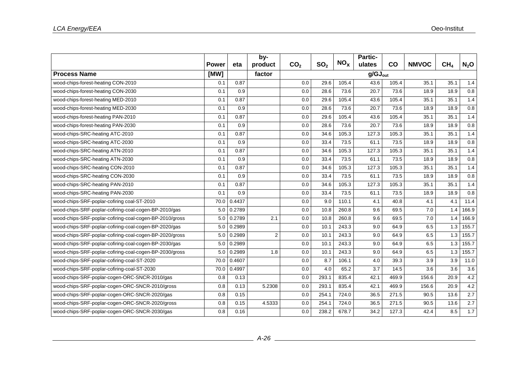|                                                         |              |        | by-            |                 |                 | NO <sub>x</sub> | Partic-             |           |              |                 |                  |  |
|---------------------------------------------------------|--------------|--------|----------------|-----------------|-----------------|-----------------|---------------------|-----------|--------------|-----------------|------------------|--|
|                                                         | <b>Power</b> | eta    | product        | CO <sub>2</sub> | SO <sub>2</sub> |                 | ulates              | <b>CO</b> | <b>NMVOC</b> | CH <sub>4</sub> | $N_2$ O          |  |
| <b>Process Name</b>                                     | [MW]         |        | factor         |                 |                 |                 | $g/GJ_{\text{out}}$ |           |              |                 |                  |  |
| wood-chips-forest-heating CON-2010                      | 0.1          | 0.87   |                | 0.0             | 29.6            | 105.4           | 43.6                | 105.4     | 35.1         | 35.1            | 1.4              |  |
| wood-chips-forest-heating CON-2030                      | 0.1          | 0.9    |                | 0.0             | 28.6            | 73.6            | 20.7                | 73.6      | 18.9         | 18.9            | 0.8              |  |
| wood-chips-forest-heating MED-2010                      | 0.1          | 0.87   |                | 0.0             | 29.6            | 105.4           | 43.6                | 105.4     | 35.1         | 35.1            | 1.4              |  |
| wood-chips-forest-heating MED-2030                      | 0.1          | 0.9    |                | 0.0             | 28.6            | 73.6            | 20.7                | 73.6      | 18.9         | 18.9            | 0.8              |  |
| wood-chips-forest-heating PAN-2010                      | 0.1          | 0.87   |                | 0.0             | 29.6            | 105.4           | 43.6                | 105.4     | 35.1         | 35.1            | 1.4              |  |
| wood-chips-forest-heating PAN-2030                      | 0.1          | 0.9    |                | 0.0             | 28.6            | 73.6            | 20.7                | 73.6      | 18.9         | 18.9            | 0.8              |  |
| wood-chips-SRC-heating ATC-2010                         | 0.1          | 0.87   |                | 0.0             | 34.6            | 105.3           | 127.3               | 105.3     | 35.1         | 35.1            | 1.4              |  |
| wood-chips-SRC-heating ATC-2030                         | 0.1          | 0.9    |                | 0.0             | 33.4            | 73.5            | 61.1                | 73.5      | 18.9         | 18.9            | 0.8              |  |
| wood-chips-SRC-heating ATN-2010                         | 0.1          | 0.87   |                | 0.0             | 34.6            | 105.3           | 127.3               | 105.3     | 35.1         | 35.1            | 1.4              |  |
| wood-chips-SRC-heating ATN-2030                         | 0.1          | 0.9    |                | 0.0             | 33.4            | 73.5            | 61.1                | 73.5      | 18.9         | 18.9            | 0.8              |  |
| wood-chips-SRC-heating CON-2010                         | 0.1          | 0.87   |                | 0.0             | 34.6            | 105.3           | 127.3               | 105.3     | 35.1         | 35.1            | 1.4              |  |
| wood-chips-SRC-heating CON-2030                         | 0.1          | 0.9    |                | 0.0             | 33.4            | 73.5            | 61.1                | 73.5      | 18.9         | 18.9            | 0.8              |  |
| wood-chips-SRC-heating PAN-2010                         | 0.1          | 0.87   |                | 0.0             | 34.6            | 105.3           | 127.3               | 105.3     | 35.1         | 35.1            | 1.4              |  |
| wood-chips-SRC-heating PAN-2030                         | 0.1          | 0.9    |                | 0.0             | 33.4            | 73.5            | 61.1                | 73.5      | 18.9         | 18.9            | 0.8              |  |
| wood-chips-SRF-poplar-cofiring coal-ST-2010             | 70.0         | 0.4437 |                | 0.0             | 9.0             | 110.1           | 4.1                 | 40.8      | 4.1          | 4.1             | 11.4             |  |
| wood-chips-SRF-poplar-cofiring-coal-cogen-BP-2010/gas   | 5.0          | 0.2789 |                | 0.0             | 10.8            | 260.8           | 9.6                 | 69.5      | 7.0          | 1.4             | 166.9            |  |
| wood-chips-SRF-poplar-cofiring-coal-cogen-BP-2010/gross | 5.0          | 0.2789 | 2.1            | 0.0             | 10.8            | 260.8           | 9.6                 | 69.5      | 7.0          | 1.4             | 166.9            |  |
| wood-chips-SRF-poplar-cofiring-coal-cogen-BP-2020/gas   | 5.0          | 0.2989 |                | 0.0             | 10.1            | 243.3           | 9.0                 | 64.9      | 6.5          | 1.3             | 155.7            |  |
| wood-chips-SRF-poplar-cofiring-coal-cogen-BP-2020/gross | 5.0          | 0.2989 | $\overline{2}$ | 0.0             | 10.1            | 243.3           | 9.0                 | 64.9      | 6.5          | 1.3             | 155.7            |  |
| wood-chips-SRF-poplar-cofiring-coal-cogen-BP-2030/gas   | 5.0          | 0.2989 |                | 0.0             | 10.1            | 243.3           | 9.0                 | 64.9      | 6.5          | 1.3             | 155.7            |  |
| wood-chips-SRF-poplar-cofiring-coal-cogen-BP-2030/gross | 5.0          | 0.2989 | 1.8            | 0.0             | 10.1            | 243.3           | 9.0                 | 64.9      | 6.5          | 1.3             | 155.7            |  |
| wood-chips-SRF-poplar-cofiring-coal-ST-2020             | 70.0         | 0.4607 |                | 0.0             | 8.7             | 106.1           | 4.0                 | 39.3      | 3.9          | 3.9             | 11.0             |  |
| wood-chips-SRF-poplar-cofiring-coal-ST-2030             | 70.0         | 0.4997 |                | 0.0             | 4.0             | 65.2            | 3.7                 | 14.5      | 3.6          | 3.6             | 3.6              |  |
| wood-chips-SRF-poplar-cogen-ORC-SNCR-2010/gas           | 0.8          | 0.13   |                | 0.0             | 293.1           | 835.4           | 42.1                | 469.9     | 156.6        | 20.9            | 4.2              |  |
| wood-chips-SRF-poplar-cogen-ORC-SNCR-2010/gross         | 0.8          | 0.13   | 5.2308         | 0.0             | 293.1           | 835.4           | 42.1                | 469.9     | 156.6        | 20.9            | 4.2              |  |
| wood-chips-SRF-poplar-cogen-ORC-SNCR-2020/gas           | 0.8          | 0.15   |                | 0.0             | 254.1           | 724.0           | 36.5                | 271.5     | 90.5         | 13.6            | $\overline{2.7}$ |  |
| wood-chips-SRF-poplar-cogen-ORC-SNCR-2020/gross         | 0.8          | 0.15   | 4.5333         | 0.0             | 254.1           | 724.0           | 36.5                | 271.5     | 90.5         | 13.6            | $\overline{2.7}$ |  |
| wood-chips-SRF-poplar-cogen-ORC-SNCR-2030/gas           | 0.8          | 0.16   |                | 0.0             | 238.2           | 678.7           | 34.2                | 127.3     | 42.4         | 8.5             | 1.7              |  |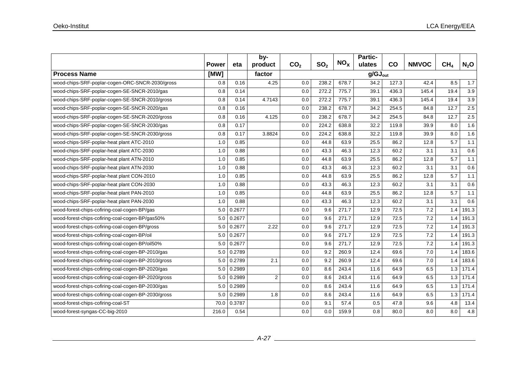|                                                     |              |        | by-            |                 |                 |                 | Partic-             |               |              |                 |         |
|-----------------------------------------------------|--------------|--------|----------------|-----------------|-----------------|-----------------|---------------------|---------------|--------------|-----------------|---------|
|                                                     | <b>Power</b> | eta    | product        | CO <sub>2</sub> | SO <sub>2</sub> | NO <sub>x</sub> | ulates              | $\mathsf{co}$ | <b>NMVOC</b> | CH <sub>4</sub> | $N_2$ O |
| <b>Process Name</b>                                 | [MW]         |        | factor         |                 |                 |                 | $g/GJ_{\text{out}}$ |               |              |                 |         |
| wood-chips-SRF-poplar-cogen-ORC-SNCR-2030/gross     | 0.8          | 0.16   | 4.25           | 0.0             | 238.2           | 678.7           | 34.2                | 127.3         | 42.4         | 8.5             | 1.7     |
| wood-chips-SRF-poplar-cogen-SE-SNCR-2010/gas        | 0.8          | 0.14   |                | 0.0             | 272.2           | 775.7           | 39.1                | 436.3         | 145.4        | 19.4            | 3.9     |
| wood-chips-SRF-poplar-cogen-SE-SNCR-2010/gross      | 0.8          | 0.14   | 4.7143         | 0.0             | 272.2           | 775.7           | 39.1                | 436.3         | 145.4        | 19.4            | 3.9     |
| wood-chips-SRF-poplar-cogen-SE-SNCR-2020/gas        | 0.8          | 0.16   |                | 0.0             | 238.2           | 678.7           | 34.2                | 254.5         | 84.8         | 12.7            | 2.5     |
| wood-chips-SRF-poplar-cogen-SE-SNCR-2020/gross      | 0.8          | 0.16   | 4.125          | 0.0             | 238.2           | 678.7           | 34.2                | 254.5         | 84.8         | 12.7            | 2.5     |
| wood-chips-SRF-poplar-cogen-SE-SNCR-2030/gas        | 0.8          | 0.17   |                | 0.0             | 224.2           | 638.8           | 32.2                | 119.8         | 39.9         | 8.0             | 1.6     |
| wood-chips-SRF-poplar-cogen-SE-SNCR-2030/gross      | 0.8          | 0.17   | 3.8824         | 0.0             | 224.2           | 638.8           | 32.2                | 119.8         | 39.9         | 8.0             | 1.6     |
| wood-chips-SRF-poplar-heat plant ATC-2010           | 1.0          | 0.85   |                | 0.0             | 44.8            | 63.9            | 25.5                | 86.2          | 12.8         | 5.7             | 1.1     |
| wood-chips-SRF-poplar-heat plant ATC-2030           | 1.0          | 0.88   |                | 0.0             | 43.3            | 46.3            | 12.3                | 60.2          | 3.1          | 3.1             | 0.6     |
| wood-chips-SRF-poplar-heat plant ATN-2010           | 1.0          | 0.85   |                | 0.0             | 44.8            | 63.9            | 25.5                | 86.2          | 12.8         | 5.7             | 1.1     |
| wood-chips-SRF-poplar-heat plant ATN-2030           | 1.0          | 0.88   |                | 0.0             | 43.3            | 46.3            | 12.3                | 60.2          | 3.1          | 3.1             | 0.6     |
| wood-chips-SRF-poplar-heat plant CON-2010           | 1.0          | 0.85   |                | 0.0             | 44.8            | 63.9            | 25.5                | 86.2          | 12.8         | 5.7             | 1.1     |
| wood-chips-SRF-poplar-heat plant CON-2030           | 1.0          | 0.88   |                | 0.0             | 43.3            | 46.3            | 12.3                | 60.2          | 3.1          | 3.1             | 0.6     |
| wood-chips-SRF-poplar-heat plant PAN-2010           | 1.0          | 0.85   |                | 0.0             | 44.8            | 63.9            | 25.5                | 86.2          | 12.8         | 5.7             | 1.1     |
| wood-chips-SRF-poplar-heat plant PAN-2030           | 1.0          | 0.88   |                | 0.0             | 43.3            | 46.3            | 12.3                | 60.2          | 3.1          | 3.1             | 0.6     |
| wood-forest-chips-cofiring-coal-cogen-BP/gas        | 5.0          | 0.2677 |                | 0.0             | 9.6             | 271.7           | 12.9                | 72.5          | 7.2          | 1.4             | 191.3   |
| wood-forest-chips-cofiring-coal-cogen-BP/gas50%     | 5.0          | 0.2677 |                | 0.0             | 9.6             | 271.7           | 12.9                | 72.5          | 7.2          | 1.4             | 191.3   |
| wood-forest-chips-cofiring-coal-cogen-BP/gross      | 5.0          | 0.2677 | 2.22           | 0.0             | 9.6             | 271.7           | 12.9                | 72.5          | 7.2          | 1.4             | 191.3   |
| wood-forest-chips-cofiring-coal-cogen-BP/oil        | 5.0          | 0.2677 |                | 0.0             | 9.6             | 271.7           | 12.9                | 72.5          | 7.2          | 1.4             | 191.3   |
| wood-forest-chips-cofiring-coal-cogen-BP/oil50%     | 5.0          | 0.2677 |                | 0.0             | 9.6             | 271.7           | 12.9                | 72.5          | 7.2          | 1.4             | 191.3   |
| wood-forest-chips-cofiring-coal-cogen-BP-2010/gas   | 5.0          | 0.2789 |                | 0.0             | 9.2             | 260.9           | 12.4                | 69.6          | 7.0          | 1.4             | 183.6   |
| wood-forest-chips-cofiring-coal-cogen-BP-2010/gross | 5.0          | 0.2789 | 2.1            | 0.0             | 9.2             | 260.9           | 12.4                | 69.6          | 7.0          | 1.4             | 183.6   |
| wood-forest-chips-cofiring-coal-cogen-BP-2020/gas   | 5.0          | 0.2989 |                | 0.0             | 8.6             | 243.4           | 11.6                | 64.9          | 6.5          | 1.3             | 171.4   |
| wood-forest-chips-cofiring-coal-cogen-BP-2020/gross | 5.0          | 0.2989 | $\overline{2}$ | 0.0             | 8.6             | 243.4           | 11.6                | 64.9          | 6.5          | 1.3             | 171.4   |
| wood-forest-chips-cofiring-coal-cogen-BP-2030/gas   | 5.0          | 0.2989 |                | 0.0             | 8.6             | 243.4           | 11.6                | 64.9          | 6.5          | 1.3             | 171.4   |
| wood-forest-chips-cofiring-coal-cogen-BP-2030/gross | 5.0          | 0.2989 | 1.8            | 0.0             | 8.6             | 243.4           | 11.6                | 64.9          | 6.5          | 1.3             | 171.4   |
| wood-forest-chips-cofiring-coal-ST                  | 70.0         | 0.3787 |                | 0.0             | 9.1             | 57.4            | 0.5                 | 47.8          | 9.6          | 4.8             | 13.4    |
| wood-forest-syngas-CC-big-2010                      | 216.0        | 0.54   |                | 0.0             | 0.0             | 159.9           | 0.8                 | 80.0          | 8.0          | 8.0             | 4.8     |